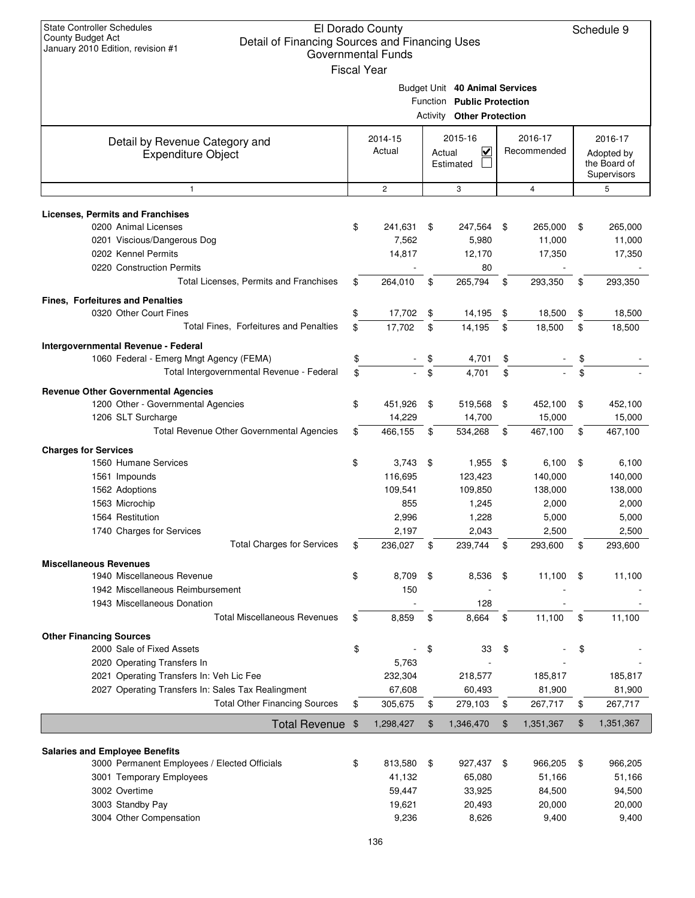| <b>State Controller Schedules</b><br>El Dorado County<br><b>County Budget Act</b><br>Detail of Financing Sources and Financing Uses<br>January 2010 Edition, revision #1<br><b>Governmental Funds</b><br><b>Fiscal Year</b> |               |                   |        |                                                                                                  |                |                        |                |                                                      |
|-----------------------------------------------------------------------------------------------------------------------------------------------------------------------------------------------------------------------------|---------------|-------------------|--------|--------------------------------------------------------------------------------------------------|----------------|------------------------|----------------|------------------------------------------------------|
|                                                                                                                                                                                                                             |               |                   |        | Budget Unit 40 Animal Services<br>Function Public Protection<br><b>Activity Other Protection</b> |                |                        |                |                                                      |
| Detail by Revenue Category and<br><b>Expenditure Object</b>                                                                                                                                                                 |               | 2014-15<br>Actual | Actual | 2015-16<br>$\overline{\mathbf{v}}$<br>Estimated                                                  |                | 2016-17<br>Recommended |                | 2016-17<br>Adopted by<br>the Board of<br>Supervisors |
| 1                                                                                                                                                                                                                           |               | $\overline{c}$    |        | 3                                                                                                |                | $\overline{4}$         |                | 5                                                    |
| <b>Licenses, Permits and Franchises</b>                                                                                                                                                                                     |               |                   |        |                                                                                                  |                |                        |                |                                                      |
| 0200 Animal Licenses                                                                                                                                                                                                        | \$            | 241,631           | \$     | 247,564                                                                                          | \$             | 265,000                | \$             | 265,000                                              |
| 0201 Viscious/Dangerous Dog                                                                                                                                                                                                 |               | 7,562             |        | 5,980                                                                                            |                | 11,000                 |                | 11,000                                               |
| 0202 Kennel Permits                                                                                                                                                                                                         |               | 14,817            |        | 12,170                                                                                           |                | 17,350                 |                | 17,350                                               |
| 0220 Construction Permits                                                                                                                                                                                                   |               |                   |        | 80                                                                                               |                |                        |                |                                                      |
| Total Licenses, Permits and Franchises                                                                                                                                                                                      | \$            | 264,010           | \$     | 265,794                                                                                          | \$             | 293,350                | \$             | 293,350                                              |
| Fines, Forfeitures and Penalties                                                                                                                                                                                            |               |                   |        |                                                                                                  |                |                        |                |                                                      |
| 0320 Other Court Fines                                                                                                                                                                                                      | \$            | 17,702            | \$     | 14,195                                                                                           | \$             | 18,500                 | \$             | 18,500                                               |
| Total Fines, Forfeitures and Penalties                                                                                                                                                                                      | \$            | 17,702            | \$     | 14,195                                                                                           | \$             | 18,500                 | \$             | 18,500                                               |
| Intergovernmental Revenue - Federal                                                                                                                                                                                         |               |                   |        |                                                                                                  |                |                        |                |                                                      |
| 1060 Federal - Emerg Mngt Agency (FEMA)                                                                                                                                                                                     | \$            |                   | \$     | 4,701                                                                                            | \$             |                        | \$             |                                                      |
| Total Intergovernmental Revenue - Federal                                                                                                                                                                                   | \$            |                   | \$     | 4,701                                                                                            | \$             |                        | \$             |                                                      |
| <b>Revenue Other Governmental Agencies</b>                                                                                                                                                                                  |               |                   |        |                                                                                                  |                |                        |                |                                                      |
| 1200 Other - Governmental Agencies                                                                                                                                                                                          | \$            | 451,926           | \$     | 519,568                                                                                          | \$             | 452,100                | \$             | 452,100                                              |
| 1206 SLT Surcharge                                                                                                                                                                                                          |               | 14,229            |        | 14,700                                                                                           |                | 15,000                 |                | 15,000                                               |
| Total Revenue Other Governmental Agencies                                                                                                                                                                                   | \$            | 466,155           | \$     | 534,268                                                                                          | \$             | 467,100                | \$             | 467,100                                              |
| <b>Charges for Services</b>                                                                                                                                                                                                 |               |                   |        |                                                                                                  |                |                        |                |                                                      |
| 1560 Humane Services                                                                                                                                                                                                        | \$            | 3,743             | \$     | 1,955                                                                                            | \$             | 6,100                  | \$             | 6,100                                                |
| 1561 Impounds                                                                                                                                                                                                               |               | 116,695           |        | 123,423                                                                                          |                | 140,000                |                | 140,000                                              |
| 1562 Adoptions<br>1563 Microchip                                                                                                                                                                                            |               | 109,541           |        | 109,850<br>1,245                                                                                 |                | 138,000<br>2,000       |                | 138,000<br>2,000                                     |
| 1564 Restitution                                                                                                                                                                                                            |               | 855<br>2,996      |        | 1,228                                                                                            |                | 5,000                  |                | 5,000                                                |
| 1740 Charges for Services                                                                                                                                                                                                   |               | 2,197             |        | 2,043                                                                                            |                | 2,500                  |                | 2,500                                                |
| <b>Total Charges for Services</b>                                                                                                                                                                                           | \$            | 236,027           | \$     | 239,744                                                                                          | \$             | 293,600                | \$             | 293,600                                              |
| <b>Miscellaneous Revenues</b>                                                                                                                                                                                               |               |                   |        |                                                                                                  |                |                        |                |                                                      |
| 1940 Miscellaneous Revenue                                                                                                                                                                                                  | \$            | 8,709             | \$     | 8,536                                                                                            | \$             | 11,100                 | \$             | 11,100                                               |
| 1942 Miscellaneous Reimbursement                                                                                                                                                                                            |               | 150               |        |                                                                                                  |                |                        |                |                                                      |
| 1943 Miscellaneous Donation                                                                                                                                                                                                 |               |                   |        | 128                                                                                              |                |                        |                |                                                      |
| <b>Total Miscellaneous Revenues</b>                                                                                                                                                                                         | \$            | 8,859             | \$     | 8,664                                                                                            | \$             | 11,100                 | \$             | 11,100                                               |
| <b>Other Financing Sources</b>                                                                                                                                                                                              |               |                   |        |                                                                                                  |                |                        |                |                                                      |
| 2000 Sale of Fixed Assets                                                                                                                                                                                                   | \$            |                   | \$     | 33                                                                                               | \$             |                        | \$             |                                                      |
| 2020 Operating Transfers In                                                                                                                                                                                                 |               | 5,763             |        |                                                                                                  |                |                        |                |                                                      |
| 2021 Operating Transfers In: Veh Lic Fee                                                                                                                                                                                    |               | 232,304           |        | 218,577                                                                                          |                | 185,817                |                | 185,817                                              |
| 2027 Operating Transfers In: Sales Tax Realingment                                                                                                                                                                          |               | 67,608            |        | 60,493                                                                                           |                | 81,900                 |                | 81,900                                               |
| <b>Total Other Financing Sources</b>                                                                                                                                                                                        | \$            | 305,675           | \$     | 279,103                                                                                          | \$             | 267,717                | \$             | 267,717                                              |
| <b>Total Revenue</b>                                                                                                                                                                                                        | $\frac{1}{2}$ | 1,298,427         | \$     | 1,346,470                                                                                        | $\mathfrak{F}$ | 1,351,367              | $\mathfrak{F}$ | 1,351,367                                            |
|                                                                                                                                                                                                                             |               |                   |        |                                                                                                  |                |                        |                |                                                      |
| <b>Salaries and Employee Benefits</b>                                                                                                                                                                                       |               |                   |        |                                                                                                  |                |                        |                |                                                      |
| 3000 Permanent Employees / Elected Officials<br>3001 Temporary Employees                                                                                                                                                    | \$            | 813,580<br>41,132 | \$     | 927,437<br>65,080                                                                                | \$             | 966,205<br>51,166      | \$             | 966,205<br>51,166                                    |
| 3002 Overtime                                                                                                                                                                                                               |               | 59,447            |        | 33,925                                                                                           |                | 84,500                 |                | 94,500                                               |
| 3003 Standby Pay                                                                                                                                                                                                            |               | 19,621            |        | 20,493                                                                                           |                | 20,000                 |                | 20,000                                               |
| 3004 Other Compensation                                                                                                                                                                                                     |               | 9,236             |        | 8,626                                                                                            |                | 9,400                  |                | 9,400                                                |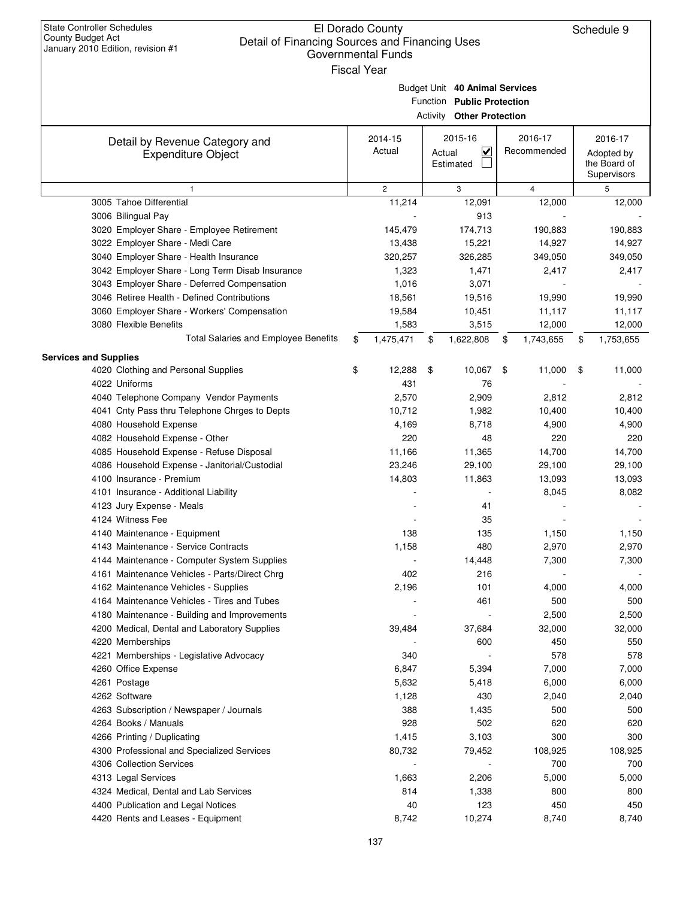| <b>State Controller Schedules</b><br>El Dorado County<br>Schedule 9<br><b>County Budget Act</b><br>Detail of Financing Sources and Financing Uses<br>January 2010 Edition, revision #1<br><b>Governmental Funds</b><br><b>Fiscal Year</b> |    |                   |        |                                                                                                  |    |                        |    |                                                      |  |
|-------------------------------------------------------------------------------------------------------------------------------------------------------------------------------------------------------------------------------------------|----|-------------------|--------|--------------------------------------------------------------------------------------------------|----|------------------------|----|------------------------------------------------------|--|
|                                                                                                                                                                                                                                           |    |                   |        | Budget Unit 40 Animal Services<br>Function Public Protection<br><b>Activity Other Protection</b> |    |                        |    |                                                      |  |
| Detail by Revenue Category and<br><b>Expenditure Object</b>                                                                                                                                                                               |    | 2014-15<br>Actual | Actual | 2015-16<br>$\overline{\mathbf{v}}$<br>Estimated                                                  |    | 2016-17<br>Recommended |    | 2016-17<br>Adopted by<br>the Board of<br>Supervisors |  |
| $\mathbf{1}$                                                                                                                                                                                                                              |    | $\mathbf{2}$      |        | 3                                                                                                |    | $\overline{4}$         |    | 5                                                    |  |
| 3005 Tahoe Differential                                                                                                                                                                                                                   |    | 11,214            |        | 12,091                                                                                           |    | 12,000                 |    | 12,000                                               |  |
| 3006 Bilingual Pay                                                                                                                                                                                                                        |    |                   |        | 913                                                                                              |    |                        |    |                                                      |  |
| 3020 Employer Share - Employee Retirement                                                                                                                                                                                                 |    | 145,479           |        | 174,713                                                                                          |    | 190,883                |    | 190,883                                              |  |
| 3022 Employer Share - Medi Care                                                                                                                                                                                                           |    | 13,438            |        | 15,221                                                                                           |    | 14,927                 |    | 14,927                                               |  |
| 3040 Employer Share - Health Insurance                                                                                                                                                                                                    |    | 320,257           |        | 326,285                                                                                          |    | 349,050                |    | 349,050                                              |  |
| 3042 Employer Share - Long Term Disab Insurance                                                                                                                                                                                           |    | 1,323             |        | 1,471                                                                                            |    | 2,417                  |    | 2,417                                                |  |
| 3043 Employer Share - Deferred Compensation                                                                                                                                                                                               |    | 1,016             |        | 3,071                                                                                            |    |                        |    |                                                      |  |
| 3046 Retiree Health - Defined Contributions                                                                                                                                                                                               |    | 18,561            |        | 19,516                                                                                           |    | 19,990                 |    | 19,990                                               |  |
| 3060 Employer Share - Workers' Compensation                                                                                                                                                                                               |    | 19,584            |        | 10,451                                                                                           |    | 11,117                 |    | 11,117                                               |  |
| 3080 Flexible Benefits                                                                                                                                                                                                                    |    | 1,583             |        | 3,515                                                                                            |    | 12,000                 |    | 12,000                                               |  |
| Total Salaries and Employee Benefits                                                                                                                                                                                                      | \$ | 1,475,471         | \$     | 1,622,808                                                                                        | \$ | 1,743,655              | \$ | 1,753,655                                            |  |
| <b>Services and Supplies</b>                                                                                                                                                                                                              |    |                   |        |                                                                                                  |    |                        |    |                                                      |  |
| 4020 Clothing and Personal Supplies                                                                                                                                                                                                       | \$ | 12,288            | \$     | 10,067                                                                                           | \$ | 11,000                 | \$ | 11,000                                               |  |
| 4022 Uniforms                                                                                                                                                                                                                             |    | 431               |        | 76                                                                                               |    |                        |    |                                                      |  |
| 4040 Telephone Company Vendor Payments                                                                                                                                                                                                    |    | 2,570             |        | 2,909                                                                                            |    | 2,812                  |    | 2,812                                                |  |
| 4041 Cnty Pass thru Telephone Chrges to Depts                                                                                                                                                                                             |    | 10,712            |        | 1,982                                                                                            |    | 10,400                 |    | 10,400                                               |  |
| 4080 Household Expense                                                                                                                                                                                                                    |    | 4,169             |        | 8,718                                                                                            |    | 4,900                  |    | 4,900                                                |  |
| 4082 Household Expense - Other                                                                                                                                                                                                            |    | 220               |        | 48                                                                                               |    | 220                    |    | 220                                                  |  |
| 4085 Household Expense - Refuse Disposal                                                                                                                                                                                                  |    | 11,166            |        | 11,365                                                                                           |    | 14,700                 |    | 14,700                                               |  |
| 4086 Household Expense - Janitorial/Custodial                                                                                                                                                                                             |    | 23,246            |        | 29,100                                                                                           |    | 29,100                 |    | 29,100                                               |  |
| 4100 Insurance - Premium                                                                                                                                                                                                                  |    | 14,803            |        | 11,863                                                                                           |    | 13,093                 |    | 13,093                                               |  |
| 4101 Insurance - Additional Liability                                                                                                                                                                                                     |    |                   |        |                                                                                                  |    | 8,045                  |    | 8,082                                                |  |
| 4123 Jury Expense - Meals                                                                                                                                                                                                                 |    |                   |        | 41                                                                                               |    |                        |    |                                                      |  |
| 4124 Witness Fee                                                                                                                                                                                                                          |    |                   |        | 35                                                                                               |    |                        |    |                                                      |  |
| 4140 Maintenance - Equipment                                                                                                                                                                                                              |    | 138               |        | 135                                                                                              |    | 1,150                  |    | 1,150                                                |  |
| 4143 Maintenance - Service Contracts                                                                                                                                                                                                      |    | 1,158             |        | 480                                                                                              |    | 2,970                  |    | 2,970                                                |  |
| 4144 Maintenance - Computer System Supplies<br>4161 Maintenance Vehicles - Parts/Direct Chrg                                                                                                                                              |    | 402               |        | 14,448<br>216                                                                                    |    | 7,300                  |    | 7,300                                                |  |
| 4162 Maintenance Vehicles - Supplies                                                                                                                                                                                                      |    | 2,196             |        | 101                                                                                              |    | 4,000                  |    | 4,000                                                |  |
| 4164 Maintenance Vehicles - Tires and Tubes                                                                                                                                                                                               |    |                   |        | 461                                                                                              |    | 500                    |    | 500                                                  |  |
| 4180 Maintenance - Building and Improvements                                                                                                                                                                                              |    |                   |        |                                                                                                  |    | 2,500                  |    | 2,500                                                |  |
| 4200 Medical, Dental and Laboratory Supplies                                                                                                                                                                                              |    | 39,484            |        | 37,684                                                                                           |    | 32,000                 |    | 32,000                                               |  |
| 4220 Memberships                                                                                                                                                                                                                          |    |                   |        | 600                                                                                              |    | 450                    |    | 550                                                  |  |
| 4221 Memberships - Legislative Advocacy                                                                                                                                                                                                   |    | 340               |        |                                                                                                  |    | 578                    |    | 578                                                  |  |
| 4260 Office Expense                                                                                                                                                                                                                       |    | 6,847             |        | 5,394                                                                                            |    | 7,000                  |    | 7,000                                                |  |
| 4261 Postage                                                                                                                                                                                                                              |    | 5,632             |        | 5,418                                                                                            |    | 6,000                  |    | 6,000                                                |  |
| 4262 Software                                                                                                                                                                                                                             |    | 1,128             |        | 430                                                                                              |    | 2,040                  |    | 2,040                                                |  |
| 4263 Subscription / Newspaper / Journals                                                                                                                                                                                                  |    | 388               |        | 1,435                                                                                            |    | 500                    |    | 500                                                  |  |
| 4264 Books / Manuals                                                                                                                                                                                                                      |    | 928               |        | 502                                                                                              |    | 620                    |    | 620                                                  |  |
| 4266 Printing / Duplicating                                                                                                                                                                                                               |    | 1,415             |        | 3,103                                                                                            |    | 300                    |    | 300                                                  |  |
| 4300 Professional and Specialized Services                                                                                                                                                                                                |    | 80,732            |        | 79,452                                                                                           |    | 108,925                |    | 108,925                                              |  |
| 4306 Collection Services                                                                                                                                                                                                                  |    |                   |        |                                                                                                  |    | 700                    |    | 700                                                  |  |
| 4313 Legal Services                                                                                                                                                                                                                       |    | 1,663             |        | 2,206                                                                                            |    | 5,000                  |    | 5,000                                                |  |
| 4324 Medical, Dental and Lab Services                                                                                                                                                                                                     |    | 814               |        | 1,338                                                                                            |    | 800                    |    | 800                                                  |  |
| 4400 Publication and Legal Notices                                                                                                                                                                                                        |    | 40                |        | 123                                                                                              |    | 450                    |    | 450                                                  |  |
| 4420 Rents and Leases - Equipment                                                                                                                                                                                                         |    | 8,742             |        | 10,274                                                                                           |    | 8,740                  |    | 8,740                                                |  |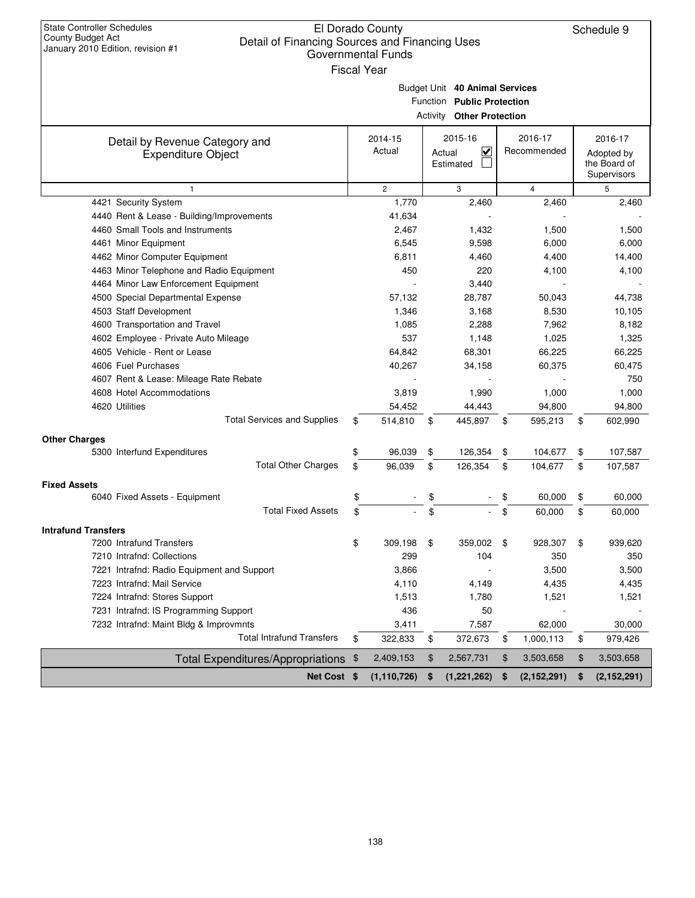| <b>State Controller Schedules</b><br>El Dorado County<br><b>County Budget Act</b><br>Detail of Financing Sources and Financing Uses<br>January 2010 Edition, revision #1<br>Governmental Funds<br><b>Fiscal Year</b> |    |                |    |                                                                                                  |    |                |    |                                           |  |
|----------------------------------------------------------------------------------------------------------------------------------------------------------------------------------------------------------------------|----|----------------|----|--------------------------------------------------------------------------------------------------|----|----------------|----|-------------------------------------------|--|
|                                                                                                                                                                                                                      |    |                |    | Budget Unit 40 Animal Services<br>Function Public Protection<br><b>Activity Other Protection</b> |    |                |    |                                           |  |
| Detail by Revenue Category and                                                                                                                                                                                       |    | 2014-15        |    | 2015-16                                                                                          |    | 2016-17        |    | 2016-17                                   |  |
| <b>Expenditure Object</b>                                                                                                                                                                                            |    | Actual         |    | V<br>Actual<br>Estimated                                                                         |    | Recommended    |    | Adopted by<br>the Board of<br>Supervisors |  |
| $\mathbf{1}$                                                                                                                                                                                                         |    | $\overline{2}$ |    | 3                                                                                                |    | $\overline{4}$ |    | 5                                         |  |
| 4421 Security System                                                                                                                                                                                                 |    | 1,770          |    | 2,460                                                                                            |    | 2,460          |    | 2,460                                     |  |
| 4440 Rent & Lease - Building/Improvements                                                                                                                                                                            |    | 41,634         |    |                                                                                                  |    |                |    |                                           |  |
| 4460 Small Tools and Instruments                                                                                                                                                                                     |    | 2,467          |    | 1,432                                                                                            |    | 1,500          |    | 1,500                                     |  |
| 4461 Minor Equipment                                                                                                                                                                                                 |    | 6,545          |    | 9,598                                                                                            |    | 6,000          |    | 6,000                                     |  |
| 4462 Minor Computer Equipment                                                                                                                                                                                        |    | 6,811          |    | 4,460                                                                                            |    | 4,400          |    | 14,400                                    |  |
| 4463 Minor Telephone and Radio Equipment                                                                                                                                                                             |    | 450            |    | 220                                                                                              |    | 4,100          |    | 4,100                                     |  |
| 4464 Minor Law Enforcement Equipment                                                                                                                                                                                 |    |                |    | 3,440                                                                                            |    |                |    |                                           |  |
| 4500 Special Departmental Expense                                                                                                                                                                                    |    | 57,132         |    | 28,787                                                                                           |    | 50,043         |    | 44,738                                    |  |
| 4503 Staff Development                                                                                                                                                                                               |    | 1,346          |    | 3,168                                                                                            |    | 8,530          |    | 10,105                                    |  |
| 4600 Transportation and Travel                                                                                                                                                                                       |    | 1,085          |    | 2,288                                                                                            |    | 7,962          |    | 8,182                                     |  |
| 4602 Employee - Private Auto Mileage                                                                                                                                                                                 |    | 537            |    | 1,148                                                                                            |    | 1,025          |    | 1,325                                     |  |
| 4605 Vehicle - Rent or Lease                                                                                                                                                                                         |    | 64,842         |    | 68,301                                                                                           |    | 66,225         |    | 66,225                                    |  |
| 4606 Fuel Purchases                                                                                                                                                                                                  |    | 40,267         |    | 34,158                                                                                           |    | 60,375         |    | 60,475                                    |  |
| 4607 Rent & Lease: Mileage Rate Rebate                                                                                                                                                                               |    |                |    |                                                                                                  |    |                |    | 750                                       |  |
| 4608 Hotel Accommodations                                                                                                                                                                                            |    | 3,819          |    | 1,990                                                                                            |    | 1,000          |    | 1,000                                     |  |
| 4620 Utilities                                                                                                                                                                                                       |    | 54,452         |    | 44,443                                                                                           |    | 94,800         |    | 94,800                                    |  |
| <b>Total Services and Supplies</b>                                                                                                                                                                                   | \$ | 514,810        | \$ | 445,897                                                                                          | \$ | 595,213        | \$ | 602,990                                   |  |
| <b>Other Charges</b>                                                                                                                                                                                                 |    |                |    |                                                                                                  |    |                |    |                                           |  |
| 5300 Interfund Expenditures                                                                                                                                                                                          | \$ | 96,039         | \$ | 126,354                                                                                          | \$ | 104,677        | \$ | 107,587                                   |  |
| <b>Total Other Charges</b>                                                                                                                                                                                           | \$ | 96.039         | \$ | 126.354                                                                                          | \$ | 104.677        | \$ | 107,587                                   |  |
| <b>Fixed Assets</b>                                                                                                                                                                                                  |    |                |    |                                                                                                  |    |                |    |                                           |  |
| 6040 Fixed Assets - Equipment                                                                                                                                                                                        | \$ |                | \$ |                                                                                                  | \$ | 60,000         | \$ | 60,000                                    |  |
| <b>Total Fixed Assets</b>                                                                                                                                                                                            | \$ |                | \$ |                                                                                                  | \$ | 60,000         | \$ | 60,000                                    |  |
| <b>Intrafund Transfers</b>                                                                                                                                                                                           |    |                |    |                                                                                                  |    |                |    |                                           |  |
| 7200 Intrafund Transfers                                                                                                                                                                                             | \$ | 309,198        | \$ | 359,002                                                                                          | \$ | 928,307        | \$ | 939,620                                   |  |
| 7210 Intrafnd: Collections                                                                                                                                                                                           |    | 299            |    | 104                                                                                              |    | 350            |    | 350                                       |  |
| 7221 Intrafnd: Radio Equipment and Support                                                                                                                                                                           |    | 3,866          |    |                                                                                                  |    | 3,500          |    | 3,500                                     |  |
| 7223 Intrafnd: Mail Service                                                                                                                                                                                          |    | 4,110          |    | 4,149                                                                                            |    | 4,435          |    | 4,435                                     |  |
| 7224 Intrafnd: Stores Support                                                                                                                                                                                        |    | 1,513          |    | 1,780                                                                                            |    | 1,521          |    | 1,521                                     |  |
| 7231 Intrafnd: IS Programming Support                                                                                                                                                                                |    | 436            |    | 50                                                                                               |    |                |    |                                           |  |
| 7232 Intrafnd: Maint Bldg & Improvmnts                                                                                                                                                                               |    | 3,411          |    | 7,587                                                                                            |    | 62,000         |    | 30,000                                    |  |
| <b>Total Intrafund Transfers</b>                                                                                                                                                                                     | \$ | 322,833        | \$ | 372,673                                                                                          | \$ | 1,000,113      | \$ | 979,426                                   |  |
| Total Expenditures/Appropriations \$                                                                                                                                                                                 |    | 2,409,153      | \$ | 2,567,731                                                                                        | \$ | 3,503,658      | \$ | 3,503,658                                 |  |
| Net Cost \$                                                                                                                                                                                                          |    | (1, 110, 726)  | \$ | (1,221,262)                                                                                      | \$ | (2, 152, 291)  | \$ | (2, 152, 291)                             |  |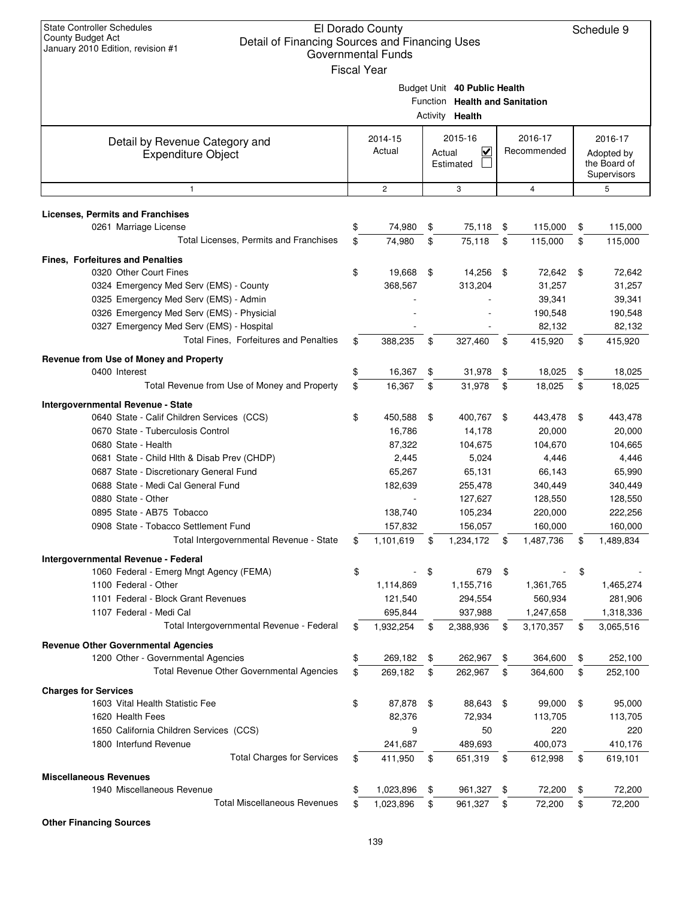| <b>State Controller Schedules</b><br>El Dorado County<br>County Budget Act<br>Detail of Financing Sources and Financing Uses<br>January 2010 Edition, revision #1<br><b>Governmental Funds</b><br><b>Fiscal Year</b> |    |                                                                                    |    |                                                                                          |      |                                                      |    |                    |
|----------------------------------------------------------------------------------------------------------------------------------------------------------------------------------------------------------------------|----|------------------------------------------------------------------------------------|----|------------------------------------------------------------------------------------------|------|------------------------------------------------------|----|--------------------|
|                                                                                                                                                                                                                      |    |                                                                                    |    | Budget Unit 40 Public Health<br>Function Health and Sanitation<br>Activity <b>Health</b> |      |                                                      |    |                    |
| Detail by Revenue Category and<br><b>Expenditure Object</b>                                                                                                                                                          |    | 2014-15<br>2015-16<br>2016-17<br>Actual<br>V<br>Recommended<br>Actual<br>Estimated |    |                                                                                          |      | 2016-17<br>Adopted by<br>the Board of<br>Supervisors |    |                    |
| $\mathbf{1}$                                                                                                                                                                                                         |    | $\mathbf{2}$                                                                       |    | 3                                                                                        |      | 4                                                    |    | 5                  |
| <b>Licenses, Permits and Franchises</b>                                                                                                                                                                              |    |                                                                                    |    |                                                                                          |      |                                                      |    |                    |
| 0261 Marriage License                                                                                                                                                                                                | \$ | 74,980                                                                             | \$ | 75,118                                                                                   | \$   | 115,000                                              | \$ | 115,000            |
| Total Licenses, Permits and Franchises                                                                                                                                                                               | \$ | 74,980                                                                             | \$ | 75.118                                                                                   | \$   | 115,000                                              | \$ | 115,000            |
| <b>Fines, Forfeitures and Penalties</b>                                                                                                                                                                              |    |                                                                                    |    |                                                                                          |      |                                                      |    |                    |
| 0320 Other Court Fines                                                                                                                                                                                               | \$ | 19,668                                                                             | \$ | 14,256                                                                                   | \$   | 72,642 \$                                            |    | 72,642             |
| 0324 Emergency Med Serv (EMS) - County                                                                                                                                                                               |    | 368,567                                                                            |    | 313,204                                                                                  |      | 31,257                                               |    | 31,257             |
| 0325 Emergency Med Serv (EMS) - Admin                                                                                                                                                                                |    |                                                                                    |    |                                                                                          |      | 39,341                                               |    | 39,341             |
| 0326 Emergency Med Serv (EMS) - Physicial<br>0327 Emergency Med Serv (EMS) - Hospital                                                                                                                                |    |                                                                                    |    |                                                                                          |      | 190,548<br>82,132                                    |    | 190,548<br>82,132  |
| Total Fines, Forfeitures and Penalties                                                                                                                                                                               | \$ | 388,235                                                                            | \$ | 327,460                                                                                  | \$   | 415,920                                              | \$ | 415,920            |
| Revenue from Use of Money and Property                                                                                                                                                                               |    |                                                                                    |    |                                                                                          |      |                                                      |    |                    |
| 0400 Interest                                                                                                                                                                                                        | \$ | 16,367                                                                             | \$ | 31,978                                                                                   | \$   | 18,025                                               | \$ | 18,025             |
| Total Revenue from Use of Money and Property                                                                                                                                                                         | \$ | 16,367                                                                             | \$ | 31,978                                                                                   | \$   | 18,025                                               | \$ | 18,025             |
| Intergovernmental Revenue - State                                                                                                                                                                                    |    |                                                                                    |    |                                                                                          |      |                                                      |    |                    |
| 0640 State - Calif Children Services (CCS)                                                                                                                                                                           | \$ | 450,588                                                                            | \$ | 400,767                                                                                  | - \$ | 443,478                                              | \$ | 443,478            |
| 0670 State - Tuberculosis Control                                                                                                                                                                                    |    | 16,786                                                                             |    | 14,178                                                                                   |      | 20,000                                               |    | 20,000             |
| 0680 State - Health                                                                                                                                                                                                  |    | 87,322                                                                             |    | 104,675                                                                                  |      | 104,670                                              |    | 104,665            |
| 0681 State - Child Hlth & Disab Prev (CHDP)                                                                                                                                                                          |    | 2,445                                                                              |    | 5,024                                                                                    |      | 4,446                                                |    | 4,446              |
| 0687 State - Discretionary General Fund                                                                                                                                                                              |    | 65,267                                                                             |    | 65,131                                                                                   |      | 66,143                                               |    | 65,990             |
| 0688 State - Medi Cal General Fund                                                                                                                                                                                   |    | 182,639                                                                            |    | 255,478                                                                                  |      | 340,449                                              |    | 340,449            |
| 0880 State - Other                                                                                                                                                                                                   |    |                                                                                    |    | 127,627                                                                                  |      | 128,550                                              |    | 128,550            |
| 0895 State - AB75 Tobacco<br>0908 State - Tobacco Settlement Fund                                                                                                                                                    |    | 138,740<br>157,832                                                                 |    | 105,234<br>156,057                                                                       |      | 220,000<br>160,000                                   |    | 222,256<br>160,000 |
| Total Intergovernmental Revenue - State                                                                                                                                                                              | \$ | 1,101,619                                                                          | \$ | 1,234,172                                                                                | \$   | 1,487,736                                            | \$ | 1,489,834          |
|                                                                                                                                                                                                                      |    |                                                                                    |    |                                                                                          |      |                                                      |    |                    |
| Intergovernmental Revenue - Federal<br>1060 Federal - Emerg Mngt Agency (FEMA)                                                                                                                                       | \$ |                                                                                    | \$ | 679                                                                                      | \$   |                                                      | \$ |                    |
| 1100 Federal - Other                                                                                                                                                                                                 |    | 1,114,869                                                                          |    | 1,155,716                                                                                |      | 1,361,765                                            |    | 1,465,274          |
| 1101 Federal - Block Grant Revenues                                                                                                                                                                                  |    | 121,540                                                                            |    | 294,554                                                                                  |      | 560,934                                              |    | 281,906            |
| 1107 Federal - Medi Cal                                                                                                                                                                                              |    | 695,844                                                                            |    | 937,988                                                                                  |      | 1,247,658                                            |    | 1,318,336          |
| Total Intergovernmental Revenue - Federal                                                                                                                                                                            | \$ | 1,932,254                                                                          | \$ | 2,388,936                                                                                | \$   | 3,170,357                                            | \$ | 3,065,516          |
| <b>Revenue Other Governmental Agencies</b>                                                                                                                                                                           |    |                                                                                    |    |                                                                                          |      |                                                      |    |                    |
| 1200 Other - Governmental Agencies                                                                                                                                                                                   | \$ | 269,182                                                                            | \$ | 262,967                                                                                  | \$   | 364,600                                              | \$ | 252,100            |
| Total Revenue Other Governmental Agencies                                                                                                                                                                            | \$ | 269,182                                                                            | \$ | 262,967                                                                                  | \$   | 364,600                                              | \$ | 252,100            |
| <b>Charges for Services</b>                                                                                                                                                                                          |    |                                                                                    |    |                                                                                          |      |                                                      |    |                    |
| 1603 Vital Health Statistic Fee                                                                                                                                                                                      | \$ | 87,878                                                                             | \$ | 88,643                                                                                   | \$   | 99,000                                               | \$ | 95,000             |
| 1620 Health Fees                                                                                                                                                                                                     |    | 82,376                                                                             |    | 72,934                                                                                   |      | 113,705                                              |    | 113,705            |
| 1650 California Children Services (CCS)                                                                                                                                                                              |    | 9                                                                                  |    | 50                                                                                       |      | 220                                                  |    | 220                |
| 1800 Interfund Revenue<br><b>Total Charges for Services</b>                                                                                                                                                          | \$ | 241,687<br>411,950                                                                 | \$ | 489,693<br>651,319                                                                       | \$   | 400,073<br>612,998                                   |    | 410,176<br>619,101 |
|                                                                                                                                                                                                                      |    |                                                                                    |    |                                                                                          |      |                                                      | \$ |                    |
| <b>Miscellaneous Revenues</b><br>1940 Miscellaneous Revenue                                                                                                                                                          | \$ | 1,023,896                                                                          | \$ | 961,327                                                                                  | \$   | 72,200                                               | \$ | 72,200             |
| <b>Total Miscellaneous Revenues</b>                                                                                                                                                                                  | \$ | 1,023,896                                                                          | \$ | 961,327                                                                                  | \$   | 72,200                                               | \$ | 72,200             |
|                                                                                                                                                                                                                      |    |                                                                                    |    |                                                                                          |      |                                                      |    |                    |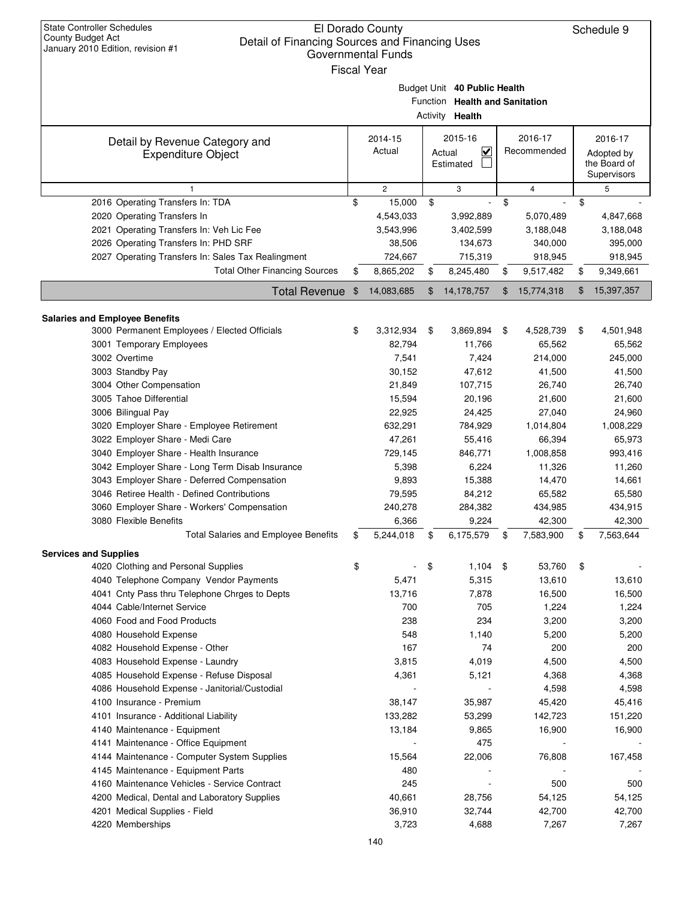| <b>State Controller Schedules</b><br>County Budget Act                              | El Dorado County          |                |                                   |    |                   |                | Schedule 9       |
|-------------------------------------------------------------------------------------|---------------------------|----------------|-----------------------------------|----|-------------------|----------------|------------------|
| Detail of Financing Sources and Financing Uses<br>January 2010 Edition, revision #1 | <b>Governmental Funds</b> |                |                                   |    |                   |                |                  |
|                                                                                     |                           |                |                                   |    |                   |                |                  |
|                                                                                     | <b>Fiscal Year</b>        |                |                                   |    |                   |                |                  |
|                                                                                     |                           |                | Budget Unit 40 Public Health      |    |                   |                |                  |
|                                                                                     |                           |                | Function Health and Sanitation    |    |                   |                |                  |
|                                                                                     |                           |                | Activity Health                   |    |                   |                |                  |
|                                                                                     | 2014-15                   |                | 2015-16                           |    | 2016-17           |                | 2016-17          |
| Detail by Revenue Category and<br><b>Expenditure Object</b>                         | Actual                    |                | $\overline{\mathbf{v}}$<br>Actual |    | Recommended       |                | Adopted by       |
|                                                                                     |                           | Estimated      |                                   |    | the Board of      |                |                  |
|                                                                                     |                           |                |                                   |    |                   |                | Supervisors      |
| $\mathbf{1}$                                                                        | $\overline{c}$            |                | 3                                 |    | 4                 |                | 5                |
| 2016 Operating Transfers In: TDA                                                    | \$<br>15,000              | \$             |                                   | \$ |                   | \$             |                  |
| 2020 Operating Transfers In                                                         | 4,543,033                 |                | 3,992,889                         |    | 5,070,489         |                | 4,847,668        |
| 2021 Operating Transfers In: Veh Lic Fee                                            | 3,543,996                 |                | 3,402,599                         |    | 3,188,048         |                | 3,188,048        |
| 2026 Operating Transfers In: PHD SRF                                                | 38,506                    |                | 134,673                           |    | 340,000           |                | 395,000          |
| 2027 Operating Transfers In: Sales Tax Realingment                                  | 724,667                   |                | 715,319                           |    | 918,945           |                | 918,945          |
| <b>Total Other Financing Sources</b>                                                | \$<br>8,865,202           | \$             | 8,245,480                         | \$ | 9,517,482         | \$             | 9,349,661        |
| <b>Total Revenue</b>                                                                | \$<br>14,083,685          | $\mathfrak{F}$ | 14,178,757                        | \$ | 15,774,318        | $\mathfrak{F}$ | 15,397,357       |
|                                                                                     |                           |                |                                   |    |                   |                |                  |
| <b>Salaries and Employee Benefits</b>                                               |                           |                |                                   |    |                   |                |                  |
| 3000 Permanent Employees / Elected Officials                                        | \$<br>3,312,934           | \$             | 3,869,894                         | \$ | 4,528,739         | \$             | 4,501,948        |
| 3001 Temporary Employees<br>3002 Overtime                                           | 82,794                    |                | 11,766                            |    | 65,562            |                | 65,562           |
|                                                                                     | 7,541<br>30,152           |                | 7,424<br>47,612                   |    | 214,000<br>41,500 |                | 245,000          |
| 3003 Standby Pay<br>3004 Other Compensation                                         | 21,849                    |                | 107,715                           |    | 26,740            |                | 41,500<br>26,740 |
| 3005 Tahoe Differential                                                             | 15,594                    |                | 20,196                            |    | 21,600            |                | 21,600           |
| 3006 Bilingual Pay                                                                  | 22,925                    |                | 24,425                            |    | 27,040            |                | 24,960           |
| 3020 Employer Share - Employee Retirement                                           | 632,291                   |                | 784,929                           |    | 1,014,804         |                | 1,008,229        |
| 3022 Employer Share - Medi Care                                                     | 47,261                    |                | 55,416                            |    | 66,394            |                | 65,973           |
| 3040 Employer Share - Health Insurance                                              | 729,145                   |                | 846,771                           |    | 1,008,858         |                | 993,416          |
| 3042 Employer Share - Long Term Disab Insurance                                     | 5,398                     |                | 6,224                             |    | 11,326            |                | 11,260           |
| 3043 Employer Share - Deferred Compensation                                         | 9,893                     |                | 15,388                            |    | 14,470            |                | 14,661           |
| 3046 Retiree Health - Defined Contributions                                         | 79,595                    |                | 84,212                            |    | 65,582            |                | 65,580           |
| 3060 Employer Share - Workers' Compensation                                         | 240,278                   |                | 284,382                           |    | 434,985           |                | 434,915          |
| 3080 Flexible Benefits                                                              | 6,366                     |                | 9,224                             |    | 42,300            |                | 42,300           |
| <b>Total Salaries and Employee Benefits</b>                                         | \$<br>5,244,018           | \$             | 6,175,579                         | \$ | 7,583,900         | \$             | 7,563,644        |
| <b>Services and Supplies</b>                                                        |                           |                |                                   |    |                   |                |                  |
| 4020 Clothing and Personal Supplies                                                 | \$                        | \$             | 1,104                             | \$ | 53,760            | \$             |                  |
| 4040 Telephone Company Vendor Payments                                              | 5,471                     |                | 5,315                             |    | 13,610            |                | 13,610           |
| 4041 Cnty Pass thru Telephone Chrges to Depts                                       | 13,716                    |                | 7,878                             |    | 16,500            |                | 16,500           |
| 4044 Cable/Internet Service                                                         | 700                       |                | 705                               |    | 1,224             |                | 1,224            |
| 4060 Food and Food Products                                                         | 238                       |                | 234                               |    | 3,200             |                | 3,200            |
| 4080 Household Expense                                                              | 548                       |                | 1,140                             |    | 5,200             |                | 5,200            |
| 4082 Household Expense - Other                                                      | 167                       |                | 74                                |    | 200               |                | 200              |
| 4083 Household Expense - Laundry                                                    | 3,815                     |                | 4,019                             |    | 4,500             |                | 4,500            |
| 4085 Household Expense - Refuse Disposal                                            | 4,361                     |                | 5,121                             |    | 4,368             |                | 4,368            |
| 4086 Household Expense - Janitorial/Custodial                                       |                           |                |                                   |    | 4,598             |                | 4,598            |
| 4100 Insurance - Premium                                                            | 38,147                    |                | 35,987                            |    | 45,420            |                | 45,416           |
| 4101 Insurance - Additional Liability                                               | 133,282                   |                | 53,299                            |    | 142,723           |                | 151,220          |
| 4140 Maintenance - Equipment                                                        | 13,184                    |                | 9,865                             |    | 16,900            |                | 16,900           |
| 4141 Maintenance - Office Equipment                                                 |                           |                | 475                               |    |                   |                |                  |
| 4144 Maintenance - Computer System Supplies                                         | 15,564                    |                | 22,006                            |    | 76,808            |                | 167,458          |
| 4145 Maintenance - Equipment Parts                                                  | 480                       |                |                                   |    |                   |                |                  |
| 4160 Maintenance Vehicles - Service Contract                                        | 245                       |                |                                   |    | 500               |                | 500              |
| 4200 Medical, Dental and Laboratory Supplies                                        | 40,661                    |                | 28,756                            |    | 54,125            |                | 54,125           |
| 4201 Medical Supplies - Field                                                       | 36,910                    |                | 32,744                            |    | 42,700            |                | 42,700           |
| 4220 Memberships                                                                    | 3,723                     |                | 4,688                             |    | 7,267             |                | 7,267            |
|                                                                                     | 140                       |                |                                   |    |                   |                |                  |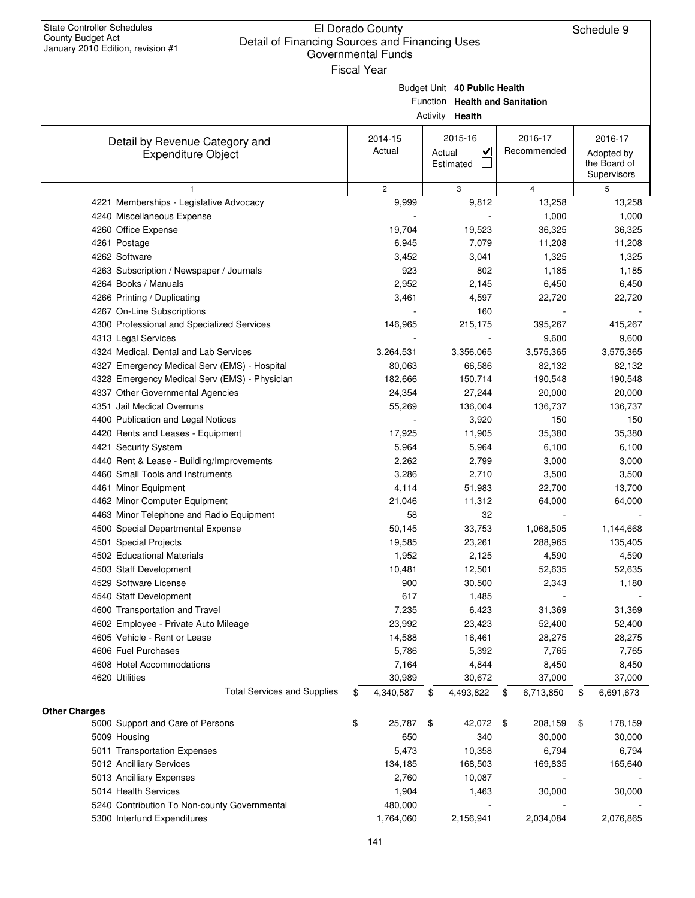|                                                          |                    | Governmental Funds |                                |                         |     |                |                            |
|----------------------------------------------------------|--------------------|--------------------|--------------------------------|-------------------------|-----|----------------|----------------------------|
|                                                          | <b>Fiscal Year</b> |                    |                                |                         |     |                |                            |
|                                                          |                    |                    | Budget Unit 40 Public Health   |                         |     |                |                            |
|                                                          |                    |                    | Function Health and Sanitation |                         |     |                |                            |
|                                                          |                    |                    | Activity <b>Health</b>         |                         |     |                |                            |
|                                                          |                    |                    |                                |                         |     |                |                            |
| Detail by Revenue Category and                           |                    | 2014-15            |                                | 2015-16                 |     | 2016-17        | 2016-17                    |
| <b>Expenditure Object</b>                                |                    | Actual             | Actual<br>Estimated            | $\overline{\mathbf{v}}$ |     | Recommended    | Adopted by<br>the Board of |
|                                                          |                    |                    |                                |                         |     |                | Supervisors                |
| $\mathbf{1}$                                             |                    | $\overline{c}$     | 3                              |                         |     | $\overline{4}$ | 5                          |
| 4221 Memberships - Legislative Advocacy                  |                    | 9,999              |                                | 9,812                   |     | 13,258         | 13,258                     |
| 4240 Miscellaneous Expense                               |                    |                    |                                |                         |     | 1,000          | 1,000                      |
| 4260 Office Expense                                      |                    | 19,704             |                                | 19,523                  |     | 36,325         | 36,325                     |
| 4261 Postage                                             |                    | 6,945              |                                | 7,079                   |     | 11,208         | 11,208                     |
| 4262 Software                                            |                    | 3,452              |                                | 3,041                   |     | 1,325          | 1,325                      |
| 4263 Subscription / Newspaper / Journals                 |                    | 923                |                                | 802                     |     | 1,185          | 1,185                      |
| 4264 Books / Manuals                                     |                    | 2,952              |                                | 2,145                   |     | 6,450          | 6,450                      |
| 4266 Printing / Duplicating                              |                    | 3,461              |                                | 4,597                   |     | 22,720         | 22,720                     |
| 4267 On-Line Subscriptions                               |                    |                    |                                | 160                     |     |                |                            |
| 4300 Professional and Specialized Services               |                    | 146,965            |                                | 215,175                 |     | 395,267        | 415,267                    |
| 4313 Legal Services                                      |                    |                    |                                |                         |     | 9,600          | 9,600                      |
| 4324 Medical, Dental and Lab Services                    |                    | 3,264,531          |                                | 3,356,065               |     | 3,575,365      | 3,575,365                  |
| 4327 Emergency Medical Serv (EMS) - Hospital             |                    | 80,063             |                                | 66,586                  |     | 82,132         | 82,132                     |
| 4328 Emergency Medical Serv (EMS) - Physician            |                    | 182,666            |                                | 150,714                 |     | 190,548        | 190,548                    |
| 4337 Other Governmental Agencies                         |                    | 24,354             |                                | 27,244                  |     | 20,000         | 20,000                     |
| 4351 Jail Medical Overruns                               |                    | 55,269             |                                | 136,004                 |     | 136,737        | 136,737                    |
| 4400 Publication and Legal Notices                       |                    |                    |                                | 3,920                   |     | 150            | 150                        |
| 4420 Rents and Leases - Equipment                        |                    | 17,925             |                                | 11,905                  |     | 35,380         | 35,380                     |
| 4421 Security System                                     |                    | 5,964              |                                | 5,964                   |     | 6,100          | 6,100                      |
| 4440 Rent & Lease - Building/Improvements                |                    | 2,262              |                                | 2,799                   |     | 3,000          | 3,000                      |
| 4460 Small Tools and Instruments                         |                    | 3,286              |                                | 2,710                   |     | 3,500          | 3,500                      |
| 4461 Minor Equipment                                     |                    | 4,114              |                                | 51,983                  |     | 22,700         | 13,700                     |
| 4462 Minor Computer Equipment                            |                    | 21,046             |                                | 11,312                  |     | 64,000         | 64,000                     |
| 4463 Minor Telephone and Radio Equipment                 |                    | 58                 |                                | 32                      |     |                |                            |
| 4500 Special Departmental Expense                        |                    | 50,145             |                                | 33,753                  |     | 1,068,505      | 1,144,668                  |
| 4501 Special Projects                                    |                    | 19,585             |                                | 23,261                  |     | 288,965        | 135,405                    |
| 4502 Educational Materials                               |                    | 1,952              |                                | 2,125                   |     | 4,590          | 4,590                      |
| 4503 Staff Development                                   |                    | 10,481             |                                | 12,501                  |     | 52,635         | 52,635                     |
| 4529 Software License                                    |                    | 900                |                                | 30,500                  |     | 2,343          | 1,180                      |
| 4540 Staff Development                                   |                    | 617                |                                | 1,485                   |     |                |                            |
| 4600 Transportation and Travel                           |                    | 7,235              |                                | 6,423                   |     | 31,369         | 31,369                     |
| 4602 Employee - Private Auto Mileage                     |                    | 23,992             |                                | 23,423                  |     | 52,400         | 52,400                     |
| 4605 Vehicle - Rent or Lease                             |                    | 14,588             |                                | 16,461                  |     | 28,275         | 28,275                     |
| 4606 Fuel Purchases                                      |                    | 5,786              |                                | 5,392                   |     | 7,765          | 7,765                      |
| 4608 Hotel Accommodations                                |                    | 7,164              |                                | 4,844                   |     | 8,450          | 8,450                      |
| 4620 Utilities                                           |                    | 30,989             |                                | 30,672                  |     | 37,000         | 37,000                     |
| <b>Total Services and Supplies</b>                       | \$                 | 4,340,587          | \$                             | 4,493,822               | \$  | 6,713,850      | \$<br>6,691,673            |
|                                                          |                    |                    |                                |                         |     |                |                            |
| <b>Other Charges</b><br>5000 Support and Care of Persons | \$                 | 25,787             | \$                             | 42,072                  | -\$ | 208,159        | \$<br>178,159              |
| 5009 Housing                                             |                    | 650                |                                | 340                     |     | 30,000         | 30,000                     |
| 5011 Transportation Expenses                             |                    | 5,473              |                                | 10,358                  |     | 6,794          | 6,794                      |
| 5012 Ancilliary Services                                 |                    | 134,185            |                                | 168,503                 |     | 169,835        | 165,640                    |
| 5013 Ancilliary Expenses                                 |                    | 2,760              |                                | 10,087                  |     |                |                            |
| 5014 Health Services                                     |                    | 1,904              |                                | 1,463                   |     | 30,000         | 30,000                     |
| 5240 Contribution To Non-county Governmental             |                    | 480,000            |                                |                         |     |                |                            |
| 5300 Interfund Expenditures                              |                    | 1,764,060          |                                | 2,156,941               |     | 2,034,084      | 2,076,865                  |
|                                                          |                    |                    |                                |                         |     |                |                            |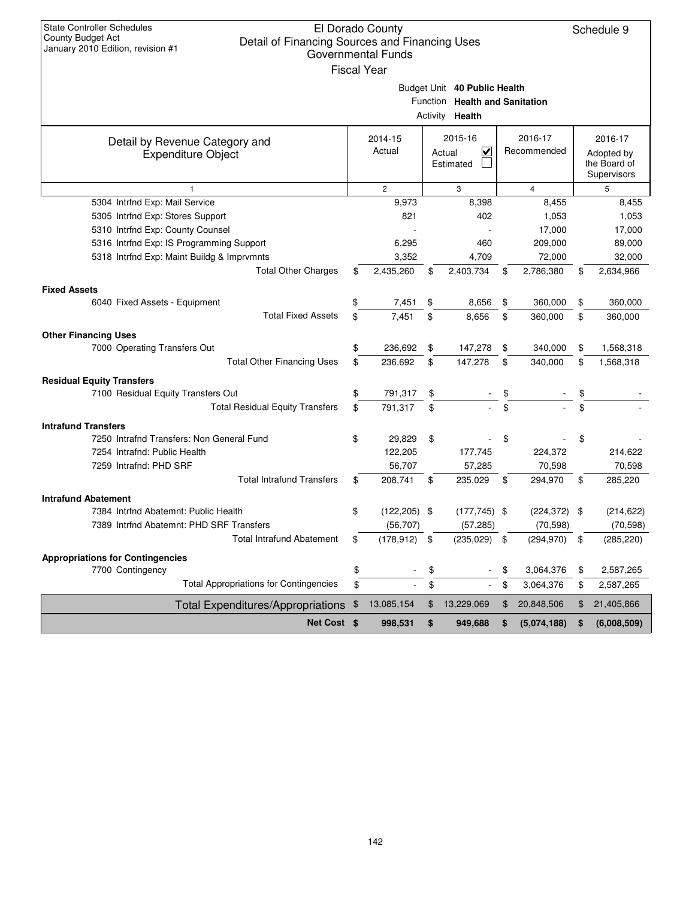| <b>State Controller Schedules</b><br><b>County Budget Act</b><br>Detail of Financing Sources and Financing Uses<br>January 2010 Edition, revision #1 | El Dorado County<br><b>Governmental Funds</b> |                                |                   | Schedule 9                 |
|------------------------------------------------------------------------------------------------------------------------------------------------------|-----------------------------------------------|--------------------------------|-------------------|----------------------------|
|                                                                                                                                                      | <b>Fiscal Year</b>                            |                                |                   |                            |
|                                                                                                                                                      |                                               | Budget Unit 40 Public Health   |                   |                            |
|                                                                                                                                                      |                                               | Function Health and Sanitation |                   |                            |
|                                                                                                                                                      |                                               | Activity Health                |                   |                            |
|                                                                                                                                                      |                                               |                                |                   |                            |
| Detail by Revenue Category and                                                                                                                       | 2014-15                                       | 2015-16                        | 2016-17           | 2016-17                    |
| <b>Expenditure Object</b>                                                                                                                            | Actual                                        | V<br>Actual<br>Estimated       | Recommended       | Adopted by<br>the Board of |
|                                                                                                                                                      |                                               |                                |                   | Supervisors                |
| $\mathbf{1}$                                                                                                                                         | $\overline{2}$                                | 3                              | $\overline{4}$    | 5                          |
| 5304 Intrfnd Exp: Mail Service                                                                                                                       | 9,973                                         | 8,398                          | 8,455             | 8,455                      |
| 5305 Intrfnd Exp: Stores Support                                                                                                                     | 821                                           | 402                            | 1,053             | 1,053                      |
| 5310 Intrfnd Exp: County Counsel                                                                                                                     |                                               |                                | 17,000            | 17,000                     |
| 5316 Intrfnd Exp: IS Programming Support                                                                                                             | 6,295                                         | 460                            | 209,000           | 89,000                     |
| 5318 Intrfnd Exp: Maint Buildg & Imprvmnts                                                                                                           | 3,352                                         | 4,709                          | 72,000            | 32,000                     |
| <b>Total Other Charges</b>                                                                                                                           | \$<br>2,435,260                               | \$<br>2,403,734                | \$<br>2,786,380   | \$<br>2,634,966            |
| <b>Fixed Assets</b>                                                                                                                                  |                                               |                                |                   |                            |
| 6040 Fixed Assets - Equipment                                                                                                                        | \$<br>7,451                                   | \$<br>8,656                    | \$<br>360,000     | \$<br>360,000              |
| <b>Total Fixed Assets</b>                                                                                                                            | \$<br>7,451                                   | \$<br>8,656                    | \$<br>360.000     | \$<br>360,000              |
| <b>Other Financing Uses</b>                                                                                                                          |                                               |                                |                   |                            |
| 7000 Operating Transfers Out                                                                                                                         | 236,692                                       | \$<br>147,278                  | \$<br>340,000     | \$<br>1,568,318            |
| <b>Total Other Financing Uses</b>                                                                                                                    | \$<br>236,692                                 | \$<br>147,278                  | \$<br>340,000     | \$<br>1,568,318            |
| <b>Residual Equity Transfers</b>                                                                                                                     |                                               |                                |                   |                            |
| 7100 Residual Equity Transfers Out                                                                                                                   | \$<br>791,317                                 | \$                             |                   |                            |
| <b>Total Residual Equity Transfers</b>                                                                                                               | \$<br>791,317                                 | \$                             | \$                |                            |
| <b>Intrafund Transfers</b>                                                                                                                           |                                               |                                |                   |                            |
| 7250 Intrafnd Transfers: Non General Fund                                                                                                            | \$<br>29,829                                  | \$                             | \$                | \$                         |
| 7254 Intrafnd: Public Health                                                                                                                         | 122,205                                       | 177,745                        | 224,372           | 214,622                    |
| 7259 Intrafnd: PHD SRF                                                                                                                               | 56,707                                        | 57,285                         | 70,598            | 70,598                     |
| <b>Total Intrafund Transfers</b>                                                                                                                     | \$<br>208,741                                 | \$<br>235,029                  | \$<br>294,970     | \$<br>285,220              |
| <b>Intrafund Abatement</b>                                                                                                                           |                                               |                                |                   |                            |
| 7384 Intrfnd Abatemnt: Public Health                                                                                                                 | \$<br>$(122, 205)$ \$                         | $(177, 745)$ \$                | $(224, 372)$ \$   | (214, 622)                 |
| 7389 Intrfnd Abatemnt: PHD SRF Transfers                                                                                                             | (56, 707)                                     | (57, 285)                      | (70, 598)         | (70, 598)                  |
| <b>Total Intrafund Abatement</b>                                                                                                                     | \$<br>(178, 912)                              | \$<br>(235, 029)               | \$<br>(294, 970)  | \$<br>(285, 220)           |
| <b>Appropriations for Contingencies</b>                                                                                                              |                                               |                                |                   |                            |
| 7700 Contingency                                                                                                                                     | \$                                            | \$                             | \$<br>3,064,376   | \$<br>2,587,265            |
| <b>Total Appropriations for Contingencies</b>                                                                                                        | \$<br>$\sim$                                  | \$                             | \$<br>3,064,376   | \$<br>2,587,265            |
| <b>Total Expenditures/Appropriations</b>                                                                                                             | \$<br>13,085,154                              | \$<br>13,229,069               | \$<br>20,848,506  | \$<br>21,405,866           |
| Net Cost \$                                                                                                                                          | 998,531                                       | \$<br>949,688                  | \$<br>(5,074,188) | \$<br>(6,008,509)          |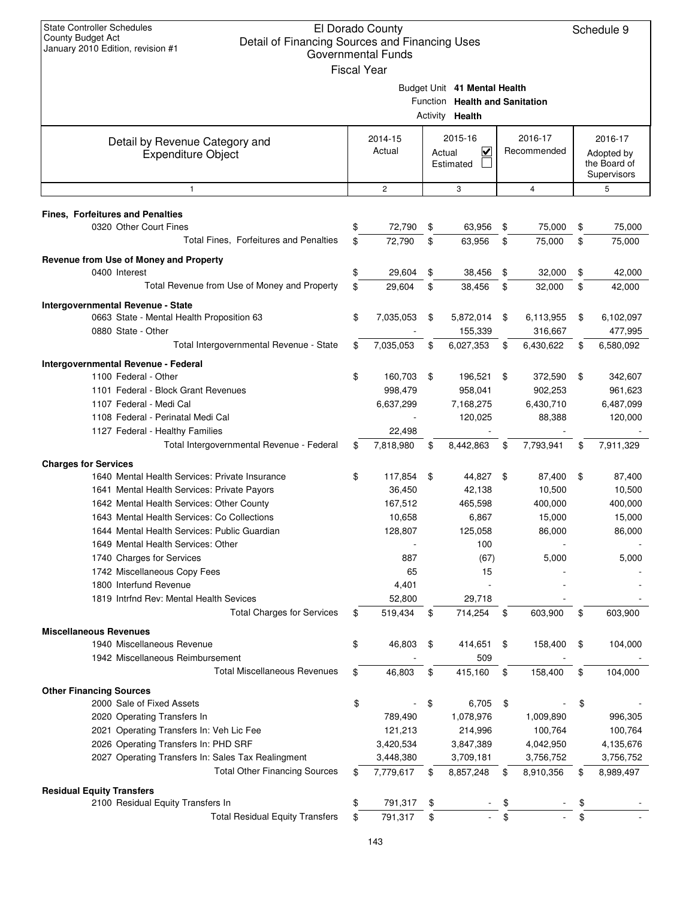| <b>State Controller Schedules</b><br>El Dorado County<br><b>County Budget Act</b><br>Detail of Financing Sources and Financing Uses<br>January 2010 Edition, revision #1<br><b>Governmental Funds</b><br><b>Fiscal Year</b> |    |                    |        |                                                                                   |     |                        |    |                                                      |  |
|-----------------------------------------------------------------------------------------------------------------------------------------------------------------------------------------------------------------------------|----|--------------------|--------|-----------------------------------------------------------------------------------|-----|------------------------|----|------------------------------------------------------|--|
|                                                                                                                                                                                                                             |    |                    |        | Budget Unit 41 Mental Health<br>Function Health and Sanitation<br>Activity Health |     |                        |    |                                                      |  |
| Detail by Revenue Category and<br><b>Expenditure Object</b>                                                                                                                                                                 |    | 2014-15<br>Actual  | Actual | 2015-16<br>$\checkmark$<br>Estimated                                              |     | 2016-17<br>Recommended |    | 2016-17<br>Adopted by<br>the Board of<br>Supervisors |  |
| $\mathbf{1}$                                                                                                                                                                                                                |    | $\mathbf{2}$       |        | 3                                                                                 |     | 4                      |    | 5                                                    |  |
| <b>Fines, Forfeitures and Penalties</b>                                                                                                                                                                                     |    |                    |        |                                                                                   |     |                        |    |                                                      |  |
| 0320 Other Court Fines                                                                                                                                                                                                      | \$ | 72,790             | \$     | 63,956                                                                            | \$  | 75,000                 | \$ | 75,000                                               |  |
| Total Fines, Forfeitures and Penalties                                                                                                                                                                                      | \$ | 72,790             | \$     | 63,956                                                                            | \$  | 75,000                 | \$ | 75,000                                               |  |
| Revenue from Use of Money and Property                                                                                                                                                                                      |    |                    |        |                                                                                   |     |                        |    |                                                      |  |
| 0400 Interest                                                                                                                                                                                                               | \$ | 29,604             | \$     | 38,456                                                                            | \$  | 32,000                 | \$ | 42,000                                               |  |
| Total Revenue from Use of Money and Property                                                                                                                                                                                | \$ | 29,604             | \$     | 38,456                                                                            | \$  | 32,000                 | \$ | 42,000                                               |  |
|                                                                                                                                                                                                                             |    |                    |        |                                                                                   |     |                        |    |                                                      |  |
| Intergovernmental Revenue - State<br>0663 State - Mental Health Proposition 63                                                                                                                                              | \$ | 7,035,053          | \$     | 5,872,014                                                                         | \$  | 6,113,955              | \$ | 6,102,097                                            |  |
| 0880 State - Other                                                                                                                                                                                                          |    |                    |        | 155,339                                                                           |     | 316,667                |    | 477,995                                              |  |
| Total Intergovernmental Revenue - State                                                                                                                                                                                     | \$ | 7,035,053          | \$     | 6,027,353                                                                         | \$  | 6,430,622              | \$ | 6,580,092                                            |  |
|                                                                                                                                                                                                                             |    |                    |        |                                                                                   |     |                        |    |                                                      |  |
| Intergovernmental Revenue - Federal                                                                                                                                                                                         |    |                    |        |                                                                                   |     |                        |    |                                                      |  |
| 1100 Federal - Other<br>1101 Federal - Block Grant Revenues                                                                                                                                                                 | \$ | 160,703<br>998,479 | \$     | 196,521<br>958,041                                                                | \$  | 372,590<br>902,253     | \$ | 342,607<br>961,623                                   |  |
| 1107 Federal - Medi Cal                                                                                                                                                                                                     |    | 6,637,299          |        | 7,168,275                                                                         |     | 6,430,710              |    | 6,487,099                                            |  |
| 1108 Federal - Perinatal Medi Cal                                                                                                                                                                                           |    |                    |        | 120,025                                                                           |     | 88,388                 |    | 120,000                                              |  |
| 1127 Federal - Healthy Families                                                                                                                                                                                             |    | 22,498             |        |                                                                                   |     |                        |    |                                                      |  |
| Total Intergovernmental Revenue - Federal                                                                                                                                                                                   | \$ | 7,818,980          | S      | 8,442,863                                                                         | \$  | 7,793,941              | \$ | 7,911,329                                            |  |
|                                                                                                                                                                                                                             |    |                    |        |                                                                                   |     |                        |    |                                                      |  |
| <b>Charges for Services</b><br>1640 Mental Health Services: Private Insurance                                                                                                                                               | \$ | 117,854            | \$     | 44,827                                                                            | -\$ | 87,400                 | \$ | 87,400                                               |  |
| 1641 Mental Health Services: Private Payors                                                                                                                                                                                 |    | 36,450             |        | 42,138                                                                            |     | 10,500                 |    | 10,500                                               |  |
| 1642 Mental Health Services: Other County                                                                                                                                                                                   |    | 167,512            |        | 465,598                                                                           |     | 400,000                |    | 400,000                                              |  |
| 1643 Mental Health Services: Co Collections                                                                                                                                                                                 |    | 10,658             |        | 6,867                                                                             |     | 15,000                 |    | 15,000                                               |  |
| 1644 Mental Health Services: Public Guardian                                                                                                                                                                                |    | 128,807            |        | 125,058                                                                           |     | 86,000                 |    | 86,000                                               |  |
| 1649 Mental Health Services: Other                                                                                                                                                                                          |    |                    |        | 100                                                                               |     |                        |    |                                                      |  |
| 1740 Charges for Services                                                                                                                                                                                                   |    | 887                |        | (67)                                                                              |     | 5,000                  |    | 5,000                                                |  |
| 1742 Miscellaneous Copy Fees                                                                                                                                                                                                |    | 65                 |        | 15                                                                                |     |                        |    |                                                      |  |
| 1800 Interfund Revenue                                                                                                                                                                                                      |    | 4,401              |        |                                                                                   |     |                        |    |                                                      |  |
| 1819 Intrfnd Rev: Mental Health Sevices                                                                                                                                                                                     |    | 52,800             |        | 29,718                                                                            |     |                        |    |                                                      |  |
| <b>Total Charges for Services</b>                                                                                                                                                                                           | \$ | 519,434            | \$     | 714,254                                                                           | \$  | 603,900                | \$ | 603,900                                              |  |
| <b>Miscellaneous Revenues</b>                                                                                                                                                                                               |    |                    |        |                                                                                   |     |                        |    |                                                      |  |
| 1940 Miscellaneous Revenue                                                                                                                                                                                                  | \$ | 46,803             | \$     | 414,651                                                                           | \$  | 158,400                | \$ | 104,000                                              |  |
| 1942 Miscellaneous Reimbursement                                                                                                                                                                                            |    |                    |        | 509                                                                               |     |                        |    |                                                      |  |
| <b>Total Miscellaneous Revenues</b>                                                                                                                                                                                         | \$ | 46,803             | \$     | 415,160                                                                           | \$  | 158,400                | \$ | 104,000                                              |  |
|                                                                                                                                                                                                                             |    |                    |        |                                                                                   |     |                        |    |                                                      |  |
| <b>Other Financing Sources</b><br>2000 Sale of Fixed Assets                                                                                                                                                                 |    |                    |        |                                                                                   |     |                        |    |                                                      |  |
| 2020 Operating Transfers In                                                                                                                                                                                                 | \$ | 789,490            | \$     | 6,705<br>1,078,976                                                                | \$  | 1,009,890              | \$ | 996,305                                              |  |
| 2021 Operating Transfers In: Veh Lic Fee                                                                                                                                                                                    |    | 121,213            |        | 214,996                                                                           |     | 100,764                |    | 100,764                                              |  |
| 2026 Operating Transfers In: PHD SRF                                                                                                                                                                                        |    | 3,420,534          |        | 3,847,389                                                                         |     | 4,042,950              |    | 4,135,676                                            |  |
| 2027 Operating Transfers In: Sales Tax Realingment                                                                                                                                                                          |    | 3,448,380          |        | 3,709,181                                                                         |     | 3,756,752              |    | 3,756,752                                            |  |
| <b>Total Other Financing Sources</b>                                                                                                                                                                                        | \$ | 7,779,617          | \$     | 8,857,248                                                                         | \$  | 8,910,356              | \$ | 8,989,497                                            |  |
|                                                                                                                                                                                                                             |    |                    |        |                                                                                   |     |                        |    |                                                      |  |
| <b>Residual Equity Transfers</b><br>2100 Residual Equity Transfers In                                                                                                                                                       | \$ | 791,317            | \$     |                                                                                   |     |                        |    |                                                      |  |
| <b>Total Residual Equity Transfers</b>                                                                                                                                                                                      | \$ | 791,317            | \$     |                                                                                   | \$  |                        | \$ |                                                      |  |
|                                                                                                                                                                                                                             |    |                    |        |                                                                                   |     |                        |    |                                                      |  |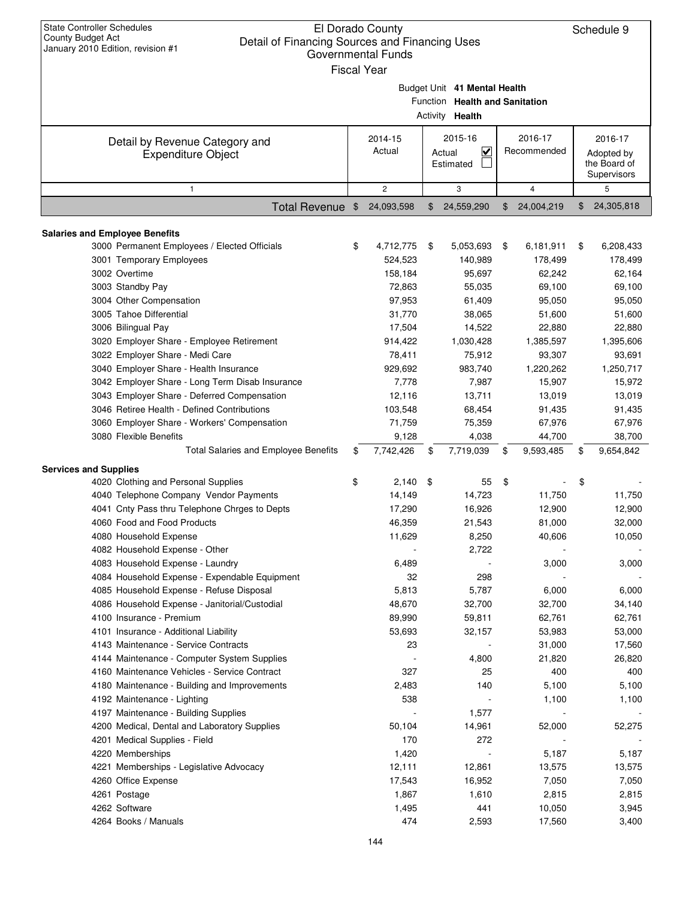| <b>State Controller Schedules</b><br>El Dorado County<br><b>County Budget Act</b><br>Detail of Financing Sources and Financing Uses<br>January 2010 Edition, revision #1<br><b>Governmental Funds</b><br><b>Fiscal Year</b> |                                                     | Schedule 9 |                                                                                   |    |                                            |                                                      |
|-----------------------------------------------------------------------------------------------------------------------------------------------------------------------------------------------------------------------------|-----------------------------------------------------|------------|-----------------------------------------------------------------------------------|----|--------------------------------------------|------------------------------------------------------|
|                                                                                                                                                                                                                             |                                                     |            | Budget Unit 41 Mental Health<br>Function Health and Sanitation<br>Activity Health |    |                                            |                                                      |
| Detail by Revenue Category and<br><b>Expenditure Object</b>                                                                                                                                                                 | 2015-16<br>2014-15<br>Actual<br>Actual<br>Estimated |            |                                                                                   |    | 2016-17<br>Recommended                     | 2016-17<br>Adopted by<br>the Board of<br>Supervisors |
| 1                                                                                                                                                                                                                           | $\overline{c}$                                      |            | 3                                                                                 |    | 4                                          | 5                                                    |
| Total Revenue \$                                                                                                                                                                                                            | 24,093,598                                          | \$         | 24,559,290                                                                        | \$ | 24,004,219                                 | \$<br>24,305,818                                     |
| <b>Salaries and Employee Benefits</b><br>3000 Permanent Employees / Elected Officials<br>3001 Temporary Employees                                                                                                           | \$<br>4,712,775<br>524,523                          | \$         | 5,053,693<br>140,989                                                              | \$ | 6,181,911<br>178,499                       | \$<br>6,208,433<br>178,499                           |
| 3002 Overtime<br>3003 Standby Pay<br>3004 Other Compensation<br>3005 Tahoe Differential                                                                                                                                     | 158,184<br>72,863<br>97,953<br>31,770               |            | 95,697<br>55,035<br>61,409<br>38,065                                              |    | 62,242<br>69,100<br>95,050<br>51,600       | 62,164<br>69,100<br>95,050<br>51,600                 |
| 3006 Bilingual Pay<br>3020 Employer Share - Employee Retirement<br>3022 Employer Share - Medi Care<br>3040 Employer Share - Health Insurance                                                                                | 17,504<br>914,422<br>78,411<br>929,692              |            | 14,522<br>1,030,428<br>75,912<br>983,740                                          |    | 22,880<br>1,385,597<br>93,307<br>1,220,262 | 22,880<br>1,395,606<br>93,691<br>1,250,717           |
| 3042 Employer Share - Long Term Disab Insurance<br>3043 Employer Share - Deferred Compensation<br>3046 Retiree Health - Defined Contributions<br>3060 Employer Share - Workers' Compensation                                | 7,778<br>12,116<br>103,548<br>71,759                |            | 7,987<br>13,711<br>68,454<br>75,359                                               |    | 15,907<br>13,019<br>91,435<br>67,976       | 15,972<br>13,019<br>91,435<br>67,976                 |
| 3080 Flexible Benefits<br><b>Total Salaries and Employee Benefits</b>                                                                                                                                                       | \$<br>9,128<br>7,742,426                            | \$         | 4,038<br>7,719,039                                                                | \$ | 44,700<br>9,593,485                        | \$<br>38,700<br>9,654,842                            |
| <b>Services and Supplies</b>                                                                                                                                                                                                |                                                     |            |                                                                                   |    |                                            |                                                      |
| 4020 Clothing and Personal Supplies<br>4040 Telephone Company Vendor Payments<br>4041 Cnty Pass thru Telephone Chrges to Depts<br>4060 Food and Food Products<br>4080 Household Expense                                     | \$<br>2,140<br>14,149<br>17,290<br>46,359<br>11,629 | -\$        | 55<br>14,723<br>16,926<br>21,543<br>8,250                                         | \$ | 11,750<br>12,900<br>81,000<br>40,606       | \$<br>11,750<br>12,900<br>32,000<br>10,050           |
| 4082 Household Expense - Other<br>4083 Household Expense - Laundry<br>4084 Household Expense - Expendable Equipment<br>4085 Household Expense - Refuse Disposal                                                             | 6,489<br>32<br>5,813                                |            | 2,722<br>298<br>5,787                                                             |    | 3,000<br>6,000                             | 3,000<br>6,000                                       |
| 4086 Household Expense - Janitorial/Custodial<br>4100 Insurance - Premium<br>4101 Insurance - Additional Liability<br>4143 Maintenance - Service Contracts                                                                  | 48,670<br>89,990<br>53,693<br>23                    |            | 32,700<br>59,811<br>32,157                                                        |    | 32,700<br>62,761<br>53,983<br>31,000       | 34,140<br>62,761<br>53,000<br>17,560                 |
| 4144 Maintenance - Computer System Supplies<br>4160 Maintenance Vehicles - Service Contract<br>4180 Maintenance - Building and Improvements                                                                                 | 327<br>2,483                                        |            | 4,800<br>25<br>140                                                                |    | 21,820<br>400<br>5,100                     | 26,820<br>400<br>5,100                               |
| 4192 Maintenance - Lighting<br>4197 Maintenance - Building Supplies<br>4200 Medical, Dental and Laboratory Supplies<br>4201 Medical Supplies - Field                                                                        | 538<br>50,104<br>170                                |            | 1,577<br>14,961<br>272                                                            |    | 1,100<br>52,000                            | 1,100<br>52,275                                      |
| 4220 Memberships<br>4221 Memberships - Legislative Advocacy<br>4260 Office Expense<br>4261 Postage                                                                                                                          | 1,420<br>12,111<br>17,543<br>1,867                  |            | 12,861<br>16,952<br>1,610                                                         |    | 5,187<br>13,575<br>7,050<br>2,815          | 5,187<br>13,575<br>7,050<br>2,815                    |
| 4262 Software<br>4264 Books / Manuals                                                                                                                                                                                       | 1,495<br>474                                        |            | 441<br>2,593                                                                      |    | 10,050<br>17,560                           | 3,945<br>3,400                                       |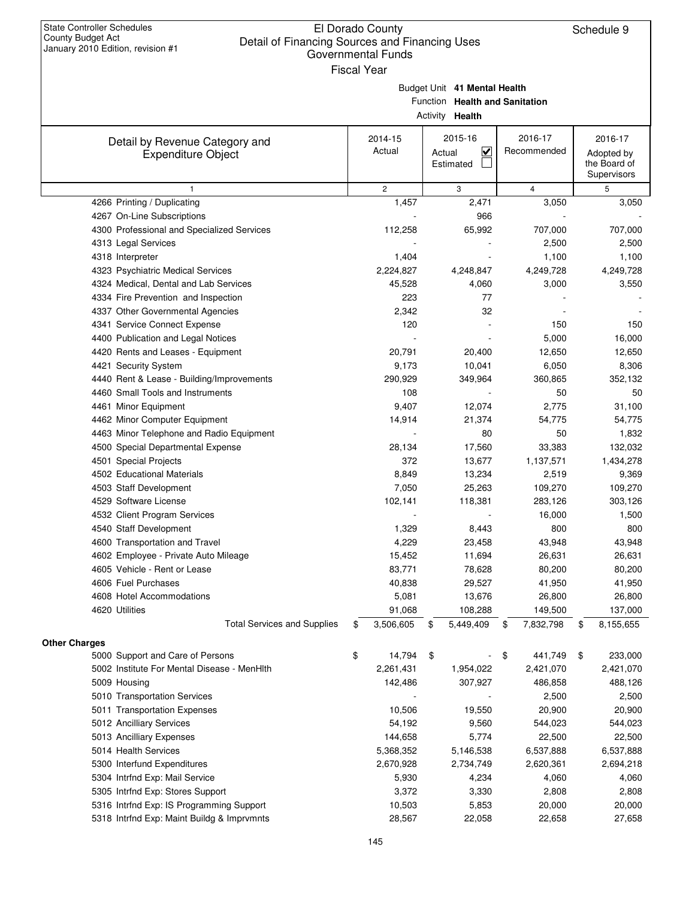| <b>State Controller Schedules</b><br>El Dorado County<br>Schedule 9<br>County Budget Act<br>Detail of Financing Sources and Financing Uses<br>January 2010 Edition, revision #1<br><b>Governmental Funds</b><br><b>Fiscal Year</b> |    |                   |        |                                                                                   |    |                        |    |                                                      |
|------------------------------------------------------------------------------------------------------------------------------------------------------------------------------------------------------------------------------------|----|-------------------|--------|-----------------------------------------------------------------------------------|----|------------------------|----|------------------------------------------------------|
|                                                                                                                                                                                                                                    |    |                   |        | Budget Unit 41 Mental Health<br>Function Health and Sanitation<br>Activity Health |    |                        |    |                                                      |
| Detail by Revenue Category and<br><b>Expenditure Object</b>                                                                                                                                                                        |    | 2014-15<br>Actual | Actual | 2015-16<br>$\overline{\mathbf{v}}$<br>Estimated                                   |    | 2016-17<br>Recommended |    | 2016-17<br>Adopted by<br>the Board of<br>Supervisors |
| 1                                                                                                                                                                                                                                  |    | $\overline{c}$    |        | 3                                                                                 |    | 4                      |    | 5                                                    |
| 4266 Printing / Duplicating                                                                                                                                                                                                        |    | 1,457             |        | 2,471                                                                             |    | 3,050                  |    | 3,050                                                |
| 4267 On-Line Subscriptions                                                                                                                                                                                                         |    |                   |        | 966                                                                               |    |                        |    |                                                      |
| 4300 Professional and Specialized Services                                                                                                                                                                                         |    | 112,258           |        | 65,992                                                                            |    | 707,000                |    | 707,000                                              |
| 4313 Legal Services                                                                                                                                                                                                                |    |                   |        |                                                                                   |    | 2,500                  |    | 2,500                                                |
| 4318 Interpreter                                                                                                                                                                                                                   |    | 1,404             |        |                                                                                   |    | 1,100                  |    | 1,100                                                |
| 4323 Psychiatric Medical Services                                                                                                                                                                                                  |    | 2,224,827         |        | 4,248,847                                                                         |    | 4,249,728              |    | 4,249,728                                            |
| 4324 Medical, Dental and Lab Services                                                                                                                                                                                              |    | 45,528            |        | 4,060                                                                             |    | 3,000                  |    | 3,550                                                |
| 4334 Fire Prevention and Inspection                                                                                                                                                                                                |    | 223               |        | 77                                                                                |    |                        |    |                                                      |
| 4337 Other Governmental Agencies                                                                                                                                                                                                   |    | 2,342             |        | 32                                                                                |    |                        |    |                                                      |
| 4341 Service Connect Expense                                                                                                                                                                                                       |    | 120               |        |                                                                                   |    | 150                    |    | 150                                                  |
| 4400 Publication and Legal Notices                                                                                                                                                                                                 |    |                   |        |                                                                                   |    | 5,000                  |    | 16,000                                               |
| 4420 Rents and Leases - Equipment                                                                                                                                                                                                  |    | 20,791            |        | 20,400                                                                            |    | 12,650                 |    | 12,650                                               |
| 4421 Security System                                                                                                                                                                                                               |    | 9,173             |        | 10,041                                                                            |    | 6,050                  |    | 8,306                                                |
| 4440 Rent & Lease - Building/Improvements                                                                                                                                                                                          |    | 290,929           |        | 349,964                                                                           |    | 360,865                |    | 352,132                                              |
| 4460 Small Tools and Instruments                                                                                                                                                                                                   |    | 108               |        |                                                                                   |    | 50                     |    | 50                                                   |
| 4461 Minor Equipment                                                                                                                                                                                                               |    | 9,407             |        | 12,074                                                                            |    | 2,775                  |    | 31,100                                               |
| 4462 Minor Computer Equipment                                                                                                                                                                                                      |    | 14,914            |        | 21,374                                                                            |    | 54,775                 |    | 54,775                                               |
| 4463 Minor Telephone and Radio Equipment                                                                                                                                                                                           |    |                   |        | 80                                                                                |    | 50                     |    | 1,832                                                |
| 4500 Special Departmental Expense                                                                                                                                                                                                  |    | 28,134            |        | 17,560                                                                            |    | 33,383                 |    | 132,032                                              |
| 4501 Special Projects                                                                                                                                                                                                              |    | 372               |        | 13,677                                                                            |    | 1,137,571              |    | 1,434,278                                            |
| 4502 Educational Materials                                                                                                                                                                                                         |    | 8,849             |        | 13,234                                                                            |    | 2,519                  |    | 9,369                                                |
| 4503 Staff Development                                                                                                                                                                                                             |    | 7,050             |        | 25,263                                                                            |    | 109,270                |    | 109,270                                              |
| 4529 Software License                                                                                                                                                                                                              |    | 102,141           |        | 118,381                                                                           |    | 283,126                |    | 303,126                                              |
| 4532 Client Program Services                                                                                                                                                                                                       |    |                   |        |                                                                                   |    | 16,000                 |    | 1,500                                                |
| 4540 Staff Development                                                                                                                                                                                                             |    | 1,329             |        | 8,443                                                                             |    | 800                    |    | 800                                                  |
| 4600 Transportation and Travel                                                                                                                                                                                                     |    | 4,229             |        | 23,458                                                                            |    | 43,948                 |    | 43,948                                               |
| 4602 Employee - Private Auto Mileage                                                                                                                                                                                               |    | 15,452            |        | 11,694                                                                            |    | 26,631                 |    | 26,631                                               |
| 4605 Vehicle - Rent or Lease                                                                                                                                                                                                       |    | 83,771            |        | 78,628                                                                            |    | 80,200                 |    | 80,200                                               |
| 4606 Fuel Purchases                                                                                                                                                                                                                |    | 40,838            |        | 29,527                                                                            |    | 41,950                 |    | 41,950                                               |
| 4608 Hotel Accommodations                                                                                                                                                                                                          |    | 5,081             |        | 13,676                                                                            |    | 26,800                 |    | 26,800                                               |
| 4620 Utilities                                                                                                                                                                                                                     |    | 91,068            |        | 108,288                                                                           |    | 149,500                |    | 137,000                                              |
| <b>Total Services and Supplies</b>                                                                                                                                                                                                 | \$ | 3,506,605         | \$     | 5,449,409                                                                         | \$ | 7,832,798              | \$ | 8,155,655                                            |
| <b>Other Charges</b>                                                                                                                                                                                                               |    |                   |        |                                                                                   |    |                        |    |                                                      |
| 5000 Support and Care of Persons                                                                                                                                                                                                   | \$ | 14,794            | \$     |                                                                                   | \$ | 441,749                | \$ | 233,000                                              |
| 5002 Institute For Mental Disease - MenHIth                                                                                                                                                                                        |    | 2,261,431         |        | 1,954,022                                                                         |    | 2,421,070              |    | 2,421,070                                            |
| 5009 Housing                                                                                                                                                                                                                       |    | 142,486           |        | 307,927                                                                           |    | 486,858                |    | 488,126                                              |
| 5010 Transportation Services                                                                                                                                                                                                       |    |                   |        |                                                                                   |    | 2,500                  |    | 2,500                                                |
| 5011 Transportation Expenses                                                                                                                                                                                                       |    | 10,506            |        | 19,550                                                                            |    | 20,900                 |    | 20,900                                               |
| 5012 Ancilliary Services                                                                                                                                                                                                           |    | 54,192            |        | 9,560                                                                             |    | 544,023                |    | 544,023                                              |
| 5013 Ancilliary Expenses                                                                                                                                                                                                           |    | 144,658           |        | 5,774                                                                             |    | 22,500                 |    | 22,500                                               |
| 5014 Health Services                                                                                                                                                                                                               |    | 5,368,352         |        | 5,146,538                                                                         |    | 6,537,888              |    | 6,537,888                                            |
| 5300 Interfund Expenditures                                                                                                                                                                                                        |    | 2,670,928         |        | 2,734,749                                                                         |    | 2,620,361              |    | 2,694,218                                            |
|                                                                                                                                                                                                                                    |    |                   |        |                                                                                   |    |                        |    |                                                      |
| 5304 Intrfnd Exp: Mail Service                                                                                                                                                                                                     |    | 5,930             |        | 4,234                                                                             |    | 4,060                  |    | 4,060                                                |
| 5305 Intrfnd Exp: Stores Support                                                                                                                                                                                                   |    | 3,372             |        | 3,330                                                                             |    | 2,808                  |    | 2,808                                                |
| 5316 Intrfnd Exp: IS Programming Support                                                                                                                                                                                           |    | 10,503            |        | 5,853                                                                             |    | 20,000                 |    | 20,000                                               |
| 5318 Intrfnd Exp: Maint Buildg & Imprvmnts                                                                                                                                                                                         |    | 28,567            |        | 22,058                                                                            |    | 22,658                 |    | 27,658                                               |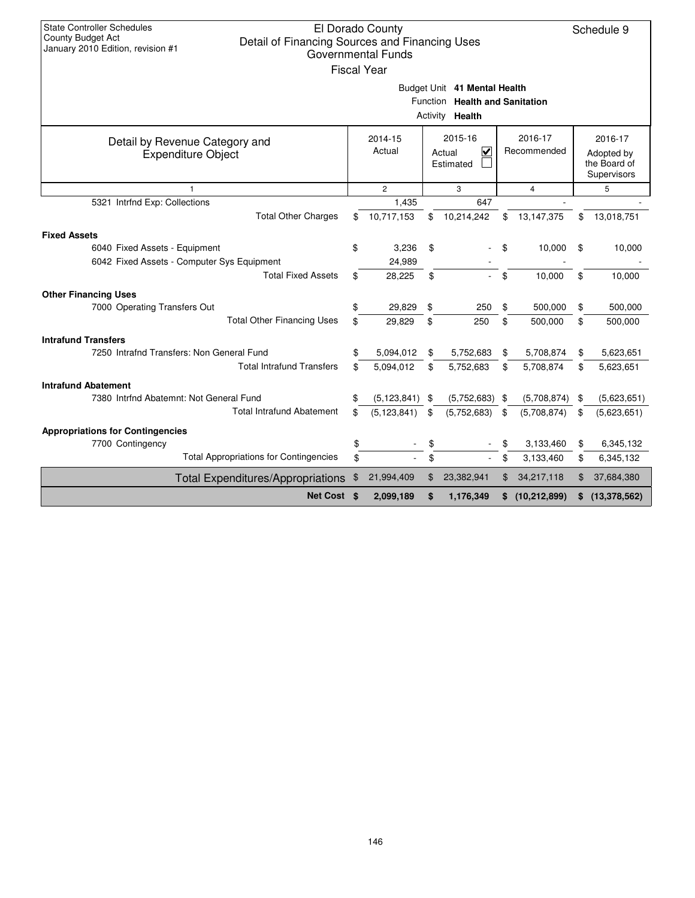| <b>State Controller Schedules</b>                                   |                               |                    |          |                                |    |                        |    |                |  |  |  |  |
|---------------------------------------------------------------------|-------------------------------|--------------------|----------|--------------------------------|----|------------------------|----|----------------|--|--|--|--|
| County Budget Act<br>Detail of Financing Sources and Financing Uses |                               | El Dorado County   |          |                                |    |                        |    | Schedule 9     |  |  |  |  |
| January 2010 Edition, revision #1                                   |                               | Governmental Funds |          |                                |    |                        |    |                |  |  |  |  |
|                                                                     |                               | <b>Fiscal Year</b> |          |                                |    |                        |    |                |  |  |  |  |
|                                                                     |                               |                    |          |                                |    |                        |    |                |  |  |  |  |
|                                                                     |                               |                    |          | Budget Unit 41 Mental Health   |    |                        |    |                |  |  |  |  |
|                                                                     |                               |                    |          | Function Health and Sanitation |    |                        |    |                |  |  |  |  |
|                                                                     | Activity <b>Health</b>        |                    |          |                                |    |                        |    |                |  |  |  |  |
| Detail by Revenue Category and                                      |                               | 2014-15            |          | 2015-16                        |    | 2016-17                |    | 2016-17        |  |  |  |  |
| <b>Expenditure Object</b>                                           |                               | Actual             |          | ✓<br>Actual                    |    | Recommended            |    | Adopted by     |  |  |  |  |
|                                                                     |                               |                    |          | Estimated                      |    |                        |    | the Board of   |  |  |  |  |
|                                                                     | Supervisors<br>$\overline{2}$ |                    |          |                                |    |                        |    |                |  |  |  |  |
| 5321 Intrfnd Exp: Collections                                       |                               | 1,435              |          | 3<br>647                       |    | $\overline{4}$         |    | 5              |  |  |  |  |
| <b>Total Other Charges</b>                                          | \$                            | 10,717,153         | \$       | 10,214,242                     | \$ | 13,147,375             | \$ | 13,018,751     |  |  |  |  |
|                                                                     |                               |                    |          |                                |    |                        |    |                |  |  |  |  |
| <b>Fixed Assets</b>                                                 |                               |                    |          |                                |    |                        |    |                |  |  |  |  |
| 6040 Fixed Assets - Equipment                                       | \$                            | 3,236              | \$       |                                | \$ | 10,000                 | \$ | 10,000         |  |  |  |  |
| 6042 Fixed Assets - Computer Sys Equipment                          |                               | 24,989             |          |                                |    |                        |    |                |  |  |  |  |
| <b>Total Fixed Assets</b>                                           | \$                            | 28,225             | \$       |                                | \$ | 10,000                 | \$ | 10,000         |  |  |  |  |
| <b>Other Financing Uses</b>                                         |                               |                    |          |                                |    |                        |    |                |  |  |  |  |
| 7000 Operating Transfers Out                                        | \$                            | 29,829             | \$       | 250                            | \$ | 500,000                | \$ | 500,000        |  |  |  |  |
| <b>Total Other Financing Uses</b>                                   | \$                            | 29,829             | \$       | 250                            | \$ | 500,000                | \$ | 500,000        |  |  |  |  |
| <b>Intrafund Transfers</b>                                          |                               |                    |          |                                |    |                        |    |                |  |  |  |  |
| 7250 Intrafnd Transfers: Non General Fund                           | \$                            | 5,094,012          | \$       | 5,752,683                      | \$ | 5,708,874              | \$ | 5,623,651      |  |  |  |  |
| <b>Total Intrafund Transfers</b>                                    | \$.                           | 5,094,012          | \$       | 5,752,683                      | \$ | 5,708,874              | \$ | 5,623,651      |  |  |  |  |
| <b>Intrafund Abatement</b>                                          |                               |                    |          |                                |    |                        |    |                |  |  |  |  |
| 7380 Intrfnd Abatemnt: Not General Fund                             | \$                            | (5, 123, 841)      | \$       | $(5,752,683)$ \$               |    | (5,708,874)            | \$ | (5,623,651)    |  |  |  |  |
| <b>Total Intrafund Abatement</b>                                    | \$                            | (5, 123, 841)      | \$       | (5,752,683)                    | \$ | (5,708,874)            | \$ | (5,623,651)    |  |  |  |  |
|                                                                     |                               |                    |          |                                |    |                        |    |                |  |  |  |  |
| <b>Appropriations for Contingencies</b>                             |                               |                    |          |                                |    |                        |    |                |  |  |  |  |
| 7700 Contingency<br><b>Total Appropriations for Contingencies</b>   | \$<br>\$                      |                    | \$<br>\$ |                                | \$ | 3,133,460<br>3,133,460 | \$ | 6,345,132      |  |  |  |  |
|                                                                     |                               |                    |          |                                | \$ |                        | \$ | 6,345,132      |  |  |  |  |
| <b>Total Expenditures/Appropriations</b>                            | \$                            | 21,994,409         | \$       | 23,382,941                     | \$ | 34,217,118             | \$ | 37,684,380     |  |  |  |  |
| Net Cost \$                                                         |                               | 2,099,189          | \$       | 1,176,349                      | \$ | (10, 212, 899)         | \$ | (13, 378, 562) |  |  |  |  |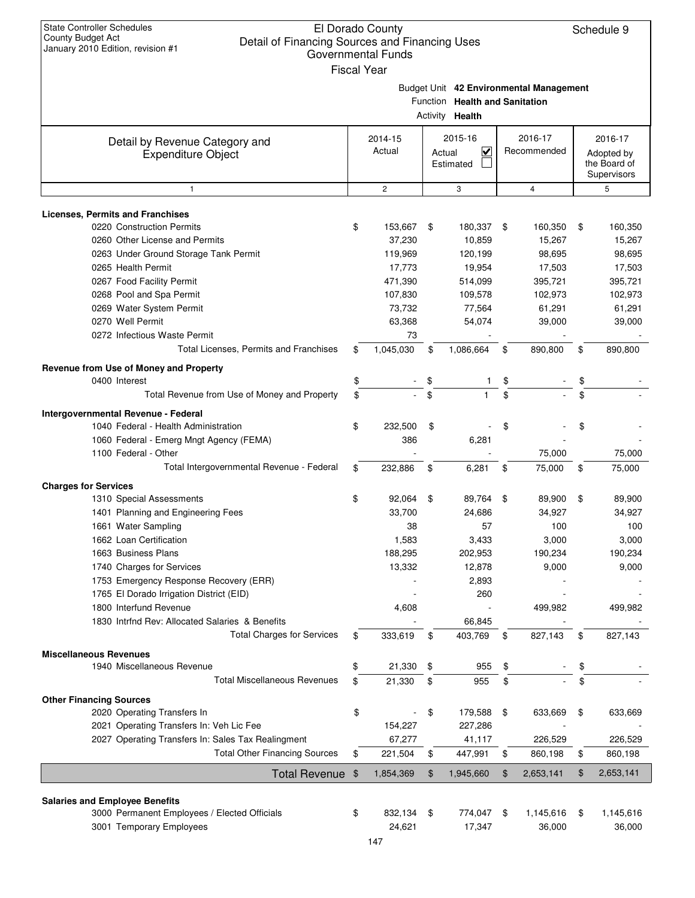| <b>State Controller Schedules</b><br>El Dorado County<br>County Budget Act<br>Detail of Financing Sources and Financing Uses<br>January 2010 Edition, revision #1<br><b>Governmental Funds</b><br><b>Fiscal Year</b> |               |                   |    |                                                          |     |                                         |    |                                                      |  |
|----------------------------------------------------------------------------------------------------------------------------------------------------------------------------------------------------------------------|---------------|-------------------|----|----------------------------------------------------------|-----|-----------------------------------------|----|------------------------------------------------------|--|
|                                                                                                                                                                                                                      |               |                   |    | Function Health and Sanitation<br>Activity <b>Health</b> |     | Budget Unit 42 Environmental Management |    |                                                      |  |
| Detail by Revenue Category and<br><b>Expenditure Object</b>                                                                                                                                                          |               | 2014-15<br>Actual |    | 2015-16<br>V<br>Actual<br>Estimated                      |     | 2016-17<br>Recommended                  |    | 2016-17<br>Adopted by<br>the Board of<br>Supervisors |  |
| $\mathbf{1}$                                                                                                                                                                                                         |               | $\overline{2}$    |    | 3                                                        |     | $\overline{4}$                          |    | 5                                                    |  |
| <b>Licenses, Permits and Franchises</b>                                                                                                                                                                              |               |                   |    |                                                          |     |                                         |    |                                                      |  |
| 0220 Construction Permits                                                                                                                                                                                            | \$            | 153,667           | \$ | 180,337                                                  | \$  | 160,350                                 | \$ | 160,350                                              |  |
| 0260 Other License and Permits                                                                                                                                                                                       |               | 37,230            |    | 10,859                                                   |     | 15,267                                  |    | 15,267                                               |  |
| 0263 Under Ground Storage Tank Permit                                                                                                                                                                                |               | 119,969           |    | 120,199                                                  |     | 98,695                                  |    | 98,695                                               |  |
| 0265 Health Permit                                                                                                                                                                                                   |               | 17,773            |    | 19,954                                                   |     | 17,503                                  |    | 17,503                                               |  |
| 0267 Food Facility Permit                                                                                                                                                                                            |               | 471,390           |    | 514,099                                                  |     | 395,721                                 |    | 395,721                                              |  |
| 0268 Pool and Spa Permit                                                                                                                                                                                             |               | 107,830           |    | 109,578                                                  |     | 102,973                                 |    | 102,973                                              |  |
| 0269 Water System Permit                                                                                                                                                                                             |               | 73,732            |    | 77,564                                                   |     | 61,291                                  |    | 61,291                                               |  |
| 0270 Well Permit                                                                                                                                                                                                     |               | 63,368            |    | 54,074                                                   |     | 39,000                                  |    | 39,000                                               |  |
| 0272 Infectious Waste Permit                                                                                                                                                                                         |               | 73                |    |                                                          |     |                                         |    |                                                      |  |
| Total Licenses, Permits and Franchises                                                                                                                                                                               | \$            | 1,045,030         | \$ | 1,086,664                                                | \$  | 890,800                                 | \$ | 890,800                                              |  |
| Revenue from Use of Money and Property                                                                                                                                                                               |               |                   |    |                                                          |     |                                         |    |                                                      |  |
| 0400 Interest                                                                                                                                                                                                        | \$            |                   | \$ |                                                          |     |                                         |    |                                                      |  |
| Total Revenue from Use of Money and Property                                                                                                                                                                         | \$            |                   | \$ |                                                          | \$  |                                         |    |                                                      |  |
| Intergovernmental Revenue - Federal                                                                                                                                                                                  |               |                   |    |                                                          |     |                                         |    |                                                      |  |
| 1040 Federal - Health Administration                                                                                                                                                                                 | \$            | 232,500           | \$ |                                                          | \$  |                                         | \$ |                                                      |  |
| 1060 Federal - Emerg Mngt Agency (FEMA)                                                                                                                                                                              |               | 386               |    | 6,281                                                    |     |                                         |    |                                                      |  |
| 1100 Federal - Other                                                                                                                                                                                                 |               |                   |    |                                                          |     | 75,000                                  |    | 75,000                                               |  |
| Total Intergovernmental Revenue - Federal                                                                                                                                                                            | \$            | 232,886           | \$ | 6,281                                                    | \$  | 75,000                                  | \$ | 75,000                                               |  |
| <b>Charges for Services</b>                                                                                                                                                                                          |               |                   |    |                                                          |     |                                         |    |                                                      |  |
| 1310 Special Assessments                                                                                                                                                                                             | \$            | 92,064            | \$ | 89,764                                                   | \$  | 89,900                                  | \$ | 89,900                                               |  |
| 1401 Planning and Engineering Fees                                                                                                                                                                                   |               | 33,700            |    | 24,686                                                   |     | 34,927                                  |    | 34,927                                               |  |
| 1661 Water Sampling                                                                                                                                                                                                  |               | 38                |    | 57                                                       |     | 100                                     |    | 100                                                  |  |
| 1662 Loan Certification                                                                                                                                                                                              |               | 1,583             |    | 3,433                                                    |     | 3,000                                   |    | 3,000                                                |  |
| 1663 Business Plans                                                                                                                                                                                                  |               | 188,295           |    | 202,953                                                  |     | 190,234                                 |    | 190,234                                              |  |
| 1740 Charges for Services                                                                                                                                                                                            |               | 13,332            |    | 12,878                                                   |     | 9,000                                   |    | 9,000                                                |  |
| 1753 Emergency Response Recovery (ERR)                                                                                                                                                                               |               |                   |    | 2,893                                                    |     |                                         |    |                                                      |  |
| 1765 El Dorado Irrigation District (EID)<br>1800 Interfund Revenue                                                                                                                                                   |               | 4,608             |    | 260                                                      |     | 499,982                                 |    | 499,982                                              |  |
| 1830 Intrind Rev: Allocated Salaries & Benefits                                                                                                                                                                      |               |                   |    | 66,845                                                   |     |                                         |    |                                                      |  |
| <b>Total Charges for Services</b>                                                                                                                                                                                    | \$            | 333,619           | \$ | 403,769                                                  | \$  | 827,143                                 | \$ | 827,143                                              |  |
|                                                                                                                                                                                                                      |               |                   |    |                                                          |     |                                         |    |                                                      |  |
| <b>Miscellaneous Revenues</b><br>1940 Miscellaneous Revenue                                                                                                                                                          | \$            | 21,330            | \$ | 955                                                      | \$  |                                         | \$ |                                                      |  |
| <b>Total Miscellaneous Revenues</b>                                                                                                                                                                                  | \$            |                   | \$ | 955                                                      | \$  |                                         | \$ |                                                      |  |
|                                                                                                                                                                                                                      |               | 21,330            |    |                                                          |     |                                         |    |                                                      |  |
| <b>Other Financing Sources</b>                                                                                                                                                                                       |               |                   |    |                                                          |     |                                         |    |                                                      |  |
| 2020 Operating Transfers In                                                                                                                                                                                          | \$            |                   | \$ | 179,588                                                  | \$  | 633,669                                 | \$ | 633,669                                              |  |
| 2021 Operating Transfers In: Veh Lic Fee                                                                                                                                                                             |               | 154,227<br>67,277 |    | 227,286                                                  |     | 226,529                                 |    |                                                      |  |
| 2027 Operating Transfers In: Sales Tax Realingment<br><b>Total Other Financing Sources</b>                                                                                                                           | \$            | 221,504           | \$ | 41,117<br>447,991                                        | \$  | 860,198                                 | \$ | 226,529<br>860,198                                   |  |
|                                                                                                                                                                                                                      |               |                   |    |                                                          |     |                                         |    |                                                      |  |
| <b>Total Revenue</b>                                                                                                                                                                                                 | $\frac{1}{2}$ | 1,854,369         | \$ | 1,945,660                                                | \$  | 2,653,141                               | \$ | 2,653,141                                            |  |
| <b>Salaries and Employee Benefits</b>                                                                                                                                                                                |               |                   |    |                                                          |     |                                         |    |                                                      |  |
| 3000 Permanent Employees / Elected Officials                                                                                                                                                                         | \$            | 832,134           | \$ | 774,047                                                  | -\$ | 1,145,616                               | \$ | 1,145,616                                            |  |
| 3001 Temporary Employees                                                                                                                                                                                             |               | 24,621            |    | 17,347                                                   |     | 36,000                                  |    | 36,000                                               |  |
|                                                                                                                                                                                                                      |               |                   |    |                                                          |     |                                         |    |                                                      |  |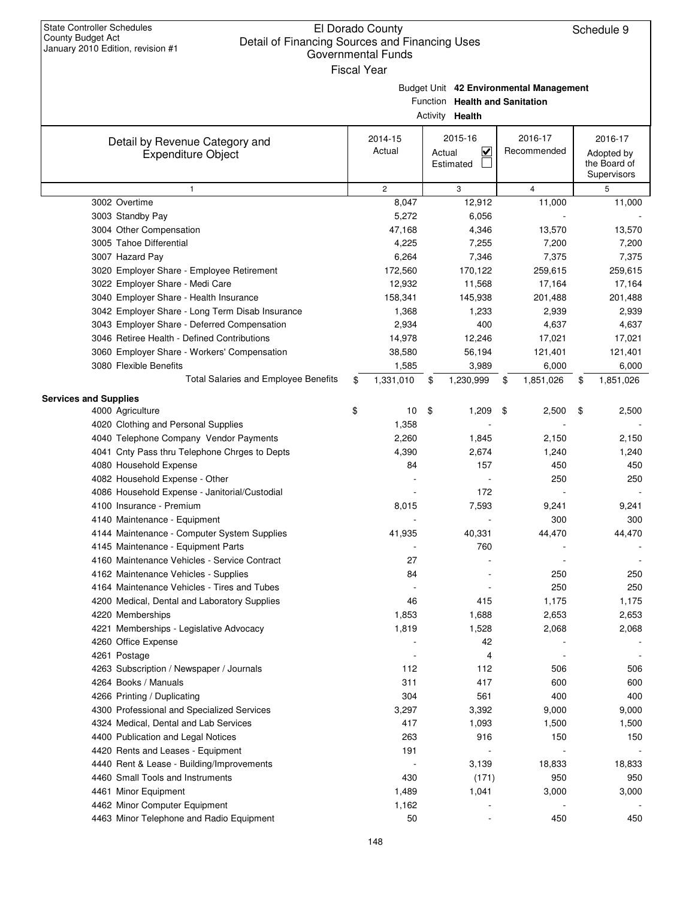|                                                 | Governmental Funds |                                |                                         |                            |
|-------------------------------------------------|--------------------|--------------------------------|-----------------------------------------|----------------------------|
|                                                 | <b>Fiscal Year</b> |                                |                                         |                            |
|                                                 |                    |                                | Budget Unit 42 Environmental Management |                            |
|                                                 |                    | Function Health and Sanitation |                                         |                            |
|                                                 |                    | Activity Health                |                                         |                            |
|                                                 | 2014-15            | 2015-16                        | 2016-17                                 | 2016-17                    |
| Detail by Revenue Category and                  | Actual             | $\overline{\mathsf{v}}$        | Recommended                             |                            |
| <b>Expenditure Object</b>                       |                    | Actual<br>Estimated            |                                         | Adopted by<br>the Board of |
|                                                 |                    |                                |                                         | Supervisors                |
| $\mathbf{1}$                                    | $\overline{c}$     | 3                              | 4                                       | 5                          |
| 3002 Overtime                                   | 8,047              | 12,912                         | 11,000                                  | 11,000                     |
| 3003 Standby Pay                                | 5,272              | 6,056                          |                                         |                            |
| 3004 Other Compensation                         | 47,168             | 4,346                          | 13,570                                  | 13,570                     |
| 3005 Tahoe Differential                         | 4,225              | 7,255                          | 7,200                                   | 7,200                      |
| 3007 Hazard Pay                                 | 6,264              | 7,346                          | 7,375                                   | 7,375                      |
| 3020 Employer Share - Employee Retirement       | 172,560            | 170,122                        | 259,615                                 | 259,615                    |
| 3022 Employer Share - Medi Care                 | 12,932             | 11,568                         | 17,164                                  | 17,164                     |
| 3040 Employer Share - Health Insurance          | 158,341            | 145,938                        | 201,488                                 | 201,488                    |
| 3042 Employer Share - Long Term Disab Insurance | 1,368              | 1,233                          | 2,939                                   | 2,939                      |
| 3043 Employer Share - Deferred Compensation     | 2,934              | 400                            | 4,637                                   | 4,637                      |
| 3046 Retiree Health - Defined Contributions     | 14,978             | 12,246                         | 17,021                                  | 17,021                     |
| 3060 Employer Share - Workers' Compensation     | 38,580             | 56,194                         | 121,401                                 | 121,401                    |
| 3080 Flexible Benefits                          | 1,585              | 3,989                          | 6,000                                   | 6,000                      |
| Total Salaries and Employee Benefits            | \$<br>1,331,010    | \$<br>1,230,999                | \$<br>1,851,026                         | \$<br>1,851,026            |
| <b>Services and Supplies</b>                    |                    |                                |                                         |                            |
| 4000 Agriculture                                | \$<br>10           | \$<br>1,209                    | \$<br>2,500                             | \$<br>2,500                |
| 4020 Clothing and Personal Supplies             | 1,358              |                                |                                         |                            |
| 4040 Telephone Company Vendor Payments          | 2,260              | 1,845                          | 2,150                                   | 2,150                      |
| 4041 Cnty Pass thru Telephone Chrges to Depts   | 4,390              | 2,674                          | 1,240                                   | 1,240                      |
| 4080 Household Expense                          | 84                 | 157                            | 450                                     | 450                        |
| 4082 Household Expense - Other                  |                    |                                | 250                                     | 250                        |
| 4086 Household Expense - Janitorial/Custodial   |                    | 172                            |                                         |                            |
| 4100 Insurance - Premium                        | 8,015              | 7,593                          | 9,241                                   | 9,241                      |
| 4140 Maintenance - Equipment                    |                    |                                | 300                                     | 300                        |
| 4144 Maintenance - Computer System Supplies     | 41,935             | 40,331                         | 44,470                                  | 44,470                     |
| 4145 Maintenance - Equipment Parts              |                    | 760                            |                                         |                            |
| 4160 Maintenance Vehicles - Service Contract    | 27                 |                                |                                         |                            |
| 4162 Maintenance Vehicles - Supplies            | 84                 |                                | 250                                     | 250                        |
| 4164 Maintenance Vehicles - Tires and Tubes     |                    |                                | 250                                     | 250                        |
| 4200 Medical, Dental and Laboratory Supplies    | 46                 | 415                            | 1,175                                   | 1,175                      |
| 4220 Memberships                                | 1,853              | 1,688                          | 2,653                                   | 2,653                      |
| 4221 Memberships - Legislative Advocacy         | 1,819              | 1,528                          | 2,068                                   | 2,068                      |
| 4260 Office Expense                             |                    | 42                             |                                         |                            |
| 4261 Postage                                    |                    | 4                              |                                         |                            |
| 4263 Subscription / Newspaper / Journals        | 112                | 112                            | 506                                     | 506                        |
| 4264 Books / Manuals                            | 311                | 417                            | 600                                     | 600                        |
| 4266 Printing / Duplicating                     | 304                | 561                            | 400                                     | 400                        |
| 4300 Professional and Specialized Services      | 3,297              | 3,392                          | 9,000                                   | 9,000                      |
| 4324 Medical, Dental and Lab Services           | 417                | 1,093                          | 1,500                                   | 1,500                      |
| 4400 Publication and Legal Notices              | 263                | 916                            | 150                                     | 150                        |
| 4420 Rents and Leases - Equipment               | 191                |                                |                                         |                            |
| 4440 Rent & Lease - Building/Improvements       |                    | 3,139                          | 18,833                                  | 18,833                     |
| 4460 Small Tools and Instruments                | 430                | (171)                          | 950                                     | 950                        |
| 4461 Minor Equipment                            | 1,489              | 1,041                          | 3,000                                   | 3,000                      |
| 4462 Minor Computer Equipment                   | 1,162              |                                |                                         |                            |
| 4463 Minor Telephone and Radio Equipment        | 50                 |                                | 450                                     | 450                        |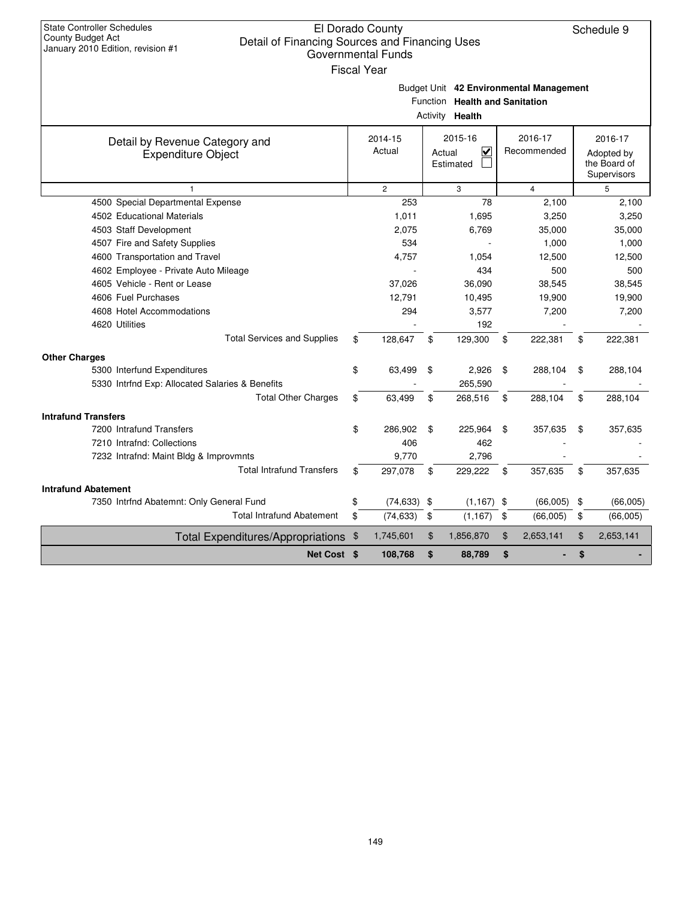| <b>State Controller Schedules</b><br>County Budget Act<br>Detail of Financing Sources and Financing Uses<br>January 2010 Edition, revision #1 | El Dorado County<br>Governmental Funds<br><b>Fiscal Year</b> |                |                                          |                                         | Schedule 9                  |
|-----------------------------------------------------------------------------------------------------------------------------------------------|--------------------------------------------------------------|----------------|------------------------------------------|-----------------------------------------|-----------------------------|
|                                                                                                                                               |                                                              |                |                                          | Budget Unit 42 Environmental Management |                             |
|                                                                                                                                               |                                                              | Activity       | Function Health and Sanitation<br>Health |                                         |                             |
|                                                                                                                                               |                                                              |                |                                          |                                         |                             |
| Detail by Revenue Category and                                                                                                                | 2014-15<br>Actual                                            |                | 2015-16<br>V<br>Actual                   | 2016-17<br>Recommended                  | 2016-17<br>Adopted by       |
| <b>Expenditure Object</b>                                                                                                                     |                                                              |                | Estimated                                |                                         | the Board of<br>Supervisors |
| 1                                                                                                                                             | $\overline{2}$                                               |                | 3                                        | $\overline{4}$                          | 5                           |
| 4500 Special Departmental Expense                                                                                                             | 253                                                          |                | 78                                       | 2,100                                   | 2,100                       |
| 4502 Educational Materials                                                                                                                    | 1,011                                                        |                | 1,695                                    | 3,250                                   | 3,250                       |
| 4503 Staff Development                                                                                                                        | 2,075                                                        |                | 6,769                                    | 35,000                                  | 35,000                      |
| 4507 Fire and Safety Supplies                                                                                                                 | 534                                                          |                |                                          | 1,000                                   | 1,000                       |
| 4600 Transportation and Travel                                                                                                                | 4,757                                                        |                | 1,054                                    | 12,500                                  | 12,500                      |
| 4602 Employee - Private Auto Mileage                                                                                                          |                                                              |                | 434                                      | 500                                     | 500                         |
| 4605 Vehicle - Rent or Lease                                                                                                                  | 37,026                                                       |                | 36,090                                   | 38,545                                  | 38,545                      |
| 4606 Fuel Purchases                                                                                                                           | 12,791                                                       |                | 10,495                                   | 19,900                                  | 19,900                      |
| 4608 Hotel Accommodations                                                                                                                     | 294                                                          |                | 3,577                                    | 7,200                                   | 7,200                       |
| 4620 Utilities                                                                                                                                |                                                              |                | 192                                      |                                         |                             |
| <b>Total Services and Supplies</b>                                                                                                            | \$<br>128,647                                                | \$             | 129,300                                  | \$<br>222,381                           | \$<br>222,381               |
| <b>Other Charges</b>                                                                                                                          |                                                              |                |                                          |                                         |                             |
| 5300 Interfund Expenditures                                                                                                                   | \$<br>63,499                                                 | \$             | 2,926                                    | \$<br>288,104                           | \$<br>288,104               |
| 5330 Intrfnd Exp: Allocated Salaries & Benefits                                                                                               |                                                              |                | 265,590                                  |                                         |                             |
| <b>Total Other Charges</b>                                                                                                                    | \$<br>63,499                                                 | \$             | 268,516                                  | \$<br>288,104                           | \$<br>288,104               |
| <b>Intrafund Transfers</b>                                                                                                                    |                                                              |                |                                          |                                         |                             |
| 7200 Intrafund Transfers                                                                                                                      | \$<br>286,902                                                | \$             | 225,964                                  | \$<br>357,635                           | \$<br>357,635               |
| 7210 Intrafnd: Collections                                                                                                                    | 406                                                          |                | 462                                      |                                         |                             |
| 7232 Intrafnd: Maint Bldg & Improvmnts                                                                                                        | 9,770                                                        |                | 2,796                                    |                                         |                             |
| <b>Total Intrafund Transfers</b>                                                                                                              | \$<br>297,078                                                | \$             | 229,222                                  | \$<br>357,635                           | \$<br>357,635               |
| <b>Intrafund Abatement</b>                                                                                                                    |                                                              |                |                                          |                                         |                             |
| 7350 Intrfnd Abatemnt: Only General Fund                                                                                                      | \$<br>(74,633)                                               | \$             | (1, 167)                                 | \$<br>(66,005)                          | \$<br>(66,005)              |
| <b>Total Intrafund Abatement</b>                                                                                                              | \$<br>(74, 633)                                              | \$             | (1, 167)                                 | \$<br>(66,005)                          | \$<br>(66,005)              |
| Total Expenditures/Appropriations \$                                                                                                          | 1,745,601                                                    | $\mathfrak{F}$ | 1,856,870                                | \$<br>2,653,141                         | \$<br>2,653,141             |
| Net Cost \$                                                                                                                                   | 108,768                                                      | \$             | 88,789                                   | \$                                      | \$                          |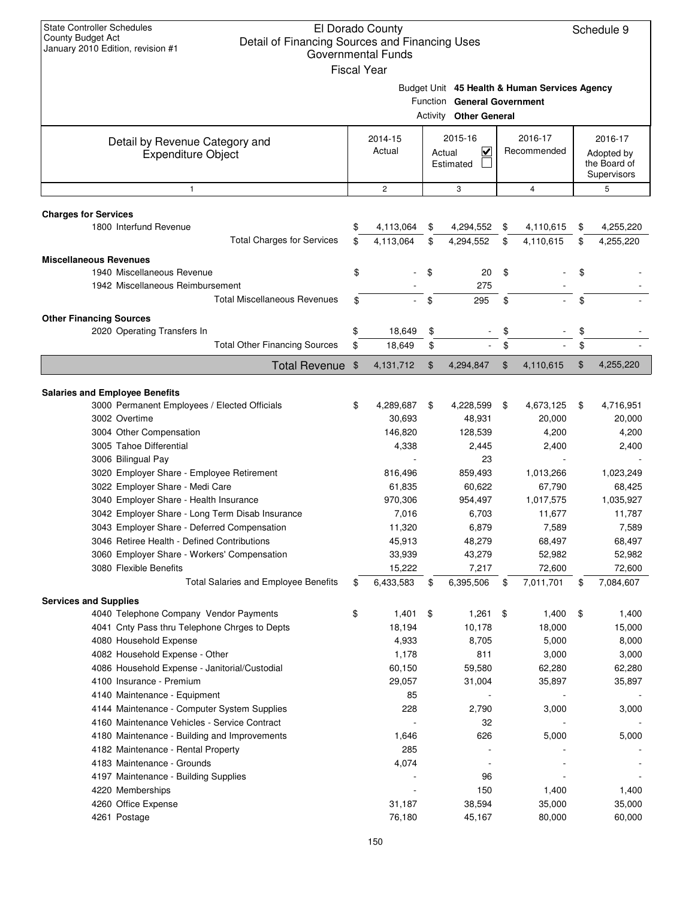| Budget Unit 45 Health & Human Services Agency<br>Function General Government<br>Activity<br><b>Other General</b><br>2015-16<br>2016-17<br>2016-17<br>2014-15<br>Detail by Revenue Category and<br>Actual<br>$\checkmark$<br>Recommended<br>Actual<br>Adopted by<br><b>Expenditure Object</b><br>Estimated<br>the Board of<br>Supervisors<br>$\mathbf{2}$<br>3<br>4<br>5<br>$\mathbf{1}$<br><b>Charges for Services</b><br>1800 Interfund Revenue<br>4,113,064<br>4,294,552<br>4,110,615<br>4,255,220<br>\$<br>\$<br>\$<br>\$<br><b>Total Charges for Services</b><br>4,113,064<br>4,294,552<br>\$<br>\$<br>\$<br>4,110,615<br>4,255,220<br>\$<br><b>Miscellaneous Revenues</b><br>1940 Miscellaneous Revenue<br>\$<br>\$<br>\$<br>20<br>\$<br>1942 Miscellaneous Reimbursement<br>275<br><b>Total Miscellaneous Revenues</b><br>\$<br>295<br>\$<br>\$<br>\$<br><b>Other Financing Sources</b><br>2020 Operating Transfers In<br>\$<br>18,649<br>\$<br>\$<br>\$<br><b>Total Other Financing Sources</b><br>\$<br>18,649<br>\$<br>\$<br>\$<br>\$<br><b>Total Revenue</b><br>\$<br>4,294,847<br>\$<br>4,255,220<br>\$<br>4,131,712<br>4,110,615<br><b>Salaries and Employee Benefits</b><br>3000 Permanent Employees / Elected Officials<br>4,673,125<br>4,716,951<br>\$<br>4,289,687<br>\$<br>4,228,599<br>\$<br>\$<br>3002 Overtime<br>30,693<br>48,931<br>20,000<br>20,000<br>3004 Other Compensation<br>146,820<br>128,539<br>4,200<br>4,200<br>3005 Tahoe Differential<br>4,338<br>2,445<br>2,400<br>2,400<br>3006 Bilingual Pay<br>23<br>3020 Employer Share - Employee Retirement<br>816,496<br>859,493<br>1,013,266<br>1,023,249<br>3022 Employer Share - Medi Care<br>60,622<br>67,790<br>61,835<br>68,425<br>3040 Employer Share - Health Insurance<br>970,306<br>954,497<br>1,017,575<br>1,035,927<br>3042 Employer Share - Long Term Disab Insurance<br>11,787<br>7,016<br>6,703<br>11,677<br>3043 Employer Share - Deferred Compensation<br>11,320<br>6,879<br>7,589<br>7,589<br>3046 Retiree Health - Defined Contributions<br>45,913<br>48,279<br>68,497<br>68,497<br>3060 Employer Share - Workers' Compensation<br>43,279<br>33,939<br>52,982<br>52,982<br>3080 Flexible Benefits<br>15,222<br>7,217<br>72,600<br>72,600<br><b>Total Salaries and Employee Benefits</b><br>6,433,583<br>6,395,506<br>7,011,701<br>\$<br>\$<br>\$<br>\$<br>7,084,607<br><b>Services and Supplies</b><br>4040 Telephone Company Vendor Payments<br>\$<br>1,401<br>\$<br>1,261<br>\$<br>1,400<br>\$<br>1,400<br>4041 Cnty Pass thru Telephone Chrges to Depts<br>18,194<br>10,178<br>18,000<br>15,000<br>4080 Household Expense<br>4,933<br>8,705<br>5,000<br>8,000<br>4082 Household Expense - Other<br>1,178<br>811<br>3,000<br>3,000<br>4086 Household Expense - Janitorial/Custodial<br>60,150<br>59,580<br>62,280<br>62,280<br>4100 Insurance - Premium<br>29,057<br>31,004<br>35,897<br>35,897<br>85<br>4140 Maintenance - Equipment<br>4144 Maintenance - Computer System Supplies<br>228<br>3,000<br>2,790<br>3,000<br>4160 Maintenance Vehicles - Service Contract<br>32<br>4180 Maintenance - Building and Improvements<br>1,646<br>626<br>5,000<br>5,000<br>4182 Maintenance - Rental Property<br>285<br>4,074<br>4183 Maintenance - Grounds<br>96<br>4197 Maintenance - Building Supplies<br>4220 Memberships<br>150<br>1,400<br>1,400<br>4260 Office Expense<br>31,187<br>38,594<br>35,000<br>35,000 | <b>State Controller Schedules</b><br>County Budget Act<br>Detail of Financing Sources and Financing Uses<br>January 2010 Edition, revision #1 | El Dorado County<br><b>Governmental Funds</b><br><b>Fiscal Year</b> |        |        | Schedule 9 |
|--------------------------------------------------------------------------------------------------------------------------------------------------------------------------------------------------------------------------------------------------------------------------------------------------------------------------------------------------------------------------------------------------------------------------------------------------------------------------------------------------------------------------------------------------------------------------------------------------------------------------------------------------------------------------------------------------------------------------------------------------------------------------------------------------------------------------------------------------------------------------------------------------------------------------------------------------------------------------------------------------------------------------------------------------------------------------------------------------------------------------------------------------------------------------------------------------------------------------------------------------------------------------------------------------------------------------------------------------------------------------------------------------------------------------------------------------------------------------------------------------------------------------------------------------------------------------------------------------------------------------------------------------------------------------------------------------------------------------------------------------------------------------------------------------------------------------------------------------------------------------------------------------------------------------------------------------------------------------------------------------------------------------------------------------------------------------------------------------------------------------------------------------------------------------------------------------------------------------------------------------------------------------------------------------------------------------------------------------------------------------------------------------------------------------------------------------------------------------------------------------------------------------------------------------------------------------------------------------------------------------------------------------------------------------------------------------------------------------------------------------------------------------------------------------------------------------------------------------------------------------------------------------------------------------------------------------------------------------------------------------------------------------------------------------------------------------------------------------------------------------------------------------------------------------------------------------------------------------------------------------------------------------------------------------------------------------------------------------------------------------------------------------------------|-----------------------------------------------------------------------------------------------------------------------------------------------|---------------------------------------------------------------------|--------|--------|------------|
|                                                                                                                                                                                                                                                                                                                                                                                                                                                                                                                                                                                                                                                                                                                                                                                                                                                                                                                                                                                                                                                                                                                                                                                                                                                                                                                                                                                                                                                                                                                                                                                                                                                                                                                                                                                                                                                                                                                                                                                                                                                                                                                                                                                                                                                                                                                                                                                                                                                                                                                                                                                                                                                                                                                                                                                                                                                                                                                                                                                                                                                                                                                                                                                                                                                                                                                                                                                                              |                                                                                                                                               |                                                                     |        |        |            |
|                                                                                                                                                                                                                                                                                                                                                                                                                                                                                                                                                                                                                                                                                                                                                                                                                                                                                                                                                                                                                                                                                                                                                                                                                                                                                                                                                                                                                                                                                                                                                                                                                                                                                                                                                                                                                                                                                                                                                                                                                                                                                                                                                                                                                                                                                                                                                                                                                                                                                                                                                                                                                                                                                                                                                                                                                                                                                                                                                                                                                                                                                                                                                                                                                                                                                                                                                                                                              |                                                                                                                                               |                                                                     |        |        |            |
|                                                                                                                                                                                                                                                                                                                                                                                                                                                                                                                                                                                                                                                                                                                                                                                                                                                                                                                                                                                                                                                                                                                                                                                                                                                                                                                                                                                                                                                                                                                                                                                                                                                                                                                                                                                                                                                                                                                                                                                                                                                                                                                                                                                                                                                                                                                                                                                                                                                                                                                                                                                                                                                                                                                                                                                                                                                                                                                                                                                                                                                                                                                                                                                                                                                                                                                                                                                                              |                                                                                                                                               |                                                                     |        |        |            |
|                                                                                                                                                                                                                                                                                                                                                                                                                                                                                                                                                                                                                                                                                                                                                                                                                                                                                                                                                                                                                                                                                                                                                                                                                                                                                                                                                                                                                                                                                                                                                                                                                                                                                                                                                                                                                                                                                                                                                                                                                                                                                                                                                                                                                                                                                                                                                                                                                                                                                                                                                                                                                                                                                                                                                                                                                                                                                                                                                                                                                                                                                                                                                                                                                                                                                                                                                                                                              |                                                                                                                                               |                                                                     |        |        |            |
|                                                                                                                                                                                                                                                                                                                                                                                                                                                                                                                                                                                                                                                                                                                                                                                                                                                                                                                                                                                                                                                                                                                                                                                                                                                                                                                                                                                                                                                                                                                                                                                                                                                                                                                                                                                                                                                                                                                                                                                                                                                                                                                                                                                                                                                                                                                                                                                                                                                                                                                                                                                                                                                                                                                                                                                                                                                                                                                                                                                                                                                                                                                                                                                                                                                                                                                                                                                                              |                                                                                                                                               |                                                                     |        |        |            |
|                                                                                                                                                                                                                                                                                                                                                                                                                                                                                                                                                                                                                                                                                                                                                                                                                                                                                                                                                                                                                                                                                                                                                                                                                                                                                                                                                                                                                                                                                                                                                                                                                                                                                                                                                                                                                                                                                                                                                                                                                                                                                                                                                                                                                                                                                                                                                                                                                                                                                                                                                                                                                                                                                                                                                                                                                                                                                                                                                                                                                                                                                                                                                                                                                                                                                                                                                                                                              |                                                                                                                                               |                                                                     |        |        |            |
|                                                                                                                                                                                                                                                                                                                                                                                                                                                                                                                                                                                                                                                                                                                                                                                                                                                                                                                                                                                                                                                                                                                                                                                                                                                                                                                                                                                                                                                                                                                                                                                                                                                                                                                                                                                                                                                                                                                                                                                                                                                                                                                                                                                                                                                                                                                                                                                                                                                                                                                                                                                                                                                                                                                                                                                                                                                                                                                                                                                                                                                                                                                                                                                                                                                                                                                                                                                                              |                                                                                                                                               |                                                                     |        |        |            |
|                                                                                                                                                                                                                                                                                                                                                                                                                                                                                                                                                                                                                                                                                                                                                                                                                                                                                                                                                                                                                                                                                                                                                                                                                                                                                                                                                                                                                                                                                                                                                                                                                                                                                                                                                                                                                                                                                                                                                                                                                                                                                                                                                                                                                                                                                                                                                                                                                                                                                                                                                                                                                                                                                                                                                                                                                                                                                                                                                                                                                                                                                                                                                                                                                                                                                                                                                                                                              |                                                                                                                                               |                                                                     |        |        |            |
|                                                                                                                                                                                                                                                                                                                                                                                                                                                                                                                                                                                                                                                                                                                                                                                                                                                                                                                                                                                                                                                                                                                                                                                                                                                                                                                                                                                                                                                                                                                                                                                                                                                                                                                                                                                                                                                                                                                                                                                                                                                                                                                                                                                                                                                                                                                                                                                                                                                                                                                                                                                                                                                                                                                                                                                                                                                                                                                                                                                                                                                                                                                                                                                                                                                                                                                                                                                                              |                                                                                                                                               |                                                                     |        |        |            |
|                                                                                                                                                                                                                                                                                                                                                                                                                                                                                                                                                                                                                                                                                                                                                                                                                                                                                                                                                                                                                                                                                                                                                                                                                                                                                                                                                                                                                                                                                                                                                                                                                                                                                                                                                                                                                                                                                                                                                                                                                                                                                                                                                                                                                                                                                                                                                                                                                                                                                                                                                                                                                                                                                                                                                                                                                                                                                                                                                                                                                                                                                                                                                                                                                                                                                                                                                                                                              |                                                                                                                                               |                                                                     |        |        |            |
|                                                                                                                                                                                                                                                                                                                                                                                                                                                                                                                                                                                                                                                                                                                                                                                                                                                                                                                                                                                                                                                                                                                                                                                                                                                                                                                                                                                                                                                                                                                                                                                                                                                                                                                                                                                                                                                                                                                                                                                                                                                                                                                                                                                                                                                                                                                                                                                                                                                                                                                                                                                                                                                                                                                                                                                                                                                                                                                                                                                                                                                                                                                                                                                                                                                                                                                                                                                                              |                                                                                                                                               |                                                                     |        |        |            |
|                                                                                                                                                                                                                                                                                                                                                                                                                                                                                                                                                                                                                                                                                                                                                                                                                                                                                                                                                                                                                                                                                                                                                                                                                                                                                                                                                                                                                                                                                                                                                                                                                                                                                                                                                                                                                                                                                                                                                                                                                                                                                                                                                                                                                                                                                                                                                                                                                                                                                                                                                                                                                                                                                                                                                                                                                                                                                                                                                                                                                                                                                                                                                                                                                                                                                                                                                                                                              |                                                                                                                                               |                                                                     |        |        |            |
|                                                                                                                                                                                                                                                                                                                                                                                                                                                                                                                                                                                                                                                                                                                                                                                                                                                                                                                                                                                                                                                                                                                                                                                                                                                                                                                                                                                                                                                                                                                                                                                                                                                                                                                                                                                                                                                                                                                                                                                                                                                                                                                                                                                                                                                                                                                                                                                                                                                                                                                                                                                                                                                                                                                                                                                                                                                                                                                                                                                                                                                                                                                                                                                                                                                                                                                                                                                                              |                                                                                                                                               |                                                                     |        |        |            |
|                                                                                                                                                                                                                                                                                                                                                                                                                                                                                                                                                                                                                                                                                                                                                                                                                                                                                                                                                                                                                                                                                                                                                                                                                                                                                                                                                                                                                                                                                                                                                                                                                                                                                                                                                                                                                                                                                                                                                                                                                                                                                                                                                                                                                                                                                                                                                                                                                                                                                                                                                                                                                                                                                                                                                                                                                                                                                                                                                                                                                                                                                                                                                                                                                                                                                                                                                                                                              |                                                                                                                                               |                                                                     |        |        |            |
|                                                                                                                                                                                                                                                                                                                                                                                                                                                                                                                                                                                                                                                                                                                                                                                                                                                                                                                                                                                                                                                                                                                                                                                                                                                                                                                                                                                                                                                                                                                                                                                                                                                                                                                                                                                                                                                                                                                                                                                                                                                                                                                                                                                                                                                                                                                                                                                                                                                                                                                                                                                                                                                                                                                                                                                                                                                                                                                                                                                                                                                                                                                                                                                                                                                                                                                                                                                                              |                                                                                                                                               |                                                                     |        |        |            |
|                                                                                                                                                                                                                                                                                                                                                                                                                                                                                                                                                                                                                                                                                                                                                                                                                                                                                                                                                                                                                                                                                                                                                                                                                                                                                                                                                                                                                                                                                                                                                                                                                                                                                                                                                                                                                                                                                                                                                                                                                                                                                                                                                                                                                                                                                                                                                                                                                                                                                                                                                                                                                                                                                                                                                                                                                                                                                                                                                                                                                                                                                                                                                                                                                                                                                                                                                                                                              |                                                                                                                                               |                                                                     |        |        |            |
|                                                                                                                                                                                                                                                                                                                                                                                                                                                                                                                                                                                                                                                                                                                                                                                                                                                                                                                                                                                                                                                                                                                                                                                                                                                                                                                                                                                                                                                                                                                                                                                                                                                                                                                                                                                                                                                                                                                                                                                                                                                                                                                                                                                                                                                                                                                                                                                                                                                                                                                                                                                                                                                                                                                                                                                                                                                                                                                                                                                                                                                                                                                                                                                                                                                                                                                                                                                                              |                                                                                                                                               |                                                                     |        |        |            |
|                                                                                                                                                                                                                                                                                                                                                                                                                                                                                                                                                                                                                                                                                                                                                                                                                                                                                                                                                                                                                                                                                                                                                                                                                                                                                                                                                                                                                                                                                                                                                                                                                                                                                                                                                                                                                                                                                                                                                                                                                                                                                                                                                                                                                                                                                                                                                                                                                                                                                                                                                                                                                                                                                                                                                                                                                                                                                                                                                                                                                                                                                                                                                                                                                                                                                                                                                                                                              |                                                                                                                                               |                                                                     |        |        |            |
|                                                                                                                                                                                                                                                                                                                                                                                                                                                                                                                                                                                                                                                                                                                                                                                                                                                                                                                                                                                                                                                                                                                                                                                                                                                                                                                                                                                                                                                                                                                                                                                                                                                                                                                                                                                                                                                                                                                                                                                                                                                                                                                                                                                                                                                                                                                                                                                                                                                                                                                                                                                                                                                                                                                                                                                                                                                                                                                                                                                                                                                                                                                                                                                                                                                                                                                                                                                                              |                                                                                                                                               |                                                                     |        |        |            |
|                                                                                                                                                                                                                                                                                                                                                                                                                                                                                                                                                                                                                                                                                                                                                                                                                                                                                                                                                                                                                                                                                                                                                                                                                                                                                                                                                                                                                                                                                                                                                                                                                                                                                                                                                                                                                                                                                                                                                                                                                                                                                                                                                                                                                                                                                                                                                                                                                                                                                                                                                                                                                                                                                                                                                                                                                                                                                                                                                                                                                                                                                                                                                                                                                                                                                                                                                                                                              |                                                                                                                                               |                                                                     |        |        |            |
|                                                                                                                                                                                                                                                                                                                                                                                                                                                                                                                                                                                                                                                                                                                                                                                                                                                                                                                                                                                                                                                                                                                                                                                                                                                                                                                                                                                                                                                                                                                                                                                                                                                                                                                                                                                                                                                                                                                                                                                                                                                                                                                                                                                                                                                                                                                                                                                                                                                                                                                                                                                                                                                                                                                                                                                                                                                                                                                                                                                                                                                                                                                                                                                                                                                                                                                                                                                                              |                                                                                                                                               |                                                                     |        |        |            |
|                                                                                                                                                                                                                                                                                                                                                                                                                                                                                                                                                                                                                                                                                                                                                                                                                                                                                                                                                                                                                                                                                                                                                                                                                                                                                                                                                                                                                                                                                                                                                                                                                                                                                                                                                                                                                                                                                                                                                                                                                                                                                                                                                                                                                                                                                                                                                                                                                                                                                                                                                                                                                                                                                                                                                                                                                                                                                                                                                                                                                                                                                                                                                                                                                                                                                                                                                                                                              |                                                                                                                                               |                                                                     |        |        |            |
|                                                                                                                                                                                                                                                                                                                                                                                                                                                                                                                                                                                                                                                                                                                                                                                                                                                                                                                                                                                                                                                                                                                                                                                                                                                                                                                                                                                                                                                                                                                                                                                                                                                                                                                                                                                                                                                                                                                                                                                                                                                                                                                                                                                                                                                                                                                                                                                                                                                                                                                                                                                                                                                                                                                                                                                                                                                                                                                                                                                                                                                                                                                                                                                                                                                                                                                                                                                                              |                                                                                                                                               |                                                                     |        |        |            |
|                                                                                                                                                                                                                                                                                                                                                                                                                                                                                                                                                                                                                                                                                                                                                                                                                                                                                                                                                                                                                                                                                                                                                                                                                                                                                                                                                                                                                                                                                                                                                                                                                                                                                                                                                                                                                                                                                                                                                                                                                                                                                                                                                                                                                                                                                                                                                                                                                                                                                                                                                                                                                                                                                                                                                                                                                                                                                                                                                                                                                                                                                                                                                                                                                                                                                                                                                                                                              |                                                                                                                                               |                                                                     |        |        |            |
|                                                                                                                                                                                                                                                                                                                                                                                                                                                                                                                                                                                                                                                                                                                                                                                                                                                                                                                                                                                                                                                                                                                                                                                                                                                                                                                                                                                                                                                                                                                                                                                                                                                                                                                                                                                                                                                                                                                                                                                                                                                                                                                                                                                                                                                                                                                                                                                                                                                                                                                                                                                                                                                                                                                                                                                                                                                                                                                                                                                                                                                                                                                                                                                                                                                                                                                                                                                                              |                                                                                                                                               |                                                                     |        |        |            |
|                                                                                                                                                                                                                                                                                                                                                                                                                                                                                                                                                                                                                                                                                                                                                                                                                                                                                                                                                                                                                                                                                                                                                                                                                                                                                                                                                                                                                                                                                                                                                                                                                                                                                                                                                                                                                                                                                                                                                                                                                                                                                                                                                                                                                                                                                                                                                                                                                                                                                                                                                                                                                                                                                                                                                                                                                                                                                                                                                                                                                                                                                                                                                                                                                                                                                                                                                                                                              |                                                                                                                                               |                                                                     |        |        |            |
|                                                                                                                                                                                                                                                                                                                                                                                                                                                                                                                                                                                                                                                                                                                                                                                                                                                                                                                                                                                                                                                                                                                                                                                                                                                                                                                                                                                                                                                                                                                                                                                                                                                                                                                                                                                                                                                                                                                                                                                                                                                                                                                                                                                                                                                                                                                                                                                                                                                                                                                                                                                                                                                                                                                                                                                                                                                                                                                                                                                                                                                                                                                                                                                                                                                                                                                                                                                                              |                                                                                                                                               |                                                                     |        |        |            |
|                                                                                                                                                                                                                                                                                                                                                                                                                                                                                                                                                                                                                                                                                                                                                                                                                                                                                                                                                                                                                                                                                                                                                                                                                                                                                                                                                                                                                                                                                                                                                                                                                                                                                                                                                                                                                                                                                                                                                                                                                                                                                                                                                                                                                                                                                                                                                                                                                                                                                                                                                                                                                                                                                                                                                                                                                                                                                                                                                                                                                                                                                                                                                                                                                                                                                                                                                                                                              |                                                                                                                                               |                                                                     |        |        |            |
|                                                                                                                                                                                                                                                                                                                                                                                                                                                                                                                                                                                                                                                                                                                                                                                                                                                                                                                                                                                                                                                                                                                                                                                                                                                                                                                                                                                                                                                                                                                                                                                                                                                                                                                                                                                                                                                                                                                                                                                                                                                                                                                                                                                                                                                                                                                                                                                                                                                                                                                                                                                                                                                                                                                                                                                                                                                                                                                                                                                                                                                                                                                                                                                                                                                                                                                                                                                                              |                                                                                                                                               |                                                                     |        |        |            |
|                                                                                                                                                                                                                                                                                                                                                                                                                                                                                                                                                                                                                                                                                                                                                                                                                                                                                                                                                                                                                                                                                                                                                                                                                                                                                                                                                                                                                                                                                                                                                                                                                                                                                                                                                                                                                                                                                                                                                                                                                                                                                                                                                                                                                                                                                                                                                                                                                                                                                                                                                                                                                                                                                                                                                                                                                                                                                                                                                                                                                                                                                                                                                                                                                                                                                                                                                                                                              |                                                                                                                                               |                                                                     |        |        |            |
|                                                                                                                                                                                                                                                                                                                                                                                                                                                                                                                                                                                                                                                                                                                                                                                                                                                                                                                                                                                                                                                                                                                                                                                                                                                                                                                                                                                                                                                                                                                                                                                                                                                                                                                                                                                                                                                                                                                                                                                                                                                                                                                                                                                                                                                                                                                                                                                                                                                                                                                                                                                                                                                                                                                                                                                                                                                                                                                                                                                                                                                                                                                                                                                                                                                                                                                                                                                                              |                                                                                                                                               |                                                                     |        |        |            |
|                                                                                                                                                                                                                                                                                                                                                                                                                                                                                                                                                                                                                                                                                                                                                                                                                                                                                                                                                                                                                                                                                                                                                                                                                                                                                                                                                                                                                                                                                                                                                                                                                                                                                                                                                                                                                                                                                                                                                                                                                                                                                                                                                                                                                                                                                                                                                                                                                                                                                                                                                                                                                                                                                                                                                                                                                                                                                                                                                                                                                                                                                                                                                                                                                                                                                                                                                                                                              |                                                                                                                                               |                                                                     |        |        |            |
|                                                                                                                                                                                                                                                                                                                                                                                                                                                                                                                                                                                                                                                                                                                                                                                                                                                                                                                                                                                                                                                                                                                                                                                                                                                                                                                                                                                                                                                                                                                                                                                                                                                                                                                                                                                                                                                                                                                                                                                                                                                                                                                                                                                                                                                                                                                                                                                                                                                                                                                                                                                                                                                                                                                                                                                                                                                                                                                                                                                                                                                                                                                                                                                                                                                                                                                                                                                                              |                                                                                                                                               |                                                                     |        |        |            |
|                                                                                                                                                                                                                                                                                                                                                                                                                                                                                                                                                                                                                                                                                                                                                                                                                                                                                                                                                                                                                                                                                                                                                                                                                                                                                                                                                                                                                                                                                                                                                                                                                                                                                                                                                                                                                                                                                                                                                                                                                                                                                                                                                                                                                                                                                                                                                                                                                                                                                                                                                                                                                                                                                                                                                                                                                                                                                                                                                                                                                                                                                                                                                                                                                                                                                                                                                                                                              |                                                                                                                                               |                                                                     |        |        |            |
|                                                                                                                                                                                                                                                                                                                                                                                                                                                                                                                                                                                                                                                                                                                                                                                                                                                                                                                                                                                                                                                                                                                                                                                                                                                                                                                                                                                                                                                                                                                                                                                                                                                                                                                                                                                                                                                                                                                                                                                                                                                                                                                                                                                                                                                                                                                                                                                                                                                                                                                                                                                                                                                                                                                                                                                                                                                                                                                                                                                                                                                                                                                                                                                                                                                                                                                                                                                                              |                                                                                                                                               |                                                                     |        |        |            |
|                                                                                                                                                                                                                                                                                                                                                                                                                                                                                                                                                                                                                                                                                                                                                                                                                                                                                                                                                                                                                                                                                                                                                                                                                                                                                                                                                                                                                                                                                                                                                                                                                                                                                                                                                                                                                                                                                                                                                                                                                                                                                                                                                                                                                                                                                                                                                                                                                                                                                                                                                                                                                                                                                                                                                                                                                                                                                                                                                                                                                                                                                                                                                                                                                                                                                                                                                                                                              |                                                                                                                                               |                                                                     |        |        |            |
|                                                                                                                                                                                                                                                                                                                                                                                                                                                                                                                                                                                                                                                                                                                                                                                                                                                                                                                                                                                                                                                                                                                                                                                                                                                                                                                                                                                                                                                                                                                                                                                                                                                                                                                                                                                                                                                                                                                                                                                                                                                                                                                                                                                                                                                                                                                                                                                                                                                                                                                                                                                                                                                                                                                                                                                                                                                                                                                                                                                                                                                                                                                                                                                                                                                                                                                                                                                                              |                                                                                                                                               |                                                                     |        |        |            |
|                                                                                                                                                                                                                                                                                                                                                                                                                                                                                                                                                                                                                                                                                                                                                                                                                                                                                                                                                                                                                                                                                                                                                                                                                                                                                                                                                                                                                                                                                                                                                                                                                                                                                                                                                                                                                                                                                                                                                                                                                                                                                                                                                                                                                                                                                                                                                                                                                                                                                                                                                                                                                                                                                                                                                                                                                                                                                                                                                                                                                                                                                                                                                                                                                                                                                                                                                                                                              |                                                                                                                                               |                                                                     |        |        |            |
|                                                                                                                                                                                                                                                                                                                                                                                                                                                                                                                                                                                                                                                                                                                                                                                                                                                                                                                                                                                                                                                                                                                                                                                                                                                                                                                                                                                                                                                                                                                                                                                                                                                                                                                                                                                                                                                                                                                                                                                                                                                                                                                                                                                                                                                                                                                                                                                                                                                                                                                                                                                                                                                                                                                                                                                                                                                                                                                                                                                                                                                                                                                                                                                                                                                                                                                                                                                                              |                                                                                                                                               |                                                                     |        |        |            |
|                                                                                                                                                                                                                                                                                                                                                                                                                                                                                                                                                                                                                                                                                                                                                                                                                                                                                                                                                                                                                                                                                                                                                                                                                                                                                                                                                                                                                                                                                                                                                                                                                                                                                                                                                                                                                                                                                                                                                                                                                                                                                                                                                                                                                                                                                                                                                                                                                                                                                                                                                                                                                                                                                                                                                                                                                                                                                                                                                                                                                                                                                                                                                                                                                                                                                                                                                                                                              |                                                                                                                                               |                                                                     |        |        |            |
|                                                                                                                                                                                                                                                                                                                                                                                                                                                                                                                                                                                                                                                                                                                                                                                                                                                                                                                                                                                                                                                                                                                                                                                                                                                                                                                                                                                                                                                                                                                                                                                                                                                                                                                                                                                                                                                                                                                                                                                                                                                                                                                                                                                                                                                                                                                                                                                                                                                                                                                                                                                                                                                                                                                                                                                                                                                                                                                                                                                                                                                                                                                                                                                                                                                                                                                                                                                                              |                                                                                                                                               |                                                                     |        |        |            |
|                                                                                                                                                                                                                                                                                                                                                                                                                                                                                                                                                                                                                                                                                                                                                                                                                                                                                                                                                                                                                                                                                                                                                                                                                                                                                                                                                                                                                                                                                                                                                                                                                                                                                                                                                                                                                                                                                                                                                                                                                                                                                                                                                                                                                                                                                                                                                                                                                                                                                                                                                                                                                                                                                                                                                                                                                                                                                                                                                                                                                                                                                                                                                                                                                                                                                                                                                                                                              | 4261 Postage                                                                                                                                  | 76,180                                                              | 45,167 | 80,000 | 60,000     |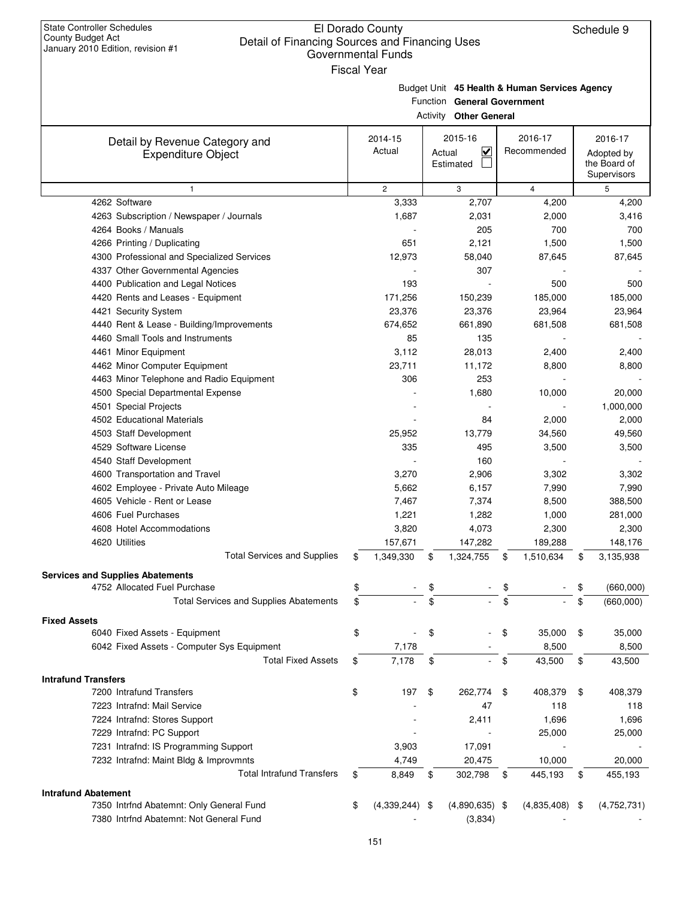Fiscal Year

Budget Unit **45 Health & Human Services Agency**

Function **General Government**

|                                               |                   | <b>Activity Other General</b>                  |    |                  |    |                                           |  |  |  |  |  |
|-----------------------------------------------|-------------------|------------------------------------------------|----|------------------|----|-------------------------------------------|--|--|--|--|--|
| Detail by Revenue Category and                | 2014-15           | 2015-16                                        |    | 2016-17          |    | 2016-17                                   |  |  |  |  |  |
| <b>Expenditure Object</b>                     | Actual            | $\overline{\mathbf{v}}$<br>Actual<br>Estimated |    | Recommended      |    | Adopted by<br>the Board of<br>Supervisors |  |  |  |  |  |
| $\mathbf{1}$                                  | $\overline{c}$    | 3                                              |    | $\overline{4}$   |    | 5                                         |  |  |  |  |  |
| 4262 Software                                 | 3,333             | 2,707                                          |    | 4,200            |    | 4,200                                     |  |  |  |  |  |
| 4263 Subscription / Newspaper / Journals      | 1,687             | 2,031                                          |    | 2,000            |    | 3,416                                     |  |  |  |  |  |
| 4264 Books / Manuals                          |                   | 205                                            |    | 700              |    | 700                                       |  |  |  |  |  |
| 4266 Printing / Duplicating                   | 651               | 2,121                                          |    | 1,500            |    | 1,500                                     |  |  |  |  |  |
| 4300 Professional and Specialized Services    | 12,973            | 58,040                                         |    | 87,645           |    | 87,645                                    |  |  |  |  |  |
| 4337 Other Governmental Agencies              |                   | 307                                            |    |                  |    |                                           |  |  |  |  |  |
| 4400 Publication and Legal Notices            | 193               |                                                |    | 500              |    | 500                                       |  |  |  |  |  |
| 4420 Rents and Leases - Equipment             | 171,256           | 150,239                                        |    | 185,000          |    | 185,000                                   |  |  |  |  |  |
| 4421 Security System                          | 23,376            | 23,376                                         |    | 23,964           |    | 23,964                                    |  |  |  |  |  |
| 4440 Rent & Lease - Building/Improvements     | 674,652           | 661,890                                        |    | 681,508          |    | 681,508                                   |  |  |  |  |  |
| 4460 Small Tools and Instruments              | 85                | 135                                            |    |                  |    |                                           |  |  |  |  |  |
| 4461 Minor Equipment                          | 3,112             | 28,013                                         |    | 2,400            |    | 2,400                                     |  |  |  |  |  |
| 4462 Minor Computer Equipment                 | 23,711            | 11,172                                         |    | 8,800            |    | 8,800                                     |  |  |  |  |  |
| 4463 Minor Telephone and Radio Equipment      | 306               | 253                                            |    |                  |    |                                           |  |  |  |  |  |
| 4500 Special Departmental Expense             |                   | 1,680                                          |    | 10,000           |    | 20,000                                    |  |  |  |  |  |
| 4501 Special Projects                         |                   |                                                |    |                  |    | 1,000,000                                 |  |  |  |  |  |
| 4502 Educational Materials                    |                   | 84                                             |    | 2,000            |    | 2,000                                     |  |  |  |  |  |
| 4503 Staff Development                        | 25,952            | 13,779                                         |    | 34,560           |    | 49,560                                    |  |  |  |  |  |
| 4529 Software License                         | 335               | 495                                            |    | 3,500            |    | 3,500                                     |  |  |  |  |  |
| 4540 Staff Development                        |                   | 160                                            |    |                  |    |                                           |  |  |  |  |  |
| 4600 Transportation and Travel                | 3,270             | 2,906                                          |    | 3,302            |    | 3,302                                     |  |  |  |  |  |
| 4602 Employee - Private Auto Mileage          | 5,662             | 6,157                                          |    | 7,990            |    | 7,990                                     |  |  |  |  |  |
| 4605 Vehicle - Rent or Lease                  | 7,467             | 7,374                                          |    | 8,500            |    | 388,500                                   |  |  |  |  |  |
| 4606 Fuel Purchases                           | 1,221             | 1,282                                          |    | 1,000            |    | 281,000                                   |  |  |  |  |  |
| 4608 Hotel Accommodations                     | 3,820             | 4,073                                          |    | 2,300            |    | 2,300                                     |  |  |  |  |  |
| 4620 Utilities                                | 157,671           | 147,282                                        |    | 189,288          |    | 148,176                                   |  |  |  |  |  |
| <b>Total Services and Supplies</b>            | \$<br>1,349,330   | \$<br>1,324,755                                | \$ | 1,510,634        | \$ | 3,135,938                                 |  |  |  |  |  |
| <b>Services and Supplies Abatements</b>       |                   |                                                |    |                  |    |                                           |  |  |  |  |  |
| 4752 Allocated Fuel Purchase                  | \$                | \$                                             |    |                  |    | (660,000)                                 |  |  |  |  |  |
| <b>Total Services and Supplies Abatements</b> | \$                | \$                                             | \$ |                  | \$ | (660,000)                                 |  |  |  |  |  |
| <b>Fixed Assets</b>                           |                   |                                                |    |                  |    |                                           |  |  |  |  |  |
| 6040 Fixed Assets - Equipment                 | \$                | \$                                             | \$ | 35,000           | \$ | 35,000                                    |  |  |  |  |  |
| 6042 Fixed Assets - Computer Sys Equipment    | 7,178             |                                                |    | 8,500            |    | 8,500                                     |  |  |  |  |  |
| <b>Total Fixed Assets</b>                     | \$<br>7,178       | \$                                             | \$ | 43,500           | \$ | 43,500                                    |  |  |  |  |  |
| <b>Intrafund Transfers</b>                    |                   |                                                |    |                  |    |                                           |  |  |  |  |  |
| 7200 Intrafund Transfers                      | \$<br>197         | \$<br>262,774 \$                               |    | 408,379          | \$ | 408,379                                   |  |  |  |  |  |
| 7223 Intrafnd: Mail Service                   |                   | 47                                             |    | 118              |    | 118                                       |  |  |  |  |  |
| 7224 Intrafnd: Stores Support                 |                   | 2,411                                          |    | 1,696            |    | 1,696                                     |  |  |  |  |  |
| 7229 Intrafnd: PC Support                     |                   |                                                |    | 25,000           |    | 25,000                                    |  |  |  |  |  |
| 7231 Intrafnd: IS Programming Support         | 3,903             | 17,091                                         |    |                  |    |                                           |  |  |  |  |  |
| 7232 Intrafnd: Maint Bldg & Improvmnts        | 4,749             | 20,475                                         |    | 10,000           |    | 20,000                                    |  |  |  |  |  |
| <b>Total Intrafund Transfers</b>              | \$<br>8,849       | \$<br>302,798                                  | \$ | 445,193          | \$ | 455,193                                   |  |  |  |  |  |
| <b>Intrafund Abatement</b>                    |                   |                                                |    |                  |    |                                           |  |  |  |  |  |
| 7350 Intrfnd Abatemnt: Only General Fund      | \$<br>(4,339,244) | $(4,890,635)$ \$<br>- \$                       |    | $(4,835,408)$ \$ |    | (4,752,731)                               |  |  |  |  |  |
| 7380 Intrfnd Abatemnt: Not General Fund       |                   | (3,834)                                        |    |                  |    |                                           |  |  |  |  |  |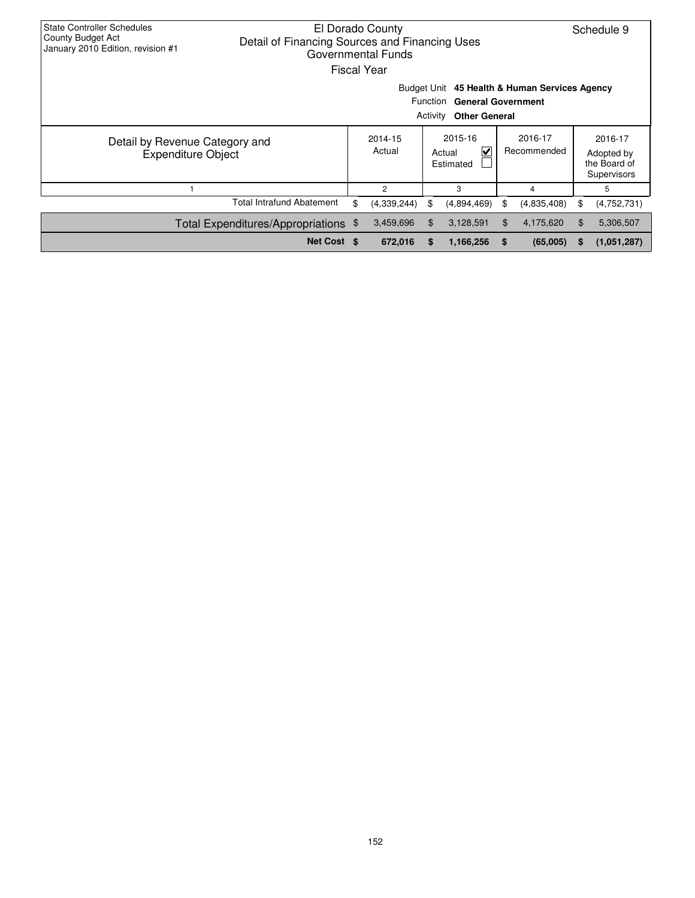| <b>State Controller Schedules</b><br>El Dorado County<br>County Budget Act<br>Detail of Financing Sources and Financing Uses<br>January 2010 Edition, revision #1<br>Governmental Funds<br><b>Fiscal Year</b> |    |                   |    |                                                |    |                        |                |                                                      |  |  |  |
|---------------------------------------------------------------------------------------------------------------------------------------------------------------------------------------------------------------|----|-------------------|----|------------------------------------------------|----|------------------------|----------------|------------------------------------------------------|--|--|--|
| Budget Unit 45 Health & Human Services Agency<br>Function General Government<br>Activity<br><b>Other General</b>                                                                                              |    |                   |    |                                                |    |                        |                |                                                      |  |  |  |
| Detail by Revenue Category and<br><b>Expenditure Object</b>                                                                                                                                                   |    | 2014-15<br>Actual |    | 2015-16<br>$\checkmark$<br>Actual<br>Estimated |    | 2016-17<br>Recommended |                | 2016-17<br>Adopted by<br>the Board of<br>Supervisors |  |  |  |
|                                                                                                                                                                                                               |    | $\overline{2}$    |    | 3                                              |    | 4                      |                | 5                                                    |  |  |  |
| <b>Total Intrafund Abatement</b>                                                                                                                                                                              | \$ | (4,339,244)       | \$ | (4,894,469)                                    | S  | (4,835,408)            | \$             | (4,752,731)                                          |  |  |  |
| Total Expenditures/Appropriations \$                                                                                                                                                                          |    | 3,459,696         | \$ | 3,128,591                                      | \$ | 4,175,620              | $\mathfrak{F}$ | 5,306,507                                            |  |  |  |
| Net Cost \$                                                                                                                                                                                                   |    | 672,016           | S  | 1,166,256                                      | S  | (65,005)               | S              | (1,051,287)                                          |  |  |  |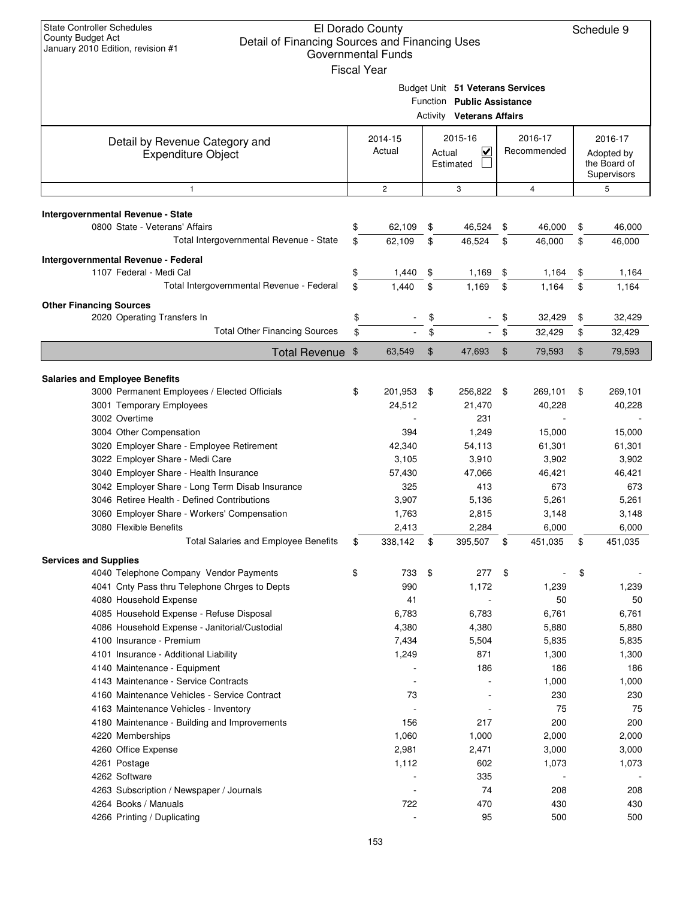| <b>State Controller Schedules</b><br>County Budget Act<br>Detail of Financing Sources and Financing Uses<br>January 2010 Edition, revision #1 |          | El Dorado County<br><b>Governmental Funds</b><br><b>Fiscal Year</b> |                |                                                                                                    |          |                        |          | Schedule 9                                           |
|-----------------------------------------------------------------------------------------------------------------------------------------------|----------|---------------------------------------------------------------------|----------------|----------------------------------------------------------------------------------------------------|----------|------------------------|----------|------------------------------------------------------|
|                                                                                                                                               |          |                                                                     |                | Budget Unit 51 Veterans Services<br>Function Public Assistance<br><b>Activity Veterans Affairs</b> |          |                        |          |                                                      |
| Detail by Revenue Category and<br><b>Expenditure Object</b>                                                                                   |          | 2014-15<br>Actual                                                   | Actual         | 2015-16<br>V<br>Estimated                                                                          |          | 2016-17<br>Recommended |          | 2016-17<br>Adopted by<br>the Board of<br>Supervisors |
| $\mathbf{1}$                                                                                                                                  |          | $\overline{c}$                                                      |                | 3                                                                                                  |          | $\overline{4}$         |          | 5                                                    |
| Intergovernmental Revenue - State                                                                                                             |          |                                                                     |                |                                                                                                    |          |                        |          |                                                      |
| 0800 State - Veterans' Affairs                                                                                                                | \$       | 62,109                                                              | \$             | 46,524                                                                                             | \$       | 46,000                 | \$       | 46,000                                               |
| Total Intergovernmental Revenue - State                                                                                                       | \$       | 62,109                                                              | \$             | 46,524                                                                                             | \$       | 46,000                 | \$       | 46,000                                               |
|                                                                                                                                               |          |                                                                     |                |                                                                                                    |          |                        |          |                                                      |
| Intergovernmental Revenue - Federal<br>1107 Federal - Medi Cal                                                                                | \$       | 1,440                                                               | \$             | 1,169                                                                                              | \$       | 1,164                  | \$       | 1,164                                                |
| Total Intergovernmental Revenue - Federal                                                                                                     | \$       | 1,440                                                               | \$             | 1,169                                                                                              | \$       | 1,164                  | \$       | 1.164                                                |
|                                                                                                                                               |          |                                                                     |                |                                                                                                    |          |                        |          |                                                      |
| <b>Other Financing Sources</b>                                                                                                                |          |                                                                     |                |                                                                                                    |          |                        |          |                                                      |
| 2020 Operating Transfers In<br><b>Total Other Financing Sources</b>                                                                           | \$<br>\$ |                                                                     | \$<br>\$       |                                                                                                    | \$<br>\$ | 32,429<br>32,429       | \$<br>\$ | 32,429<br>32,429                                     |
|                                                                                                                                               |          |                                                                     |                |                                                                                                    |          |                        |          |                                                      |
| Total Revenue \$                                                                                                                              |          | 63,549                                                              | $\mathfrak{S}$ | 47,693                                                                                             | $\$\$    | 79,593                 | \$       | 79,593                                               |
|                                                                                                                                               |          |                                                                     |                |                                                                                                    |          |                        |          |                                                      |
| <b>Salaries and Employee Benefits</b><br>3000 Permanent Employees / Elected Officials                                                         | \$       | 201,953                                                             | \$             | 256,822 \$                                                                                         |          | 269,101                | \$       | 269,101                                              |
| 3001 Temporary Employees                                                                                                                      |          | 24,512                                                              |                | 21,470                                                                                             |          | 40,228                 |          | 40,228                                               |
| 3002 Overtime                                                                                                                                 |          |                                                                     |                | 231                                                                                                |          |                        |          |                                                      |
| 3004 Other Compensation                                                                                                                       |          | 394                                                                 |                | 1,249                                                                                              |          | 15,000                 |          | 15,000                                               |
| 3020 Employer Share - Employee Retirement                                                                                                     |          | 42,340                                                              |                | 54,113                                                                                             |          | 61,301                 |          | 61,301                                               |
| 3022 Employer Share - Medi Care                                                                                                               |          | 3,105                                                               |                | 3,910                                                                                              |          | 3,902                  |          | 3,902                                                |
| 3040 Employer Share - Health Insurance                                                                                                        |          | 57,430                                                              |                | 47,066                                                                                             |          | 46,421                 |          | 46,421                                               |
| 3042 Employer Share - Long Term Disab Insurance                                                                                               |          | 325                                                                 |                | 413                                                                                                |          | 673                    |          | 673                                                  |
| 3046 Retiree Health - Defined Contributions                                                                                                   |          | 3,907                                                               |                | 5,136                                                                                              |          | 5,261                  |          | 5,261                                                |
| 3060 Employer Share - Workers' Compensation                                                                                                   |          | 1,763                                                               |                | 2,815                                                                                              |          | 3,148                  |          | 3,148                                                |
| 3080 Flexible Benefits                                                                                                                        |          | 2,413                                                               |                | 2,284                                                                                              |          | 6,000                  |          | 6,000                                                |
| <b>Total Salaries and Employee Benefits</b>                                                                                                   | \$       | 338,142                                                             | \$             | 395,507                                                                                            | \$       | 451,035                | \$       | 451,035                                              |
| <b>Services and Supplies</b>                                                                                                                  |          |                                                                     |                |                                                                                                    |          |                        |          |                                                      |
| 4040 Telephone Company Vendor Payments                                                                                                        | \$       | 733                                                                 | \$             | 277                                                                                                | \$       |                        | \$       |                                                      |
| 4041 Cnty Pass thru Telephone Chrges to Depts                                                                                                 |          | 990                                                                 |                | 1,172                                                                                              |          | 1,239                  |          | 1,239                                                |
| 4080 Household Expense                                                                                                                        |          | 41                                                                  |                |                                                                                                    |          | 50                     |          | 50                                                   |
| 4085 Household Expense - Refuse Disposal                                                                                                      |          | 6,783                                                               |                | 6,783                                                                                              |          | 6,761                  |          | 6,761                                                |
| 4086 Household Expense - Janitorial/Custodial                                                                                                 |          | 4,380                                                               |                | 4,380                                                                                              |          | 5,880                  |          | 5,880                                                |
| 4100 Insurance - Premium                                                                                                                      |          | 7,434                                                               |                | 5,504                                                                                              |          | 5,835                  |          | 5,835                                                |
| 4101 Insurance - Additional Liability                                                                                                         |          | 1,249                                                               |                | 871                                                                                                |          | 1,300                  |          | 1,300                                                |
| 4140 Maintenance - Equipment                                                                                                                  |          |                                                                     |                | 186                                                                                                |          | 186                    |          | 186                                                  |
| 4143 Maintenance - Service Contracts<br>4160 Maintenance Vehicles - Service Contract                                                          |          | 73                                                                  |                |                                                                                                    |          | 1,000<br>230           |          | 1,000<br>230                                         |
| 4163 Maintenance Vehicles - Inventory                                                                                                         |          |                                                                     |                | L,                                                                                                 |          | 75                     |          | 75                                                   |
| 4180 Maintenance - Building and Improvements                                                                                                  |          | 156                                                                 |                | 217                                                                                                |          | 200                    |          | 200                                                  |
| 4220 Memberships                                                                                                                              |          | 1,060                                                               |                | 1,000                                                                                              |          | 2,000                  |          | 2,000                                                |
| 4260 Office Expense                                                                                                                           |          | 2,981                                                               |                | 2,471                                                                                              |          | 3,000                  |          | 3,000                                                |
| 4261 Postage                                                                                                                                  |          | 1,112                                                               |                | 602                                                                                                |          | 1,073                  |          | 1,073                                                |
| 4262 Software                                                                                                                                 |          |                                                                     |                | 335                                                                                                |          |                        |          |                                                      |
| 4263 Subscription / Newspaper / Journals                                                                                                      |          |                                                                     |                | 74                                                                                                 |          | 208                    |          | 208                                                  |
| 4264 Books / Manuals                                                                                                                          |          | 722                                                                 |                | 470                                                                                                |          | 430                    |          | 430                                                  |
| 4266 Printing / Duplicating                                                                                                                   |          |                                                                     |                | 95                                                                                                 |          | 500                    |          | 500                                                  |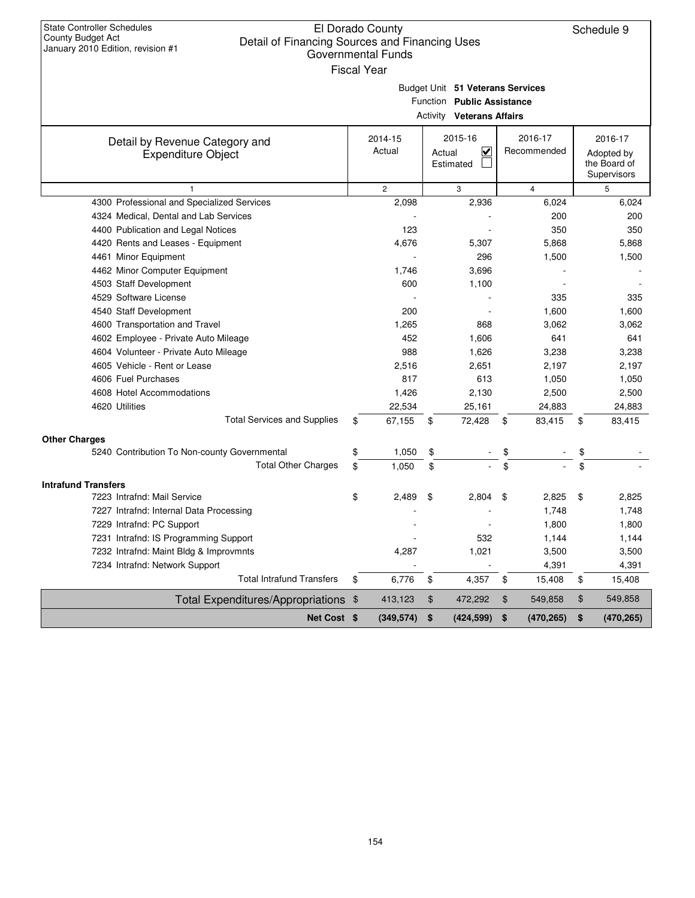| <b>State Controller Schedules</b><br><b>County Budget Act</b><br>Detail of Financing Sources and Financing Uses<br>January 2010 Edition, revision #1 | El Dorado County<br><b>Governmental Funds</b><br><b>Fiscal Year</b> |              |                                                                                                    |                        | Schedule 9                                           |
|------------------------------------------------------------------------------------------------------------------------------------------------------|---------------------------------------------------------------------|--------------|----------------------------------------------------------------------------------------------------|------------------------|------------------------------------------------------|
|                                                                                                                                                      |                                                                     |              | Budget Unit 51 Veterans Services<br>Function Public Assistance<br><b>Activity Veterans Affairs</b> |                        |                                                      |
| Detail by Revenue Category and<br><b>Expenditure Object</b>                                                                                          | 2014-15<br>Actual                                                   |              | 2015-16<br>$\checkmark$<br>Actual<br>Estimated                                                     | 2016-17<br>Recommended | 2016-17<br>Adopted by<br>the Board of<br>Supervisors |
| 1                                                                                                                                                    | $\overline{c}$                                                      |              | 3                                                                                                  | $\overline{4}$         | 5                                                    |
| 4300 Professional and Specialized Services                                                                                                           |                                                                     | 2,098        | 2,936                                                                                              | 6,024                  | 6,024                                                |
| 4324 Medical, Dental and Lab Services                                                                                                                |                                                                     |              |                                                                                                    | 200                    | 200                                                  |
| 4400 Publication and Legal Notices                                                                                                                   |                                                                     | 123          |                                                                                                    | 350                    | 350                                                  |
| 4420 Rents and Leases - Equipment                                                                                                                    |                                                                     | 4,676        | 5,307                                                                                              | 5,868                  | 5,868                                                |
| 4461 Minor Equipment                                                                                                                                 |                                                                     |              | 296                                                                                                | 1,500                  | 1,500                                                |
| 4462 Minor Computer Equipment                                                                                                                        |                                                                     | 1,746        | 3,696                                                                                              |                        |                                                      |
| 4503 Staff Development                                                                                                                               |                                                                     | 600          | 1,100                                                                                              |                        |                                                      |
| 4529 Software License                                                                                                                                |                                                                     |              |                                                                                                    | 335                    | 335                                                  |
| 4540 Staff Development                                                                                                                               |                                                                     | 200          |                                                                                                    | 1,600                  | 1,600                                                |
| 4600 Transportation and Travel                                                                                                                       |                                                                     | 1,265        | 868                                                                                                | 3,062                  | 3,062                                                |
| 4602 Employee - Private Auto Mileage                                                                                                                 |                                                                     | 452<br>988   | 1,606                                                                                              | 641                    | 641                                                  |
| 4604 Volunteer - Private Auto Mileage                                                                                                                |                                                                     |              | 1,626                                                                                              | 3,238                  | 3,238                                                |
| 4605 Vehicle - Rent or Lease<br>4606 Fuel Purchases                                                                                                  |                                                                     | 2,516<br>817 | 2,651<br>613                                                                                       | 2,197<br>1,050         | 2,197<br>1,050                                       |
| 4608 Hotel Accommodations                                                                                                                            |                                                                     | 1,426        | 2,130                                                                                              | 2,500                  | 2,500                                                |
| 4620 Utilities                                                                                                                                       |                                                                     | 22,534       | 25,161                                                                                             | 24,883                 | 24,883                                               |
| <b>Total Services and Supplies</b>                                                                                                                   | \$                                                                  | 67,155       | 72,428<br>\$                                                                                       | 83,415<br>\$           | \$<br>83,415                                         |
|                                                                                                                                                      |                                                                     |              |                                                                                                    |                        |                                                      |
| <b>Other Charges</b>                                                                                                                                 |                                                                     |              |                                                                                                    |                        |                                                      |
| 5240 Contribution To Non-county Governmental                                                                                                         | \$                                                                  | 1,050        | \$                                                                                                 | \$                     | \$                                                   |
| <b>Total Other Charges</b>                                                                                                                           | \$                                                                  | 1,050        | \$                                                                                                 | \$                     | \$                                                   |
| <b>Intrafund Transfers</b>                                                                                                                           |                                                                     |              |                                                                                                    |                        |                                                      |
| 7223 Intrafnd: Mail Service                                                                                                                          | \$                                                                  | 2.489        | \$<br>2,804                                                                                        | \$<br>2,825            | \$<br>2,825                                          |
| 7227 Intrafnd: Internal Data Processing                                                                                                              |                                                                     |              |                                                                                                    | 1,748                  | 1,748                                                |
| 7229 Intrafnd: PC Support                                                                                                                            |                                                                     |              |                                                                                                    | 1,800                  | 1,800                                                |
| 7231 Intrafnd: IS Programming Support                                                                                                                |                                                                     |              | 532                                                                                                | 1,144                  | 1,144                                                |
| 7232 Intrafnd: Maint Bldg & Improvmnts                                                                                                               |                                                                     | 4,287        | 1,021                                                                                              | 3,500                  | 3,500                                                |
| 7234 Intrafnd: Network Support                                                                                                                       |                                                                     |              |                                                                                                    | 4,391                  | 4,391                                                |
| <b>Total Intrafund Transfers</b>                                                                                                                     | \$                                                                  | 6,776        | \$<br>4,357                                                                                        | 15,408<br>\$           | \$<br>15,408                                         |
| Total Expenditures/Appropriations \$                                                                                                                 |                                                                     | 413,123      | $\frac{1}{2}$<br>472,292                                                                           | 549,858<br>\$          | \$<br>549,858                                        |
| Net Cost \$                                                                                                                                          |                                                                     | (349, 574)   | \$<br>(424, 599)                                                                                   | \$<br>(470, 265)       | \$<br>(470, 265)                                     |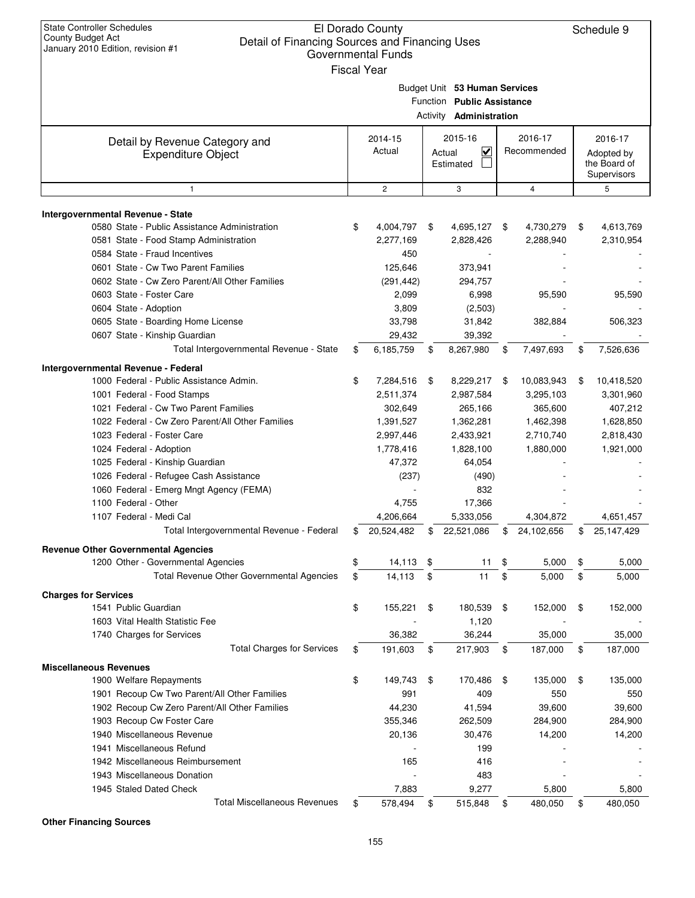| <b>State Controller Schedules</b><br>County Budget Act<br>Detail of Financing Sources and Financing Uses<br>January 2010 Edition, revision #1 | El Dorado County<br><b>Governmental Funds</b><br><b>Fiscal Year</b> |                                                                                               |                  | Schedule 9                                |
|-----------------------------------------------------------------------------------------------------------------------------------------------|---------------------------------------------------------------------|-----------------------------------------------------------------------------------------------|------------------|-------------------------------------------|
|                                                                                                                                               |                                                                     | Budget Unit 53 Human Services<br>Function Public Assistance<br>Activity <b>Administration</b> |                  |                                           |
| Detail by Revenue Category and                                                                                                                | 2014-15                                                             | 2015-16                                                                                       | 2016-17          | 2016-17                                   |
| <b>Expenditure Object</b>                                                                                                                     | Actual                                                              | $\checkmark$<br>Actual<br>Estimated                                                           | Recommended      | Adopted by<br>the Board of<br>Supervisors |
| 1                                                                                                                                             | $\mathbf{2}$                                                        | 3                                                                                             | $\overline{4}$   | 5                                         |
|                                                                                                                                               |                                                                     |                                                                                               |                  |                                           |
| Intergovernmental Revenue - State<br>0580 State - Public Assistance Administration                                                            | \$<br>4,004,797 \$                                                  | 4,695,127 \$                                                                                  | 4,730,279        | \$<br>4,613,769                           |
| 0581 State - Food Stamp Administration                                                                                                        | 2,277,169                                                           | 2,828,426                                                                                     | 2,288,940        | 2,310,954                                 |
| 0584 State - Fraud Incentives                                                                                                                 | 450                                                                 |                                                                                               |                  |                                           |
| 0601 State - Cw Two Parent Families                                                                                                           |                                                                     |                                                                                               |                  |                                           |
|                                                                                                                                               | 125,646                                                             | 373,941                                                                                       |                  |                                           |
| 0602 State - Cw Zero Parent/All Other Families<br>0603 State - Foster Care                                                                    | (291, 442)                                                          | 294,757                                                                                       |                  |                                           |
|                                                                                                                                               | 2,099                                                               | 6,998                                                                                         | 95,590           | 95,590                                    |
| 0604 State - Adoption                                                                                                                         | 3,809                                                               | (2,503)                                                                                       |                  |                                           |
| 0605 State - Boarding Home License                                                                                                            | 33,798                                                              | 31,842                                                                                        | 382,884          | 506,323                                   |
| 0607 State - Kinship Guardian                                                                                                                 | 29,432                                                              | 39,392                                                                                        |                  |                                           |
| Total Intergovernmental Revenue - State                                                                                                       | \$<br>6,185,759                                                     | \$<br>8,267,980                                                                               | \$<br>7,497,693  | \$<br>7,526,636                           |
| Intergovernmental Revenue - Federal                                                                                                           |                                                                     |                                                                                               |                  |                                           |
| 1000 Federal - Public Assistance Admin.                                                                                                       | \$<br>7,284,516                                                     | \$<br>8,229,217                                                                               | \$<br>10,083,943 | \$<br>10,418,520                          |
| 1001 Federal - Food Stamps                                                                                                                    | 2,511,374                                                           | 2,987,584                                                                                     | 3,295,103        | 3,301,960                                 |
| 1021 Federal - Cw Two Parent Families                                                                                                         | 302,649                                                             | 265,166                                                                                       | 365,600          | 407,212                                   |
| 1022 Federal - Cw Zero Parent/All Other Families                                                                                              | 1,391,527                                                           | 1,362,281                                                                                     | 1,462,398        | 1,628,850                                 |
| 1023 Federal - Foster Care                                                                                                                    | 2,997,446                                                           | 2,433,921                                                                                     | 2,710,740        | 2,818,430                                 |
| 1024 Federal - Adoption                                                                                                                       | 1,778,416                                                           | 1,828,100                                                                                     | 1,880,000        | 1,921,000                                 |
| 1025 Federal - Kinship Guardian                                                                                                               | 47,372                                                              | 64,054                                                                                        |                  |                                           |
| 1026 Federal - Refugee Cash Assistance                                                                                                        | (237)                                                               | (490)                                                                                         |                  |                                           |
| 1060 Federal - Emerg Mngt Agency (FEMA)                                                                                                       |                                                                     | 832                                                                                           |                  |                                           |
| 1100 Federal - Other                                                                                                                          | 4,755                                                               | 17,366                                                                                        |                  |                                           |
| 1107 Federal - Medi Cal                                                                                                                       | 4,206,664                                                           | 5,333,056                                                                                     | 4,304,872        | 4.651.457                                 |
| Total Intergovernmental Revenue - Federal                                                                                                     | \$<br>20,524,482                                                    | \$<br>22,521,086                                                                              | \$<br>24,102,656 | \$<br>25,147,429                          |
| <b>Revenue Other Governmental Agencies</b>                                                                                                    |                                                                     |                                                                                               |                  |                                           |
| 1200 Other - Governmental Agencies                                                                                                            | \$<br>14,113                                                        | \$<br>11                                                                                      | \$<br>5,000      | \$<br>5,000                               |
| Total Revenue Other Governmental Agencies                                                                                                     | \$<br>14,113                                                        | \$<br>11                                                                                      | \$<br>5,000      | \$<br>5,000                               |
| <b>Charges for Services</b>                                                                                                                   |                                                                     |                                                                                               |                  |                                           |
| 1541 Public Guardian                                                                                                                          | \$<br>155,221                                                       | \$<br>180,539                                                                                 | \$<br>152,000    | \$<br>152,000                             |
| 1603 Vital Health Statistic Fee                                                                                                               |                                                                     | 1,120                                                                                         |                  |                                           |
| 1740 Charges for Services                                                                                                                     | 36,382                                                              | 36,244                                                                                        | 35,000           | 35,000                                    |
| <b>Total Charges for Services</b>                                                                                                             | \$<br>191,603                                                       | \$<br>217,903                                                                                 | \$<br>187,000    | \$<br>187,000                             |
| <b>Miscellaneous Revenues</b>                                                                                                                 |                                                                     |                                                                                               |                  |                                           |
| 1900 Welfare Repayments                                                                                                                       | \$<br>149,743                                                       | \$<br>170,486                                                                                 | \$<br>135,000    | \$<br>135,000                             |
| 1901 Recoup Cw Two Parent/All Other Families                                                                                                  | 991                                                                 | 409                                                                                           | 550              | 550                                       |
| 1902 Recoup Cw Zero Parent/All Other Families                                                                                                 | 44,230                                                              | 41,594                                                                                        | 39,600           | 39,600                                    |
| 1903 Recoup Cw Foster Care                                                                                                                    | 355,346                                                             | 262,509                                                                                       | 284,900          | 284,900                                   |
| 1940 Miscellaneous Revenue                                                                                                                    | 20,136                                                              | 30,476                                                                                        | 14,200           | 14,200                                    |
| 1941 Miscellaneous Refund                                                                                                                     |                                                                     | 199                                                                                           |                  |                                           |
| 1942 Miscellaneous Reimbursement                                                                                                              | 165                                                                 | 416                                                                                           |                  |                                           |
| 1943 Miscellaneous Donation                                                                                                                   |                                                                     | 483                                                                                           |                  |                                           |
| 1945 Staled Dated Check                                                                                                                       | 7,883                                                               | 9,277                                                                                         | 5,800            | 5,800                                     |
| <b>Total Miscellaneous Revenues</b>                                                                                                           | \$<br>578,494                                                       | \$<br>515,848                                                                                 | \$<br>480,050    | \$<br>480,050                             |

**Other Financing Sources**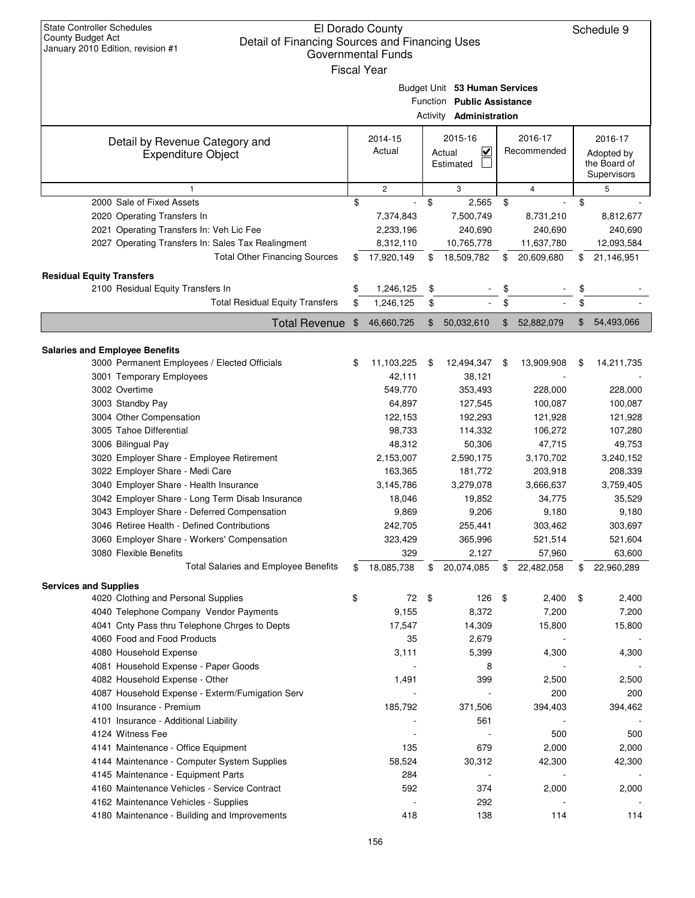| County Budget Act | <b>State Controller Schedules</b><br>Detail of Financing Sources and Financing Uses<br>January 2010 Edition, revision #1 |                | El Dorado County<br>Governmental Funds<br><b>Fiscal Year</b> |                                                                                               |       |                        | Schedule 9                                           |
|-------------------|--------------------------------------------------------------------------------------------------------------------------|----------------|--------------------------------------------------------------|-----------------------------------------------------------------------------------------------|-------|------------------------|------------------------------------------------------|
|                   |                                                                                                                          |                |                                                              | Budget Unit 53 Human Services<br>Function Public Assistance<br><b>Activity Administration</b> |       |                        |                                                      |
|                   | Detail by Revenue Category and<br><b>Expenditure Object</b>                                                              |                | 2014-15<br>Actual                                            | 2015-16<br>$\overline{\mathbf{v}}$<br>Actual<br>Estimated                                     |       | 2016-17<br>Recommended | 2016-17<br>Adopted by<br>the Board of<br>Supervisors |
|                   | 1                                                                                                                        |                | $\overline{c}$                                               | 3                                                                                             |       | 4                      | 5                                                    |
|                   | 2000 Sale of Fixed Assets                                                                                                | \$             |                                                              | \$<br>2,565                                                                                   | \$    |                        | \$                                                   |
|                   | 2020 Operating Transfers In                                                                                              |                | 7,374,843                                                    | 7,500,749                                                                                     |       | 8,731,210              | 8,812,677                                            |
|                   | 2021 Operating Transfers In: Veh Lic Fee                                                                                 |                | 2,233,196                                                    | 240,690                                                                                       |       | 240,690                | 240,690                                              |
|                   | 2027 Operating Transfers In: Sales Tax Realingment                                                                       |                | 8,312,110                                                    | 10,765,778                                                                                    |       | 11,637,780             | 12,093,584                                           |
|                   | <b>Total Other Financing Sources</b>                                                                                     | \$             | 17,920,149                                                   | \$<br>18,509,782                                                                              | \$    | 20,609,680             | \$<br>21,146,951                                     |
|                   | <b>Residual Equity Transfers</b>                                                                                         |                |                                                              |                                                                                               |       |                        |                                                      |
|                   | 2100 Residual Equity Transfers In                                                                                        | \$             | 1,246,125                                                    | \$                                                                                            | \$    |                        | \$                                                   |
|                   | <b>Total Residual Equity Transfers</b>                                                                                   | \$             | 1,246,125                                                    | \$                                                                                            | \$    |                        | \$                                                   |
|                   | <b>Total Revenue</b>                                                                                                     | $\mathfrak{F}$ | 46,660,725                                                   | \$<br>50,032,610                                                                              | $\$\$ | 52,882,079             | \$<br>54,493,066                                     |
|                   |                                                                                                                          |                |                                                              |                                                                                               |       |                        |                                                      |
|                   | <b>Salaries and Employee Benefits</b>                                                                                    |                |                                                              |                                                                                               |       |                        |                                                      |
|                   | 3000 Permanent Employees / Elected Officials                                                                             | \$             | 11,103,225                                                   | \$<br>12,494,347                                                                              | \$    | 13,909,908             | \$<br>14,211,735                                     |
|                   | 3001 Temporary Employees                                                                                                 |                | 42,111                                                       | 38,121                                                                                        |       |                        |                                                      |
|                   | 3002 Overtime                                                                                                            |                | 549,770                                                      | 353,493                                                                                       |       | 228,000                | 228,000                                              |
|                   | 3003 Standby Pay                                                                                                         |                | 64,897                                                       | 127,545                                                                                       |       | 100,087                | 100,087                                              |
|                   | 3004 Other Compensation                                                                                                  |                | 122,153                                                      | 192,293                                                                                       |       | 121,928                | 121,928                                              |
|                   | 3005 Tahoe Differential                                                                                                  |                | 98,733                                                       | 114,332                                                                                       |       | 106,272                | 107,280                                              |
|                   | 3006 Bilingual Pay                                                                                                       |                | 48,312                                                       | 50,306                                                                                        |       | 47,715                 | 49,753                                               |
|                   | 3020 Employer Share - Employee Retirement                                                                                |                | 2,153,007                                                    | 2,590,175                                                                                     |       | 3,170,702              | 3,240,152                                            |
|                   | 3022 Employer Share - Medi Care                                                                                          |                | 163,365                                                      | 181,772                                                                                       |       | 203,918                | 208,339                                              |
|                   | 3040 Employer Share - Health Insurance                                                                                   |                | 3,145,786                                                    | 3,279,078                                                                                     |       | 3,666,637              | 3,759,405                                            |
|                   | 3042 Employer Share - Long Term Disab Insurance                                                                          |                | 18,046                                                       | 19,852                                                                                        |       | 34,775                 | 35,529                                               |
|                   | 3043 Employer Share - Deferred Compensation                                                                              |                | 9,869                                                        | 9,206                                                                                         |       | 9,180                  | 9,180                                                |
|                   | 3046 Retiree Health - Defined Contributions                                                                              |                | 242,705                                                      | 255,441                                                                                       |       | 303,462                | 303,697                                              |
|                   | 3060 Employer Share - Workers' Compensation                                                                              |                | 323,429                                                      | 365,996                                                                                       |       | 521,514                | 521,604                                              |
|                   | 3080 Flexible Benefits                                                                                                   |                | 329                                                          | 2,127                                                                                         |       | 57,960                 | 63,600                                               |
|                   | <b>Total Salaries and Employee Benefits</b>                                                                              | \$             | 18,085,738                                                   | \$<br>20,074,085                                                                              | \$    | 22,482,058             | \$<br>22,960,289                                     |
|                   | <b>Services and Supplies</b>                                                                                             |                |                                                              |                                                                                               |       |                        |                                                      |
|                   | 4020 Clothing and Personal Supplies                                                                                      | \$             | 72                                                           | \$<br>126                                                                                     | -\$   | 2,400                  | \$<br>2,400                                          |
|                   | 4040 Telephone Company Vendor Payments                                                                                   |                | 9,155                                                        | 8,372                                                                                         |       | 7,200                  | 7,200                                                |
|                   | 4041 Cnty Pass thru Telephone Chrges to Depts                                                                            |                | 17,547                                                       | 14,309                                                                                        |       | 15,800                 | 15,800                                               |
|                   | 4060 Food and Food Products                                                                                              |                | 35                                                           | 2,679                                                                                         |       |                        |                                                      |
|                   | 4080 Household Expense                                                                                                   |                | 3,111                                                        | 5,399                                                                                         |       | 4,300                  | 4,300                                                |
|                   | 4081 Household Expense - Paper Goods                                                                                     |                |                                                              | 8                                                                                             |       |                        |                                                      |
|                   | 4082 Household Expense - Other                                                                                           |                | 1,491                                                        | 399                                                                                           |       | 2,500                  | 2,500                                                |
|                   | 4087 Household Expense - Exterm/Fumigation Serv                                                                          |                |                                                              |                                                                                               |       | 200                    | 200                                                  |
|                   | 4100 Insurance - Premium                                                                                                 |                | 185,792                                                      | 371,506                                                                                       |       | 394,403                | 394,462                                              |
|                   | 4101 Insurance - Additional Liability                                                                                    |                |                                                              | 561                                                                                           |       |                        |                                                      |
|                   | 4124 Witness Fee                                                                                                         |                |                                                              |                                                                                               |       | 500                    | 500                                                  |
|                   | 4141 Maintenance - Office Equipment                                                                                      |                | 135                                                          | 679                                                                                           |       | 2,000                  | 2,000                                                |
|                   | 4144 Maintenance - Computer System Supplies                                                                              |                | 58,524                                                       | 30,312                                                                                        |       | 42,300                 | 42,300                                               |
|                   | 4145 Maintenance - Equipment Parts                                                                                       |                | 284                                                          |                                                                                               |       |                        |                                                      |
|                   | 4160 Maintenance Vehicles - Service Contract                                                                             |                | 592                                                          | 374                                                                                           |       | 2,000                  | 2,000                                                |
|                   | 4162 Maintenance Vehicles - Supplies                                                                                     |                |                                                              | 292                                                                                           |       |                        |                                                      |
|                   | 4180 Maintenance - Building and Improvements                                                                             |                | 418                                                          | 138                                                                                           |       | 114                    | 114                                                  |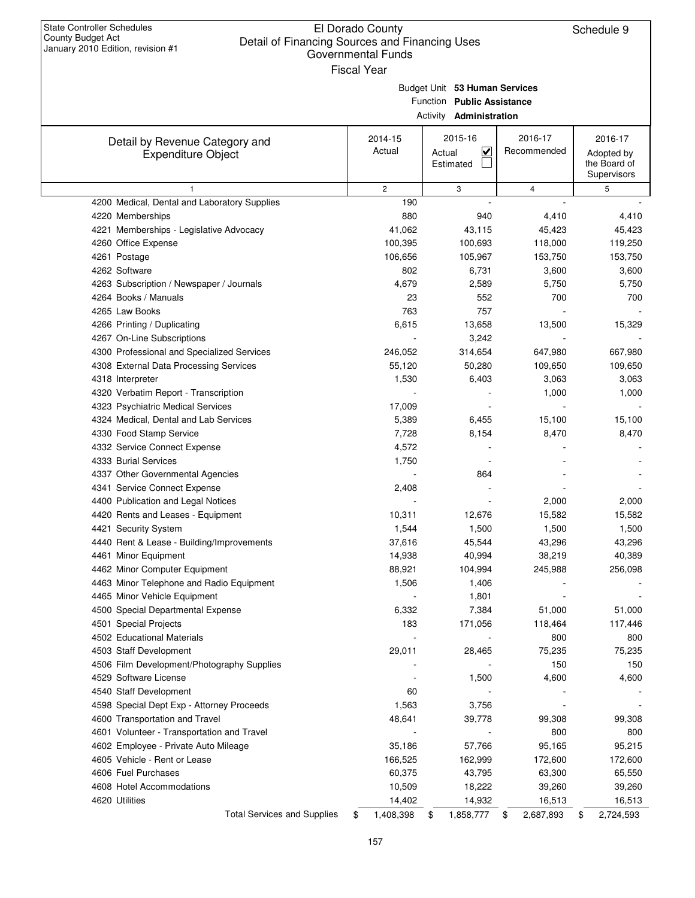| <b>State Controller Schedules</b><br>County Budget Act<br>Detail of Financing Sources and Financing Uses<br>January 2010 Edition, revision #1 | <b>Fiscal Year</b> | El Dorado County<br><b>Governmental Funds</b> |        | Schedule 9                                                                                    |    |                        |                                                      |
|-----------------------------------------------------------------------------------------------------------------------------------------------|--------------------|-----------------------------------------------|--------|-----------------------------------------------------------------------------------------------|----|------------------------|------------------------------------------------------|
|                                                                                                                                               |                    |                                               |        | Budget Unit 53 Human Services<br>Function Public Assistance<br>Activity <b>Administration</b> |    |                        |                                                      |
| Detail by Revenue Category and<br><b>Expenditure Object</b>                                                                                   |                    | 2014-15<br>Actual                             | Actual | 2015-16<br><u>V</u><br>Estimated                                                              |    | 2016-17<br>Recommended | 2016-17<br>Adopted by<br>the Board of<br>Supervisors |
| $\mathbf{1}$                                                                                                                                  |                    | $\mathbf{2}$                                  |        | 3                                                                                             |    | 4                      | 5                                                    |
| 4200 Medical, Dental and Laboratory Supplies                                                                                                  |                    | 190                                           |        |                                                                                               |    |                        |                                                      |
| 4220 Memberships                                                                                                                              |                    | 880                                           |        | 940                                                                                           |    | 4,410                  | 4,410                                                |
| 4221 Memberships - Legislative Advocacy                                                                                                       |                    | 41,062                                        |        | 43,115                                                                                        |    | 45,423                 | 45,423                                               |
| 4260 Office Expense                                                                                                                           |                    | 100,395                                       |        | 100,693                                                                                       |    | 118,000                | 119,250                                              |
| 4261 Postage                                                                                                                                  |                    | 106,656                                       |        | 105,967                                                                                       |    | 153,750                | 153,750                                              |
| 4262 Software                                                                                                                                 |                    | 802                                           |        | 6,731                                                                                         |    | 3,600                  | 3,600                                                |
| 4263 Subscription / Newspaper / Journals                                                                                                      |                    | 4,679                                         |        | 2,589                                                                                         |    | 5,750                  | 5,750                                                |
| 4264 Books / Manuals                                                                                                                          |                    | 23                                            |        | 552                                                                                           |    | 700                    | 700                                                  |
| 4265 Law Books                                                                                                                                |                    | 763                                           |        | 757                                                                                           |    |                        |                                                      |
| 4266 Printing / Duplicating                                                                                                                   |                    | 6,615                                         |        | 13,658                                                                                        |    | 13,500                 | 15,329                                               |
| 4267 On-Line Subscriptions                                                                                                                    |                    |                                               |        | 3,242                                                                                         |    |                        |                                                      |
| 4300 Professional and Specialized Services                                                                                                    |                    | 246,052                                       |        | 314,654                                                                                       |    | 647,980                | 667,980                                              |
| 4308 External Data Processing Services                                                                                                        |                    | 55,120                                        |        | 50,280                                                                                        |    | 109,650                | 109,650                                              |
| 4318 Interpreter                                                                                                                              |                    | 1,530                                         |        | 6,403                                                                                         |    | 3,063                  | 3,063                                                |
| 4320 Verbatim Report - Transcription                                                                                                          |                    |                                               |        |                                                                                               |    | 1,000                  | 1,000                                                |
| 4323 Psychiatric Medical Services                                                                                                             |                    | 17,009                                        |        |                                                                                               |    |                        |                                                      |
| 4324 Medical, Dental and Lab Services                                                                                                         |                    | 5,389                                         |        | 6,455                                                                                         |    | 15,100                 | 15,100                                               |
| 4330 Food Stamp Service                                                                                                                       |                    | 7,728                                         |        | 8,154                                                                                         |    | 8,470                  | 8,470                                                |
| 4332 Service Connect Expense                                                                                                                  |                    | 4,572                                         |        |                                                                                               |    |                        |                                                      |
| 4333 Burial Services                                                                                                                          |                    | 1,750                                         |        |                                                                                               |    |                        |                                                      |
| 4337 Other Governmental Agencies                                                                                                              |                    |                                               |        | 864                                                                                           |    |                        |                                                      |
| 4341 Service Connect Expense                                                                                                                  |                    | 2,408                                         |        |                                                                                               |    |                        |                                                      |
| 4400 Publication and Legal Notices                                                                                                            |                    |                                               |        |                                                                                               |    | 2,000                  | 2,000                                                |
| 4420 Rents and Leases - Equipment                                                                                                             |                    | 10,311                                        |        | 12,676                                                                                        |    | 15,582                 | 15,582                                               |
| 4421 Security System                                                                                                                          |                    | 1,544                                         |        | 1,500                                                                                         |    | 1,500                  | 1,500                                                |
| 4440 Rent & Lease - Building/Improvements                                                                                                     |                    | 37,616                                        |        | 45,544                                                                                        |    | 43,296                 | 43,296                                               |
| 4461 Minor Equipment                                                                                                                          |                    | 14,938                                        |        | 40,994                                                                                        |    | 38,219                 | 40,389                                               |
| 4462 Minor Computer Equipment                                                                                                                 |                    | 88,921                                        |        | 104,994                                                                                       |    | 245,988                | 256,098                                              |
| 4463 Minor Telephone and Radio Equipment                                                                                                      |                    | 1,506                                         |        | 1,406                                                                                         |    |                        |                                                      |
| 4465 Minor Vehicle Equipment                                                                                                                  |                    |                                               |        | 1,801                                                                                         |    |                        |                                                      |
| 4500 Special Departmental Expense                                                                                                             |                    | 6,332                                         |        | 7,384                                                                                         |    | 51,000                 | 51,000                                               |
| 4501 Special Projects                                                                                                                         |                    | 183                                           |        | 171,056                                                                                       |    | 118,464                | 117,446                                              |
| 4502 Educational Materials                                                                                                                    |                    |                                               |        |                                                                                               |    | 800                    | 800                                                  |
| 4503 Staff Development                                                                                                                        |                    | 29,011                                        |        | 28,465                                                                                        |    | 75,235                 | 75,235                                               |
| 4506 Film Development/Photography Supplies                                                                                                    |                    |                                               |        |                                                                                               |    | 150                    | 150                                                  |
| 4529 Software License                                                                                                                         |                    |                                               |        | 1,500                                                                                         |    | 4,600                  | 4,600                                                |
| 4540 Staff Development                                                                                                                        |                    | 60                                            |        |                                                                                               |    |                        |                                                      |
| 4598 Special Dept Exp - Attorney Proceeds                                                                                                     |                    | 1,563                                         |        | 3,756                                                                                         |    |                        |                                                      |
| 4600 Transportation and Travel                                                                                                                |                    | 48,641                                        |        | 39,778                                                                                        |    | 99,308                 | 99,308                                               |
| 4601 Volunteer - Transportation and Travel                                                                                                    |                    |                                               |        |                                                                                               |    | 800                    | 800                                                  |
| 4602 Employee - Private Auto Mileage                                                                                                          |                    | 35,186                                        |        | 57,766                                                                                        |    | 95,165                 | 95,215                                               |
|                                                                                                                                               |                    |                                               |        |                                                                                               |    |                        |                                                      |
| 4605 Vehicle - Rent or Lease                                                                                                                  |                    | 166,525                                       |        | 162,999                                                                                       |    | 172,600                | 172,600                                              |
| 4606 Fuel Purchases                                                                                                                           |                    | 60,375                                        |        | 43,795                                                                                        |    | 63,300                 | 65,550                                               |
| 4608 Hotel Accommodations                                                                                                                     |                    | 10,509                                        |        | 18,222                                                                                        |    | 39,260                 | 39,260                                               |
| 4620 Utilities                                                                                                                                |                    | 14,402                                        |        | 14,932                                                                                        |    | 16,513                 | 16,513                                               |
| <b>Total Services and Supplies</b>                                                                                                            | \$                 | 1,408,398                                     | \$     | 1,858,777                                                                                     | \$ | 2,687,893              | \$<br>2,724,593                                      |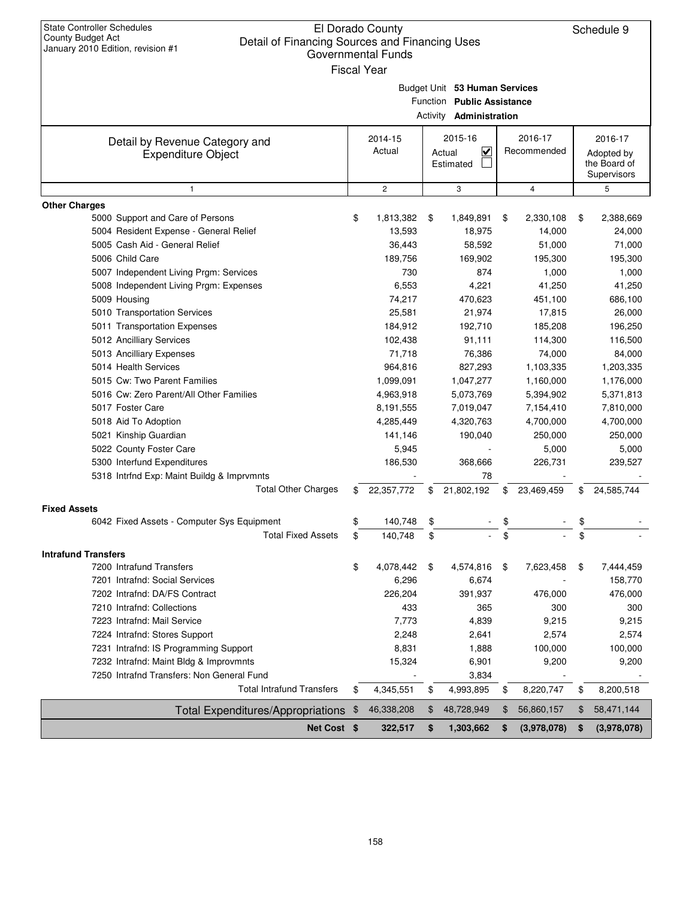| <b>State Controller Schedules</b><br>County Budget Act                              |     | El Dorado County   |                                |                   |    | Schedule 9   |
|-------------------------------------------------------------------------------------|-----|--------------------|--------------------------------|-------------------|----|--------------|
| Detail of Financing Sources and Financing Uses<br>January 2010 Edition, revision #1 |     | Governmental Funds |                                |                   |    |              |
|                                                                                     |     |                    |                                |                   |    |              |
|                                                                                     |     | <b>Fiscal Year</b> |                                |                   |    |              |
|                                                                                     |     |                    | Budget Unit 53 Human Services  |                   |    |              |
|                                                                                     |     |                    | Function Public Assistance     |                   |    |              |
|                                                                                     |     |                    | Activity <b>Administration</b> |                   |    |              |
|                                                                                     |     | 2014-15            | 2015-16                        | 2016-17           |    | 2016-17      |
| Detail by Revenue Category and<br><b>Expenditure Object</b>                         |     | Actual             | $\checkmark$<br>Actual         | Recommended       |    | Adopted by   |
|                                                                                     |     |                    | Estimated                      |                   |    | the Board of |
|                                                                                     |     |                    |                                |                   |    | Supervisors  |
| 1                                                                                   |     | $\overline{c}$     | 3                              | $\overline{4}$    |    | 5            |
| <b>Other Charges</b>                                                                |     |                    |                                |                   |    |              |
| 5000 Support and Care of Persons                                                    | \$  | 1,813,382          | \$<br>1,849,891                | \$<br>2,330,108   | \$ | 2,388,669    |
| 5004 Resident Expense - General Relief                                              |     | 13,593             | 18,975                         | 14,000            |    | 24,000       |
| 5005 Cash Aid - General Relief                                                      |     | 36,443             | 58,592                         | 51,000            |    | 71,000       |
| 5006 Child Care                                                                     |     | 189,756            | 169,902                        | 195,300           |    | 195,300      |
| 5007 Independent Living Prgm: Services                                              |     | 730                | 874                            | 1,000             |    | 1,000        |
| 5008 Independent Living Prgm: Expenses                                              |     | 6,553              | 4,221                          | 41,250            |    | 41,250       |
| 5009 Housing                                                                        |     | 74,217             | 470.623                        | 451,100           |    | 686,100      |
| 5010 Transportation Services                                                        |     | 25.581             | 21,974                         | 17,815            |    | 26.000       |
| 5011 Transportation Expenses                                                        |     | 184,912            | 192,710                        | 185,208           |    | 196,250      |
| 5012 Ancilliary Services                                                            |     | 102,438            | 91,111                         | 114,300           |    | 116,500      |
| 5013 Ancilliary Expenses                                                            |     | 71,718             | 76,386                         | 74,000            |    | 84,000       |
| 5014 Health Services                                                                |     | 964,816            | 827,293                        | 1,103,335         |    | 1,203,335    |
| 5015 Cw: Two Parent Families                                                        |     | 1,099,091          | 1,047,277                      | 1,160,000         |    | 1,176,000    |
| 5016 Cw: Zero Parent/All Other Families                                             |     | 4,963,918          | 5,073,769                      | 5,394,902         |    | 5,371,813    |
| 5017 Foster Care                                                                    |     | 8,191,555          | 7,019,047                      | 7,154,410         |    | 7,810,000    |
| 5018 Aid To Adoption                                                                |     | 4,285,449          | 4,320,763                      | 4,700,000         |    | 4,700,000    |
| 5021 Kinship Guardian                                                               |     | 141,146            | 190,040                        | 250,000           |    | 250,000      |
| 5022 County Foster Care                                                             |     | 5,945              |                                | 5,000             |    | 5,000        |
| 5300 Interfund Expenditures                                                         |     | 186,530            | 368,666                        | 226,731           |    | 239,527      |
| 5318 Intrfnd Exp: Maint Buildg & Imprvmnts                                          |     |                    | 78                             |                   |    |              |
| <b>Total Other Charges</b>                                                          | \$. | 22,357,772         | \$<br>21,802,192               | \$<br>23,469,459  | S  | 24,585,744   |
| <b>Fixed Assets</b>                                                                 |     |                    |                                |                   |    |              |
| 6042 Fixed Assets - Computer Sys Equipment                                          | Ъ   | 140,748            | \$                             | \$                | \$ |              |
| <b>Total Fixed Assets</b>                                                           | \$  | 140,748            | \$                             | \$                | \$ |              |
| <b>Intrafund Transfers</b>                                                          |     |                    |                                |                   |    |              |
| 7200 Intrafund Transfers                                                            | \$  | 4,078,442          | \$<br>4,574,816                | \$<br>7,623,458   | \$ | 7,444,459    |
| 7201 Intrafnd: Social Services                                                      |     | 6,296              | 6,674                          |                   |    | 158,770      |
| 7202 Intrafnd: DA/FS Contract                                                       |     | 226,204            | 391,937                        | 476,000           |    | 476,000      |
| 7210 Intrafnd: Collections                                                          |     | 433                | 365                            | 300               |    | 300          |
| 7223 Intrafnd: Mail Service                                                         |     | 7,773              | 4,839                          | 9,215             |    | 9,215        |
| 7224 Intrafnd: Stores Support                                                       |     | 2,248              | 2,641                          | 2,574             |    | 2,574        |
| 7231 Intrafnd: IS Programming Support                                               |     | 8,831              | 1,888                          | 100,000           |    | 100,000      |
| 7232 Intrafnd: Maint Bldg & Improvmnts                                              |     | 15,324             | 6,901                          | 9,200             |    | 9,200        |
| 7250 Intrafnd Transfers: Non General Fund                                           |     |                    | 3,834                          |                   |    |              |
| <b>Total Intrafund Transfers</b>                                                    | \$  | 4,345,551          | \$<br>4,993,895                | \$<br>8,220,747   | \$ | 8,200,518    |
| <b>Total Expenditures/Appropriations</b>                                            | \$  | 46,338,208         | \$<br>48,728,949               | \$<br>56,860,157  | \$ | 58,471,144   |
| Net Cost \$                                                                         |     | 322,517            | \$<br>1,303,662                | \$<br>(3,978,078) | \$ | (3,978,078)  |
|                                                                                     |     |                    |                                |                   |    |              |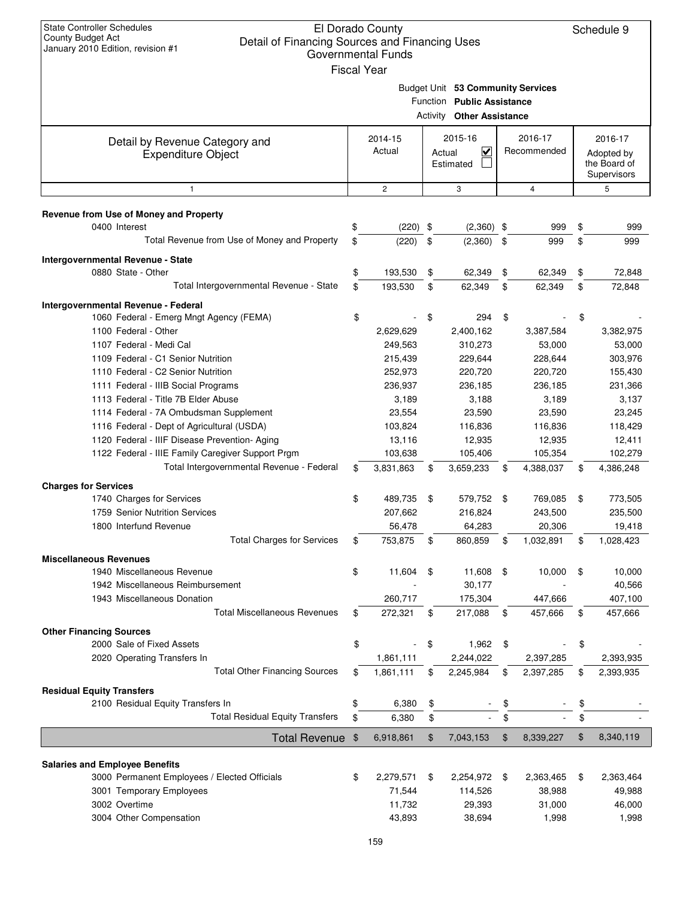| <b>State Controller Schedules</b><br>El Dorado County<br>County Budget Act<br>Detail of Financing Sources and Financing Uses<br>January 2010 Edition, revision #1<br><b>Governmental Funds</b><br><b>Fiscal Year</b> |                    | Schedule 9 |                                                                                                     |     |                        |                                                      |
|----------------------------------------------------------------------------------------------------------------------------------------------------------------------------------------------------------------------|--------------------|------------|-----------------------------------------------------------------------------------------------------|-----|------------------------|------------------------------------------------------|
|                                                                                                                                                                                                                      |                    |            | Budget Unit 53 Community Services<br>Function Public Assistance<br><b>Activity Other Assistance</b> |     |                        |                                                      |
| Detail by Revenue Category and<br><b>Expenditure Object</b>                                                                                                                                                          | 2014-15<br>Actual  | Actual     | 2015-16<br>V<br>Estimated                                                                           |     | 2016-17<br>Recommended | 2016-17<br>Adopted by<br>the Board of<br>Supervisors |
| $\mathbf{1}$                                                                                                                                                                                                         | $\overline{c}$     |            | 3                                                                                                   |     | 4                      | 5                                                    |
| Revenue from Use of Money and Property                                                                                                                                                                               |                    |            |                                                                                                     |     |                        |                                                      |
| 0400 Interest                                                                                                                                                                                                        | \$<br>$(220)$ \$   |            | $(2,360)$ \$                                                                                        |     | 999                    | \$<br>999                                            |
| Total Revenue from Use of Money and Property                                                                                                                                                                         | \$<br>(220)        | \$         | (2,360)                                                                                             | -\$ | 999                    | \$<br>999                                            |
| Intergovernmental Revenue - State                                                                                                                                                                                    |                    |            |                                                                                                     |     |                        |                                                      |
| 0880 State - Other                                                                                                                                                                                                   | \$<br>193,530      | \$         | 62,349                                                                                              | \$  | 62,349                 | \$<br>72,848                                         |
| Total Intergovernmental Revenue - State                                                                                                                                                                              | \$<br>193,530      | \$         | 62,349                                                                                              | \$  | 62,349                 | \$<br>72,848                                         |
| Intergovernmental Revenue - Federal                                                                                                                                                                                  |                    |            |                                                                                                     |     |                        |                                                      |
| 1060 Federal - Emerg Mngt Agency (FEMA)                                                                                                                                                                              | \$                 | \$         | 294                                                                                                 | \$  |                        | \$                                                   |
| 1100 Federal - Other                                                                                                                                                                                                 | 2,629,629          |            | 2,400,162                                                                                           |     | 3,387,584              | 3,382,975                                            |
| 1107 Federal - Medi Cal                                                                                                                                                                                              | 249,563            |            | 310,273                                                                                             |     | 53,000                 | 53,000                                               |
| 1109 Federal - C1 Senior Nutrition<br>1110 Federal - C2 Senior Nutrition                                                                                                                                             | 215,439<br>252,973 |            | 229,644<br>220,720                                                                                  |     | 228,644<br>220,720     | 303,976<br>155,430                                   |
| 1111 Federal - IIIB Social Programs                                                                                                                                                                                  | 236,937            |            | 236,185                                                                                             |     | 236,185                | 231,366                                              |
| 1113 Federal - Title 7B Elder Abuse                                                                                                                                                                                  | 3,189              |            | 3,188                                                                                               |     | 3,189                  | 3,137                                                |
| 1114 Federal - 7A Ombudsman Supplement                                                                                                                                                                               | 23,554             |            | 23,590                                                                                              |     | 23,590                 | 23,245                                               |
| 1116 Federal - Dept of Agricultural (USDA)                                                                                                                                                                           | 103,824            |            | 116,836                                                                                             |     | 116,836                | 118,429                                              |
| 1120 Federal - IIIF Disease Prevention- Aging                                                                                                                                                                        | 13,116             |            | 12,935                                                                                              |     | 12,935                 | 12,411                                               |
| 1122 Federal - IIIE Family Caregiver Support Prgm                                                                                                                                                                    | 103,638            |            | 105,406                                                                                             |     | 105,354                | 102,279                                              |
| Total Intergovernmental Revenue - Federal                                                                                                                                                                            | \$<br>3,831,863    | \$         | 3,659,233                                                                                           | \$  | 4,388,037              | \$<br>4,386,248                                      |
| <b>Charges for Services</b>                                                                                                                                                                                          |                    |            |                                                                                                     |     |                        |                                                      |
| 1740 Charges for Services                                                                                                                                                                                            | \$<br>489,735      | - \$       | 579,752 \$                                                                                          |     | 769,085                | \$<br>773,505                                        |
| 1759 Senior Nutrition Services                                                                                                                                                                                       | 207,662            |            | 216,824                                                                                             |     | 243,500                | 235,500                                              |
| 1800 Interfund Revenue                                                                                                                                                                                               | 56,478             |            | 64,283                                                                                              |     | 20,306                 | 19,418                                               |
| <b>Total Charges for Services</b>                                                                                                                                                                                    | \$<br>753,875      | \$         | 860,859                                                                                             | \$  | 1,032,891              | \$<br>1,028,423                                      |
| <b>Miscellaneous Revenues</b>                                                                                                                                                                                        |                    |            |                                                                                                     |     |                        |                                                      |
| 1940 Miscellaneous Revenue                                                                                                                                                                                           | \$<br>11,604       | \$         | 11,608                                                                                              | \$  | 10,000                 | \$<br>10,000                                         |
| 1942 Miscellaneous Reimbursement                                                                                                                                                                                     |                    |            | 30,177                                                                                              |     |                        | 40,566                                               |
| 1943 Miscellaneous Donation                                                                                                                                                                                          | 260,717            |            | 175,304                                                                                             |     | 447,666                | 407,100                                              |
| <b>Total Miscellaneous Revenues</b>                                                                                                                                                                                  | \$<br>272,321      | \$         | 217,088                                                                                             | \$  | 457,666                | \$<br>457,666                                        |
| <b>Other Financing Sources</b>                                                                                                                                                                                       |                    |            |                                                                                                     |     |                        |                                                      |
| 2000 Sale of Fixed Assets                                                                                                                                                                                            | \$                 | \$         | 1,962                                                                                               | \$  |                        | \$                                                   |
| 2020 Operating Transfers In                                                                                                                                                                                          | 1,861,111          |            | 2,244,022                                                                                           |     | 2,397,285              | 2,393,935                                            |
| <b>Total Other Financing Sources</b>                                                                                                                                                                                 | \$<br>1,861,111    | \$         | 2,245,984                                                                                           | \$  | 2,397,285              | \$<br>2,393,935                                      |
| <b>Residual Equity Transfers</b>                                                                                                                                                                                     |                    |            |                                                                                                     |     |                        |                                                      |
| 2100 Residual Equity Transfers In                                                                                                                                                                                    | \$<br>6,380        | \$         |                                                                                                     | \$  |                        | \$                                                   |
| <b>Total Residual Equity Transfers</b>                                                                                                                                                                               | \$<br>6,380        | \$         |                                                                                                     | \$  |                        | \$                                                   |
| <b>Total Revenue</b>                                                                                                                                                                                                 | \$<br>6,918,861    | \$         | 7,043,153                                                                                           | \$  | 8,339,227              | \$<br>8,340,119                                      |
| <b>Salaries and Employee Benefits</b>                                                                                                                                                                                |                    |            |                                                                                                     |     |                        |                                                      |
| 3000 Permanent Employees / Elected Officials                                                                                                                                                                         | \$<br>2,279,571    | -\$        | 2,254,972 \$                                                                                        |     | 2,363,465              | \$<br>2,363,464                                      |
| 3001 Temporary Employees                                                                                                                                                                                             | 71,544             |            | 114,526                                                                                             |     | 38,988                 | 49,988                                               |
| 3002 Overtime                                                                                                                                                                                                        | 11,732             |            |                                                                                                     |     |                        |                                                      |
|                                                                                                                                                                                                                      |                    |            | 29,393                                                                                              |     | 31,000                 | 46,000                                               |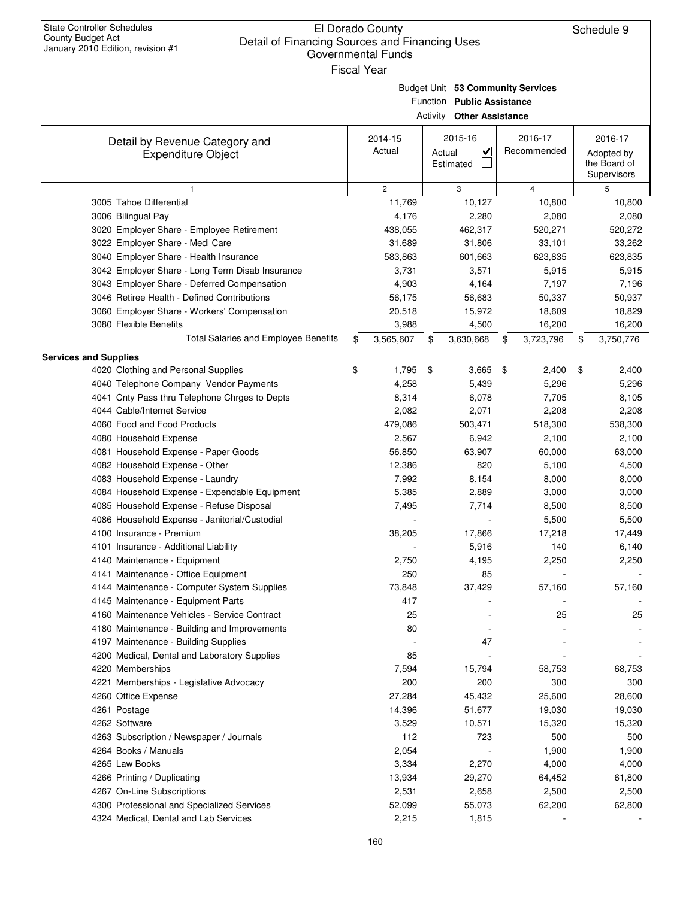| <b>State Controller Schedules</b><br>El Dorado County<br>Schedule 9<br>County Budget Act<br>Detail of Financing Sources and Financing Uses<br>January 2010 Edition, revision #1<br><b>Governmental Funds</b><br><b>Fiscal Year</b> |    |                   |        |                                                                                                     |    |                        |    |                                                      |  |  |  |
|------------------------------------------------------------------------------------------------------------------------------------------------------------------------------------------------------------------------------------|----|-------------------|--------|-----------------------------------------------------------------------------------------------------|----|------------------------|----|------------------------------------------------------|--|--|--|
|                                                                                                                                                                                                                                    |    |                   |        | Budget Unit 53 Community Services<br>Function Public Assistance<br><b>Activity Other Assistance</b> |    |                        |    |                                                      |  |  |  |
| Detail by Revenue Category and<br><b>Expenditure Object</b>                                                                                                                                                                        |    | 2014-15<br>Actual | Actual | 2015-16<br>$\overline{\mathbf{v}}$<br>Estimated                                                     |    | 2016-17<br>Recommended |    | 2016-17<br>Adopted by<br>the Board of<br>Supervisors |  |  |  |
| 1                                                                                                                                                                                                                                  |    | $\overline{c}$    |        | 3                                                                                                   |    | 4                      |    | 5                                                    |  |  |  |
| 3005 Tahoe Differential                                                                                                                                                                                                            |    | 11,769            |        | 10,127                                                                                              |    | 10,800                 |    | 10,800                                               |  |  |  |
| 3006 Bilingual Pay                                                                                                                                                                                                                 |    | 4,176             |        | 2,280                                                                                               |    | 2,080                  |    | 2,080                                                |  |  |  |
| 3020 Employer Share - Employee Retirement                                                                                                                                                                                          |    | 438,055           |        | 462,317                                                                                             |    | 520,271                |    | 520,272                                              |  |  |  |
| 3022 Employer Share - Medi Care                                                                                                                                                                                                    |    | 31,689            |        | 31,806                                                                                              |    | 33,101                 |    | 33,262                                               |  |  |  |
| 3040 Employer Share - Health Insurance                                                                                                                                                                                             |    | 583,863           |        | 601,663                                                                                             |    | 623,835                |    | 623,835                                              |  |  |  |
| 3042 Employer Share - Long Term Disab Insurance                                                                                                                                                                                    |    | 3,731             |        | 3,571                                                                                               |    | 5,915                  |    | 5,915                                                |  |  |  |
| 3043 Employer Share - Deferred Compensation                                                                                                                                                                                        |    | 4,903             |        | 4,164                                                                                               |    | 7,197                  |    | 7,196                                                |  |  |  |
| 3046 Retiree Health - Defined Contributions                                                                                                                                                                                        |    | 56,175            |        | 56,683                                                                                              |    | 50,337                 |    | 50,937                                               |  |  |  |
| 3060 Employer Share - Workers' Compensation                                                                                                                                                                                        |    | 20,518            |        | 15,972                                                                                              |    | 18,609                 |    | 18,829                                               |  |  |  |
| 3080 Flexible Benefits                                                                                                                                                                                                             |    | 3,988             |        | 4,500                                                                                               |    | 16,200                 |    | 16,200                                               |  |  |  |
| Total Salaries and Employee Benefits                                                                                                                                                                                               | \$ | 3,565,607         | \$     | 3,630,668                                                                                           | \$ | 3,723,796              | \$ | 3,750,776                                            |  |  |  |
| <b>Services and Supplies</b>                                                                                                                                                                                                       |    |                   |        |                                                                                                     |    |                        |    |                                                      |  |  |  |
| 4020 Clothing and Personal Supplies                                                                                                                                                                                                | \$ | 1,795             | \$     | 3,665                                                                                               | \$ | 2,400                  | \$ | 2,400                                                |  |  |  |
| 4040 Telephone Company Vendor Payments                                                                                                                                                                                             |    | 4,258             |        | 5,439                                                                                               |    | 5,296                  |    | 5,296                                                |  |  |  |
| 4041 Cnty Pass thru Telephone Chrges to Depts                                                                                                                                                                                      |    | 8,314             |        | 6,078                                                                                               |    | 7,705                  |    | 8,105                                                |  |  |  |
| 4044 Cable/Internet Service                                                                                                                                                                                                        |    | 2,082             |        | 2,071                                                                                               |    | 2,208                  |    | 2,208                                                |  |  |  |
| 4060 Food and Food Products                                                                                                                                                                                                        |    | 479,086           |        | 503,471                                                                                             |    | 518,300                |    | 538,300                                              |  |  |  |
| 4080 Household Expense                                                                                                                                                                                                             |    | 2,567             |        | 6,942                                                                                               |    | 2,100                  |    | 2,100                                                |  |  |  |
| 4081 Household Expense - Paper Goods                                                                                                                                                                                               |    | 56,850            |        | 63,907                                                                                              |    | 60,000                 |    | 63,000                                               |  |  |  |
| 4082 Household Expense - Other                                                                                                                                                                                                     |    | 12,386            |        | 820                                                                                                 |    | 5,100                  |    | 4,500                                                |  |  |  |
| 4083 Household Expense - Laundry                                                                                                                                                                                                   |    | 7,992             |        | 8,154                                                                                               |    | 8,000                  |    | 8,000                                                |  |  |  |
| 4084 Household Expense - Expendable Equipment                                                                                                                                                                                      |    | 5,385             |        | 2,889                                                                                               |    | 3,000                  |    | 3,000                                                |  |  |  |
| 4085 Household Expense - Refuse Disposal                                                                                                                                                                                           |    | 7,495             |        | 7,714                                                                                               |    | 8,500                  |    | 8,500                                                |  |  |  |
| 4086 Household Expense - Janitorial/Custodial                                                                                                                                                                                      |    |                   |        |                                                                                                     |    | 5,500                  |    | 5,500                                                |  |  |  |
| 4100 Insurance - Premium                                                                                                                                                                                                           |    | 38,205            |        | 17,866                                                                                              |    | 17,218                 |    | 17,449                                               |  |  |  |
| 4101 Insurance - Additional Liability                                                                                                                                                                                              |    |                   |        | 5,916                                                                                               |    | 140                    |    | 6,140                                                |  |  |  |
| 4140 Maintenance - Equipment                                                                                                                                                                                                       |    | 2,750             |        | 4,195                                                                                               |    | 2,250                  |    | 2,250                                                |  |  |  |
| 4141 Maintenance - Office Equipment                                                                                                                                                                                                |    | 250               |        | 85                                                                                                  |    |                        |    |                                                      |  |  |  |
| 4144 Maintenance - Computer System Supplies                                                                                                                                                                                        |    | 73,848            |        | 37,429                                                                                              |    | 57,160                 |    | 57,160                                               |  |  |  |
| 4145 Maintenance - Equipment Parts                                                                                                                                                                                                 |    | 417               |        |                                                                                                     |    |                        |    |                                                      |  |  |  |
| 4160 Maintenance Vehicles - Service Contract                                                                                                                                                                                       |    | 25                |        |                                                                                                     |    | 25                     |    | 25                                                   |  |  |  |
| 4180 Maintenance - Building and Improvements                                                                                                                                                                                       |    | 80                |        |                                                                                                     |    |                        |    |                                                      |  |  |  |
| 4197 Maintenance - Building Supplies                                                                                                                                                                                               |    |                   |        | 47                                                                                                  |    |                        |    |                                                      |  |  |  |
| 4200 Medical, Dental and Laboratory Supplies                                                                                                                                                                                       |    | 85                |        | $\overline{\phantom{a}}$                                                                            |    |                        |    |                                                      |  |  |  |
| 4220 Memberships                                                                                                                                                                                                                   |    | 7,594             |        | 15,794                                                                                              |    | 58,753                 |    | 68,753                                               |  |  |  |
| 4221 Memberships - Legislative Advocacy                                                                                                                                                                                            |    | 200               |        | 200                                                                                                 |    | 300                    |    | 300                                                  |  |  |  |
| 4260 Office Expense                                                                                                                                                                                                                |    | 27,284            |        | 45,432                                                                                              |    | 25,600                 |    | 28,600                                               |  |  |  |
| 4261 Postage                                                                                                                                                                                                                       |    | 14,396            |        | 51,677                                                                                              |    | 19,030                 |    | 19,030                                               |  |  |  |
| 4262 Software                                                                                                                                                                                                                      |    | 3,529             |        | 10,571                                                                                              |    | 15,320                 |    | 15,320                                               |  |  |  |
|                                                                                                                                                                                                                                    |    | 112               |        | 723                                                                                                 |    | 500                    |    |                                                      |  |  |  |
| 4263 Subscription / Newspaper / Journals                                                                                                                                                                                           |    |                   |        |                                                                                                     |    |                        |    | 500                                                  |  |  |  |
| 4264 Books / Manuals                                                                                                                                                                                                               |    | 2,054             |        |                                                                                                     |    | 1,900                  |    | 1,900                                                |  |  |  |
| 4265 Law Books                                                                                                                                                                                                                     |    | 3,334             |        | 2,270                                                                                               |    | 4,000                  |    | 4,000                                                |  |  |  |
| 4266 Printing / Duplicating                                                                                                                                                                                                        |    | 13,934            |        | 29,270                                                                                              |    | 64,452                 |    | 61,800                                               |  |  |  |
| 4267 On-Line Subscriptions                                                                                                                                                                                                         |    | 2,531             |        | 2,658                                                                                               |    | 2,500                  |    | 2,500                                                |  |  |  |
| 4300 Professional and Specialized Services                                                                                                                                                                                         |    | 52,099            |        | 55,073                                                                                              |    | 62,200                 |    | 62,800                                               |  |  |  |
| 4324 Medical, Dental and Lab Services                                                                                                                                                                                              |    | 2,215             |        | 1,815                                                                                               |    |                        |    |                                                      |  |  |  |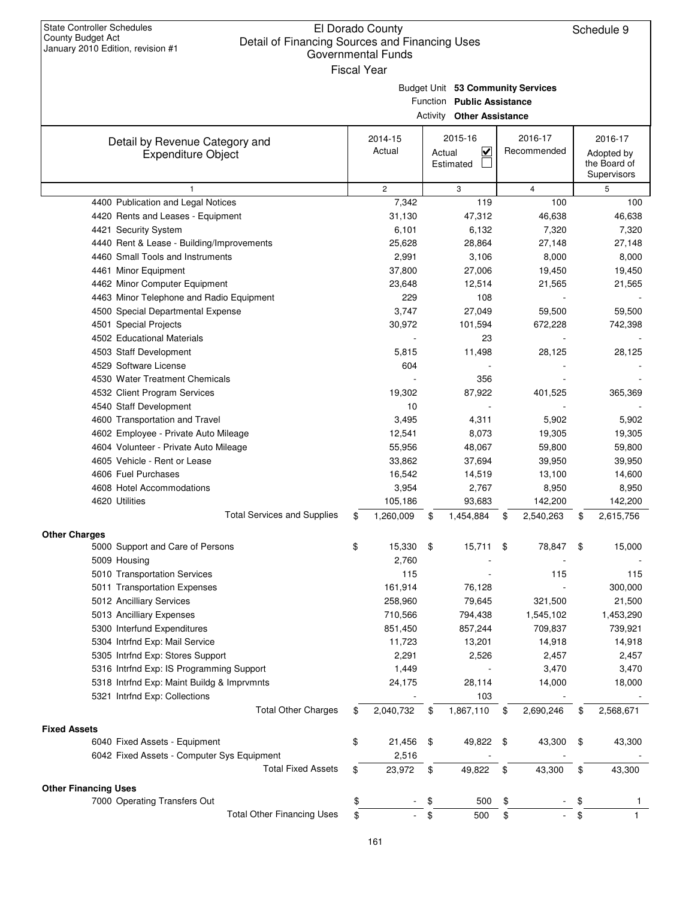| <b>State Controller Schedules</b> |
|-----------------------------------|
| County Budget Act                 |
| January 2010 Edition, revision #1 |

|  | Fiscal Year |  |
|--|-------------|--|
|--|-------------|--|

Budget Unit **53 Community Services**

Function **Public Assistance**

|                                            | <b>Activity Other Assistance</b> |              |                                     |    |                |    |                                           |  |  |  |  |
|--------------------------------------------|----------------------------------|--------------|-------------------------------------|----|----------------|----|-------------------------------------------|--|--|--|--|
| Detail by Revenue Category and             |                                  | 2014-15      | 2015-16                             |    | 2016-17        |    | 2016-17                                   |  |  |  |  |
| <b>Expenditure Object</b>                  |                                  | Actual       | $\checkmark$<br>Actual<br>Estimated |    | Recommended    |    | Adopted by<br>the Board of<br>Supervisors |  |  |  |  |
| $\mathbf{1}$                               |                                  | $\mathbf{2}$ | 3                                   |    | $\overline{4}$ |    | 5                                         |  |  |  |  |
| 4400 Publication and Legal Notices         |                                  | 7,342        | 119                                 |    | 100            |    | 100                                       |  |  |  |  |
| 4420 Rents and Leases - Equipment          |                                  | 31,130       | 47,312                              |    | 46,638         |    | 46,638                                    |  |  |  |  |
| 4421 Security System                       |                                  | 6,101        | 6,132                               |    | 7,320          |    | 7,320                                     |  |  |  |  |
| 4440 Rent & Lease - Building/Improvements  |                                  | 25,628       | 28,864                              |    | 27,148         |    | 27,148                                    |  |  |  |  |
| 4460 Small Tools and Instruments           |                                  | 2,991        | 3,106                               |    | 8,000          |    | 8,000                                     |  |  |  |  |
| 4461 Minor Equipment                       |                                  | 37,800       | 27,006                              |    | 19,450         |    | 19,450                                    |  |  |  |  |
| 4462 Minor Computer Equipment              |                                  | 23,648       | 12,514                              |    | 21,565         |    | 21,565                                    |  |  |  |  |
| 4463 Minor Telephone and Radio Equipment   |                                  | 229          | 108                                 |    |                |    |                                           |  |  |  |  |
| 4500 Special Departmental Expense          |                                  | 3,747        | 27,049                              |    | 59,500         |    | 59,500                                    |  |  |  |  |
| 4501 Special Projects                      |                                  | 30,972       | 101,594                             |    | 672,228        |    | 742,398                                   |  |  |  |  |
| 4502 Educational Materials                 |                                  |              | 23                                  |    |                |    |                                           |  |  |  |  |
| 4503 Staff Development                     |                                  | 5,815        | 11,498                              |    | 28,125         |    | 28,125                                    |  |  |  |  |
| 4529 Software License                      |                                  | 604          |                                     |    |                |    |                                           |  |  |  |  |
| 4530 Water Treatment Chemicals             |                                  |              | 356                                 |    |                |    |                                           |  |  |  |  |
| 4532 Client Program Services               |                                  | 19,302       | 87,922                              |    | 401,525        |    | 365,369                                   |  |  |  |  |
| 4540 Staff Development                     |                                  | 10           |                                     |    |                |    |                                           |  |  |  |  |
| 4600 Transportation and Travel             |                                  | 3,495        | 4,311                               |    | 5,902          |    | 5,902                                     |  |  |  |  |
| 4602 Employee - Private Auto Mileage       |                                  | 12,541       | 8,073                               |    | 19,305         |    | 19,305                                    |  |  |  |  |
| 4604 Volunteer - Private Auto Mileage      |                                  | 55,956       | 48,067                              |    | 59,800         |    | 59,800                                    |  |  |  |  |
| 4605 Vehicle - Rent or Lease               |                                  | 33,862       | 37,694                              |    | 39,950         |    | 39,950                                    |  |  |  |  |
| 4606 Fuel Purchases                        |                                  | 16,542       | 14,519                              |    | 13,100         |    | 14,600                                    |  |  |  |  |
| 4608 Hotel Accommodations                  |                                  | 3,954        | 2,767                               |    | 8,950          |    | 8,950                                     |  |  |  |  |
| 4620 Utilities                             |                                  | 105,186      | 93,683                              |    | 142,200        |    | 142,200                                   |  |  |  |  |
| <b>Total Services and Supplies</b>         | \$                               | 1,260,009    | 1,454,884<br>\$                     | \$ | 2,540,263      | \$ | 2,615,756                                 |  |  |  |  |
|                                            |                                  |              |                                     |    |                |    |                                           |  |  |  |  |
| <b>Other Charges</b>                       |                                  |              |                                     |    |                |    |                                           |  |  |  |  |
| 5000 Support and Care of Persons           | \$                               | 15,330       | \$<br>15,711                        | \$ | 78,847         | \$ | 15,000                                    |  |  |  |  |
| 5009 Housing                               |                                  | 2,760        |                                     |    |                |    |                                           |  |  |  |  |
| 5010 Transportation Services               |                                  | 115          |                                     |    | 115            |    | 115                                       |  |  |  |  |
| 5011 Transportation Expenses               |                                  | 161,914      | 76,128                              |    |                |    | 300,000                                   |  |  |  |  |
| 5012 Ancilliary Services                   |                                  | 258,960      | 79,645                              |    | 321,500        |    | 21,500                                    |  |  |  |  |
| 5013 Ancilliary Expenses                   |                                  | 710,566      | 794,438                             |    | 1,545,102      |    | 1,453,290                                 |  |  |  |  |
| 5300 Interfund Expenditures                |                                  | 851,450      | 857,244                             |    | 709,837        |    | 739,921                                   |  |  |  |  |
| 5304 Intrfnd Exp: Mail Service             |                                  | 11,723       | 13,201                              |    | 14,918         |    | 14,918                                    |  |  |  |  |
| 5305 Intrfnd Exp: Stores Support           |                                  | 2,291        | 2,526                               |    | 2,457          |    | 2,457                                     |  |  |  |  |
| 5316 Intrfnd Exp: IS Programming Support   |                                  | 1,449        |                                     |    | 3,470          |    | 3,470                                     |  |  |  |  |
| 5318 Intrfnd Exp: Maint Buildg & Imprvmnts |                                  | 24,175       | 28,114                              |    | 14,000         |    | 18,000                                    |  |  |  |  |
| 5321 Intrfnd Exp: Collections              |                                  |              | 103                                 |    |                |    |                                           |  |  |  |  |
| <b>Total Other Charges</b>                 | \$                               | 2,040,732    | \$<br>1,867,110                     | \$ | 2,690,246      | \$ | 2,568,671                                 |  |  |  |  |
| <b>Fixed Assets</b>                        |                                  |              |                                     |    |                |    |                                           |  |  |  |  |
| 6040 Fixed Assets - Equipment              | \$                               | 21,456       | \$<br>49,822                        | \$ | 43,300         | \$ | 43,300                                    |  |  |  |  |
| 6042 Fixed Assets - Computer Sys Equipment |                                  | 2,516        |                                     |    |                |    |                                           |  |  |  |  |
| <b>Total Fixed Assets</b>                  | \$                               | 23,972       | 49,822<br>\$                        | \$ | 43,300         | \$ | 43,300                                    |  |  |  |  |
|                                            |                                  |              |                                     |    |                |    |                                           |  |  |  |  |
| <b>Other Financing Uses</b>                |                                  |              |                                     |    |                |    |                                           |  |  |  |  |
| 7000 Operating Transfers Out               | \$                               |              | 500<br>\$                           | \$ |                | \$ |                                           |  |  |  |  |
| <b>Total Other Financing Uses</b>          | \$                               |              | 500<br>\$                           | \$ |                | \$ |                                           |  |  |  |  |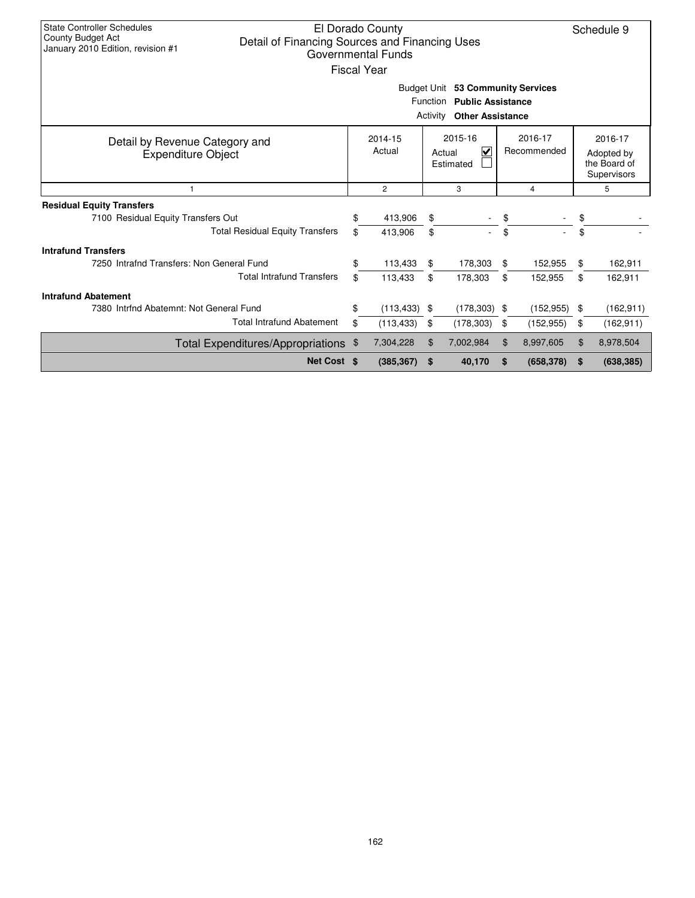| <b>State Controller Schedules</b>                                   |                                                                                  | El Dorado County   |    |                                   |    |                 |            | Schedule 9                  |  |  |  |  |  |
|---------------------------------------------------------------------|----------------------------------------------------------------------------------|--------------------|----|-----------------------------------|----|-----------------|------------|-----------------------------|--|--|--|--|--|
| County Budget Act<br>Detail of Financing Sources and Financing Uses |                                                                                  |                    |    |                                   |    |                 |            |                             |  |  |  |  |  |
| January 2010 Edition, revision #1                                   |                                                                                  | Governmental Funds |    |                                   |    |                 |            |                             |  |  |  |  |  |
|                                                                     |                                                                                  | <b>Fiscal Year</b> |    |                                   |    |                 |            |                             |  |  |  |  |  |
|                                                                     |                                                                                  |                    |    |                                   |    |                 |            |                             |  |  |  |  |  |
|                                                                     | Budget Unit 53 Community Services<br><b>Function</b><br><b>Public Assistance</b> |                    |    |                                   |    |                 |            |                             |  |  |  |  |  |
| Activity<br><b>Other Assistance</b>                                 |                                                                                  |                    |    |                                   |    |                 |            |                             |  |  |  |  |  |
|                                                                     |                                                                                  |                    |    |                                   |    |                 |            |                             |  |  |  |  |  |
| Detail by Revenue Category and                                      |                                                                                  | 2014-15            |    | 2015-16                           |    | 2016-17         |            | 2016-17                     |  |  |  |  |  |
| <b>Expenditure Object</b>                                           |                                                                                  | Actual             |    | $\overline{\mathsf{v}}$<br>Actual |    | Recommended     | Adopted by |                             |  |  |  |  |  |
|                                                                     |                                                                                  |                    |    | Estimated                         |    |                 |            | the Board of<br>Supervisors |  |  |  |  |  |
| $\mathbf{1}$                                                        |                                                                                  | $\overline{2}$     |    | 3                                 |    | 4               |            | 5                           |  |  |  |  |  |
| <b>Residual Equity Transfers</b>                                    |                                                                                  |                    |    |                                   |    |                 |            |                             |  |  |  |  |  |
| 7100 Residual Equity Transfers Out                                  | \$                                                                               | 413,906            | \$ |                                   | \$ |                 | \$         |                             |  |  |  |  |  |
| <b>Total Residual Equity Transfers</b>                              | \$                                                                               | 413,906            | \$ |                                   | \$ |                 | \$         |                             |  |  |  |  |  |
| <b>Intrafund Transfers</b>                                          |                                                                                  |                    |    |                                   |    |                 |            |                             |  |  |  |  |  |
| 7250 Intrafnd Transfers: Non General Fund                           | \$                                                                               | 113,433            | \$ | 178,303                           | \$ | 152,955         | \$         | 162,911                     |  |  |  |  |  |
| <b>Total Intrafund Transfers</b>                                    | \$                                                                               | 113,433            | \$ | 178,303                           | \$ | 152,955         | \$         | 162,911                     |  |  |  |  |  |
| <b>Intrafund Abatement</b>                                          |                                                                                  |                    |    |                                   |    |                 |            |                             |  |  |  |  |  |
| 7380 Intrfnd Abatemnt: Not General Fund                             | \$                                                                               | $(113, 433)$ \$    |    | $(178, 303)$ \$                   |    | $(152, 955)$ \$ |            | (162, 911)                  |  |  |  |  |  |
| <b>Total Intrafund Abatement</b>                                    | \$                                                                               | (113, 433)         | \$ | (178, 303)                        | \$ | (152, 955)      | \$         | (162, 911)                  |  |  |  |  |  |
| Total Expenditures/Appropriations \$                                |                                                                                  | 7,304,228          | \$ | 7,002,984                         | \$ | 8,997,605       | \$         | 8,978,504                   |  |  |  |  |  |
| Net Cost \$                                                         |                                                                                  | (385, 367)         | S. | 40,170                            | S  | (658, 378)      | -\$        | (638, 385)                  |  |  |  |  |  |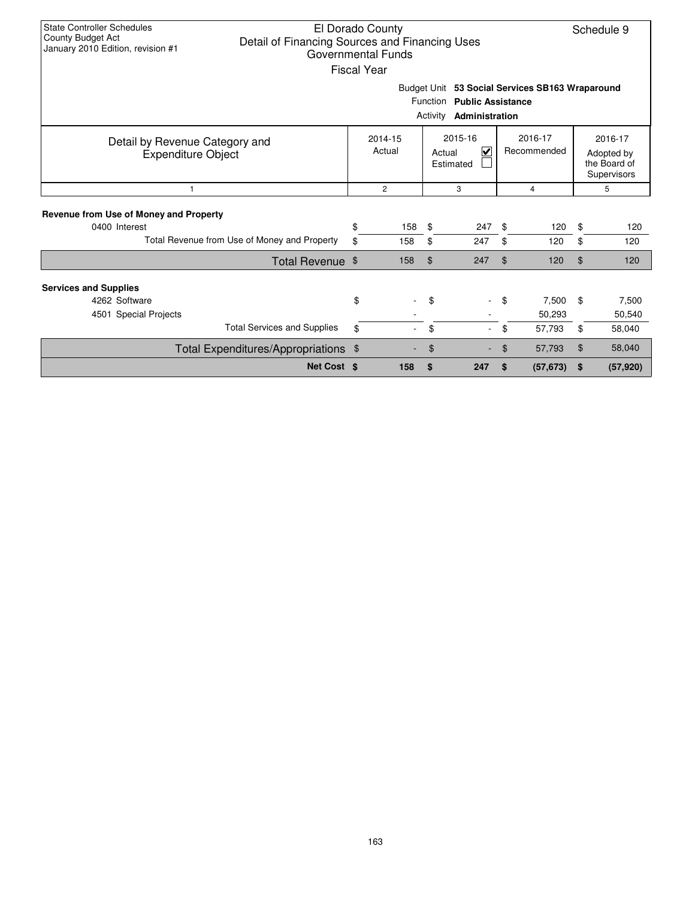| <b>State Controller Schedules</b><br>El Dorado County<br>Schedule 9<br>County Budget Act<br>Detail of Financing Sources and Financing Uses<br>January 2010 Edition, revision #1<br>Governmental Funds<br><b>Fiscal Year</b><br>Budget Unit 53 Social Services SB163 Wraparound<br>Function Public Assistance<br>Activity<br>Administration |                                       |                   |                |                                                           |                |                           |          |                                                      |  |  |
|--------------------------------------------------------------------------------------------------------------------------------------------------------------------------------------------------------------------------------------------------------------------------------------------------------------------------------------------|---------------------------------------|-------------------|----------------|-----------------------------------------------------------|----------------|---------------------------|----------|------------------------------------------------------|--|--|
| Detail by Revenue Category and<br><b>Expenditure Object</b>                                                                                                                                                                                                                                                                                |                                       | 2014-15<br>Actual |                | 2015-16<br>$\overline{\mathsf{v}}$<br>Actual<br>Estimated |                | 2016-17<br>Recommended    |          | 2016-17<br>Adopted by<br>the Board of<br>Supervisors |  |  |
| $\mathbf{1}$                                                                                                                                                                                                                                                                                                                               | $\overline{c}$<br>3<br>$\overline{4}$ |                   |                |                                                           |                |                           |          | 5                                                    |  |  |
| <b>Revenue from Use of Money and Property</b><br>0400 Interest<br>Total Revenue from Use of Money and Property                                                                                                                                                                                                                             | \$<br>\$                              | 158<br>158        | \$<br>\$       | 247<br>247                                                | \$.<br>\$      | 120<br>120                | \$<br>\$ | 120<br>120                                           |  |  |
| Total Revenue \$                                                                                                                                                                                                                                                                                                                           |                                       | 158               | $\mathfrak{L}$ | 247                                                       | $\mathfrak{L}$ | 120                       | $\$\$    | 120                                                  |  |  |
| <b>Services and Supplies</b><br>4262 Software<br>4501 Special Projects<br><b>Total Services and Supplies</b>                                                                                                                                                                                                                               | \$<br>\$                              |                   | \$<br>\$       | $\sim$                                                    | \$<br>\$       | 7,500<br>50,293<br>57,793 | \$<br>\$ | 7,500<br>50,540<br>58,040                            |  |  |
| Total Expenditures/Appropriations \$                                                                                                                                                                                                                                                                                                       |                                       |                   | \$             |                                                           | \$             | 57,793                    | \$       | 58,040                                               |  |  |
| Net Cost \$                                                                                                                                                                                                                                                                                                                                |                                       | 158               | \$             | 247                                                       | \$             | (57, 673)                 | \$       | (57, 920)                                            |  |  |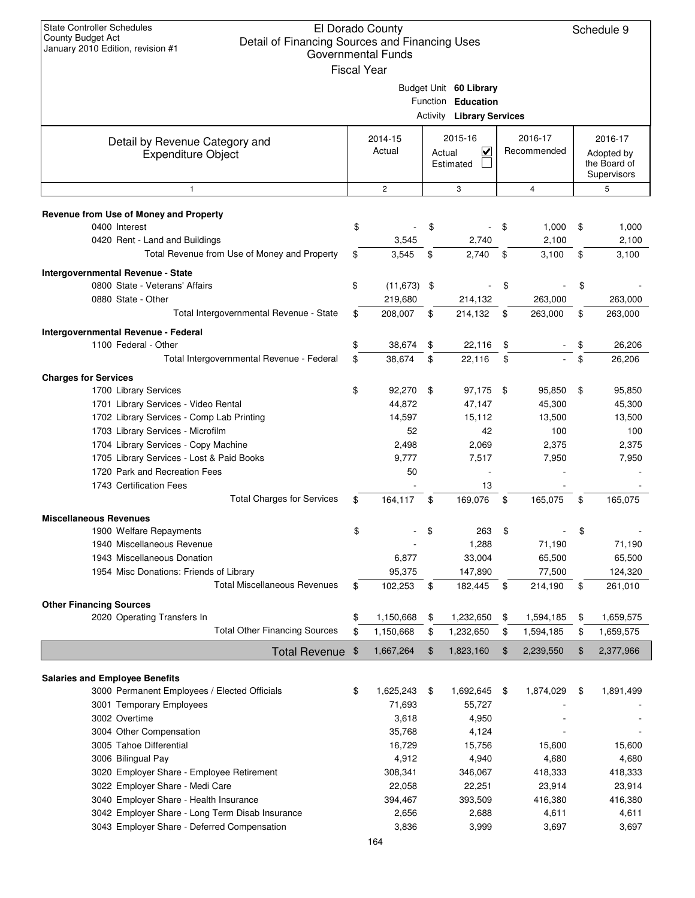| <b>State Controller Schedules</b><br>El Dorado County<br>Schedule 9<br><b>County Budget Act</b><br>Detail of Financing Sources and Financing Uses<br>January 2010 Edition, revision #1<br><b>Governmental Funds</b><br><b>Fiscal Year</b> |    |                   |                                                           |                                                                                  |      |                        |    |                                                      |  |  |  |  |
|-------------------------------------------------------------------------------------------------------------------------------------------------------------------------------------------------------------------------------------------|----|-------------------|-----------------------------------------------------------|----------------------------------------------------------------------------------|------|------------------------|----|------------------------------------------------------|--|--|--|--|
|                                                                                                                                                                                                                                           |    |                   |                                                           | Budget Unit 60 Library<br>Function Education<br><b>Activity Library Services</b> |      |                        |    |                                                      |  |  |  |  |
| Detail by Revenue Category and<br><b>Expenditure Object</b>                                                                                                                                                                               |    | 2014-15<br>Actual | 2015-16<br>$\overline{\mathbf{v}}$<br>Actual<br>Estimated |                                                                                  |      | 2016-17<br>Recommended |    | 2016-17<br>Adopted by<br>the Board of<br>Supervisors |  |  |  |  |
| $\mathbf{1}$                                                                                                                                                                                                                              |    | $\overline{2}$    |                                                           | 3                                                                                |      | $\overline{4}$         |    | 5                                                    |  |  |  |  |
| Revenue from Use of Money and Property                                                                                                                                                                                                    |    |                   |                                                           |                                                                                  |      |                        |    |                                                      |  |  |  |  |
| 0400 Interest                                                                                                                                                                                                                             | \$ |                   | \$                                                        |                                                                                  | \$   | 1,000                  | \$ | 1,000                                                |  |  |  |  |
| 0420 Rent - Land and Buildings                                                                                                                                                                                                            |    | 3,545             |                                                           | 2,740                                                                            |      | 2,100                  |    | 2,100                                                |  |  |  |  |
| Total Revenue from Use of Money and Property                                                                                                                                                                                              | \$ | 3,545             | \$                                                        | 2,740                                                                            | \$   | 3,100                  | \$ | 3,100                                                |  |  |  |  |
| Intergovernmental Revenue - State                                                                                                                                                                                                         |    |                   |                                                           |                                                                                  |      |                        |    |                                                      |  |  |  |  |
| 0800 State - Veterans' Affairs                                                                                                                                                                                                            | \$ | $(11, 673)$ \$    |                                                           |                                                                                  | \$   |                        | \$ |                                                      |  |  |  |  |
| 0880 State - Other                                                                                                                                                                                                                        |    | 219,680           |                                                           | 214,132                                                                          |      | 263,000                |    | 263,000                                              |  |  |  |  |
| Total Intergovernmental Revenue - State                                                                                                                                                                                                   | \$ | 208,007           | \$                                                        | 214,132                                                                          | \$   | 263,000                | \$ | 263,000                                              |  |  |  |  |
| Intergovernmental Revenue - Federal                                                                                                                                                                                                       |    |                   |                                                           |                                                                                  |      |                        |    |                                                      |  |  |  |  |
| 1100 Federal - Other                                                                                                                                                                                                                      | \$ | 38,674            | \$                                                        | 22,116                                                                           | \$   |                        | \$ | 26,206                                               |  |  |  |  |
| Total Intergovernmental Revenue - Federal                                                                                                                                                                                                 | \$ | 38,674            | \$                                                        | 22,116                                                                           | \$   |                        | \$ | 26,206                                               |  |  |  |  |
| <b>Charges for Services</b>                                                                                                                                                                                                               |    |                   |                                                           |                                                                                  |      |                        |    |                                                      |  |  |  |  |
| 1700 Library Services                                                                                                                                                                                                                     | \$ | 92,270            | \$                                                        | 97,175                                                                           | -\$  | 95,850                 | \$ | 95,850                                               |  |  |  |  |
| 1701 Library Services - Video Rental                                                                                                                                                                                                      |    | 44,872            |                                                           | 47,147                                                                           |      | 45,300                 |    | 45,300                                               |  |  |  |  |
| 1702 Library Services - Comp Lab Printing                                                                                                                                                                                                 |    | 14,597            |                                                           | 15,112                                                                           |      | 13,500                 |    | 13,500                                               |  |  |  |  |
| 1703 Library Services - Microfilm                                                                                                                                                                                                         |    | 52                |                                                           | 42                                                                               |      | 100                    |    | 100                                                  |  |  |  |  |
| 1704 Library Services - Copy Machine                                                                                                                                                                                                      |    | 2,498             |                                                           | 2,069                                                                            |      | 2,375                  |    | 2,375                                                |  |  |  |  |
| 1705 Library Services - Lost & Paid Books                                                                                                                                                                                                 |    | 9,777             |                                                           | 7,517                                                                            |      | 7,950                  |    | 7,950                                                |  |  |  |  |
| 1720 Park and Recreation Fees                                                                                                                                                                                                             |    | 50                |                                                           |                                                                                  |      |                        |    |                                                      |  |  |  |  |
| 1743 Certification Fees                                                                                                                                                                                                                   |    |                   |                                                           | 13                                                                               |      |                        |    |                                                      |  |  |  |  |
| <b>Total Charges for Services</b>                                                                                                                                                                                                         | \$ | 164.117           | \$                                                        | 169,076                                                                          | \$   | 165.075                | \$ | 165,075                                              |  |  |  |  |
| <b>Miscellaneous Revenues</b>                                                                                                                                                                                                             |    |                   |                                                           |                                                                                  |      |                        |    |                                                      |  |  |  |  |
| 1900 Welfare Repayments                                                                                                                                                                                                                   | \$ |                   | \$                                                        | 263                                                                              | \$   |                        | \$ |                                                      |  |  |  |  |
| 1940 Miscellaneous Revenue                                                                                                                                                                                                                |    |                   |                                                           | 1,288                                                                            |      | 71,190                 |    | 71,190                                               |  |  |  |  |
| 1943 Miscellaneous Donation                                                                                                                                                                                                               |    | 6,877             |                                                           | 33,004                                                                           |      | 65,500                 |    | 65,500                                               |  |  |  |  |
| 1954 Misc Donations: Friends of Library                                                                                                                                                                                                   |    | 95,375            |                                                           | 147,890                                                                          |      | 77,500                 |    | 124,320                                              |  |  |  |  |
| <b>Total Miscellaneous Revenues</b>                                                                                                                                                                                                       | \$ | 102,253           | \$                                                        | 182,445                                                                          | \$   | 214,190                | \$ | 261,010                                              |  |  |  |  |
| <b>Other Financing Sources</b>                                                                                                                                                                                                            |    |                   |                                                           |                                                                                  |      |                        |    |                                                      |  |  |  |  |
| 2020 Operating Transfers In                                                                                                                                                                                                               | \$ | 1,150,668         | \$                                                        | 1,232,650                                                                        | \$   | 1,594,185              | \$ | 1,659,575                                            |  |  |  |  |
| <b>Total Other Financing Sources</b>                                                                                                                                                                                                      | \$ | 1,150,668         | \$                                                        | 1,232,650                                                                        | \$   | 1,594,185              | \$ | 1,659,575                                            |  |  |  |  |
| <b>Total Revenue</b>                                                                                                                                                                                                                      | \$ | 1,667,264         | \$                                                        | 1,823,160                                                                        | \$   | 2,239,550              | \$ | 2,377,966                                            |  |  |  |  |
|                                                                                                                                                                                                                                           |    |                   |                                                           |                                                                                  |      |                        |    |                                                      |  |  |  |  |
| <b>Salaries and Employee Benefits</b>                                                                                                                                                                                                     |    |                   |                                                           |                                                                                  |      |                        |    |                                                      |  |  |  |  |
| 3000 Permanent Employees / Elected Officials                                                                                                                                                                                              | \$ | 1,625,243         | \$                                                        | 1,692,645                                                                        | - \$ | 1,874,029              | \$ | 1,891,499                                            |  |  |  |  |
| 3001 Temporary Employees                                                                                                                                                                                                                  |    | 71,693            |                                                           | 55,727                                                                           |      |                        |    |                                                      |  |  |  |  |
| 3002 Overtime                                                                                                                                                                                                                             |    | 3,618<br>35,768   |                                                           | 4,950                                                                            |      |                        |    |                                                      |  |  |  |  |
| 3004 Other Compensation<br>3005 Tahoe Differential                                                                                                                                                                                        |    | 16,729            |                                                           | 4,124<br>15,756                                                                  |      | 15,600                 |    | 15,600                                               |  |  |  |  |
| 3006 Bilingual Pay                                                                                                                                                                                                                        |    | 4,912             |                                                           | 4,940                                                                            |      | 4,680                  |    | 4,680                                                |  |  |  |  |
| 3020 Employer Share - Employee Retirement                                                                                                                                                                                                 |    | 308,341           |                                                           | 346,067                                                                          |      | 418,333                |    | 418,333                                              |  |  |  |  |
| 3022 Employer Share - Medi Care                                                                                                                                                                                                           |    | 22,058            |                                                           | 22,251                                                                           |      | 23,914                 |    | 23,914                                               |  |  |  |  |
| 3040 Employer Share - Health Insurance                                                                                                                                                                                                    |    | 394,467           |                                                           | 393,509                                                                          |      | 416,380                |    | 416,380                                              |  |  |  |  |
| 3042 Employer Share - Long Term Disab Insurance                                                                                                                                                                                           |    | 2,656             |                                                           | 2,688                                                                            |      | 4,611                  |    | 4,611                                                |  |  |  |  |
| 3043 Employer Share - Deferred Compensation                                                                                                                                                                                               |    | 3,836             |                                                           | 3,999                                                                            |      | 3,697                  |    | 3,697                                                |  |  |  |  |
|                                                                                                                                                                                                                                           |    | 164               |                                                           |                                                                                  |      |                        |    |                                                      |  |  |  |  |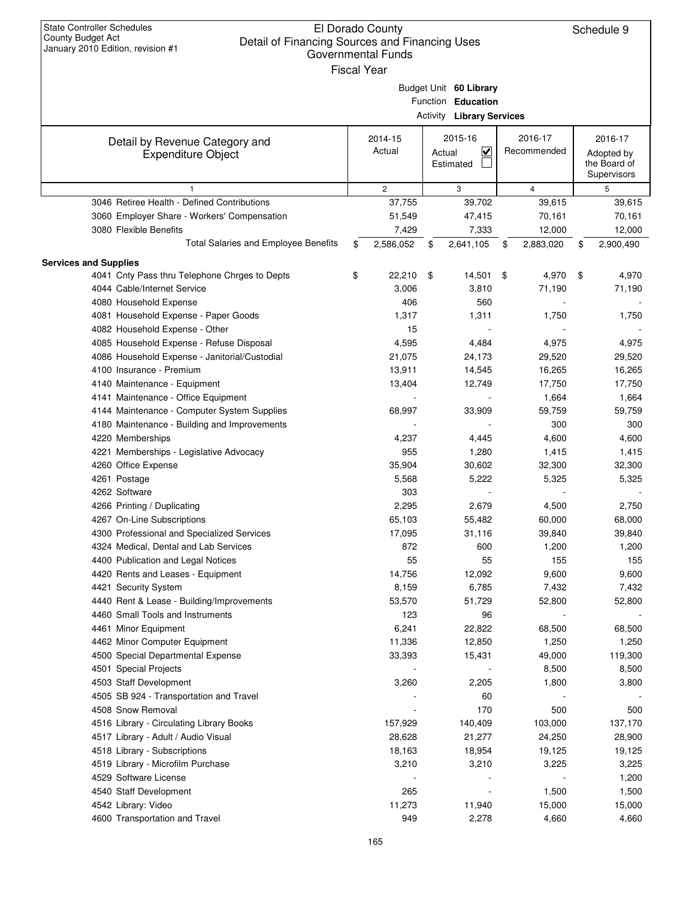| <b>State Controller Schedules</b><br><b>County Budget Act</b><br>Detail of Financing Sources and Financing Uses<br>January 2010 Edition, revision #1 | El Dorado County<br>Governmental Funds<br><b>Fiscal Year</b> |        |                                                                                  |                        | Schedule 9                                           |
|------------------------------------------------------------------------------------------------------------------------------------------------------|--------------------------------------------------------------|--------|----------------------------------------------------------------------------------|------------------------|------------------------------------------------------|
|                                                                                                                                                      |                                                              |        | Budget Unit 60 Library<br>Function Education<br><b>Activity Library Services</b> |                        |                                                      |
|                                                                                                                                                      |                                                              |        |                                                                                  |                        |                                                      |
| Detail by Revenue Category and<br><b>Expenditure Object</b>                                                                                          | 2014-15<br>Actual                                            | Actual | 2015-16<br><u>V</u><br>Estimated                                                 | 2016-17<br>Recommended | 2016-17<br>Adopted by<br>the Board of<br>Supervisors |
| 1                                                                                                                                                    | $\mathbf{2}$                                                 |        | 3                                                                                | $\overline{4}$         | 5                                                    |
| 3046 Retiree Health - Defined Contributions                                                                                                          | 37,755                                                       |        | 39,702                                                                           | 39,615                 | 39,615                                               |
| 3060 Employer Share - Workers' Compensation                                                                                                          | 51,549                                                       |        | 47,415                                                                           | 70,161                 | 70,161                                               |
| 3080 Flexible Benefits                                                                                                                               | 7,429                                                        |        | 7,333                                                                            | 12,000                 | 12,000                                               |
| Total Salaries and Employee Benefits                                                                                                                 | \$<br>2,586,052                                              | \$     | 2,641,105                                                                        | \$<br>2,883,020        | \$<br>2,900,490                                      |
| <b>Services and Supplies</b>                                                                                                                         |                                                              |        |                                                                                  |                        |                                                      |
| 4041 Cnty Pass thru Telephone Chrges to Depts                                                                                                        | \$<br>22,210                                                 | \$     | 14,501                                                                           | \$<br>4,970            | \$<br>4,970                                          |
| 4044 Cable/Internet Service                                                                                                                          | 3,006                                                        |        | 3,810                                                                            | 71,190                 | 71,190                                               |
| 4080 Household Expense                                                                                                                               | 406                                                          |        | 560                                                                              |                        |                                                      |
| 4081 Household Expense - Paper Goods                                                                                                                 | 1,317                                                        |        | 1,311                                                                            | 1,750                  | 1,750                                                |
| 4082 Household Expense - Other                                                                                                                       | 15                                                           |        |                                                                                  |                        |                                                      |
| 4085 Household Expense - Refuse Disposal                                                                                                             | 4,595                                                        |        | 4,484                                                                            | 4,975                  | 4,975                                                |
| 4086 Household Expense - Janitorial/Custodial                                                                                                        | 21,075                                                       |        | 24,173                                                                           | 29,520                 | 29,520                                               |
| 4100 Insurance - Premium                                                                                                                             | 13,911                                                       |        | 14,545                                                                           | 16,265                 | 16,265                                               |
| 4140 Maintenance - Equipment                                                                                                                         | 13,404                                                       |        | 12,749                                                                           | 17,750                 | 17,750                                               |
| 4141 Maintenance - Office Equipment                                                                                                                  |                                                              |        |                                                                                  | 1,664                  | 1,664                                                |
| 4144 Maintenance - Computer System Supplies                                                                                                          | 68,997                                                       |        | 33,909                                                                           | 59,759                 | 59,759                                               |
| 4180 Maintenance - Building and Improvements                                                                                                         |                                                              |        |                                                                                  | 300                    | 300                                                  |
| 4220 Memberships                                                                                                                                     | 4,237                                                        |        | 4,445                                                                            | 4,600                  | 4,600                                                |
| 4221 Memberships - Legislative Advocacy                                                                                                              | 955                                                          |        | 1,280                                                                            | 1,415                  | 1,415                                                |
| 4260 Office Expense                                                                                                                                  | 35,904                                                       |        | 30,602                                                                           | 32,300                 | 32,300                                               |
| 4261 Postage                                                                                                                                         | 5,568                                                        |        | 5,222                                                                            | 5,325                  | 5,325                                                |
| 4262 Software                                                                                                                                        | 303                                                          |        |                                                                                  |                        |                                                      |
| 4266 Printing / Duplicating                                                                                                                          | 2,295                                                        |        | 2,679                                                                            | 4,500                  | 2,750                                                |
| 4267 On-Line Subscriptions                                                                                                                           | 65,103                                                       |        | 55,482                                                                           | 60,000                 | 68,000                                               |
| 4300 Professional and Specialized Services                                                                                                           | 17,095                                                       |        | 31,116                                                                           | 39,840                 | 39,840                                               |
| 4324 Medical, Dental and Lab Services                                                                                                                | 872                                                          |        | 600                                                                              | 1,200                  | 1,200                                                |
| 4400 Publication and Legal Notices                                                                                                                   | 55                                                           |        | 55                                                                               | 155                    | 155                                                  |
| 4420 Rents and Leases - Equipment                                                                                                                    | 14,756                                                       |        | 12,092                                                                           | 9,600                  | 9,600                                                |
| 4421 Security System                                                                                                                                 | 8,159                                                        |        | 6,785                                                                            | 7,432                  | 7,432                                                |
| 4440 Rent & Lease - Building/Improvements                                                                                                            | 53,570                                                       |        | 51,729                                                                           | 52,800                 | 52,800                                               |
| 4460 Small Tools and Instruments                                                                                                                     | 123                                                          |        | 96                                                                               |                        |                                                      |
| 4461 Minor Equipment                                                                                                                                 | 6,241                                                        |        | 22,822                                                                           | 68,500                 | 68,500                                               |
| 4462 Minor Computer Equipment                                                                                                                        | 11,336                                                       |        | 12,850                                                                           | 1,250                  | 1,250                                                |
| 4500 Special Departmental Expense                                                                                                                    | 33,393                                                       |        | 15,431                                                                           | 49,000                 | 119,300                                              |
| 4501 Special Projects                                                                                                                                |                                                              |        |                                                                                  | 8,500                  | 8,500                                                |
| 4503 Staff Development                                                                                                                               | 3,260                                                        |        | 2,205                                                                            | 1,800                  | 3,800                                                |
| 4505 SB 924 - Transportation and Travel                                                                                                              |                                                              |        | 60                                                                               |                        |                                                      |
| 4508 Snow Removal                                                                                                                                    |                                                              |        | 170                                                                              | 500                    | 500                                                  |
| 4516 Library - Circulating Library Books                                                                                                             | 157,929                                                      |        | 140,409                                                                          | 103,000                | 137,170                                              |
| 4517 Library - Adult / Audio Visual                                                                                                                  | 28,628                                                       |        | 21,277                                                                           | 24,250                 | 28,900                                               |
| 4518 Library - Subscriptions                                                                                                                         | 18,163                                                       |        | 18,954                                                                           | 19,125                 | 19,125                                               |
| 4519 Library - Microfilm Purchase                                                                                                                    | 3,210                                                        |        | 3,210                                                                            | 3,225                  |                                                      |
| 4529 Software License                                                                                                                                |                                                              |        |                                                                                  |                        | 3,225                                                |
|                                                                                                                                                      |                                                              |        |                                                                                  |                        | 1,200                                                |
| 4540 Staff Development                                                                                                                               | 265                                                          |        |                                                                                  | 1,500                  | 1,500                                                |
| 4542 Library: Video                                                                                                                                  | 11,273                                                       |        | 11,940                                                                           | 15,000                 | 15,000                                               |
| 4600 Transportation and Travel                                                                                                                       | 949                                                          |        | 2,278                                                                            | 4,660                  | 4,660                                                |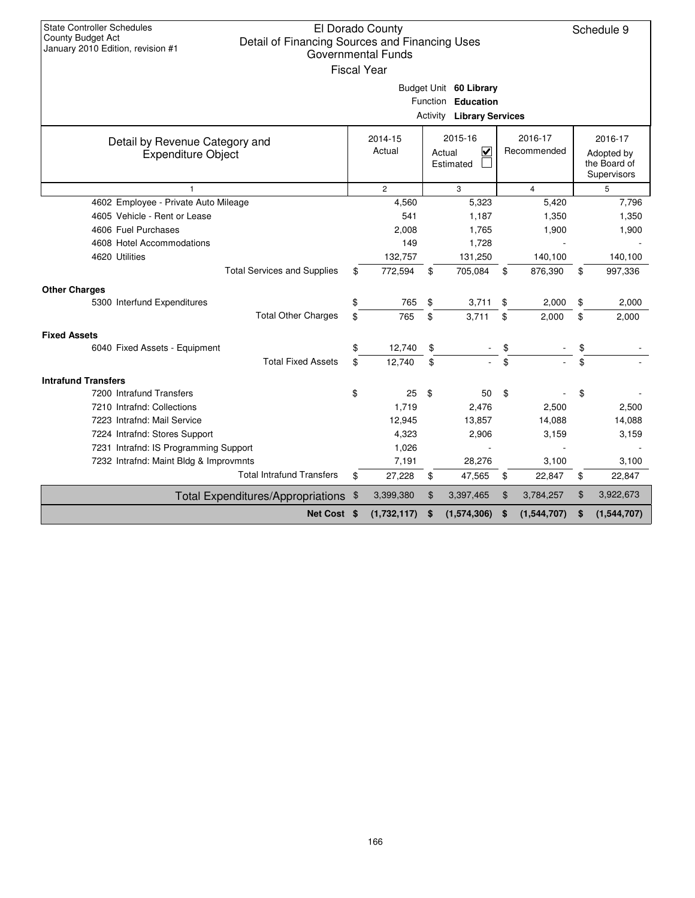| <b>State Controller Schedules</b><br>El Dorado County<br>Schedule 9<br><b>County Budget Act</b><br>Detail of Financing Sources and Financing Uses<br>January 2010 Edition, revision #1<br>Governmental Funds<br><b>Fiscal Year</b><br>Budget Unit 60 Library |                |                                       |                  |                                  |    |             |    |                            |  |  |  |  |
|--------------------------------------------------------------------------------------------------------------------------------------------------------------------------------------------------------------------------------------------------------------|----------------|---------------------------------------|------------------|----------------------------------|----|-------------|----|----------------------------|--|--|--|--|
|                                                                                                                                                                                                                                                              |                |                                       |                  | Function Education               |    |             |    |                            |  |  |  |  |
|                                                                                                                                                                                                                                                              |                |                                       |                  | <b>Activity Library Services</b> |    |             |    |                            |  |  |  |  |
|                                                                                                                                                                                                                                                              |                | 2014-15                               |                  | 2015-16                          |    | 2016-17     |    | 2016-17                    |  |  |  |  |
| Detail by Revenue Category and<br><b>Expenditure Object</b>                                                                                                                                                                                                  |                | Actual<br>V<br>Actual<br>Estimated    |                  |                                  |    | Recommended |    | Adopted by<br>the Board of |  |  |  |  |
| 1                                                                                                                                                                                                                                                            | $\overline{4}$ |                                       | Supervisors<br>5 |                                  |    |             |    |                            |  |  |  |  |
| 4602 Employee - Private Auto Mileage                                                                                                                                                                                                                         |                | $\overline{2}$<br>3<br>4,560<br>5,323 |                  |                                  |    | 5,420       |    | 7,796                      |  |  |  |  |
| 4605 Vehicle - Rent or Lease                                                                                                                                                                                                                                 |                | 541                                   |                  | 1,187                            |    | 1,350       |    | 1,350                      |  |  |  |  |
| 4606 Fuel Purchases                                                                                                                                                                                                                                          |                | 2,008                                 |                  | 1,765                            |    | 1,900       |    | 1,900                      |  |  |  |  |
| 4608 Hotel Accommodations                                                                                                                                                                                                                                    |                | 149                                   |                  | 1,728                            |    |             |    |                            |  |  |  |  |
| 4620 Utilities                                                                                                                                                                                                                                               |                | 132,757                               |                  | 131,250                          |    | 140,100     |    | 140,100                    |  |  |  |  |
| <b>Total Services and Supplies</b>                                                                                                                                                                                                                           | \$             | 772,594                               | \$               | 705,084                          | \$ | 876,390     | \$ | 997,336                    |  |  |  |  |
| <b>Other Charges</b>                                                                                                                                                                                                                                         |                |                                       |                  |                                  |    |             |    |                            |  |  |  |  |
| 5300 Interfund Expenditures                                                                                                                                                                                                                                  | \$             | 765                                   | \$               | 3,711                            | \$ | 2,000       | \$ | 2,000                      |  |  |  |  |
| <b>Total Other Charges</b>                                                                                                                                                                                                                                   | \$             | 765                                   | \$               | 3,711                            | \$ | 2,000       | \$ | 2,000                      |  |  |  |  |
| <b>Fixed Assets</b>                                                                                                                                                                                                                                          |                |                                       |                  |                                  |    |             |    |                            |  |  |  |  |
| 6040 Fixed Assets - Equipment                                                                                                                                                                                                                                | \$             | 12,740                                | \$               |                                  | \$ |             | \$ |                            |  |  |  |  |
| <b>Total Fixed Assets</b>                                                                                                                                                                                                                                    | \$             | 12,740                                | \$               |                                  | \$ |             | \$ |                            |  |  |  |  |
| <b>Intrafund Transfers</b>                                                                                                                                                                                                                                   |                |                                       |                  |                                  |    |             |    |                            |  |  |  |  |
| 7200 Intrafund Transfers                                                                                                                                                                                                                                     | \$             | 25                                    | \$               | 50                               | \$ |             | \$ |                            |  |  |  |  |
| 7210 Intrafnd: Collections                                                                                                                                                                                                                                   |                | 1,719                                 |                  | 2,476                            |    | 2,500       |    | 2,500                      |  |  |  |  |
| 7223 Intrafnd: Mail Service                                                                                                                                                                                                                                  |                | 12,945                                |                  | 13,857                           |    | 14,088      |    | 14,088                     |  |  |  |  |
| 7224 Intrafnd: Stores Support                                                                                                                                                                                                                                |                | 4,323                                 |                  | 2,906                            |    | 3,159       |    | 3,159                      |  |  |  |  |
| 7231 Intrafnd: IS Programming Support                                                                                                                                                                                                                        |                | 1,026                                 |                  |                                  |    |             |    |                            |  |  |  |  |
| 7232 Intrafnd: Maint Bldg & Improvmnts                                                                                                                                                                                                                       |                | 7,191                                 |                  | 28,276                           |    | 3,100       |    | 3,100                      |  |  |  |  |
| <b>Total Intrafund Transfers</b>                                                                                                                                                                                                                             | \$             | 27,228                                | \$               | 47,565                           | \$ | 22,847      | \$ | 22,847                     |  |  |  |  |
| Total Expenditures/Appropriations \$                                                                                                                                                                                                                         |                | 3,399,380                             | \$               | 3,397,465                        | \$ | 3,784,257   | \$ | 3,922,673                  |  |  |  |  |
| Net Cost \$                                                                                                                                                                                                                                                  |                | (1,732,117)                           | \$               | (1,574,306)                      | \$ | (1,544,707) | \$ | (1,544,707)                |  |  |  |  |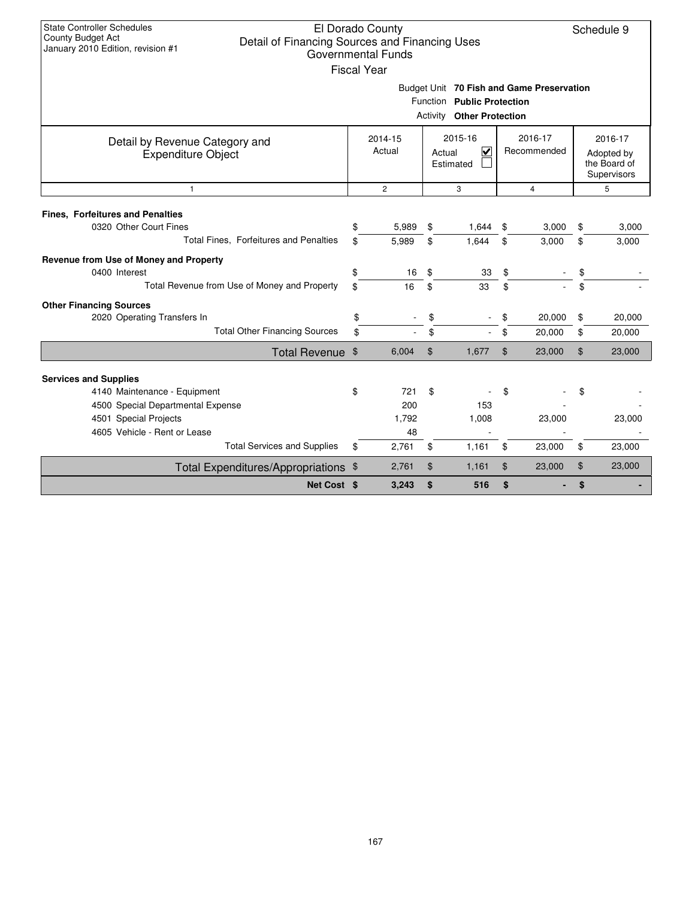| <b>State Controller Schedules</b><br>El Dorado County<br>Schedule 9<br><b>County Budget Act</b><br>Detail of Financing Sources and Financing Uses<br>January 2010 Edition, revision #1<br><b>Governmental Funds</b><br><b>Fiscal Year</b><br>Budget Unit 70 Fish and Game Preservation |          |                   |                |                                                                |          |                        |                |                                                      |  |  |  |  |  |
|----------------------------------------------------------------------------------------------------------------------------------------------------------------------------------------------------------------------------------------------------------------------------------------|----------|-------------------|----------------|----------------------------------------------------------------|----------|------------------------|----------------|------------------------------------------------------|--|--|--|--|--|
|                                                                                                                                                                                                                                                                                        |          |                   |                | Function Public Protection<br><b>Activity Other Protection</b> |          |                        |                |                                                      |  |  |  |  |  |
| Detail by Revenue Category and<br><b>Expenditure Object</b>                                                                                                                                                                                                                            |          | 2014-15<br>Actual |                | 2015-16<br>$\overline{\mathbf{v}}$<br>Actual<br>Estimated      |          | 2016-17<br>Recommended |                | 2016-17<br>Adopted by<br>the Board of<br>Supervisors |  |  |  |  |  |
| $\overline{2}$<br>3<br>$\overline{4}$<br>$\mathbf{1}$                                                                                                                                                                                                                                  |          |                   |                |                                                                |          |                        |                |                                                      |  |  |  |  |  |
| <b>Fines, Forfeitures and Penalties</b><br>0320 Other Court Fines                                                                                                                                                                                                                      | \$       | 5.989             | \$             | 1.644                                                          | \$       | 3,000                  | \$             | 3,000                                                |  |  |  |  |  |
| Total Fines, Forfeitures and Penalties                                                                                                                                                                                                                                                 | \$       | 5.989             | \$             | 1.644                                                          | \$       | 3,000                  | \$             | 3,000                                                |  |  |  |  |  |
| Revenue from Use of Money and Property<br>0400 Interest<br>Total Revenue from Use of Money and Property                                                                                                                                                                                | \$<br>\$ | 16<br>16          | \$<br>\$       | 33<br>33                                                       | \$<br>\$ |                        | \$<br>\$       |                                                      |  |  |  |  |  |
| <b>Other Financing Sources</b>                                                                                                                                                                                                                                                         |          |                   |                |                                                                |          |                        |                |                                                      |  |  |  |  |  |
| 2020 Operating Transfers In                                                                                                                                                                                                                                                            | \$       |                   | \$             |                                                                |          | 20,000                 | \$             | 20,000                                               |  |  |  |  |  |
| <b>Total Other Financing Sources</b>                                                                                                                                                                                                                                                   | \$       |                   | \$             |                                                                | \$       | 20,000                 | \$             | 20,000                                               |  |  |  |  |  |
| Total Revenue \$                                                                                                                                                                                                                                                                       |          | 6,004             | $\mathfrak{L}$ | 1,677                                                          | \$       | 23,000                 | $\mathfrak{F}$ | 23,000                                               |  |  |  |  |  |
| <b>Services and Supplies</b>                                                                                                                                                                                                                                                           |          |                   |                |                                                                |          |                        |                |                                                      |  |  |  |  |  |
| 4140 Maintenance - Equipment                                                                                                                                                                                                                                                           | \$       | 721               | \$             |                                                                | \$       |                        | \$             |                                                      |  |  |  |  |  |
| 4500 Special Departmental Expense                                                                                                                                                                                                                                                      |          | 200               |                | 153                                                            |          |                        |                |                                                      |  |  |  |  |  |
| 4501 Special Projects                                                                                                                                                                                                                                                                  |          | 1,792             |                | 1,008                                                          |          | 23,000                 |                | 23,000                                               |  |  |  |  |  |
| 4605 Vehicle - Rent or Lease                                                                                                                                                                                                                                                           |          | 48                |                |                                                                |          |                        |                |                                                      |  |  |  |  |  |
| <b>Total Services and Supplies</b>                                                                                                                                                                                                                                                     | \$       | 2,761             | \$             | 1,161                                                          | \$       | 23,000                 | \$             | 23,000                                               |  |  |  |  |  |
| Total Expenditures/Appropriations \$                                                                                                                                                                                                                                                   |          | 2,761             | \$             | 1,161                                                          | \$       | 23,000                 | \$             | 23,000                                               |  |  |  |  |  |
| Net Cost \$                                                                                                                                                                                                                                                                            |          | 3,243             | \$             | 516                                                            | \$       |                        | \$             |                                                      |  |  |  |  |  |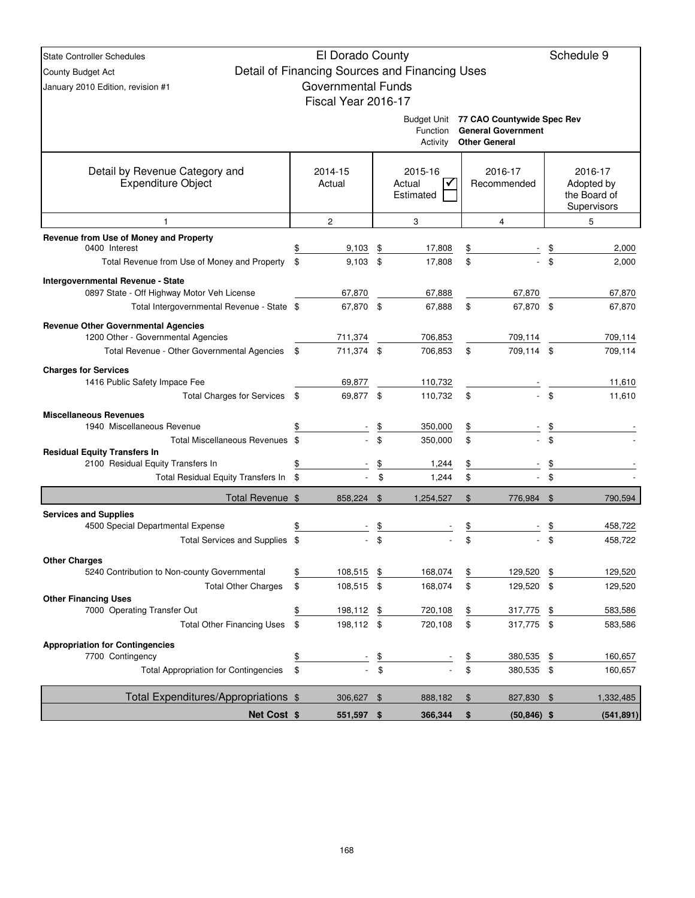| <b>State Controller Schedules</b>                                               |               | El Dorado County          |                  |                                                |               |                                                   | Schedule 9                 |
|---------------------------------------------------------------------------------|---------------|---------------------------|------------------|------------------------------------------------|---------------|---------------------------------------------------|----------------------------|
| County Budget Act                                                               |               |                           |                  | Detail of Financing Sources and Financing Uses |               |                                                   |                            |
| January 2010 Edition, revision #1                                               |               | <b>Governmental Funds</b> |                  |                                                |               |                                                   |                            |
|                                                                                 |               | Fiscal Year 2016-17       |                  |                                                |               |                                                   |                            |
|                                                                                 |               |                           |                  |                                                |               | Budget Unit 77 CAO Countywide Spec Rev            |                            |
|                                                                                 |               |                           |                  | Function<br>Activity                           |               | <b>General Government</b><br><b>Other General</b> |                            |
|                                                                                 |               |                           |                  |                                                |               |                                                   |                            |
| Detail by Revenue Category and                                                  |               | 2014-15                   |                  | 2015-16                                        |               | 2016-17                                           | 2016-17                    |
| <b>Expenditure Object</b>                                                       |               | Actual                    |                  | Actual                                         |               | Recommended                                       | Adopted by<br>the Board of |
|                                                                                 |               |                           |                  | Estimated                                      |               |                                                   | Supervisors                |
| $\mathbf{1}$                                                                    |               | 2                         |                  | 3                                              |               | 4                                                 | 5                          |
| Revenue from Use of Money and Property                                          |               |                           |                  |                                                |               |                                                   |                            |
| 0400 Interest<br>Total Revenue from Use of Money and Property                   | \$<br>\$      | 9,103<br>9,103            | \$<br>\$         | 17,808<br>17,808                               | \$<br>\$      |                                                   | \$<br>2,000<br>2,000       |
|                                                                                 |               |                           |                  |                                                |               |                                                   |                            |
| Intergovernmental Revenue - State<br>0897 State - Off Highway Motor Veh License |               | 67,870                    |                  | 67,888                                         |               | 67,870                                            | 67,870                     |
| Total Intergovernmental Revenue - State \$                                      |               | 67,870 \$                 |                  | 67,888                                         | \$            | 67,870 \$                                         | 67,870                     |
| <b>Revenue Other Governmental Agencies</b>                                      |               |                           |                  |                                                |               |                                                   |                            |
| 1200 Other - Governmental Agencies                                              |               | 711,374                   |                  | 706,853                                        |               | 709,114                                           | 709,114                    |
| Total Revenue - Other Governmental Agencies                                     | \$            | 711,374 \$                |                  | 706,853                                        | \$            | 709,114 \$                                        | 709,114                    |
| <b>Charges for Services</b>                                                     |               |                           |                  |                                                |               |                                                   |                            |
| 1416 Public Safety Impace Fee                                                   |               | 69,877                    |                  | 110,732                                        |               |                                                   | 11,610                     |
| <b>Total Charges for Services</b>                                               | -\$           | 69,877 \$                 |                  | 110,732                                        | \$            |                                                   | \$<br>11,610               |
| <b>Miscellaneous Revenues</b>                                                   |               |                           |                  |                                                |               |                                                   |                            |
| 1940 Miscellaneous Revenue                                                      |               |                           | \$               | 350,000                                        | \$            |                                                   | \$                         |
| Total Miscellaneous Revenues \$<br><b>Residual Equity Transfers In</b>          |               |                           | \$               | 350,000                                        | \$            |                                                   | \$                         |
| 2100 Residual Equity Transfers In                                               | \$            |                           | \$               | 1,244                                          | \$            |                                                   |                            |
| Total Residual Equity Transfers In \$                                           |               |                           | \$               | 1,244                                          | \$            |                                                   | \$                         |
| Total Revenue \$                                                                |               | 858,224 \$                |                  | 1,254,527                                      | \$            | 776,984 \$                                        | 790,594                    |
| <b>Services and Supplies</b>                                                    |               |                           |                  |                                                |               |                                                   |                            |
| 4500 Special Departmental Expense                                               |               |                           | \$               |                                                | \$            |                                                   | \$<br>458,722              |
| Total Services and Supplies \$                                                  |               |                           | \$               |                                                | \$            |                                                   | \$<br>458,722              |
| <b>Other Charges</b>                                                            |               |                           |                  |                                                |               |                                                   |                            |
| 5240 Contribution to Non-county Governmental                                    | \$            | 108,515                   | \$               | 168,074                                        | \$            | 129,520                                           | \$<br>129,520              |
| <b>Total Other Charges</b><br><b>Other Financing Uses</b>                       | \$            | 108,515 \$                |                  | 168,074                                        | \$            | 129,520 \$                                        | 129,520                    |
| 7000 Operating Transfer Out                                                     | \$            | 198,112                   | \$               | 720,108                                        | $\frac{1}{2}$ | 317,775                                           | \$<br>583,586              |
| <b>Total Other Financing Uses</b>                                               | \$            | 198,112 \$                |                  | 720,108                                        | \$            | 317,775 \$                                        | 583,586                    |
| <b>Appropriation for Contingencies</b>                                          |               |                           |                  |                                                |               |                                                   |                            |
| 7700 Contingency                                                                | $\frac{1}{2}$ |                           | $\underline{\$}$ |                                                | <u>\$</u>     | 380,535                                           | \$<br>160,657              |
| <b>Total Appropriation for Contingencies</b>                                    | \$            |                           | \$               |                                                | \$            | 380,535 \$                                        | 160,657                    |
| Total Expenditures/Appropriations \$                                            |               | 306,627 \$                |                  | 888,182                                        | \$            | 827,830 \$                                        | 1,332,485                  |
| Net Cost \$                                                                     |               | 551,597 \$                |                  | 366,344                                        | \$            | $(50, 846)$ \$                                    | (541, 891)                 |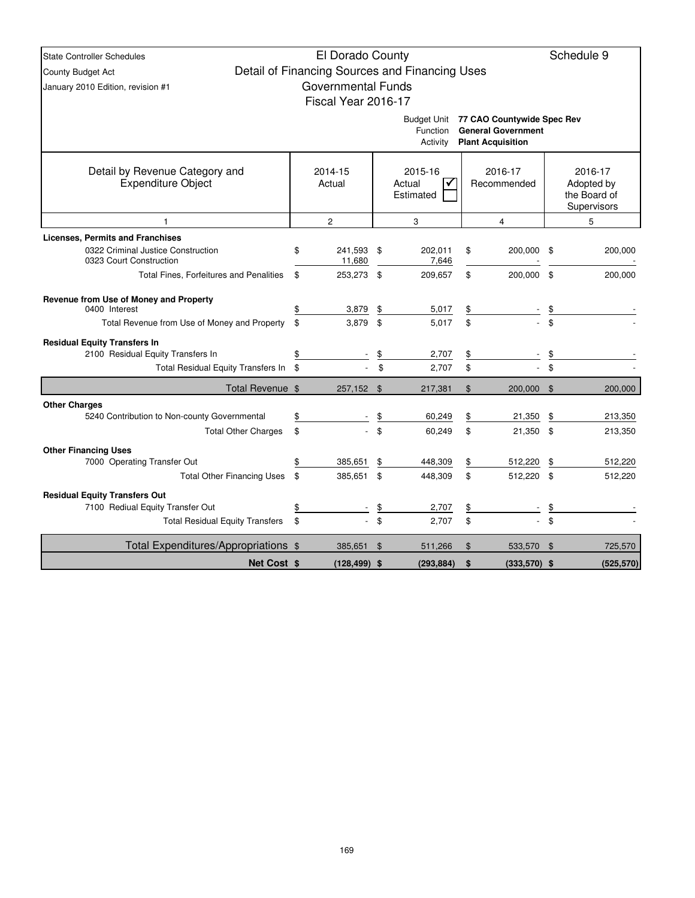| <b>State Controller Schedules</b>                                             | El Dorado County          |                |                                                |                            |             | Schedule 9   |  |
|-------------------------------------------------------------------------------|---------------------------|----------------|------------------------------------------------|----------------------------|-------------|--------------|--|
| County Budget Act                                                             |                           |                | Detail of Financing Sources and Financing Uses |                            |             |              |  |
| January 2010 Edition, revision #1                                             | <b>Governmental Funds</b> |                |                                                |                            |             |              |  |
|                                                                               | Fiscal Year 2016-17       |                |                                                |                            |             |              |  |
|                                                                               |                           |                | Budget Unit                                    | 77 CAO Countywide Spec Rev |             |              |  |
|                                                                               |                           |                | <b>Function</b>                                | <b>General Government</b>  |             |              |  |
|                                                                               |                           |                | Activity                                       | <b>Plant Acquisition</b>   |             |              |  |
| Detail by Revenue Category and                                                | 2014-15                   |                | 2015-16                                        | 2016-17                    |             | 2016-17      |  |
| <b>Expenditure Object</b>                                                     | Actual                    |                | Actual<br>✔                                    | Recommended                |             | Adopted by   |  |
|                                                                               |                           |                | Estimated                                      |                            |             | the Board of |  |
|                                                                               |                           |                |                                                |                            | Supervisors |              |  |
| 1                                                                             | 2                         |                | 3                                              | $\overline{4}$             |             | 5            |  |
| <b>Licenses, Permits and Franchises</b><br>0322 Criminal Justice Construction |                           | \$             |                                                | \$                         | \$          | 200,000      |  |
| 0323 Court Construction                                                       | \$<br>241,593<br>11,680   |                | 202,011<br>7,646                               | 200,000                    |             |              |  |
| <b>Total Fines, Forfeitures and Penalities</b>                                | \$<br>253,273 \$          |                | 209,657                                        | \$<br>200,000              | \$          | 200,000      |  |
| Revenue from Use of Money and Property                                        |                           |                |                                                |                            |             |              |  |
| 0400 Interest                                                                 | \$<br>3,879               | \$             | 5,017                                          | \$                         |             |              |  |
| Total Revenue from Use of Money and Property                                  | \$<br>3,879               | \$             | 5,017                                          | \$                         | \$          |              |  |
| <b>Residual Equity Transfers In</b>                                           |                           |                |                                                |                            |             |              |  |
| 2100 Residual Equity Transfers In                                             | \$                        | \$             | 2,707                                          | \$                         | \$          |              |  |
| Total Residual Equity Transfers In \$                                         |                           | \$             | 2,707                                          | \$                         | \$          |              |  |
| Total Revenue \$                                                              | 257,152 \$                |                | 217,381                                        | \$<br>200,000              | - \$        | 200,000      |  |
| <b>Other Charges</b>                                                          |                           |                |                                                |                            |             |              |  |
| 5240 Contribution to Non-county Governmental                                  | \$                        | \$             | 60,249                                         | \$<br>21,350               | \$          | 213,350      |  |
| <b>Total Other Charges</b>                                                    | \$                        | \$             | 60,249                                         | \$<br>21,350 \$            |             | 213,350      |  |
| <b>Other Financing Uses</b>                                                   |                           |                |                                                |                            |             |              |  |
| 7000 Operating Transfer Out                                                   | \$<br>385,651             | \$             | 448,309                                        | \$<br>512,220              | \$          | 512,220      |  |
| <b>Total Other Financing Uses</b>                                             | \$<br>385,651             | \$             | 448,309                                        | \$<br>512,220              | \$          | 512,220      |  |
| <b>Residual Equity Transfers Out</b>                                          |                           |                |                                                |                            |             |              |  |
| 7100 Rediual Equity Transfer Out                                              | \$                        | <u>\$</u>      | 2,707                                          | \$                         |             |              |  |
| <b>Total Residual Equity Transfers</b>                                        | \$                        | \$             | 2,707                                          | \$                         | \$          |              |  |
| Total Expenditures/Appropriations \$                                          | 385,651                   | $\mathfrak{F}$ | 511,266                                        | \$<br>533,570              | \$          | 725,570      |  |
| <b>Net Cost \$</b>                                                            | $(128, 499)$ \$           |                | (293, 884)                                     | \$<br>$(333,570)$ \$       |             | (525, 570)   |  |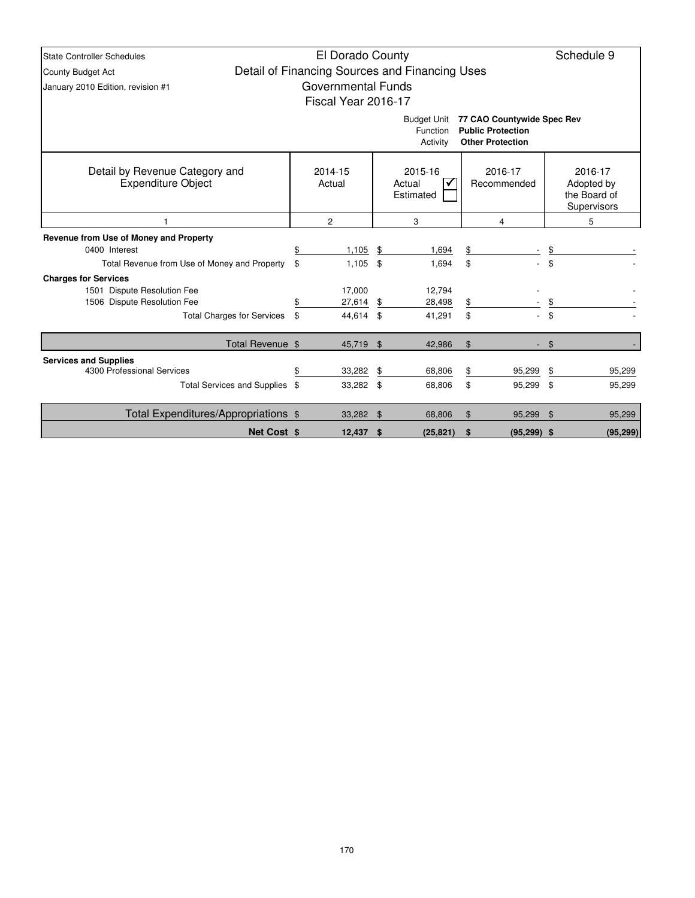| <b>State Controller Schedules</b>                           |      | El Dorado County    |    |                                                |    |                                                                                   |                | Schedule 9                                           |  |   |  |  |
|-------------------------------------------------------------|------|---------------------|----|------------------------------------------------|----|-----------------------------------------------------------------------------------|----------------|------------------------------------------------------|--|---|--|--|
| County Budget Act                                           |      |                     |    | Detail of Financing Sources and Financing Uses |    |                                                                                   |                |                                                      |  |   |  |  |
| January 2010 Edition, revision #1                           |      | Governmental Funds  |    |                                                |    |                                                                                   |                |                                                      |  |   |  |  |
|                                                             |      | Fiscal Year 2016-17 |    |                                                |    |                                                                                   |                |                                                      |  |   |  |  |
|                                                             |      |                     |    | <b>Budget Unit</b><br>Function<br>Activity     |    | 77 CAO Countywide Spec Rev<br><b>Public Protection</b><br><b>Other Protection</b> |                |                                                      |  |   |  |  |
| Detail by Revenue Category and<br><b>Expenditure Object</b> |      | 2014-15<br>Actual   |    | 2015-16<br>Actual<br>Estimated                 |    | 2016-17<br>Recommended                                                            |                | 2016-17<br>Adopted by<br>the Board of<br>Supervisors |  |   |  |  |
|                                                             |      | $\overline{c}$      | 3  |                                                |    | 4                                                                                 |                |                                                      |  | 5 |  |  |
| Revenue from Use of Money and Property                      |      |                     |    |                                                |    |                                                                                   |                |                                                      |  |   |  |  |
| 0400 Interest                                               | \$   | 1,105               | \$ | 1,694                                          | \$ |                                                                                   | \$             |                                                      |  |   |  |  |
| Total Revenue from Use of Money and Property                | \$   | 1,105               | \$ | 1,694                                          | \$ |                                                                                   | \$             |                                                      |  |   |  |  |
| <b>Charges for Services</b>                                 |      |                     |    |                                                |    |                                                                                   |                |                                                      |  |   |  |  |
| 1501 Dispute Resolution Fee                                 |      | 17,000              |    | 12,794                                         |    |                                                                                   |                |                                                      |  |   |  |  |
| 1506 Dispute Resolution Fee                                 | \$   | 27,614              | \$ | 28,498                                         | \$ |                                                                                   |                |                                                      |  |   |  |  |
| <b>Total Charges for Services</b>                           | - \$ | 44,614 \$           |    | 41,291                                         | \$ |                                                                                   | \$             |                                                      |  |   |  |  |
| Total Revenue \$                                            |      | 45,719 \$           |    | 42,986                                         | \$ |                                                                                   | $\mathfrak{L}$ |                                                      |  |   |  |  |
| <b>Services and Supplies</b>                                |      |                     |    |                                                |    |                                                                                   |                |                                                      |  |   |  |  |
| 4300 Professional Services                                  | \$   | 33,282              | \$ | 68,806                                         | \$ | 95,299                                                                            | \$             | 95,299                                               |  |   |  |  |
| Total Services and Supplies \$                              |      | 33,282 \$           |    | 68,806                                         | \$ | 95,299 \$                                                                         |                | 95,299                                               |  |   |  |  |
| Total Expenditures/Appropriations \$                        |      | 33,282 \$           |    | 68,806                                         | \$ | 95,299                                                                            | \$             | 95,299                                               |  |   |  |  |
| Net Cost \$                                                 |      | $12,437$ \$         |    | (25, 821)                                      | \$ | $(95, 299)$ \$                                                                    |                | (95, 299)                                            |  |   |  |  |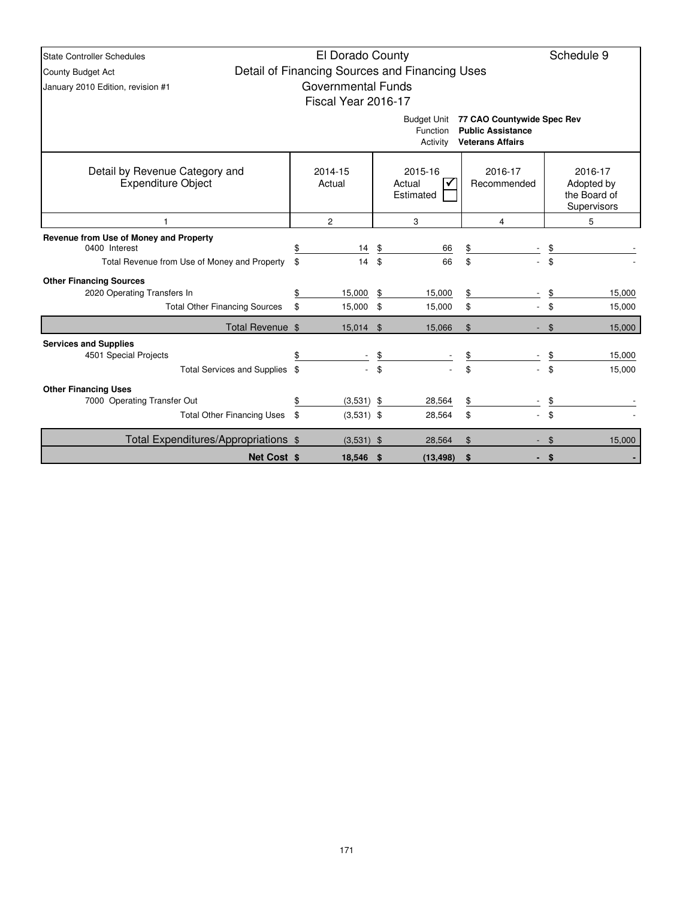| State Controller Schedules                                  |                                                                               | El Dorado County          |    |                                                |                                                                                   |    | Schedule 9 |
|-------------------------------------------------------------|-------------------------------------------------------------------------------|---------------------------|----|------------------------------------------------|-----------------------------------------------------------------------------------|----|------------|
| <b>County Budget Act</b>                                    |                                                                               |                           |    | Detail of Financing Sources and Financing Uses |                                                                                   |    |            |
| January 2010 Edition, revision #1                           |                                                                               | <b>Governmental Funds</b> |    |                                                |                                                                                   |    |            |
|                                                             |                                                                               | Fiscal Year 2016-17       |    |                                                |                                                                                   |    |            |
|                                                             |                                                                               |                           |    | <b>Budget Unit</b><br>Function<br>Activity     | 77 CAO Countywide Spec Rev<br><b>Public Assistance</b><br><b>Veterans Affairs</b> |    |            |
| Detail by Revenue Category and<br><b>Expenditure Object</b> | 2014-15<br>2016-17<br>2015-16<br>Actual<br>Actual<br>Recommended<br>Estimated |                           |    |                                                |                                                                                   |    |            |
|                                                             |                                                                               | $\overline{2}$            |    | 3                                              | 4                                                                                 |    | 5          |
| Revenue from Use of Money and Property<br>0400 Interest     | \$                                                                            | 14                        | \$ | 66                                             | $\frac{1}{2}$                                                                     | \$ |            |
| Total Revenue from Use of Money and Property                | \$                                                                            | 14                        | \$ | 66                                             | \$                                                                                | \$ |            |
| <b>Other Financing Sources</b>                              |                                                                               |                           |    |                                                |                                                                                   |    |            |
| 2020 Operating Transfers In                                 | \$                                                                            | 15,000                    | \$ | 15,000                                         | \$                                                                                | \$ | 15,000     |
| <b>Total Other Financing Sources</b>                        | \$                                                                            | 15,000 \$                 |    | 15,000                                         | \$                                                                                | \$ | 15,000     |
| Total Revenue \$                                            |                                                                               | 15,014 \$                 |    | 15.066                                         | $\mathfrak{S}$                                                                    | \$ | 15,000     |
| <b>Services and Supplies</b>                                |                                                                               |                           |    |                                                |                                                                                   |    |            |
| 4501 Special Projects                                       | \$                                                                            |                           | \$ |                                                | \$                                                                                |    | 15,000     |
| Total Services and Supplies \$                              |                                                                               |                           | \$ |                                                | \$                                                                                | \$ | 15,000     |
| <b>Other Financing Uses</b>                                 |                                                                               |                           |    |                                                |                                                                                   |    |            |
| 7000 Operating Transfer Out                                 | \$                                                                            | $(3,531)$ \$              |    | 28,564                                         | \$                                                                                | \$ |            |
| <b>Total Other Financing Uses</b>                           | \$                                                                            | $(3,531)$ \$              |    | 28,564                                         | \$                                                                                | \$ |            |
| Total Expenditures/Appropriations \$                        |                                                                               | $(3,531)$ \$              |    | 28.564                                         | $\mathfrak{L}$                                                                    | \$ | 15,000     |
| Net Cost \$                                                 |                                                                               | 18.546 \$                 |    | (13.498)                                       | \$<br>٠                                                                           | \$ |            |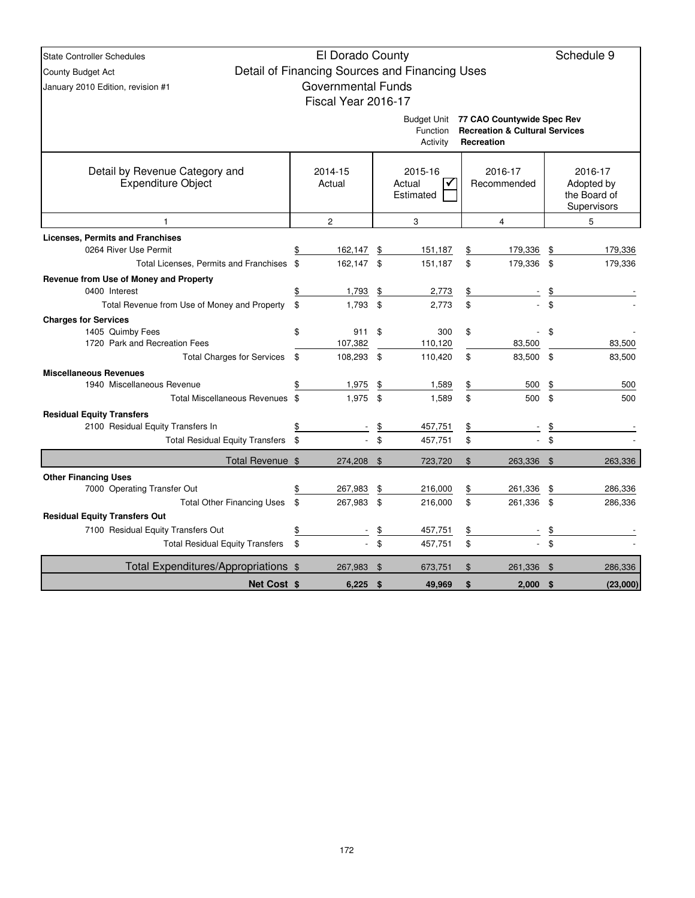| <b>State Controller Schedules</b>                           |                           |                | Schedule 9                                     |               |                                                                                                   |           |                                                             |
|-------------------------------------------------------------|---------------------------|----------------|------------------------------------------------|---------------|---------------------------------------------------------------------------------------------------|-----------|-------------------------------------------------------------|
| County Budget Act                                           | El Dorado County          |                | Detail of Financing Sources and Financing Uses |               |                                                                                                   |           |                                                             |
| January 2010 Edition, revision #1                           | <b>Governmental Funds</b> |                |                                                |               |                                                                                                   |           |                                                             |
|                                                             | Fiscal Year 2016-17       |                |                                                |               |                                                                                                   |           |                                                             |
|                                                             |                           |                |                                                |               |                                                                                                   |           |                                                             |
|                                                             |                           |                | Function<br>Activity                           |               | Budget Unit 77 CAO Countywide Spec Rev<br><b>Recreation &amp; Cultural Services</b><br>Recreation |           |                                                             |
| Detail by Revenue Category and<br><b>Expenditure Object</b> | 2014-15<br>Actual         |                | 2015-16<br>Actual<br>✓<br>Estimated            |               | 2016-17<br>Recommended                                                                            |           | 2016-17<br>Adopted by<br>the Board of<br><b>Supervisors</b> |
| $\mathbf{1}$                                                | $\overline{c}$            |                | 3                                              |               | 4                                                                                                 |           | 5                                                           |
| <b>Licenses, Permits and Franchises</b>                     |                           |                |                                                |               |                                                                                                   |           |                                                             |
| 0264 River Use Permit                                       | 162,147                   | \$             | 151,187                                        | \$            | 179,336                                                                                           | \$        | 179,336                                                     |
| Total Licenses, Permits and Franchises \$                   | 162,147 \$                |                | 151,187                                        | \$            | 179,336 \$                                                                                        |           | 179,336                                                     |
| Revenue from Use of Money and Property                      |                           |                |                                                |               |                                                                                                   |           |                                                             |
| 0400 Interest                                               | \$<br>1,793               | \$             | 2,773                                          | \$            |                                                                                                   |           |                                                             |
| Total Revenue from Use of Money and Property                | \$<br>1,793               | \$             | 2,773                                          | \$            |                                                                                                   | \$        |                                                             |
| <b>Charges for Services</b>                                 |                           |                |                                                |               |                                                                                                   |           |                                                             |
| 1405 Quimby Fees                                            | \$<br>911                 | \$             | 300                                            | \$            |                                                                                                   | \$        |                                                             |
| 1720 Park and Recreation Fees                               | 107,382                   | \$             | 110,120                                        | \$            | 83,500                                                                                            | \$        | 83,500                                                      |
| <b>Total Charges for Services</b>                           | \$<br>108,293             |                | 110,420                                        |               | 83,500                                                                                            |           | 83,500                                                      |
| <b>Miscellaneous Revenues</b><br>1940 Miscellaneous Revenue | 1,975                     | \$             | 1,589                                          | $\frac{1}{2}$ | 500                                                                                               | \$        | 500                                                         |
| Total Miscellaneous Revenues \$                             | 1,975                     | $\mathfrak{L}$ | 1,589                                          | \$            | 500                                                                                               | \$        | 500                                                         |
| <b>Residual Equity Transfers</b>                            |                           |                |                                                |               |                                                                                                   |           |                                                             |
| 2100 Residual Equity Transfers In                           | \$                        | \$             | 457,751                                        | \$            |                                                                                                   | \$        |                                                             |
| Total Residual Equity Transfers \$                          |                           | \$             | 457,751                                        | \$            | $\overline{a}$                                                                                    | \$        |                                                             |
| Total Revenue \$                                            | 274,208 \$                |                | 723,720                                        | $\$\$         | 263,336 \$                                                                                        |           | 263,336                                                     |
| <b>Other Financing Uses</b>                                 |                           |                |                                                |               |                                                                                                   |           |                                                             |
| 7000 Operating Transfer Out                                 | \$<br>267,983             | \$             | 216,000                                        | \$            | 261,336                                                                                           | \$        | 286,336                                                     |
| <b>Total Other Financing Uses</b>                           | \$<br>267,983             | \$             | 216,000                                        | \$            | 261,336 \$                                                                                        |           | 286,336                                                     |
| <b>Residual Equity Transfers Out</b>                        |                           |                |                                                |               |                                                                                                   |           |                                                             |
| 7100 Residual Equity Transfers Out                          | \$                        | \$             | 457,751                                        | \$            |                                                                                                   | <u>\$</u> |                                                             |
| <b>Total Residual Equity Transfers</b>                      | \$                        | \$             | 457,751                                        | \$            |                                                                                                   | \$        |                                                             |
| Total Expenditures/Appropriations \$                        | 267,983                   | \$             | 673,751                                        | $\$\$         | 261,336                                                                                           | -\$       | 286,336                                                     |
| <b>Net Cost \$</b>                                          | 6.225                     | \$             | 49.969                                         | \$            | 2.000                                                                                             | \$        | (23,000)                                                    |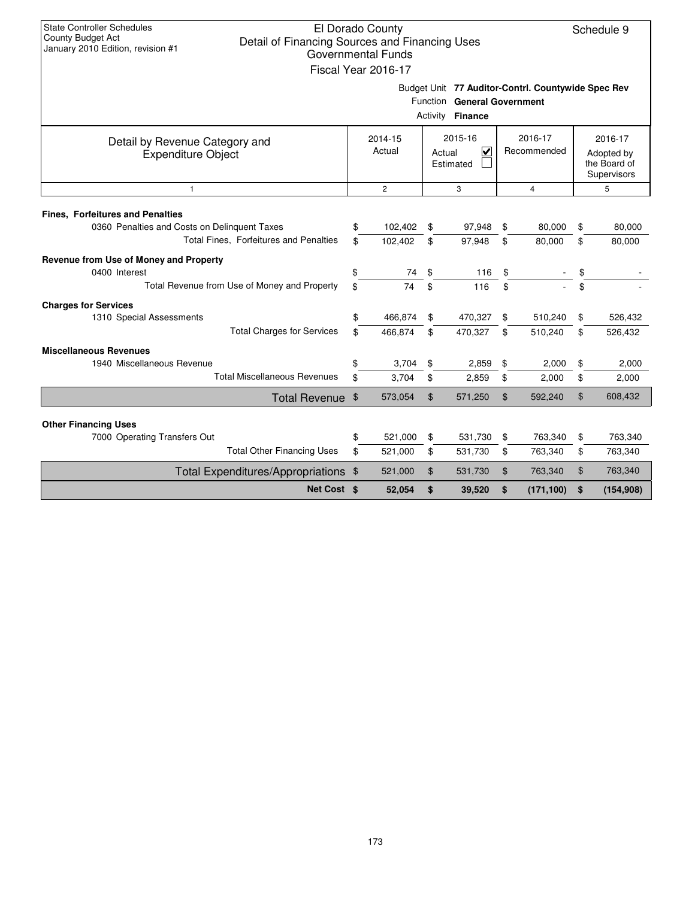| <b>State Controller Schedules</b><br><b>County Budget Act</b><br>Detail of Financing Sources and Financing Uses<br>January 2010 Edition, revision #1 |                        | El Dorado County<br><b>Governmental Funds</b><br>Fiscal Year 2016-17 |                                                      |                                                                                                       |    |            |    | Schedule 9 |  |  |  |
|------------------------------------------------------------------------------------------------------------------------------------------------------|------------------------|----------------------------------------------------------------------|------------------------------------------------------|-------------------------------------------------------------------------------------------------------|----|------------|----|------------|--|--|--|
|                                                                                                                                                      |                        |                                                                      |                                                      | Budget Unit 77 Auditor-Contrl. Countywide Spec Rev<br>Function General Government<br>Activity Finance |    |            |    |            |  |  |  |
| Detail by Revenue Category and<br><b>Expenditure Object</b>                                                                                          | 2016-17<br>Recommended |                                                                      | 2016-17<br>Adopted by<br>the Board of<br>Supervisors |                                                                                                       |    |            |    |            |  |  |  |
| $\overline{2}$<br>3<br>$\overline{4}$<br>$\mathbf{1}$<br>5                                                                                           |                        |                                                                      |                                                      |                                                                                                       |    |            |    |            |  |  |  |
|                                                                                                                                                      |                        |                                                                      |                                                      |                                                                                                       |    |            |    |            |  |  |  |
| <b>Fines, Forfeitures and Penalties</b><br>0360 Penalties and Costs on Delinquent Taxes                                                              | \$                     | 102,402                                                              | \$                                                   | 97,948                                                                                                | \$ | 80,000     | \$ | 80,000     |  |  |  |
| Total Fines, Forfeitures and Penalties                                                                                                               | \$                     | 102,402                                                              | \$                                                   | 97,948                                                                                                | \$ | 80,000     | \$ | 80,000     |  |  |  |
| Revenue from Use of Money and Property                                                                                                               |                        |                                                                      |                                                      |                                                                                                       |    |            |    |            |  |  |  |
| 0400 Interest                                                                                                                                        | \$                     | 74                                                                   | \$                                                   | 116                                                                                                   | \$ |            | \$ |            |  |  |  |
| Total Revenue from Use of Money and Property                                                                                                         | \$                     | 74                                                                   | \$                                                   | 116                                                                                                   | \$ |            | \$ |            |  |  |  |
| <b>Charges for Services</b>                                                                                                                          |                        |                                                                      |                                                      |                                                                                                       |    |            |    |            |  |  |  |
| 1310 Special Assessments                                                                                                                             | \$                     | 466,874                                                              | \$                                                   | 470,327                                                                                               | \$ | 510,240    | \$ | 526,432    |  |  |  |
| <b>Total Charges for Services</b>                                                                                                                    | \$                     | 466,874                                                              | \$                                                   | 470,327                                                                                               | \$ | 510,240    | \$ | 526,432    |  |  |  |
| <b>Miscellaneous Revenues</b>                                                                                                                        |                        |                                                                      |                                                      |                                                                                                       |    |            |    |            |  |  |  |
| 1940 Miscellaneous Revenue                                                                                                                           | \$                     | 3,704                                                                | \$                                                   | 2,859                                                                                                 | \$ | 2,000      | \$ | 2,000      |  |  |  |
| <b>Total Miscellaneous Revenues</b>                                                                                                                  | \$                     | 3,704                                                                | \$                                                   | 2,859                                                                                                 | \$ | 2,000      | \$ | 2,000      |  |  |  |
| <b>Total Revenue</b>                                                                                                                                 | $\frac{1}{2}$          | 573,054                                                              | \$                                                   | 571,250                                                                                               | \$ | 592,240    | \$ | 608,432    |  |  |  |
|                                                                                                                                                      |                        |                                                                      |                                                      |                                                                                                       |    |            |    |            |  |  |  |
| <b>Other Financing Uses</b><br>7000 Operating Transfers Out                                                                                          | \$                     | 521,000                                                              | \$                                                   | 531,730                                                                                               | \$ | 763,340    | \$ | 763,340    |  |  |  |
| <b>Total Other Financing Uses</b>                                                                                                                    | \$                     | 521,000                                                              | \$                                                   | 531,730                                                                                               | \$ | 763,340    | \$ | 763,340    |  |  |  |
| Total Expenditures/Appropriations \$                                                                                                                 |                        | 521,000                                                              | \$                                                   | 531,730                                                                                               | \$ | 763,340    | \$ | 763,340    |  |  |  |
| Net Cost \$                                                                                                                                          |                        | 52,054                                                               | \$                                                   | 39,520                                                                                                | \$ | (171, 100) | \$ | (154, 908) |  |  |  |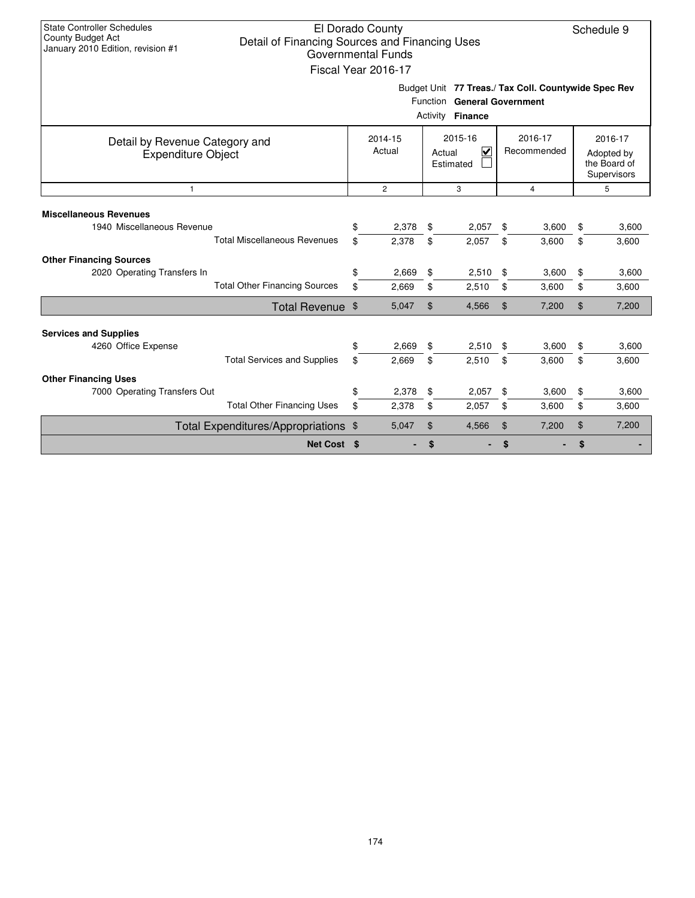| <b>State Controller Schedules</b><br><b>County Budget Act</b><br>January 2010 Edition, revision #1 | El Dorado County<br>Schedule 9<br>Detail of Financing Sources and Financing Uses<br><b>Governmental Funds</b><br>Fiscal Year 2016-17 |                   |    |                                                                                     |    |                        |    |                                                      |  |  |  |  |
|----------------------------------------------------------------------------------------------------|--------------------------------------------------------------------------------------------------------------------------------------|-------------------|----|-------------------------------------------------------------------------------------|----|------------------------|----|------------------------------------------------------|--|--|--|--|
|                                                                                                    |                                                                                                                                      |                   |    | Budget Unit 77 Treas./ Tax Coll. Countywide Spec Rev<br>Function General Government |    |                        |    |                                                      |  |  |  |  |
|                                                                                                    |                                                                                                                                      |                   |    | Activity Finance                                                                    |    |                        |    |                                                      |  |  |  |  |
| Detail by Revenue Category and<br><b>Expenditure Object</b>                                        |                                                                                                                                      | 2014-15<br>Actual |    | 2015-16<br>⊽<br>Actual<br>Estimated                                                 |    | 2016-17<br>Recommended |    | 2016-17<br>Adopted by<br>the Board of<br>Supervisors |  |  |  |  |
| $\overline{2}$<br>3<br>$\overline{4}$<br>$\mathbf{1}$                                              |                                                                                                                                      |                   |    |                                                                                     |    |                        |    |                                                      |  |  |  |  |
| <b>Miscellaneous Revenues</b><br>1940 Miscellaneous Revenue                                        | \$                                                                                                                                   | 2,378             | \$ | 2,057                                                                               | \$ | 3,600                  | \$ | 3,600                                                |  |  |  |  |
| <b>Total Miscellaneous Revenues</b>                                                                | \$                                                                                                                                   | 2,378             | \$ | 2,057                                                                               | \$ | 3,600                  | \$ | 3,600                                                |  |  |  |  |
| <b>Other Financing Sources</b><br>2020 Operating Transfers In                                      | \$                                                                                                                                   | 2.669             | \$ | 2,510                                                                               | \$ | 3,600                  | \$ | 3,600                                                |  |  |  |  |
| <b>Total Other Financing Sources</b>                                                               | \$                                                                                                                                   | 2,669             | \$ | 2,510                                                                               | \$ | 3,600                  | \$ | 3,600                                                |  |  |  |  |
| Total Revenue \$                                                                                   |                                                                                                                                      | 5,047             | \$ | 4,566                                                                               | \$ | 7,200                  | \$ | 7,200                                                |  |  |  |  |
| <b>Services and Supplies</b>                                                                       |                                                                                                                                      |                   |    |                                                                                     |    |                        |    |                                                      |  |  |  |  |
| 4260 Office Expense                                                                                | \$                                                                                                                                   | 2,669             | \$ | 2,510                                                                               | \$ | 3,600                  | \$ | 3,600                                                |  |  |  |  |
| <b>Total Services and Supplies</b>                                                                 | \$                                                                                                                                   | 2.669             | \$ | 2,510                                                                               | \$ | 3,600                  | \$ | 3,600                                                |  |  |  |  |
| <b>Other Financing Uses</b><br>7000 Operating Transfers Out                                        | \$                                                                                                                                   | 2,378             | \$ | 2,057                                                                               | \$ | 3,600                  | \$ | 3,600                                                |  |  |  |  |
| <b>Total Other Financing Uses</b>                                                                  | \$                                                                                                                                   | 2,378             | \$ | 2,057                                                                               | \$ | 3,600                  | \$ | 3,600                                                |  |  |  |  |
| Total Expenditures/Appropriations \$                                                               |                                                                                                                                      | 5,047             | \$ | 4,566                                                                               | \$ | 7,200                  | \$ | 7,200                                                |  |  |  |  |
| Net Cost \$                                                                                        |                                                                                                                                      |                   | \$ |                                                                                     | \$ |                        | \$ |                                                      |  |  |  |  |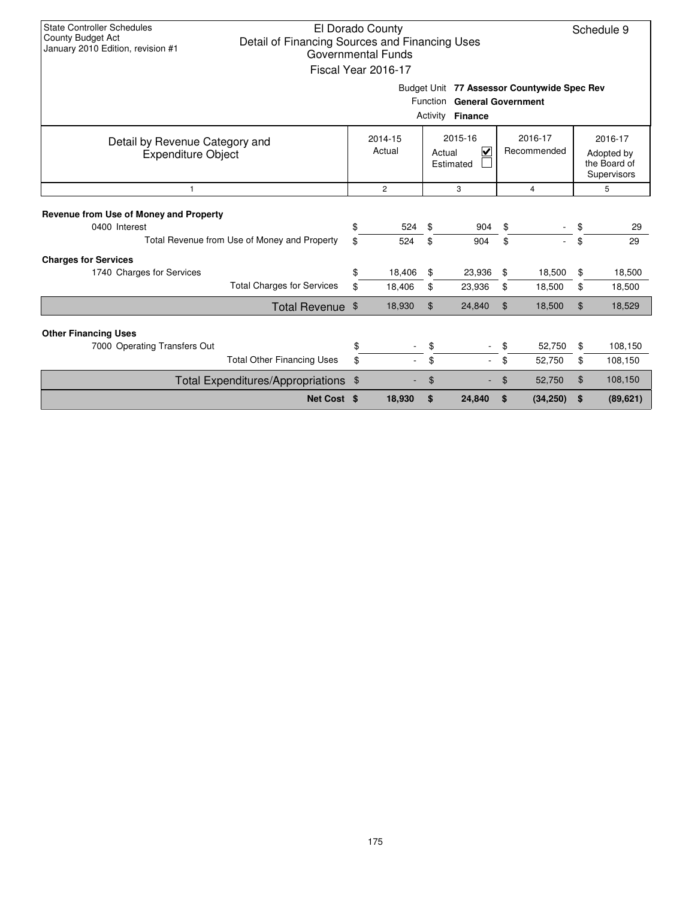| <b>State Controller Schedules</b><br>County Budget Act<br>January 2010 Edition, revision #1              | Detail of Financing Sources and Financing Uses |          | El Dorado County<br>Governmental Funds<br>Fiscal Year 2016-17       |                |            |          |                        |          | Schedule 9                                           |  |
|----------------------------------------------------------------------------------------------------------|------------------------------------------------|----------|---------------------------------------------------------------------|----------------|------------|----------|------------------------|----------|------------------------------------------------------|--|
| Budget Unit 77 Assessor Countywide Spec Rev<br>Function General Government<br>Activity<br><b>Finance</b> |                                                |          |                                                                     |                |            |          |                        |          |                                                      |  |
| Detail by Revenue Category and<br><b>Expenditure Object</b>                                              |                                                |          | 2015-16<br>2014-15<br>Actual<br>$\checkmark$<br>Actual<br>Estimated |                |            |          | 2016-17<br>Recommended |          | 2016-17<br>Adopted by<br>the Board of<br>Supervisors |  |
| $\mathbf{1}$                                                                                             |                                                |          | $\overline{2}$                                                      |                | 3          |          | $\overline{4}$         |          | 5                                                    |  |
| Revenue from Use of Money and Property<br>0400 Interest                                                  | Total Revenue from Use of Money and Property   | \$<br>\$ | 524<br>524                                                          | \$<br>\$       | 904<br>904 | \$<br>\$ |                        | \$<br>\$ | 29<br>29                                             |  |
| <b>Charges for Services</b>                                                                              |                                                |          |                                                                     |                |            |          |                        |          |                                                      |  |
| 1740 Charges for Services                                                                                |                                                | \$       | 18,406                                                              | \$             | 23,936     | \$       | 18,500                 | \$       | 18,500                                               |  |
|                                                                                                          | <b>Total Charges for Services</b>              | \$       | 18,406                                                              | \$             | 23,936     | \$       | 18,500                 | \$       | 18,500                                               |  |
|                                                                                                          | Total Revenue \$                               |          | 18,930                                                              | $\mathfrak{L}$ | 24,840     | \$       | 18,500                 | \$       | 18,529                                               |  |
| <b>Other Financing Uses</b>                                                                              |                                                |          |                                                                     |                |            |          |                        |          |                                                      |  |
| 7000 Operating Transfers Out                                                                             |                                                | \$       |                                                                     | \$             |            |          | 52,750                 | \$       | 108,150                                              |  |
|                                                                                                          | <b>Total Other Financing Uses</b>              | \$       |                                                                     | \$             |            | \$       | 52,750                 | \$       | 108,150                                              |  |
|                                                                                                          | Total Expenditures/Appropriations \$           |          |                                                                     | \$             |            | \$       | 52,750                 | \$       | 108,150                                              |  |
|                                                                                                          | Net Cost \$                                    |          | 18,930                                                              | \$             | 24,840     | \$       | (34, 250)              | \$       | (89, 621)                                            |  |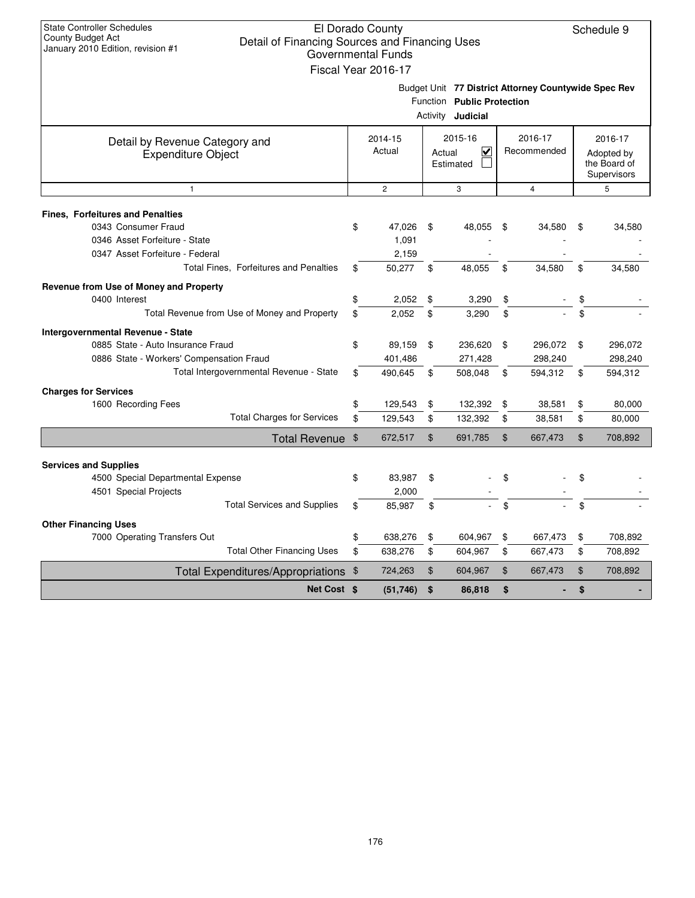| <b>State Controller Schedules</b><br>County Budget Act<br>January 2010 Edition, revision #1 | Detail of Financing Sources and Financing Uses |                       | El Dorado County<br><b>Governmental Funds</b> |                |                            |                |                                                      |    | Schedule 9                  |  |
|---------------------------------------------------------------------------------------------|------------------------------------------------|-----------------------|-----------------------------------------------|----------------|----------------------------|----------------|------------------------------------------------------|----|-----------------------------|--|
|                                                                                             |                                                |                       | Fiscal Year 2016-17                           |                |                            |                |                                                      |    |                             |  |
|                                                                                             |                                                |                       |                                               |                |                            |                | Budget Unit 77 District Attorney Countywide Spec Rev |    |                             |  |
|                                                                                             |                                                |                       |                                               |                | Function Public Protection |                |                                                      |    |                             |  |
|                                                                                             |                                                |                       |                                               |                | Activity <b>Judicial</b>   |                |                                                      |    |                             |  |
|                                                                                             |                                                |                       |                                               |                |                            |                |                                                      |    |                             |  |
| Detail by Revenue Category and                                                              |                                                |                       | 2014-15                                       |                | 2015-16                    |                | 2016-17<br>2016-17                                   |    |                             |  |
| <b>Expenditure Object</b>                                                                   |                                                | Actual<br>⊻<br>Actual |                                               |                |                            |                | Recommended                                          |    | Adopted by                  |  |
|                                                                                             |                                                |                       |                                               |                | Estimated                  |                |                                                      |    | the Board of<br>Supervisors |  |
| $\overline{c}$<br>3<br>$\overline{4}$<br>1                                                  |                                                |                       |                                               |                |                            |                |                                                      |    |                             |  |
|                                                                                             |                                                |                       |                                               |                |                            |                |                                                      |    |                             |  |
| <b>Fines, Forfeitures and Penalties</b>                                                     |                                                |                       |                                               |                |                            |                |                                                      |    |                             |  |
| 0343 Consumer Fraud                                                                         |                                                | \$                    | 47,026                                        | \$             | 48,055                     | \$             | 34,580                                               | \$ | 34,580                      |  |
| 0346 Asset Forfeiture - State                                                               |                                                |                       | 1,091                                         |                |                            |                |                                                      |    |                             |  |
| 0347 Asset Forfeiture - Federal                                                             |                                                |                       | 2,159                                         |                |                            |                |                                                      |    |                             |  |
|                                                                                             | Total Fines. Forfeitures and Penalties         | \$                    | 50,277                                        | $\mathfrak{F}$ | 48,055                     | \$             | 34,580                                               | \$ | 34,580                      |  |
| Revenue from Use of Money and Property                                                      |                                                |                       |                                               |                |                            |                |                                                      |    |                             |  |
| 0400 Interest                                                                               |                                                | \$                    | 2,052                                         | \$             | 3,290                      | \$             |                                                      | \$ |                             |  |
|                                                                                             | Total Revenue from Use of Money and Property   | \$                    | 2,052                                         | \$             | 3,290                      | \$             |                                                      | \$ |                             |  |
| <b>Intergovernmental Revenue - State</b>                                                    |                                                |                       |                                               |                |                            |                |                                                      |    |                             |  |
| 0885 State - Auto Insurance Fraud                                                           |                                                | \$                    | 89,159                                        | \$             | 236,620                    | \$             | 296,072                                              | \$ | 296,072                     |  |
| 0886 State - Workers' Compensation Fraud                                                    |                                                |                       | 401,486                                       |                | 271,428                    |                | 298,240                                              |    | 298,240                     |  |
|                                                                                             | Total Intergovernmental Revenue - State        | \$                    | 490,645                                       | \$             | 508,048                    | \$             | 594,312                                              | \$ | 594,312                     |  |
| <b>Charges for Services</b>                                                                 |                                                |                       |                                               |                |                            |                |                                                      |    |                             |  |
| 1600 Recording Fees                                                                         |                                                | \$                    | 129,543                                       | \$             | 132,392                    | \$             | 38,581                                               | \$ | 80,000                      |  |
|                                                                                             | <b>Total Charges for Services</b>              | \$                    | 129,543                                       | \$             | 132,392                    | \$             | 38,581                                               | \$ | 80,000                      |  |
|                                                                                             | <b>Total Revenue</b>                           | $\mathfrak{F}$        | 672,517                                       | $\mathfrak{S}$ | 691,785                    | $\mathfrak{F}$ | 667,473                                              | \$ | 708,892                     |  |
|                                                                                             |                                                |                       |                                               |                |                            |                |                                                      |    |                             |  |
| <b>Services and Supplies</b><br>4500 Special Departmental Expense                           |                                                | \$                    | 83,987                                        | \$             |                            | \$             |                                                      | \$ |                             |  |
| 4501 Special Projects                                                                       |                                                |                       | 2,000                                         |                |                            |                |                                                      |    |                             |  |
|                                                                                             | <b>Total Services and Supplies</b>             | \$                    | 85,987                                        | \$             |                            | \$             |                                                      | \$ |                             |  |
|                                                                                             |                                                |                       |                                               |                |                            |                |                                                      |    |                             |  |
| <b>Other Financing Uses</b>                                                                 |                                                |                       |                                               |                |                            |                |                                                      |    |                             |  |
| 7000 Operating Transfers Out                                                                |                                                | \$                    | 638,276                                       | \$             | 604,967                    | \$             | 667,473                                              | \$ | 708,892                     |  |
|                                                                                             | <b>Total Other Financing Uses</b>              | \$                    | 638,276                                       | \$             | 604,967                    | \$             | 667,473                                              | \$ | 708,892                     |  |
|                                                                                             | Total Expenditures/Appropriations \$           |                       | 724,263                                       | \$             | 604,967                    | \$             | 667,473                                              | \$ | 708,892                     |  |
|                                                                                             | Net Cost \$                                    |                       | (51, 746)                                     | \$             | 86,818                     | \$             |                                                      | \$ |                             |  |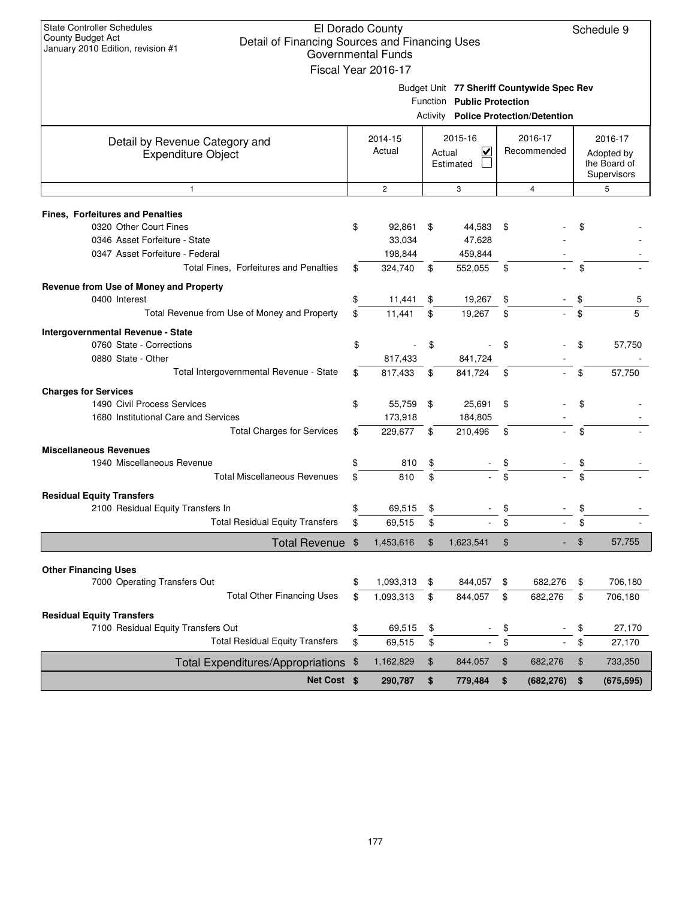| <b>State Controller Schedules</b><br>County Budget Act                              |               | El Dorado County          |        |                            |                                             |      | Schedule 9       |
|-------------------------------------------------------------------------------------|---------------|---------------------------|--------|----------------------------|---------------------------------------------|------|------------------|
| Detail of Financing Sources and Financing Uses<br>January 2010 Edition, revision #1 |               | <b>Governmental Funds</b> |        |                            |                                             |      |                  |
|                                                                                     |               |                           |        |                            |                                             |      |                  |
|                                                                                     |               | Fiscal Year 2016-17       |        |                            |                                             |      |                  |
|                                                                                     |               |                           |        |                            | Budget Unit 77 Sheriff Countywide Spec Rev  |      |                  |
|                                                                                     |               |                           |        | Function Public Protection |                                             |      |                  |
|                                                                                     |               |                           |        |                            | <b>Activity Police Protection/Detention</b> |      |                  |
| Detail by Revenue Category and                                                      |               | 2014-15                   |        | 2015-16                    | 2016-17                                     |      | 2016-17          |
| <b>Expenditure Object</b>                                                           |               | Actual                    | Actual | $\overline{\mathbf{v}}$    | Recommended                                 |      | Adopted by       |
|                                                                                     |               |                           |        | Estimated                  |                                             |      | the Board of     |
|                                                                                     |               | $\overline{c}$            |        | 3                          | $\overline{4}$                              |      | Supervisors<br>5 |
| $\mathbf{1}$                                                                        |               |                           |        |                            |                                             |      |                  |
| <b>Fines, Forfeitures and Penalties</b>                                             |               |                           |        |                            |                                             |      |                  |
| 0320 Other Court Fines                                                              | \$            | 92,861                    | \$     | 44,583                     | \$                                          | \$   |                  |
| 0346 Asset Forfeiture - State                                                       |               | 33,034                    |        | 47,628                     |                                             |      |                  |
| 0347 Asset Forfeiture - Federal                                                     |               | 198,844                   |        | 459,844                    |                                             |      |                  |
| Total Fines, Forfeitures and Penalties                                              | \$            | 324,740                   | \$     | 552,055                    | \$                                          | \$   |                  |
| Revenue from Use of Money and Property                                              |               |                           |        |                            |                                             |      |                  |
| 0400 Interest                                                                       | \$            | 11,441                    | \$     | 19,267                     | \$                                          | \$   | b                |
| Total Revenue from Use of Money and Property                                        | \$            | 11,441                    | \$     | 19,267                     | \$                                          | \$   | 5                |
| Intergovernmental Revenue - State                                                   |               |                           |        |                            |                                             |      |                  |
| 0760 State - Corrections                                                            | \$            |                           | \$     |                            | \$                                          | \$   | 57,750           |
| 0880 State - Other                                                                  |               | 817,433                   |        | 841,724                    |                                             |      |                  |
| Total Intergovernmental Revenue - State                                             | \$            | 817,433                   | \$     | 841,724                    | \$                                          | \$   | 57,750           |
| <b>Charges for Services</b>                                                         |               |                           |        |                            |                                             |      |                  |
| 1490 Civil Process Services                                                         | \$            | 55,759                    | \$     | 25,691                     | \$                                          | \$   |                  |
| 1680 Institutional Care and Services                                                |               | 173,918                   |        | 184,805                    |                                             |      |                  |
| <b>Total Charges for Services</b>                                                   | \$            | 229,677                   | \$     | 210,496                    | \$                                          | \$   |                  |
| <b>Miscellaneous Revenues</b>                                                       |               |                           |        |                            |                                             |      |                  |
| 1940 Miscellaneous Revenue                                                          | \$            | 810                       | \$     |                            |                                             | \$   |                  |
| <b>Total Miscellaneous Revenues</b>                                                 | \$            | 810                       | \$     |                            |                                             | \$   |                  |
| <b>Residual Equity Transfers</b>                                                    |               |                           |        |                            |                                             |      |                  |
| 2100 Residual Equity Transfers In                                                   | \$            | 69,515                    | \$     |                            | \$                                          | \$   |                  |
| Total Residual Equity Transters                                                     | \$            | 69,515                    | \$     |                            | \$                                          | \$   |                  |
| <b>Total Revenue</b>                                                                | $\frac{1}{2}$ | 1,453,616                 | \$     | 1,623,541                  | \$                                          | $\,$ | 57,755           |
|                                                                                     |               |                           |        |                            |                                             |      |                  |
| <b>Other Financing Uses</b>                                                         |               |                           |        |                            |                                             |      |                  |
| 7000 Operating Transfers Out                                                        | \$            | 1,093,313                 | \$     | 844,057                    | \$<br>682,276                               | \$   | 706,180          |
| <b>Total Other Financing Uses</b>                                                   | \$            | 1,093,313                 | \$     | 844,057                    | \$<br>682,276                               | \$   | 706,180          |
| <b>Residual Equity Transfers</b>                                                    |               |                           |        |                            |                                             |      |                  |
| 7100 Residual Equity Transfers Out                                                  | \$            | 69,515                    | \$     |                            | \$                                          | \$   | 27,170           |
| <b>Total Residual Equity Transfers</b>                                              | \$            | 69,515                    | \$     |                            | \$                                          | \$   | 27,170           |
| Total Expenditures/Appropriations \$                                                |               | 1,162,829                 | \$     | 844,057                    | \$<br>682,276                               | $\,$ | 733,350          |
| Net Cost \$                                                                         |               | 290,787                   | \$     | 779,484                    | \$<br>(682, 276)                            | \$   | (675, 595)       |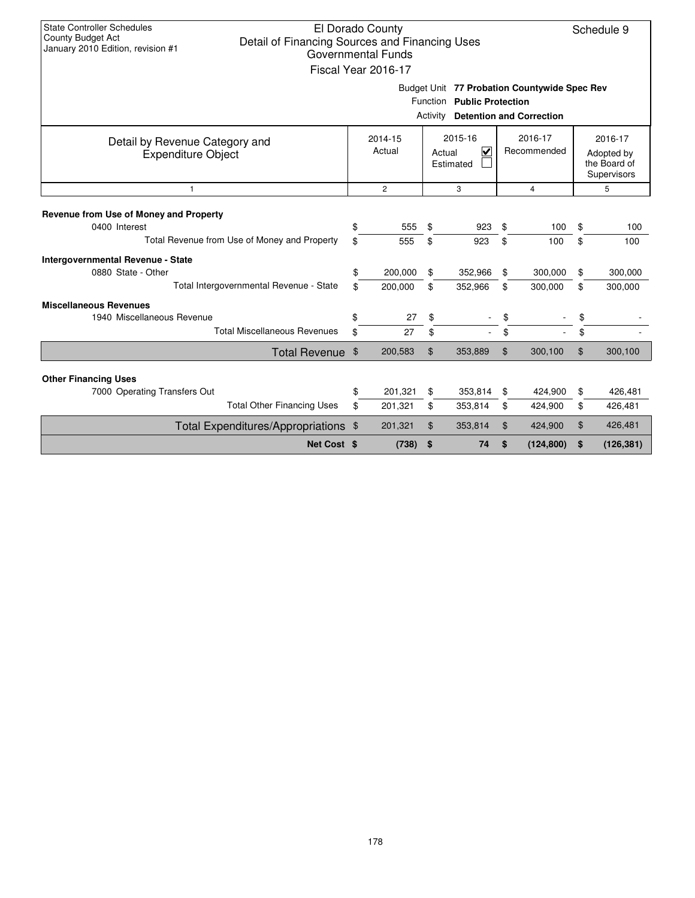| <b>State Controller Schedules</b><br>County Budget Act<br>Detail of Financing Sources and Financing Uses<br>January 2010 Edition, revision #1 |                                                                                                                                                   | El Dorado County<br><b>Governmental Funds</b><br>Fiscal Year 2016-17 |               |                                                                            |               |                                 |                                                      | Schedule 9 |
|-----------------------------------------------------------------------------------------------------------------------------------------------|---------------------------------------------------------------------------------------------------------------------------------------------------|----------------------------------------------------------------------|---------------|----------------------------------------------------------------------------|---------------|---------------------------------|------------------------------------------------------|------------|
|                                                                                                                                               |                                                                                                                                                   |                                                                      | Activity      | Budget Unit 77 Probation Countywide Spec Rev<br>Function Public Protection |               | <b>Detention and Correction</b> |                                                      |            |
| Detail by Revenue Category and<br><b>Expenditure Object</b>                                                                                   | 2015-16<br>2016-17<br>2014-15<br>Actual<br>$\overline{\mathsf{v}}$<br>Recommended<br>Actual<br>Estimated<br>$\overline{2}$<br>3<br>$\overline{4}$ |                                                                      |               |                                                                            |               |                                 | 2016-17<br>Adopted by<br>the Board of<br>Supervisors |            |
| $\overline{1}$                                                                                                                                |                                                                                                                                                   |                                                                      |               |                                                                            |               |                                 |                                                      | 5          |
| Revenue from Use of Money and Property<br>0400 Interest                                                                                       | \$                                                                                                                                                | 555                                                                  | \$            | 923                                                                        | \$            | 100                             | \$                                                   | 100        |
| Total Revenue from Use of Money and Property                                                                                                  | \$                                                                                                                                                | 555                                                                  | \$            | 923                                                                        | \$            | 100                             | \$                                                   | 100        |
| Intergovernmental Revenue - State<br>0880 State - Other                                                                                       | \$                                                                                                                                                | 200,000                                                              | \$            | 352,966                                                                    | \$            | 300,000                         | \$                                                   | 300,000    |
| Total Intergovernmental Revenue - State                                                                                                       | \$                                                                                                                                                | 200,000                                                              | \$            | 352,966                                                                    | \$            | 300,000                         | \$                                                   | 300,000    |
| <b>Miscellaneous Revenues</b><br>1940 Miscellaneous Revenue                                                                                   | \$                                                                                                                                                | 27                                                                   | \$            |                                                                            | \$            |                                 | \$                                                   |            |
| <b>Total Miscellaneous Revenues</b>                                                                                                           | \$                                                                                                                                                | 27                                                                   | \$            |                                                                            | \$            |                                 | \$                                                   |            |
| Total Revenue \$                                                                                                                              |                                                                                                                                                   | 200,583                                                              | \$            | 353,889                                                                    | \$            | 300,100                         | $\mathfrak{L}$                                       | 300,100    |
| <b>Other Financing Uses</b>                                                                                                                   |                                                                                                                                                   |                                                                      |               |                                                                            |               |                                 |                                                      |            |
| 7000 Operating Transfers Out                                                                                                                  | \$                                                                                                                                                | 201,321                                                              | \$            | 353,814                                                                    | \$            | 424,900                         | \$                                                   | 426,481    |
| <b>Total Other Financing Uses</b>                                                                                                             | \$                                                                                                                                                | 201,321                                                              | \$<br>353,814 |                                                                            | 424,900<br>\$ |                                 | \$                                                   | 426,481    |
| Total Expenditures/Appropriations \$                                                                                                          |                                                                                                                                                   | \$<br>201,321                                                        |               | 353,814                                                                    | \$<br>424,900 |                                 | \$                                                   | 426,481    |
| Net Cost \$                                                                                                                                   |                                                                                                                                                   | (738)                                                                | \$            | 74                                                                         | \$            | (124, 800)                      | \$                                                   | (126, 381) |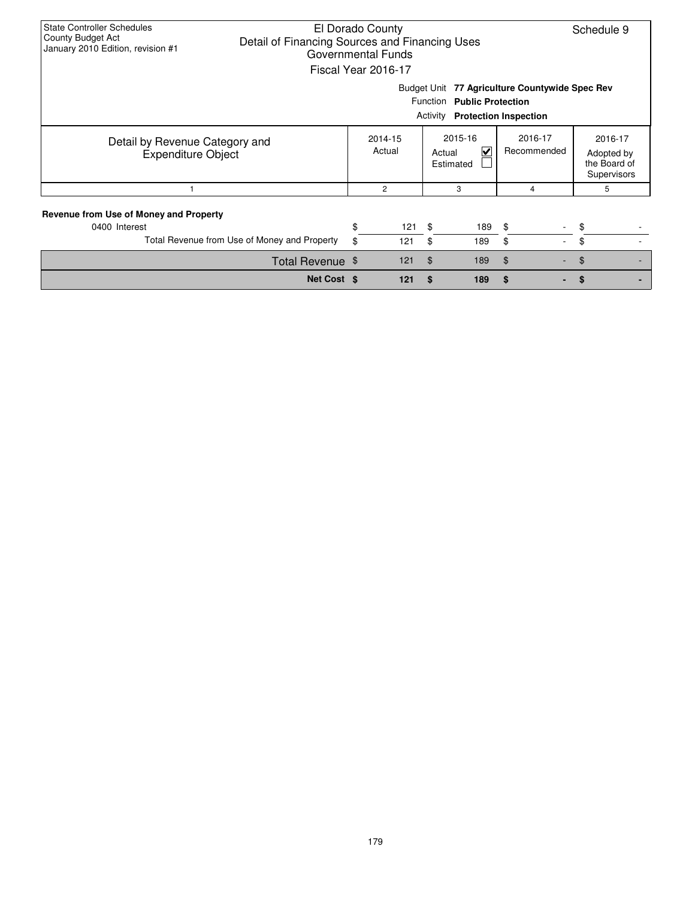| <b>State Controller Schedules</b><br>El Dorado County<br>County Budget Act<br>Detail of Financing Sources and Financing Uses<br>January 2010 Edition, revision #1<br>Governmental Funds<br>Fiscal Year 2016-17 |                                                                                                                          |                   |                     |                                    |                        |                                                      |  |  |  |  |
|----------------------------------------------------------------------------------------------------------------------------------------------------------------------------------------------------------------|--------------------------------------------------------------------------------------------------------------------------|-------------------|---------------------|------------------------------------|------------------------|------------------------------------------------------|--|--|--|--|
|                                                                                                                                                                                                                | Budget Unit 77 Agriculture Countywide Spec Rev<br>Function Public Protection<br><b>Protection Inspection</b><br>Activity |                   |                     |                                    |                        |                                                      |  |  |  |  |
| Detail by Revenue Category and<br><b>Expenditure Object</b>                                                                                                                                                    |                                                                                                                          | 2014-15<br>Actual | Actual<br>Estimated | 2015-16<br>$\overline{\mathbf{v}}$ | 2016-17<br>Recommended | 2016-17<br>Adopted by<br>the Board of<br>Supervisors |  |  |  |  |
|                                                                                                                                                                                                                |                                                                                                                          | $\overline{c}$    |                     | 3                                  | 4                      | 5                                                    |  |  |  |  |
| <b>Revenue from Use of Money and Property</b><br>0400 Interest<br>Total Revenue from Use of Money and Property                                                                                                 | \$<br>\$                                                                                                                 | 121<br>121        | \$<br>\$            | 189<br>189                         | \$<br>\$<br>$\sim$     | \$<br>\$                                             |  |  |  |  |
| Total Revenue \$                                                                                                                                                                                               |                                                                                                                          | 121               | $\mathfrak{F}$      | 189                                | \$                     | \$                                                   |  |  |  |  |
| Net Cost \$                                                                                                                                                                                                    |                                                                                                                          | 121               | S                   | 189                                | \$                     |                                                      |  |  |  |  |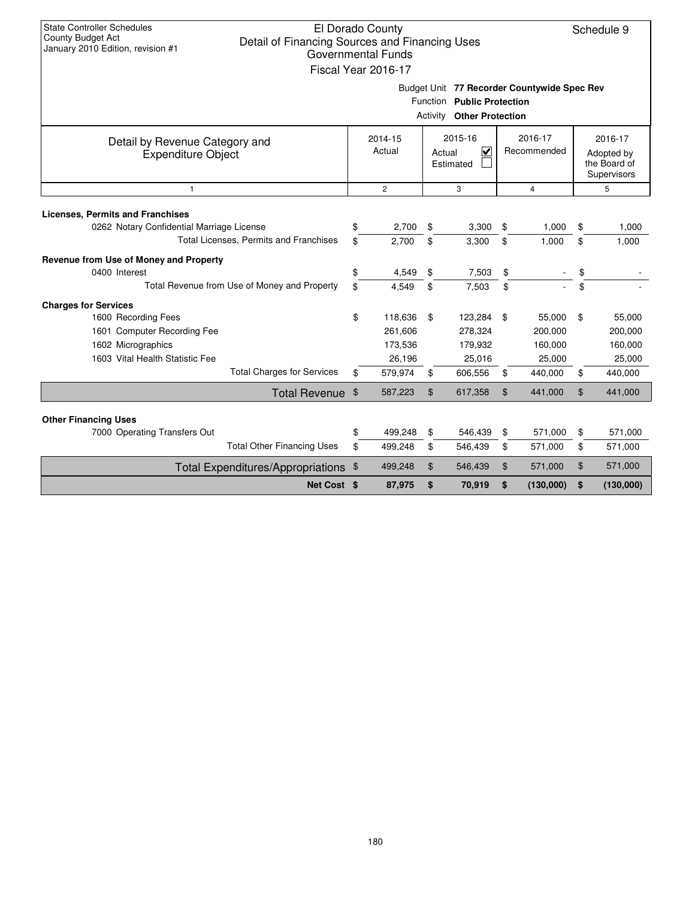| <b>State Controller Schedules</b><br>County Budget Act<br>Detail of Financing Sources and Financing Uses<br>January 2010 Edition, revision #1 |               | El Dorado County<br><b>Governmental Funds</b><br>Fiscal Year 2016-17 |          |                                                                                                               |          |                                        |                                                      | Schedule 9                             |  |  |
|-----------------------------------------------------------------------------------------------------------------------------------------------|---------------|----------------------------------------------------------------------|----------|---------------------------------------------------------------------------------------------------------------|----------|----------------------------------------|------------------------------------------------------|----------------------------------------|--|--|
|                                                                                                                                               |               |                                                                      |          | Budget Unit 77 Recorder Countywide Spec Rev<br>Function Public Protection<br><b>Activity Other Protection</b> |          |                                        |                                                      |                                        |  |  |
| Detail by Revenue Category and<br><b>Expenditure Object</b>                                                                                   |               | 2014-15<br>Actual                                                    |          | 2015-16<br>$\overline{\mathbf{v}}$<br>Actual<br>Estimated                                                     |          | 2016-17<br>Recommended                 | 2016-17<br>Adopted by<br>the Board of<br>Supervisors |                                        |  |  |
| $\overline{2}$<br>3<br>$\overline{4}$<br>$\mathbf{1}$                                                                                         |               |                                                                      |          |                                                                                                               |          |                                        |                                                      |                                        |  |  |
| <b>Licenses, Permits and Franchises</b><br>0262 Notary Confidential Marriage License                                                          |               | 2,700                                                                | \$       | 3,300                                                                                                         | \$       | 1,000                                  | \$                                                   | 1,000                                  |  |  |
| Total Licenses, Permits and Franchises                                                                                                        | \$            | 2,700                                                                | \$       | 3,300                                                                                                         | \$       | 1,000                                  | \$                                                   | 1,000                                  |  |  |
| Revenue from Use of Money and Property<br>0400 Interest<br>Total Revenue from Use of Money and Property                                       | \$<br>\$      | 4,549<br>4.549                                                       | \$<br>\$ | 7,503<br>7,503                                                                                                | \$<br>\$ |                                        | \$<br>\$                                             |                                        |  |  |
| <b>Charges for Services</b>                                                                                                                   |               |                                                                      |          |                                                                                                               |          |                                        |                                                      |                                        |  |  |
| 1600 Recording Fees<br>1601 Computer Recording Fee<br>1602 Micrographics<br>1603 Vital Health Statistic Fee                                   | \$            | 118,636<br>261.606<br>173,536<br>26,196                              | \$       | 123,284<br>278,324<br>179,932<br>25,016                                                                       | \$       | 55,000<br>200,000<br>160,000<br>25,000 | \$                                                   | 55,000<br>200,000<br>160,000<br>25,000 |  |  |
| <b>Total Charges for Services</b>                                                                                                             | \$            | 579,974                                                              | \$       | 606,556                                                                                                       | \$       | 440,000                                | \$                                                   | 440,000                                |  |  |
| <b>Total Revenue</b>                                                                                                                          | $\frac{1}{2}$ | 587,223                                                              | \$       | 617,358                                                                                                       | \$       | 441,000                                | \$                                                   | 441,000                                |  |  |
| <b>Other Financing Uses</b><br>7000 Operating Transfers Out<br><b>Total Other Financing Uses</b>                                              | \$<br>\$      | 499,248<br>499,248                                                   | \$<br>\$ | 546,439<br>546,439                                                                                            | \$<br>\$ | 571,000<br>571,000                     | \$<br>\$                                             | 571,000<br>571,000                     |  |  |
| Total Expenditures/Appropriations                                                                                                             | \$            | 499,248                                                              | \$       | 546,439                                                                                                       | \$       | 571,000                                | \$                                                   | 571,000                                |  |  |
| Net Cost \$                                                                                                                                   |               | 87,975                                                               | \$       | 70,919                                                                                                        | \$       | (130,000)                              | \$                                                   | (130,000)                              |  |  |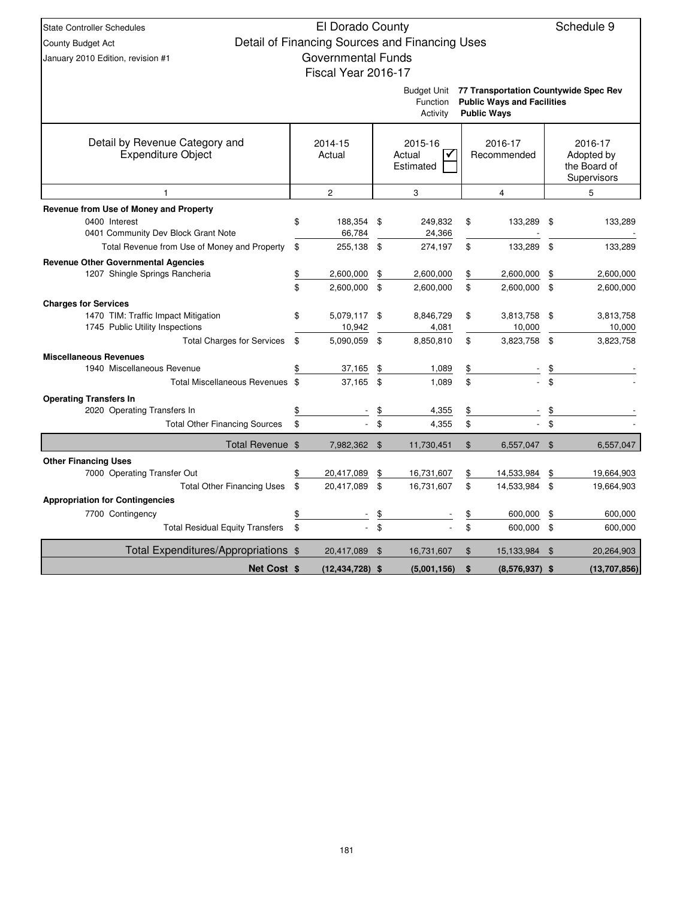| <b>State Controller Schedules</b>                                      | El Dorado County          |                |                                                |                |                                       |                | Schedule 9                 |
|------------------------------------------------------------------------|---------------------------|----------------|------------------------------------------------|----------------|---------------------------------------|----------------|----------------------------|
| County Budget Act                                                      |                           |                | Detail of Financing Sources and Financing Uses |                |                                       |                |                            |
| January 2010 Edition, revision #1                                      | <b>Governmental Funds</b> |                |                                                |                |                                       |                |                            |
|                                                                        | Fiscal Year 2016-17       |                |                                                |                |                                       |                |                            |
|                                                                        |                           |                | <b>Budget Unit</b>                             |                | 77 Transportation Countywide Spec Rev |                |                            |
|                                                                        |                           |                | Function                                       |                | <b>Public Ways and Facilities</b>     |                |                            |
|                                                                        |                           |                | Activity                                       |                | <b>Public Ways</b>                    |                |                            |
|                                                                        |                           |                |                                                |                |                                       |                |                            |
| Detail by Revenue Category and<br><b>Expenditure Object</b>            | 2014-15                   |                | 2015-16                                        |                | 2016-17                               |                | 2016-17                    |
|                                                                        | Actual                    |                | Actual<br>✓<br>Estimated                       |                | Recommended                           |                | Adopted by<br>the Board of |
|                                                                        |                           |                |                                                |                |                                       |                | Supervisors                |
| 1                                                                      | 2                         |                | 3                                              |                | 4                                     |                | 5                          |
| Revenue from Use of Money and Property                                 |                           |                |                                                |                |                                       |                |                            |
| 0400 Interest                                                          | \$<br>188,354             | \$             | 249,832                                        | \$             | 133,289                               | \$             | 133,289                    |
| 0401 Community Dev Block Grant Note                                    | 66,784                    |                | 24,366                                         |                |                                       |                |                            |
| Total Revenue from Use of Money and Property                           | \$<br>255,138             | \$             | 274,197                                        | \$             | 133,289                               | \$             | 133,289                    |
| <b>Revenue Other Governmental Agencies</b>                             |                           |                |                                                |                |                                       |                |                            |
| 1207 Shingle Springs Rancheria                                         | \$<br>2,600,000           | \$             | 2,600,000                                      | \$             | 2,600,000                             | \$             | 2,600,000                  |
|                                                                        | \$<br>2,600,000           | \$             | 2,600,000                                      | \$             | 2,600,000                             | \$             | 2,600,000                  |
| <b>Charges for Services</b>                                            |                           |                |                                                |                |                                       |                |                            |
| 1470 TIM: Traffic Impact Mitigation<br>1745 Public Utility Inspections | \$<br>5,079,117<br>10,942 | \$             | 8,846,729<br>4,081                             | \$             | 3,813,758<br>10,000                   | \$             | 3,813,758<br>10,000        |
| <b>Total Charges for Services</b>                                      | \$<br>5,090,059           | \$             | 8,850,810                                      | \$             | 3,823,758                             | \$             | 3,823,758                  |
| <b>Miscellaneous Revenues</b>                                          |                           |                |                                                |                |                                       |                |                            |
| 1940 Miscellaneous Revenue                                             | \$<br>37,165              | \$             | 1,089                                          | \$             |                                       | \$             |                            |
| Total Miscellaneous Revenues \$                                        | 37,165                    | \$             | 1.089                                          | \$             |                                       | \$             |                            |
| <b>Operating Transfers In</b>                                          |                           |                |                                                |                |                                       |                |                            |
| 2020 Operating Transfers In                                            | \$                        | $\frac{1}{2}$  | 4,355                                          | \$             |                                       | $\frac{1}{2}$  |                            |
| <b>Total Other Financing Sources</b>                                   | \$                        | \$             | 4,355                                          | \$             |                                       | \$             |                            |
| Total Revenue \$                                                       | 7,982,362                 | $\mathfrak{F}$ | 11,730,451                                     | $\$\$          | 6,557,047                             | $\$\$          | 6,557,047                  |
| <b>Other Financing Uses</b>                                            |                           |                |                                                |                |                                       |                |                            |
| 7000 Operating Transfer Out                                            | \$<br>20,417,089          | \$             | 16,731,607                                     | \$             | 14,533,984                            | \$             | 19,664,903                 |
| <b>Total Other Financing Uses</b>                                      | \$<br>20,417,089          | \$             | 16,731,607                                     | \$             | 14,533,984                            | \$             | 19,664,903                 |
| <b>Appropriation for Contingencies</b>                                 |                           |                |                                                |                |                                       |                |                            |
| 7700 Contingency                                                       | \$                        | \$             |                                                | \$             | 600,000                               | \$             | 600,000                    |
| <b>Total Residual Equity Transfers</b>                                 | \$                        | \$             |                                                | \$             | 600,000                               | \$             | 600,000                    |
| Total Expenditures/Appropriations \$                                   | 20,417,089                | \$             | 16,731,607                                     | $\mathfrak{F}$ | 15,133,984                            | $\mathfrak{L}$ | 20,264,903                 |
| Net Cost \$                                                            | $(12, 434, 728)$ \$       |                | (5,001,156)                                    | \$             | $(8,576,937)$ \$                      |                | (13,707,856)               |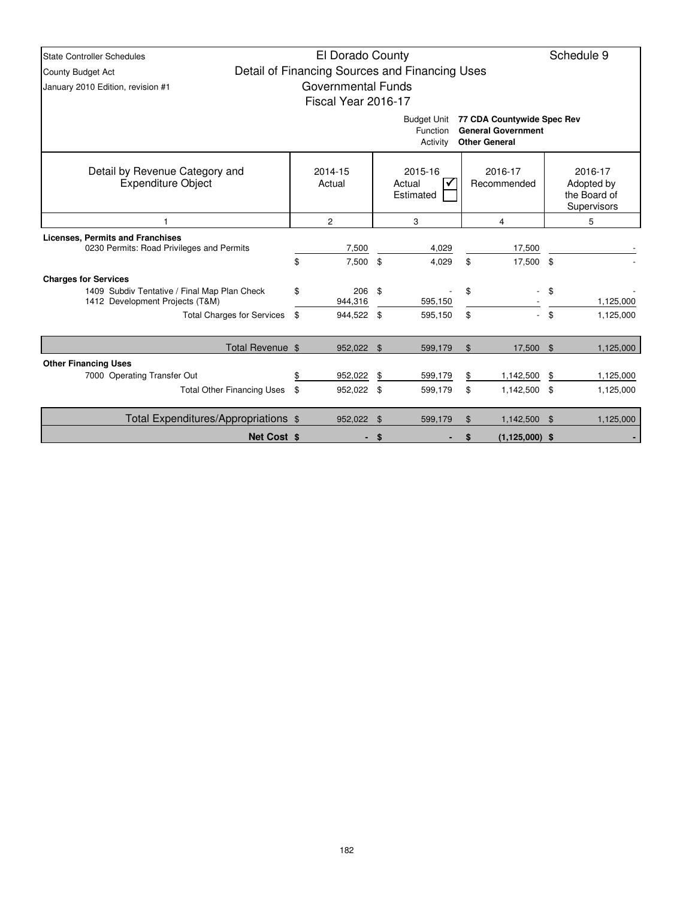| <b>State Controller Schedules</b>                                                                              | El Dorado County          |                                                |                        |                                                                                 |                    | Schedule 9                                           |
|----------------------------------------------------------------------------------------------------------------|---------------------------|------------------------------------------------|------------------------|---------------------------------------------------------------------------------|--------------------|------------------------------------------------------|
| County Budget Act                                                                                              |                           | Detail of Financing Sources and Financing Uses |                        |                                                                                 |                    |                                                      |
| January 2010 Edition, revision #1                                                                              | <b>Governmental Funds</b> |                                                |                        |                                                                                 |                    |                                                      |
|                                                                                                                | Fiscal Year 2016-17       |                                                |                        |                                                                                 |                    |                                                      |
|                                                                                                                |                           | <b>Budget Unit</b><br>Function<br>Activity     |                        | 77 CDA Countywide Spec Rev<br><b>General Government</b><br><b>Other General</b> |                    |                                                      |
| Detail by Revenue Category and<br><b>Expenditure Object</b>                                                    | 2014-15<br>Actual         | 2015-16<br>Actual<br>Estimated                 | 2016-17<br>Recommended |                                                                                 |                    | 2016-17<br>Adopted by<br>the Board of<br>Supervisors |
|                                                                                                                | $\overline{c}$            | 3                                              |                        | 4                                                                               |                    | 5                                                    |
| <b>Licenses, Permits and Franchises</b><br>0230 Permits: Road Privileges and Permits                           | 7,500                     | 4,029                                          |                        | 17,500                                                                          |                    |                                                      |
|                                                                                                                | \$<br>7,500               | \$<br>4,029                                    | \$                     | 17,500 \$                                                                       |                    |                                                      |
| <b>Charges for Services</b><br>1409 Subdiv Tentative / Final Map Plan Check<br>1412 Development Projects (T&M) | \$<br>206<br>944,316      | \$<br>595,150                                  | \$                     |                                                                                 | \$                 | 1,125,000                                            |
| <b>Total Charges for Services</b>                                                                              | \$<br>944,522 \$          | 595,150                                        | \$                     |                                                                                 | \$                 | 1,125,000                                            |
| Total Revenue \$                                                                                               | 952,022 \$                | 599,179                                        | \$                     | 17,500 \$                                                                       |                    | 1,125,000                                            |
| <b>Other Financing Uses</b>                                                                                    |                           |                                                |                        |                                                                                 |                    |                                                      |
| 7000 Operating Transfer Out                                                                                    | \$<br>952,022             | \$<br>599,179                                  | \$                     | 1,142,500                                                                       | -\$                | 1,125,000                                            |
| <b>Total Other Financing Uses</b>                                                                              | \$<br>952,022 \$          | 599,179                                        | \$                     | 1,142,500 \$                                                                    |                    | 1,125,000                                            |
| Total Expenditures/Appropriations \$                                                                           | 952,022 \$                | 599,179                                        | $\mathfrak{L}$         | 1,142,500                                                                       | $\mathbf{\hat{s}}$ | 1,125,000                                            |
| <b>Net Cost \$</b>                                                                                             |                           | \$                                             | \$                     | $(1, 125, 000)$ \$                                                              |                    |                                                      |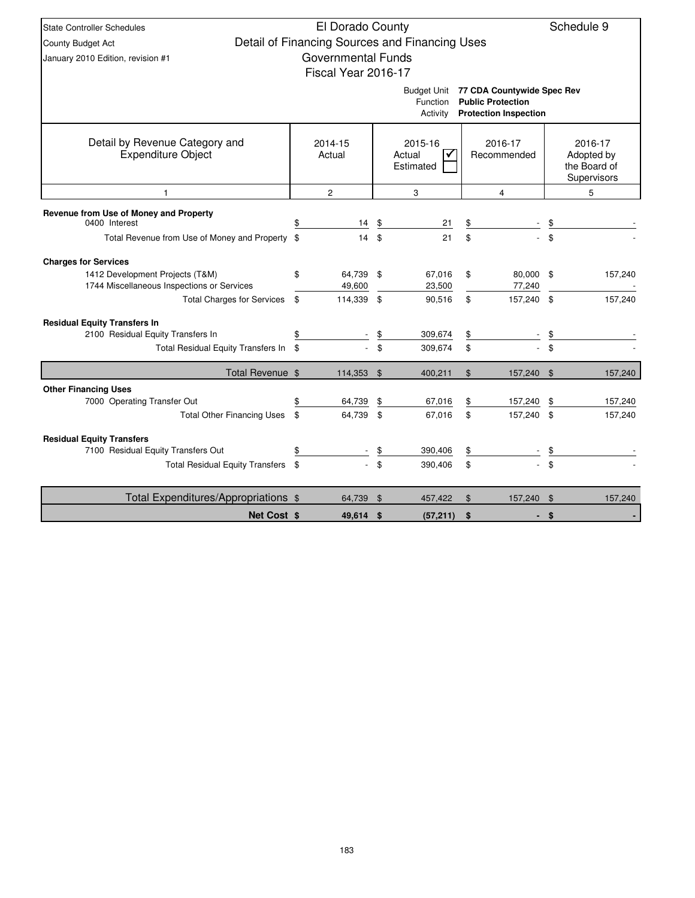| El Dorado County<br>Schedule 9<br><b>State Controller Schedules</b> |    |                           |    |                                                |                |                                                          |    |              |  |  |  |  |
|---------------------------------------------------------------------|----|---------------------------|----|------------------------------------------------|----------------|----------------------------------------------------------|----|--------------|--|--|--|--|
|                                                                     |    |                           |    | Detail of Financing Sources and Financing Uses |                |                                                          |    |              |  |  |  |  |
| County Budget Act                                                   |    | <b>Governmental Funds</b> |    |                                                |                |                                                          |    |              |  |  |  |  |
| January 2010 Edition, revision #1                                   |    |                           |    |                                                |                |                                                          |    |              |  |  |  |  |
|                                                                     |    | Fiscal Year 2016-17       |    |                                                |                |                                                          |    |              |  |  |  |  |
|                                                                     |    |                           |    | <b>Budget Unit</b>                             |                | 77 CDA Countywide Spec Rev                               |    |              |  |  |  |  |
|                                                                     |    |                           |    | Function<br>Activity                           |                | <b>Public Protection</b><br><b>Protection Inspection</b> |    |              |  |  |  |  |
|                                                                     |    |                           |    |                                                |                |                                                          |    |              |  |  |  |  |
| Detail by Revenue Category and                                      |    | 2014-15                   |    | 2015-16                                        |                | 2016-17                                                  |    | 2016-17      |  |  |  |  |
| <b>Expenditure Object</b>                                           |    | Actual                    |    | Actual<br>✔                                    |                | Recommended                                              |    | Adopted by   |  |  |  |  |
|                                                                     |    |                           |    | Estimated                                      |                |                                                          |    | the Board of |  |  |  |  |
|                                                                     |    |                           |    |                                                |                |                                                          |    | Supervisors  |  |  |  |  |
| 1                                                                   |    | $\overline{2}$            |    | 3                                              |                | $\overline{4}$                                           |    | 5            |  |  |  |  |
| Revenue from Use of Money and Property                              |    |                           |    |                                                |                |                                                          |    |              |  |  |  |  |
| 0400 Interest                                                       | \$ | 14                        | \$ | 21                                             | \$             |                                                          |    |              |  |  |  |  |
| Total Revenue from Use of Money and Property \$                     |    | 14                        | \$ | 21                                             | \$             |                                                          | \$ |              |  |  |  |  |
| <b>Charges for Services</b>                                         |    |                           |    |                                                |                |                                                          |    |              |  |  |  |  |
| 1412 Development Projects (T&M)                                     | \$ | 64,739 \$                 |    | 67,016                                         | \$             | 80,000 \$                                                |    | 157,240      |  |  |  |  |
| 1744 Miscellaneous Inspections or Services                          |    | 49,600                    |    | 23,500                                         |                | 77,240                                                   |    |              |  |  |  |  |
| <b>Total Charges for Services</b>                                   | \$ | 114,339                   | \$ | 90,516                                         | \$             | 157,240 \$                                               |    | 157,240      |  |  |  |  |
| <b>Residual Equity Transfers In</b>                                 |    |                           |    |                                                |                |                                                          |    |              |  |  |  |  |
| 2100 Residual Equity Transfers In                                   |    |                           | \$ | 309,674                                        | \$             |                                                          |    |              |  |  |  |  |
| Total Residual Equity Transfers In                                  | \$ |                           | \$ | 309,674                                        | \$             |                                                          | \$ |              |  |  |  |  |
| Total Revenue \$                                                    |    | 114,353 \$                |    | 400,211                                        | $\mathfrak{L}$ | 157,240 \$                                               |    | 157,240      |  |  |  |  |
| <b>Other Financing Uses</b>                                         |    |                           |    |                                                |                |                                                          |    |              |  |  |  |  |
| 7000 Operating Transfer Out                                         |    | 64,739                    | \$ | 67,016                                         | \$             | 157,240                                                  | \$ | 157,240      |  |  |  |  |
| <b>Total Other Financing Uses</b>                                   | \$ | 64,739                    | \$ | 67,016                                         | \$             | 157,240                                                  | \$ | 157,240      |  |  |  |  |
| <b>Residual Equity Transfers</b>                                    |    |                           |    |                                                |                |                                                          |    |              |  |  |  |  |
| 7100 Residual Equity Transfers Out                                  | \$ |                           |    | 390,406                                        | \$             |                                                          | \$ |              |  |  |  |  |
| Total Residual Equity Transfers \$                                  |    |                           | \$ | 390,406                                        | \$             |                                                          | \$ |              |  |  |  |  |
| Total Expenditures/Appropriations \$                                |    | 64,739                    | \$ | 457,422                                        | $\mathfrak{F}$ | 157,240                                                  | \$ | 157,240      |  |  |  |  |
| <b>Net Cost \$</b>                                                  |    | 49,614 \$                 |    | (57, 211)                                      | \$             |                                                          | \$ |              |  |  |  |  |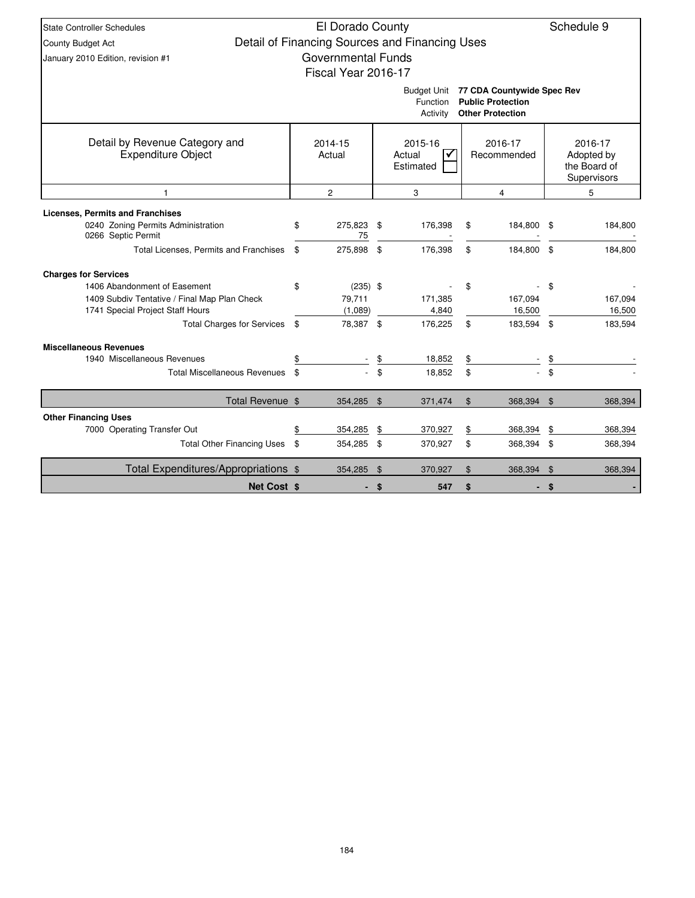| <b>State Controller Schedules</b>            | El Dorado County          |                                                |       |                            |      | Schedule 9                 |  |
|----------------------------------------------|---------------------------|------------------------------------------------|-------|----------------------------|------|----------------------------|--|
| <b>County Budget Act</b>                     |                           | Detail of Financing Sources and Financing Uses |       |                            |      |                            |  |
| January 2010 Edition, revision #1            | <b>Governmental Funds</b> |                                                |       |                            |      |                            |  |
|                                              | Fiscal Year 2016-17       |                                                |       |                            |      |                            |  |
|                                              |                           | Budget Unit                                    |       | 77 CDA Countywide Spec Rev |      |                            |  |
|                                              |                           | Function                                       |       | <b>Public Protection</b>   |      |                            |  |
|                                              |                           | Activity                                       |       | <b>Other Protection</b>    |      |                            |  |
|                                              |                           |                                                |       |                            |      |                            |  |
| Detail by Revenue Category and               | 2014-15                   | 2015-16                                        |       | 2016-17                    |      | 2016-17                    |  |
| Expenditure Object                           | Actual                    | Actual<br>Estimated                            |       | Recommended                |      | Adopted by<br>the Board of |  |
|                                              |                           |                                                |       |                            |      | Supervisors                |  |
|                                              | $\overline{c}$            | 3                                              |       | 4                          | 5    |                            |  |
| <b>Licenses, Permits and Franchises</b>      |                           |                                                |       |                            |      |                            |  |
| 0240 Zoning Permits Administration           | \$<br>275,823             | \$<br>176,398                                  | \$    | 184,800                    | - \$ | 184,800                    |  |
| 0266 Septic Permit                           | 75                        |                                                |       |                            |      |                            |  |
| Total Licenses, Permits and Franchises       | \$<br>275,898             | \$<br>176,398                                  | \$    | 184,800 \$                 |      | 184,800                    |  |
| <b>Charges for Services</b>                  |                           |                                                |       |                            |      |                            |  |
| 1406 Abandonment of Easement                 | \$<br>$(235)$ \$          |                                                | \$    |                            | \$   |                            |  |
| 1409 Subdiv Tentative / Final Map Plan Check | 79,711                    | 171,385                                        |       | 167,094                    |      | 167,094                    |  |
| 1741 Special Project Staff Hours             | (1,089)                   | 4,840                                          |       | 16,500                     |      | 16,500                     |  |
| <b>Total Charges for Services</b>            | \$<br>78,387 \$           | 176,225                                        | \$    | 183,594 \$                 |      | 183,594                    |  |
| <b>Miscellaneous Revenues</b>                |                           |                                                |       |                            |      |                            |  |
| 1940 Miscellaneous Revenues                  |                           | \$<br>18,852                                   | \$    |                            |      |                            |  |
| <b>Total Miscellaneous Revenues</b>          | \$                        | \$<br>18,852                                   | \$    |                            | \$   |                            |  |
| Total Revenue \$                             | 354,285 \$                | 371,474                                        | $\$\$ | 368,394                    | \$   | 368,394                    |  |
| <b>Other Financing Uses</b>                  |                           |                                                |       |                            |      |                            |  |
| 7000 Operating Transfer Out                  | \$<br>354,285             | \$<br>370,927                                  | \$    | 368,394                    | \$   | 368,394                    |  |
| <b>Total Other Financing Uses</b>            | \$<br>354,285             | \$<br>370,927                                  | \$    | 368,394 \$                 |      | 368,394                    |  |
| Total Expenditures/Appropriations \$         | 354,285                   | \$<br>370,927                                  | \$    | 368,394                    | \$   | 368,394                    |  |
| <b>Net Cost \$</b>                           |                           | \$<br>547                                      | \$    |                            | \$   |                            |  |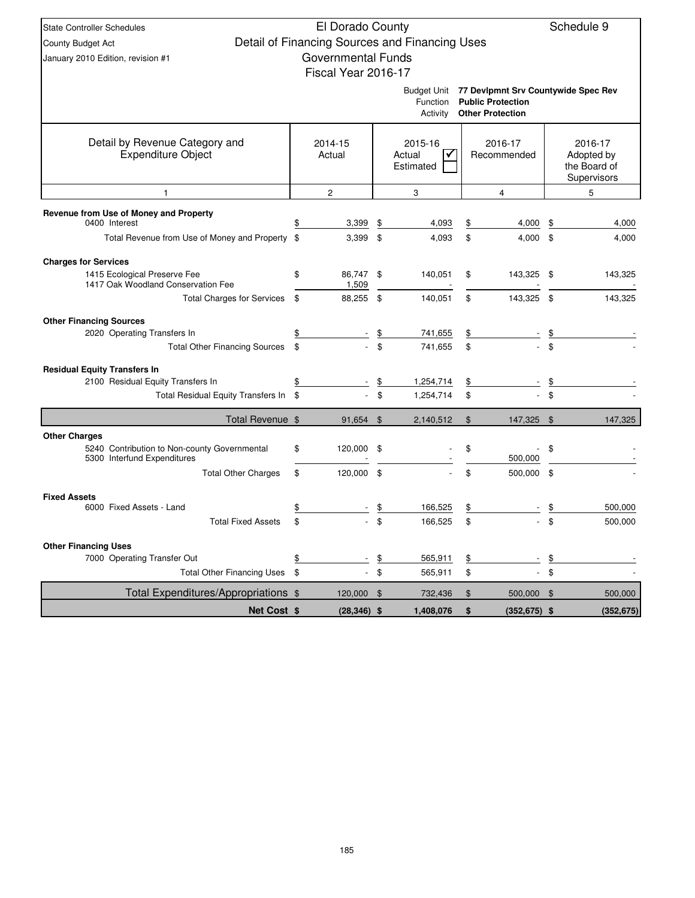| <b>State Controller Schedules</b>                                                                 |            |                           | Schedule 9                                                    |                                                |          |                                                                                                        |               |                                                      |
|---------------------------------------------------------------------------------------------------|------------|---------------------------|---------------------------------------------------------------|------------------------------------------------|----------|--------------------------------------------------------------------------------------------------------|---------------|------------------------------------------------------|
| County Budget Act                                                                                 |            |                           |                                                               | Detail of Financing Sources and Financing Uses |          |                                                                                                        |               |                                                      |
| January 2010 Edition, revision #1                                                                 |            | <b>Governmental Funds</b> |                                                               |                                                |          |                                                                                                        |               |                                                      |
|                                                                                                   |            | Fiscal Year 2016-17       |                                                               |                                                |          |                                                                                                        |               |                                                      |
|                                                                                                   |            |                           |                                                               | Function<br>Activity                           |          | Budget Unit 77 Devlpmnt Srv Countywide Spec Rev<br><b>Public Protection</b><br><b>Other Protection</b> |               |                                                      |
| Detail by Revenue Category and<br><b>Expenditure Object</b>                                       |            | 2014-15<br>Actual         | 2015-16<br>2016-17<br>✓<br>Recommended<br>Actual<br>Estimated |                                                |          |                                                                                                        |               | 2016-17<br>Adopted by<br>the Board of<br>Supervisors |
| 1                                                                                                 |            | $\overline{2}$            |                                                               | 3                                              |          | $\overline{4}$                                                                                         |               | 5                                                    |
| Revenue from Use of Money and Property<br>0400 Interest                                           |            |                           |                                                               |                                                |          |                                                                                                        |               |                                                      |
| Total Revenue from Use of Money and Property \$                                                   |            | 3,399<br>3,399            | \$<br>\$                                                      | 4,093<br>4,093                                 | \$<br>\$ | 4,000<br>$4,000$ \$                                                                                    | \$            | 4,000                                                |
|                                                                                                   |            |                           |                                                               |                                                |          |                                                                                                        |               | 4,000                                                |
| <b>Charges for Services</b><br>1415 Ecological Preserve Fee<br>1417 Oak Woodland Conservation Fee | \$         | 86,747<br>1,509           | \$                                                            | 140,051                                        | \$       | 143,325                                                                                                | - \$          | 143,325                                              |
| <b>Total Charges for Services</b>                                                                 | \$         | 88,255                    | \$                                                            | 140,051                                        | \$       | 143,325 \$                                                                                             |               | 143,325                                              |
| <b>Other Financing Sources</b>                                                                    |            |                           |                                                               |                                                |          |                                                                                                        |               |                                                      |
| 2020 Operating Transfers In                                                                       | \$         |                           | \$                                                            | 741,655                                        | \$       |                                                                                                        |               |                                                      |
| <b>Total Other Financing Sources</b>                                                              | \$         |                           | \$                                                            | 741,655                                        | \$       |                                                                                                        | \$            |                                                      |
| <b>Residual Equity Transfers In</b>                                                               |            |                           |                                                               |                                                |          |                                                                                                        |               |                                                      |
| 2100 Residual Equity Transfers In                                                                 | \$         |                           | \$                                                            | 1,254,714                                      |          |                                                                                                        |               |                                                      |
| Total Residual Equity Transfers In \$                                                             |            |                           | \$                                                            | 1,254,714                                      | \$       |                                                                                                        | \$            |                                                      |
| Total Revenue \$                                                                                  |            | 91,654                    | \$                                                            | 2,140,512                                      | \$       | 147,325                                                                                                | $\sqrt{3}$    | 147,325                                              |
| <b>Other Charges</b>                                                                              |            |                           |                                                               |                                                |          |                                                                                                        |               |                                                      |
| 5240 Contribution to Non-county Governmental<br>5300 Interfund Expenditures                       | \$         | 120,000                   | \$                                                            |                                                | \$       | 500,000                                                                                                | \$            |                                                      |
| <b>Total Other Charges</b>                                                                        | \$         | 120,000                   | \$                                                            |                                                | \$       | 500,000                                                                                                | -\$           |                                                      |
| <b>Fixed Assets</b>                                                                               |            |                           |                                                               |                                                |          |                                                                                                        |               |                                                      |
| 6000 Fixed Assets - Land                                                                          | \$         |                           |                                                               | 166,525                                        | \$       |                                                                                                        | \$            | 500,000                                              |
| <b>Total Fixed Assets</b>                                                                         | \$         |                           | ፍ                                                             | 166,525                                        | \$       |                                                                                                        | \$.           | 500,000                                              |
| <b>Other Financing Uses</b>                                                                       |            |                           |                                                               |                                                |          |                                                                                                        |               |                                                      |
| 7000 Operating Transfer Out                                                                       | \$         |                           | \$                                                            | 565,911                                        | \$       |                                                                                                        | $\frac{1}{2}$ |                                                      |
| <b>Total Other Financing Uses</b>                                                                 | $\sqrt{3}$ |                           | $\sqrt[6]{\frac{1}{2}}$                                       | 565,911                                        | \$       |                                                                                                        | $\mathfrak s$ |                                                      |
| Total Expenditures/Appropriations \$                                                              |            | 120,000 \$                |                                                               | 732,436                                        | \$       | 500,000 \$                                                                                             |               | 500,000                                              |
| Net Cost \$                                                                                       |            | $(28, 346)$ \$            |                                                               | 1,408,076                                      | \$       | $(352, 675)$ \$                                                                                        |               | (352, 675)                                           |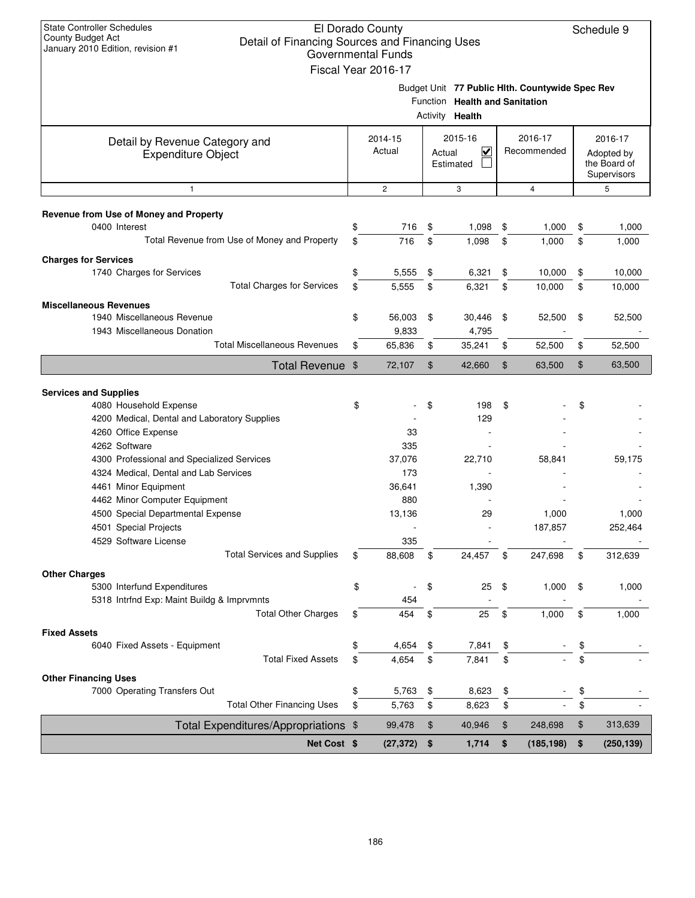| <b>State Controller Schedules</b><br>El Dorado County<br>Schedule 9<br>County Budget Act<br>Detail of Financing Sources and Financing Uses<br>January 2010 Edition, revision #1<br><b>Governmental Funds</b> |                                                                            |                     |        |                                |    |                                                 |    |                             |  |  |  |
|--------------------------------------------------------------------------------------------------------------------------------------------------------------------------------------------------------------|----------------------------------------------------------------------------|---------------------|--------|--------------------------------|----|-------------------------------------------------|----|-----------------------------|--|--|--|
|                                                                                                                                                                                                              |                                                                            |                     |        |                                |    |                                                 |    |                             |  |  |  |
|                                                                                                                                                                                                              |                                                                            | Fiscal Year 2016-17 |        |                                |    |                                                 |    |                             |  |  |  |
|                                                                                                                                                                                                              |                                                                            |                     |        |                                |    | Budget Unit 77 Public Hlth. Countywide Spec Rev |    |                             |  |  |  |
|                                                                                                                                                                                                              |                                                                            |                     |        | Function Health and Sanitation |    |                                                 |    |                             |  |  |  |
|                                                                                                                                                                                                              |                                                                            |                     |        | Activity Health                |    |                                                 |    |                             |  |  |  |
| Detail by Revenue Category and                                                                                                                                                                               |                                                                            | 2014-15             |        | 2015-16                        |    | 2016-17                                         |    | 2016-17                     |  |  |  |
| <b>Expenditure Object</b>                                                                                                                                                                                    |                                                                            | Actual              | Actual | $\overline{\mathsf{v}}$        |    | Recommended                                     |    | Adopted by                  |  |  |  |
|                                                                                                                                                                                                              |                                                                            |                     |        | Estimated                      |    |                                                 |    | the Board of<br>Supervisors |  |  |  |
| $\mathbf{1}$                                                                                                                                                                                                 |                                                                            | $\overline{2}$      |        | 3                              |    | $\overline{4}$                                  |    | 5                           |  |  |  |
| Revenue from Use of Money and Property                                                                                                                                                                       |                                                                            |                     |        |                                |    |                                                 |    |                             |  |  |  |
| 0400 Interest                                                                                                                                                                                                | \$                                                                         | 716                 | \$     | 1,098                          | \$ | 1,000                                           | \$ | 1,000                       |  |  |  |
| Total Revenue from Use of Money and Property                                                                                                                                                                 | \$                                                                         | 716                 | \$     | 1,098                          | \$ | 1,000                                           | \$ | 1,000                       |  |  |  |
| <b>Charges for Services</b>                                                                                                                                                                                  |                                                                            |                     |        |                                |    |                                                 |    |                             |  |  |  |
| 1740 Charges for Services                                                                                                                                                                                    | \$                                                                         | 5,555               | \$     | 6,321                          | \$ | 10,000                                          | \$ | 10,000                      |  |  |  |
| <b>Total Charges for Services</b>                                                                                                                                                                            | \$                                                                         | 5,555               | \$     | 6,321                          | \$ | 10,000                                          | \$ | 10,000                      |  |  |  |
| <b>Miscellaneous Revenues</b>                                                                                                                                                                                |                                                                            |                     |        |                                |    |                                                 |    |                             |  |  |  |
| 1940 Miscellaneous Revenue                                                                                                                                                                                   | \$                                                                         | 56,003              | \$     | 30,446                         | \$ | 52,500                                          | \$ | 52,500                      |  |  |  |
| 1943 Miscellaneous Donation                                                                                                                                                                                  |                                                                            | 9,833               |        | 4,795                          |    |                                                 |    |                             |  |  |  |
| <b>Total Miscellaneous Revenues</b>                                                                                                                                                                          | \$                                                                         | 65,836              | \$     | 35,241                         | \$ | 52,500                                          | \$ | 52,500                      |  |  |  |
|                                                                                                                                                                                                              | \$<br><b>Total Revenue</b><br>72,107<br>\$<br>42,660<br>\$<br>63,500<br>\$ |                     |        |                                |    |                                                 |    |                             |  |  |  |
|                                                                                                                                                                                                              |                                                                            |                     |        |                                |    |                                                 |    |                             |  |  |  |
| <b>Services and Supplies</b><br>4080 Household Expense                                                                                                                                                       | \$                                                                         |                     | \$     | 198                            | \$ |                                                 | \$ |                             |  |  |  |
| 4200 Medical, Dental and Laboratory Supplies                                                                                                                                                                 |                                                                            |                     |        | 129                            |    |                                                 |    |                             |  |  |  |
| 4260 Office Expense                                                                                                                                                                                          |                                                                            | 33                  |        |                                |    |                                                 |    |                             |  |  |  |
| 4262 Software                                                                                                                                                                                                |                                                                            | 335                 |        |                                |    |                                                 |    |                             |  |  |  |
| 4300 Professional and Specialized Services                                                                                                                                                                   |                                                                            | 37,076              |        | 22,710                         |    | 58,841                                          |    | 59,175                      |  |  |  |
| 4324 Medical. Dental and Lab Services                                                                                                                                                                        |                                                                            | 173                 |        |                                |    |                                                 |    |                             |  |  |  |
| 4461 Minor Equipment                                                                                                                                                                                         |                                                                            | 36,641              |        | 1,390                          |    |                                                 |    |                             |  |  |  |
| 4462 Minor Computer Equipment                                                                                                                                                                                |                                                                            | 880                 |        |                                |    |                                                 |    |                             |  |  |  |
| 4500 Special Departmental Expense                                                                                                                                                                            |                                                                            | 13,136              |        | 29                             |    | 1,000                                           |    | 1,000                       |  |  |  |
| 4501 Special Projects                                                                                                                                                                                        |                                                                            |                     |        |                                |    | 187,857                                         |    | 252,464                     |  |  |  |
| 4529 Software License                                                                                                                                                                                        |                                                                            | 335                 |        |                                |    |                                                 |    |                             |  |  |  |
| <b>Total Services and Supplies</b>                                                                                                                                                                           | \$                                                                         | 88,608              | \$     | 24,457                         | \$ | 247,698                                         | \$ | 312,639                     |  |  |  |
| <b>Other Charges</b>                                                                                                                                                                                         |                                                                            |                     |        |                                |    |                                                 |    |                             |  |  |  |
| 5300 Interfund Expenditures                                                                                                                                                                                  | \$                                                                         |                     | \$     | 25                             | \$ | 1,000                                           | \$ | 1,000                       |  |  |  |
| 5318 Intrfnd Exp: Maint Buildg & Imprvmnts                                                                                                                                                                   |                                                                            | 454                 |        |                                |    |                                                 |    |                             |  |  |  |
| <b>Total Other Charges</b>                                                                                                                                                                                   | \$                                                                         | 454                 | \$     | 25                             | \$ | 1,000                                           | \$ | 1,000                       |  |  |  |
| <b>Fixed Assets</b>                                                                                                                                                                                          |                                                                            |                     |        |                                |    |                                                 |    |                             |  |  |  |
| 6040 Fixed Assets - Equipment<br><b>Total Fixed Assets</b>                                                                                                                                                   | \$                                                                         | 4,654               | \$     | 7,841                          | \$ |                                                 | \$ |                             |  |  |  |
|                                                                                                                                                                                                              | \$                                                                         | 4,654               | \$     | 7,841                          | \$ |                                                 | \$ |                             |  |  |  |
| <b>Other Financing Uses</b>                                                                                                                                                                                  |                                                                            |                     |        |                                |    |                                                 |    |                             |  |  |  |
| 7000 Operating Transfers Out<br><b>Total Other Financing Uses</b>                                                                                                                                            | \$<br>\$                                                                   | 5,763               | \$     | 8,623                          | \$ |                                                 | \$ |                             |  |  |  |
|                                                                                                                                                                                                              |                                                                            | 5,763               | \$     | 8,623                          | \$ |                                                 | \$ |                             |  |  |  |
| Total Expenditures/Appropriations \$                                                                                                                                                                         |                                                                            | 99,478              | \$     | 40,946                         | \$ | 248,698                                         | \$ | 313,639                     |  |  |  |
| Net Cost \$                                                                                                                                                                                                  |                                                                            | (27, 372)           | \$     | 1,714                          | \$ | (185, 198)                                      | \$ | (250, 139)                  |  |  |  |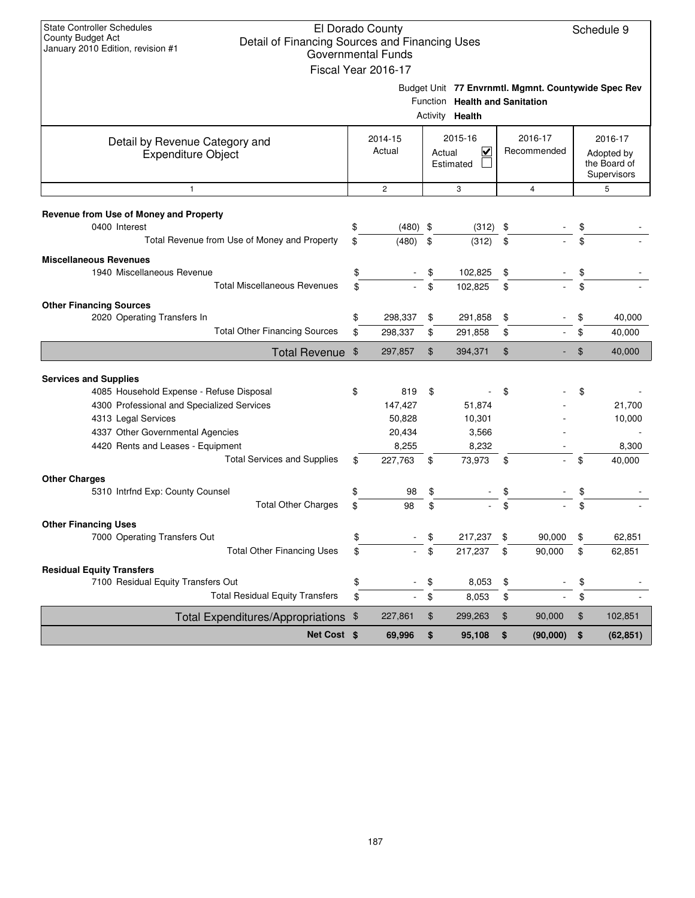| <b>State Controller Schedules</b><br>El Dorado County<br>Schedule 9<br>County Budget Act<br>Detail of Financing Sources and Financing Uses<br>January 2010 Edition, revision #1<br><b>Governmental Funds</b><br>Fiscal Year 2016-17<br>Budget Unit 77 Envrnmtl. Mgmnt. Countywide Spec Rev |    |                   |    |                                                          |    |                        |    |                                                      |  |  |  |  |  |
|--------------------------------------------------------------------------------------------------------------------------------------------------------------------------------------------------------------------------------------------------------------------------------------------|----|-------------------|----|----------------------------------------------------------|----|------------------------|----|------------------------------------------------------|--|--|--|--|--|
|                                                                                                                                                                                                                                                                                            |    |                   |    | Function Health and Sanitation<br>Activity <b>Health</b> |    |                        |    |                                                      |  |  |  |  |  |
| Detail by Revenue Category and<br><b>Expenditure Object</b>                                                                                                                                                                                                                                |    | 2014-15<br>Actual |    | 2015-16<br>V<br>Actual<br>Estimated                      |    | 2016-17<br>Recommended |    | 2016-17<br>Adopted by<br>the Board of<br>Supervisors |  |  |  |  |  |
| $\mathbf{1}$                                                                                                                                                                                                                                                                               |    | $\overline{c}$    |    | 3                                                        |    | $\overline{4}$         |    | 5                                                    |  |  |  |  |  |
| Revenue from Use of Money and Property<br>0400 Interest                                                                                                                                                                                                                                    | \$ | $(480)$ \$        |    | (312)                                                    | \$ |                        | \$ |                                                      |  |  |  |  |  |
| Total Revenue from Use of Money and Property                                                                                                                                                                                                                                               | \$ | (480)             | \$ | (312)                                                    | \$ |                        | \$ |                                                      |  |  |  |  |  |
| <b>Miscellaneous Revenues</b>                                                                                                                                                                                                                                                              |    |                   |    |                                                          |    |                        |    |                                                      |  |  |  |  |  |
| 1940 Miscellaneous Revenue                                                                                                                                                                                                                                                                 | \$ |                   | \$ | 102,825                                                  | \$ |                        | \$ |                                                      |  |  |  |  |  |
| <b>Total Miscellaneous Revenues</b>                                                                                                                                                                                                                                                        | \$ |                   | \$ | 102,825                                                  | \$ |                        | \$ |                                                      |  |  |  |  |  |
| <b>Other Financing Sources</b>                                                                                                                                                                                                                                                             |    |                   |    |                                                          |    |                        |    |                                                      |  |  |  |  |  |
| 2020 Operating Transfers In                                                                                                                                                                                                                                                                | \$ | 298,337           | \$ | 291,858                                                  | \$ |                        | \$ | 40,000                                               |  |  |  |  |  |
| <b>Total Other Financing Sources</b>                                                                                                                                                                                                                                                       | \$ | 298,337           | \$ | 291,858                                                  | \$ |                        | \$ | 40,000                                               |  |  |  |  |  |
| Total Revenue \$                                                                                                                                                                                                                                                                           |    | 297,857           | \$ | 394,371                                                  | \$ |                        | \$ | 40,000                                               |  |  |  |  |  |
|                                                                                                                                                                                                                                                                                            |    |                   |    |                                                          |    |                        |    |                                                      |  |  |  |  |  |
| <b>Services and Supplies</b><br>4085 Household Expense - Refuse Disposal                                                                                                                                                                                                                   | \$ | 819               | \$ |                                                          | \$ |                        | \$ |                                                      |  |  |  |  |  |
| 4300 Professional and Specialized Services                                                                                                                                                                                                                                                 |    | 147,427           |    | 51,874                                                   |    |                        |    | 21,700                                               |  |  |  |  |  |
| 4313 Legal Services                                                                                                                                                                                                                                                                        |    | 50,828            |    | 10,301                                                   |    |                        |    | 10,000                                               |  |  |  |  |  |
| 4337 Other Governmental Agencies                                                                                                                                                                                                                                                           |    | 20,434            |    | 3,566                                                    |    |                        |    |                                                      |  |  |  |  |  |
| 4420 Rents and Leases - Equipment                                                                                                                                                                                                                                                          |    | 8,255             |    | 8,232                                                    |    |                        |    | 8,300                                                |  |  |  |  |  |
| <b>Total Services and Supplies</b>                                                                                                                                                                                                                                                         | \$ | 227,763           | \$ | 73,973                                                   | \$ |                        | \$ | 40,000                                               |  |  |  |  |  |
| <b>Other Charges</b>                                                                                                                                                                                                                                                                       |    |                   |    |                                                          |    |                        |    |                                                      |  |  |  |  |  |
| 5310 Intrfnd Exp: County Counsel                                                                                                                                                                                                                                                           | \$ | 98                | \$ |                                                          |    |                        |    |                                                      |  |  |  |  |  |
| <b>Total Other Charges</b>                                                                                                                                                                                                                                                                 | \$ | 98                | \$ |                                                          | \$ |                        | \$ |                                                      |  |  |  |  |  |
| <b>Other Financing Uses</b>                                                                                                                                                                                                                                                                |    |                   |    |                                                          |    |                        |    |                                                      |  |  |  |  |  |
| 7000 Operating Transfers Out                                                                                                                                                                                                                                                               | \$ |                   | \$ | 217,237                                                  | \$ | 90,000                 | \$ | 62,851                                               |  |  |  |  |  |
| <b>Total Other Financing Uses</b>                                                                                                                                                                                                                                                          | \$ |                   | \$ | 217,237                                                  | \$ | 90,000                 | \$ | 62,851                                               |  |  |  |  |  |
| <b>Residual Equity Transfers</b>                                                                                                                                                                                                                                                           |    |                   |    |                                                          |    |                        |    |                                                      |  |  |  |  |  |
| 7100 Residual Equity Transfers Out                                                                                                                                                                                                                                                         | \$ |                   | \$ | 8,053                                                    | \$ |                        | \$ |                                                      |  |  |  |  |  |
| <b>Total Residual Equity Transfers</b>                                                                                                                                                                                                                                                     | \$ |                   | \$ | 8,053                                                    | \$ |                        | \$ |                                                      |  |  |  |  |  |
| Total Expenditures/Appropriations \$                                                                                                                                                                                                                                                       |    | 227,861           | \$ | 299,263                                                  | \$ | 90,000                 | \$ | 102,851                                              |  |  |  |  |  |
| Net Cost \$                                                                                                                                                                                                                                                                                |    | 69,996            | \$ | 95,108                                                   | \$ | (90,000)               | \$ | (62, 851)                                            |  |  |  |  |  |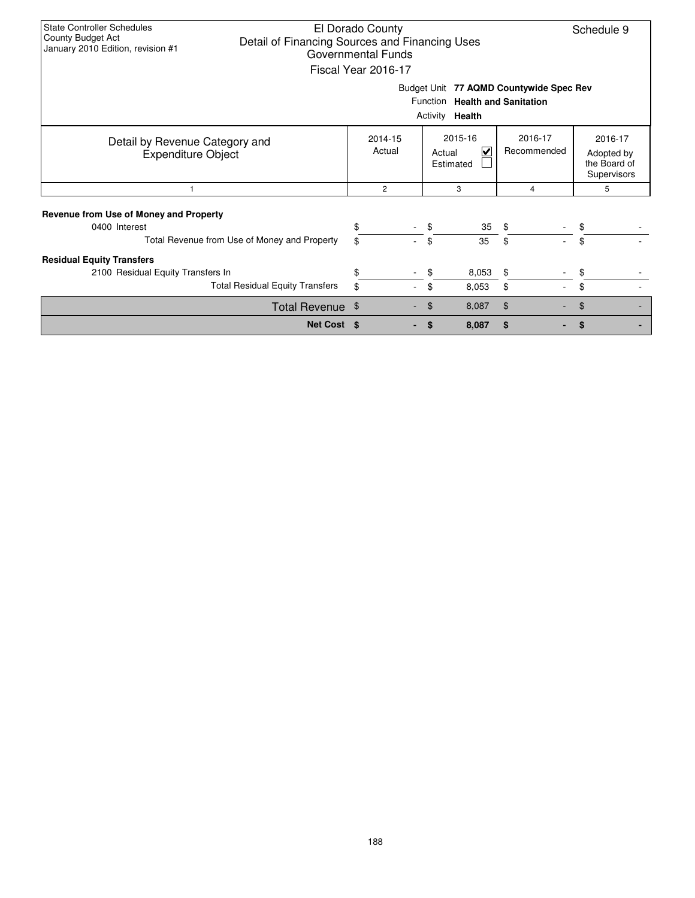| State Controller Schedules                   |                                                | El Dorado County    |         |           |         |                                         | Schedule 9       |  |  |  |  |  |
|----------------------------------------------|------------------------------------------------|---------------------|---------|-----------|---------|-----------------------------------------|------------------|--|--|--|--|--|
| County Budget Act                            | Detail of Financing Sources and Financing Uses |                     |         |           |         |                                         |                  |  |  |  |  |  |
| January 2010 Edition, revision #1            |                                                | Governmental Funds  |         |           |         |                                         |                  |  |  |  |  |  |
|                                              |                                                | Fiscal Year 2016-17 |         |           |         |                                         |                  |  |  |  |  |  |
|                                              |                                                |                     |         |           |         |                                         |                  |  |  |  |  |  |
|                                              |                                                |                     |         |           |         | Budget Unit 77 AQMD Countywide Spec Rev |                  |  |  |  |  |  |
| Function Health and Sanitation               |                                                |                     |         |           |         |                                         |                  |  |  |  |  |  |
| Activity Health                              |                                                |                     |         |           |         |                                         |                  |  |  |  |  |  |
|                                              |                                                |                     |         |           |         |                                         |                  |  |  |  |  |  |
|                                              | 2014-15                                        |                     | 2015-16 |           | 2016-17 | 2016-17                                 |                  |  |  |  |  |  |
| Detail by Revenue Category and               |                                                | Actual              |         | Actual    | V       | Recommended                             | Adopted by       |  |  |  |  |  |
| <b>Expenditure Object</b>                    |                                                |                     |         | Estimated |         |                                         | the Board of     |  |  |  |  |  |
|                                              |                                                |                     |         |           |         |                                         |                  |  |  |  |  |  |
| -1                                           |                                                | $\overline{c}$      |         | 3         |         | 4                                       | Supervisors<br>5 |  |  |  |  |  |
|                                              |                                                |                     |         |           |         |                                         |                  |  |  |  |  |  |
| Revenue from Use of Money and Property       |                                                |                     |         |           |         |                                         |                  |  |  |  |  |  |
| 0400 Interest                                |                                                |                     |         |           | 35      | $\sqrt{2}$                              | \$               |  |  |  |  |  |
| Total Revenue from Use of Money and Property |                                                | \$                  |         | \$        | 35      | \$                                      | \$               |  |  |  |  |  |
|                                              |                                                |                     |         |           |         |                                         |                  |  |  |  |  |  |
| <b>Residual Equity Transfers</b>             |                                                |                     |         |           |         |                                         |                  |  |  |  |  |  |
| 2100 Residual Equity Transfers In            |                                                |                     |         | \$        | 8,053   | \$                                      | \$               |  |  |  |  |  |
|                                              | <b>Total Residual Equity Transfers</b>         |                     |         | \$        | 8,053   | \$                                      | \$               |  |  |  |  |  |
|                                              | Total Revenue \$                               |                     |         |           | 8,087   | $\mathfrak{F}$                          |                  |  |  |  |  |  |
|                                              | Net Cost \$                                    |                     |         |           | 8,087   | \$                                      |                  |  |  |  |  |  |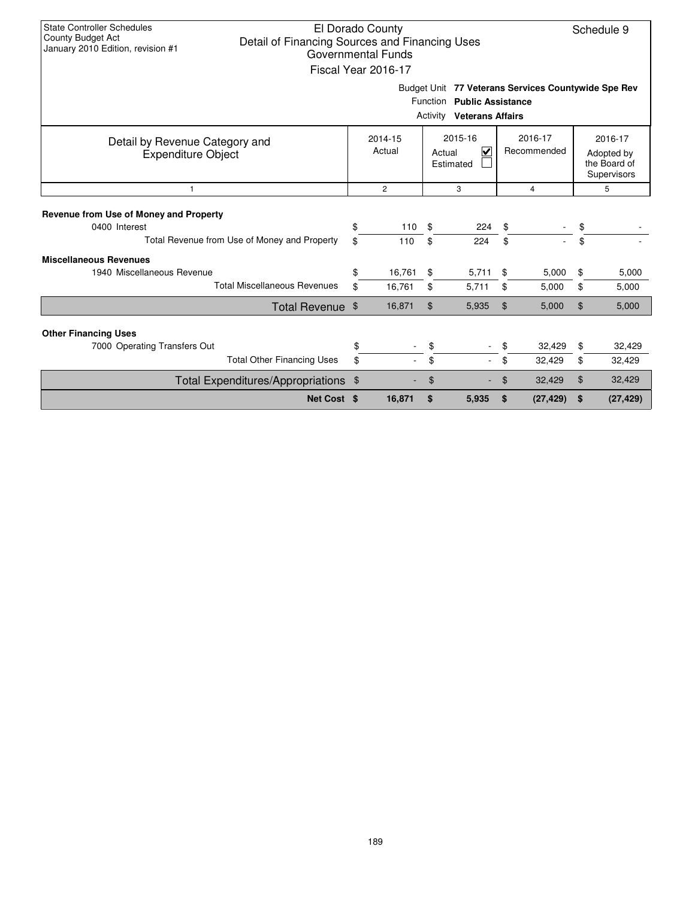| <b>State Controller Schedules</b><br>County Budget Act<br>Detail of Financing Sources and Financing Uses<br>January 2010 Edition, revision #1 |          | El Dorado County<br><b>Governmental Funds</b><br>Fiscal Year 2016-17 |          |                                                                |          |                                                     |                | Schedule 9                                           |
|-----------------------------------------------------------------------------------------------------------------------------------------------|----------|----------------------------------------------------------------------|----------|----------------------------------------------------------------|----------|-----------------------------------------------------|----------------|------------------------------------------------------|
|                                                                                                                                               |          |                                                                      |          | Function Public Assistance<br><b>Activity Veterans Affairs</b> |          | Budget Unit 77 Veterans Services Countywide Spe Rev |                |                                                      |
| Detail by Revenue Category and<br><b>Expenditure Object</b>                                                                                   |          | 2014-15<br>Actual                                                    | Actual   | 2015-16<br>$\blacktriangledown$<br>Estimated                   |          | 2016-17<br>Recommended                              |                | 2016-17<br>Adopted by<br>the Board of<br>Supervisors |
| $\overline{1}$                                                                                                                                |          | $\overline{2}$                                                       |          | 3                                                              |          | $\overline{4}$                                      |                | 5                                                    |
| Revenue from Use of Money and Property<br>0400 Interest<br>Total Revenue from Use of Money and Property                                       | \$<br>\$ | 110<br>110                                                           | \$<br>\$ | 224<br>224                                                     | \$<br>\$ |                                                     | \$<br>\$       |                                                      |
| <b>Miscellaneous Revenues</b><br>1940 Miscellaneous Revenue<br><b>Total Miscellaneous Revenues</b>                                            | \$<br>\$ | 16,761<br>16,761                                                     | \$<br>\$ | 5,711<br>5,711                                                 | \$<br>\$ | 5,000<br>5,000                                      | \$<br>\$       | 5,000<br>5,000                                       |
| Total Revenue \$                                                                                                                              |          | 16,871                                                               | \$       | 5,935                                                          | \$       | 5,000                                               | \$             | 5,000                                                |
| <b>Other Financing Uses</b><br>7000 Operating Transfers Out<br><b>Total Other Financing Uses</b>                                              | \$<br>\$ |                                                                      | \$<br>\$ |                                                                | \$<br>\$ | 32,429<br>32,429                                    | \$<br>\$       | 32,429<br>32,429                                     |
| Total Expenditures/Appropriations \$                                                                                                          |          |                                                                      | \$       |                                                                | \$       | 32,429                                              | $\mathfrak{L}$ | 32,429                                               |
| Net Cost \$                                                                                                                                   |          | 16,871                                                               | \$       | 5,935                                                          | \$       | (27, 429)                                           | \$             | (27, 429)                                            |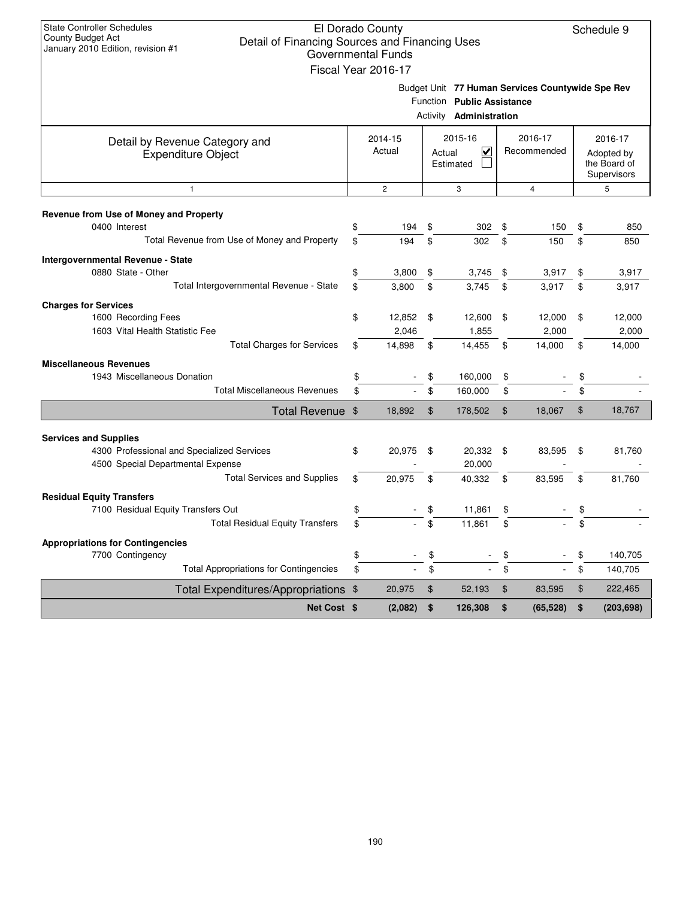| <b>State Controller Schedules</b><br>County Budget Act<br>Detail of Financing Sources and Financing Uses<br>January 2010 Edition, revision #1 |                | El Dorado County<br><b>Governmental Funds</b><br>Fiscal Year 2016-17 |                |                                                |                |                                                  |                | Schedule 9                                           |
|-----------------------------------------------------------------------------------------------------------------------------------------------|----------------|----------------------------------------------------------------------|----------------|------------------------------------------------|----------------|--------------------------------------------------|----------------|------------------------------------------------------|
|                                                                                                                                               |                |                                                                      | Activity       | Function Public Assistance<br>Administration   |                | Budget Unit 77 Human Services Countywide Spe Rev |                |                                                      |
| Detail by Revenue Category and<br><b>Expenditure Object</b>                                                                                   |                | 2014-15<br>Actual                                                    |                | 2015-16<br>$\checkmark$<br>Actual<br>Estimated |                | 2016-17<br>Recommended                           |                | 2016-17<br>Adopted by<br>the Board of<br>Supervisors |
| $\mathbf{1}$                                                                                                                                  |                | $\mathbf{2}$                                                         |                | 3                                              |                | $\overline{4}$                                   |                | 5                                                    |
| Revenue from Use of Money and Property<br>0400 Interest<br>Total Revenue from Use of Money and Property                                       | \$<br>\$       | 194<br>194                                                           | \$<br>\$       | 302<br>302                                     | \$<br>\$       | 150<br>150                                       | \$<br>\$       | 850<br>850                                           |
| Intergovernmental Revenue - State<br>0880 State - Other<br>Total Intergovernmental Revenue - State                                            | \$<br>\$       | 3,800<br>3,800                                                       | \$<br>\$       | 3,745<br>3,745                                 | \$<br>\$       | 3,917<br>3,917                                   | \$<br>\$       | 3,917<br>3,917                                       |
| <b>Charges for Services</b><br>1600 Recording Fees<br>1603 Vital Health Statistic Fee                                                         | \$             | 12,852 \$<br>2,046                                                   |                | 12,600<br>1,855                                | \$             | 12,000<br>2,000                                  | \$             | 12,000<br>2,000                                      |
| <b>Total Charges for Services</b><br><b>Miscellaneous Revenues</b><br>1943 Miscellaneous Donation<br><b>Total Miscellaneous Revenues</b>      | \$<br>\$<br>\$ | 14,898                                                               | \$<br>\$<br>\$ | 14,455<br>160,000<br>160,000                   | \$<br>\$<br>\$ | 14,000                                           | \$<br>\$<br>\$ | 14,000                                               |
| Total Revenue \$                                                                                                                              |                | 18,892                                                               | \$             | 178,502                                        | $\mathfrak{F}$ | 18,067                                           | \$             | 18,767                                               |
| <b>Services and Supplies</b><br>4300 Professional and Specialized Services                                                                    | \$             | 20,975                                                               | \$             | 20,332 \$                                      |                | 83,595                                           | \$             | 81,760                                               |
| 4500 Special Departmental Expense<br><b>Total Services and Supplies</b>                                                                       | \$             | 20,975                                                               | \$             | 20,000<br>40,332                               | \$             | 83,595                                           | \$             | 81,760                                               |
| <b>Residual Equity Transfers</b><br>7100 Residual Equity Transfers Out<br><b>Total Residual Equity Transfers</b>                              | \$<br>\$       |                                                                      | \$<br>\$       | 11,861<br>11,861                               | \$<br>\$       |                                                  | \$<br>\$       |                                                      |
| <b>Appropriations for Contingencies</b><br>7700 Contingency<br><b>Total Appropriations for Contingencies</b>                                  | \$<br>\$       |                                                                      | \$<br>\$       | ÷,                                             | \$<br>\$       |                                                  | \$<br>\$       | 140,705<br>140,705                                   |
| Total Expenditures/Appropriations \$                                                                                                          |                | 20,975                                                               | \$             | 52,193                                         | \$             | 83,595                                           | \$             | 222,465                                              |
| Net Cost \$                                                                                                                                   |                | (2,082)                                                              | \$             | 126,308                                        | \$             | (65, 528)                                        | \$             | (203, 698)                                           |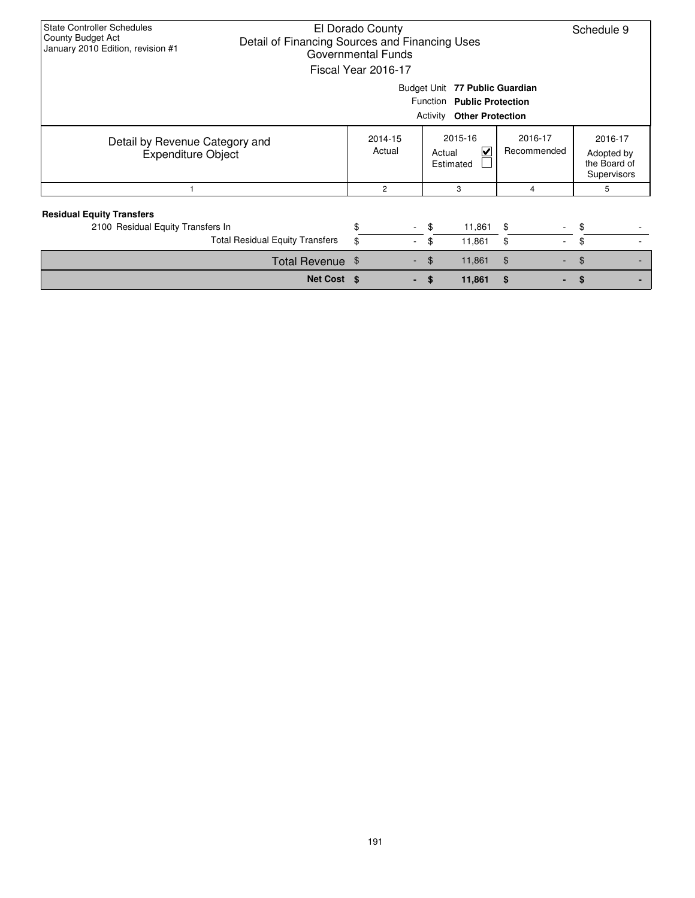| <b>State Controller Schedules</b><br>County Budget Act<br>Detail of Financing Sources and Financing Uses<br>January 2010 Edition, revision #1 |    | El Dorado County<br>Governmental Funds<br>Fiscal Year 2016-17 |  |    |                                                           |                        | Schedule 9                                           |  |  |  |  |
|-----------------------------------------------------------------------------------------------------------------------------------------------|----|---------------------------------------------------------------|--|----|-----------------------------------------------------------|------------------------|------------------------------------------------------|--|--|--|--|
| Budget Unit 77 Public Guardian<br>Function Public Protection<br>Activity<br><b>Other Protection</b>                                           |    |                                                               |  |    |                                                           |                        |                                                      |  |  |  |  |
| Detail by Revenue Category and<br><b>Expenditure Object</b>                                                                                   |    | 2014-15<br>Actual                                             |  |    | 2015-16<br>$\overline{\mathbf{v}}$<br>Actual<br>Estimated | 2016-17<br>Recommended | 2016-17<br>Adopted by<br>the Board of<br>Supervisors |  |  |  |  |
|                                                                                                                                               |    | $\overline{c}$                                                |  |    | 3                                                         | 4                      | 5                                                    |  |  |  |  |
| <b>Residual Equity Transfers</b><br>2100 Residual Equity Transfers In                                                                         |    |                                                               |  | \$ | 11,861                                                    | \$                     | \$                                                   |  |  |  |  |
| <b>Total Residual Equity Transfers</b>                                                                                                        |    |                                                               |  | \$ | 11,861                                                    | \$<br>$\sim$           | \$                                                   |  |  |  |  |
| Total Revenue \$                                                                                                                              |    |                                                               |  | \$ | 11,861                                                    | \$                     | \$                                                   |  |  |  |  |
| Net Cost \$                                                                                                                                   | \$ |                                                               |  |    |                                                           |                        |                                                      |  |  |  |  |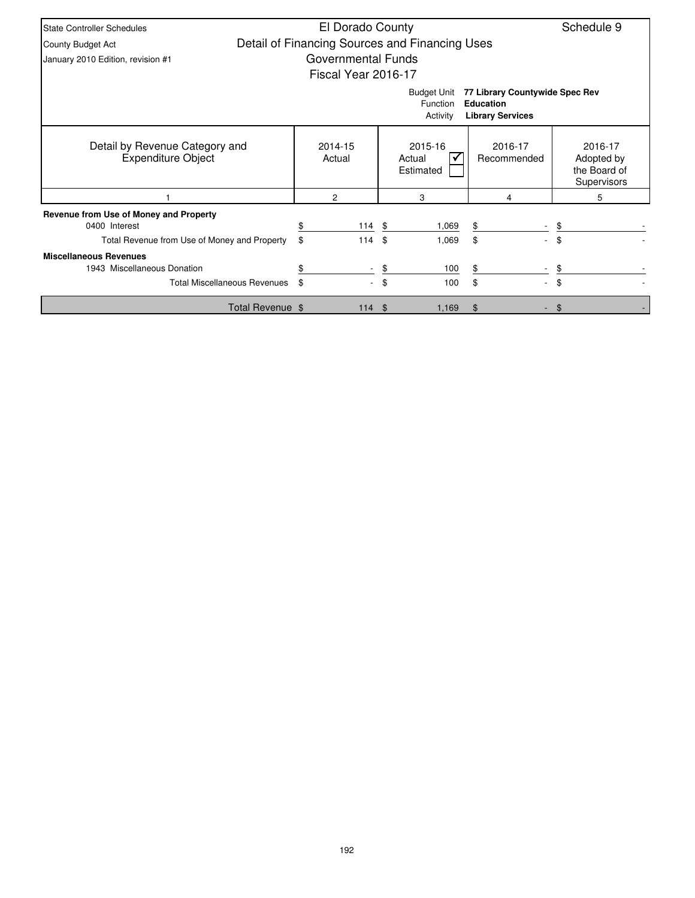| <b>State Controller Schedules</b>                           | El Dorado County    |          |                                                |                                                                               | Schedule 9                                           |
|-------------------------------------------------------------|---------------------|----------|------------------------------------------------|-------------------------------------------------------------------------------|------------------------------------------------------|
| County Budget Act                                           |                     |          | Detail of Financing Sources and Financing Uses |                                                                               |                                                      |
| January 2010 Edition, revision #1                           | Governmental Funds  |          |                                                |                                                                               |                                                      |
|                                                             | Fiscal Year 2016-17 |          |                                                |                                                                               |                                                      |
|                                                             |                     |          | <b>Budget Unit</b><br>Function<br>Activity     | 77 Library Countywide Spec Rev<br><b>Education</b><br><b>Library Services</b> |                                                      |
| Detail by Revenue Category and<br><b>Expenditure Object</b> | 2014-15<br>Actual   |          | 2015-16<br>Actual<br>Estimated                 | 2016-17<br>Recommended                                                        | 2016-17<br>Adopted by<br>the Board of<br>Supervisors |
|                                                             | 2                   |          | 3                                              | 4                                                                             | 5                                                    |
| Revenue from Use of Money and Property                      |                     |          |                                                |                                                                               |                                                      |
| 0400 Interest                                               |                     | $114$ \$ | 1,069                                          | \$                                                                            | \$                                                   |
| Total Revenue from Use of Money and Property                | \$<br>114           |          | \$<br>1,069                                    | \$<br>$\overline{\phantom{a}}$                                                | \$                                                   |
| <b>Miscellaneous Revenues</b>                               |                     |          |                                                |                                                                               |                                                      |
| 1943 Miscellaneous Donation                                 |                     |          | 100<br>\$                                      |                                                                               |                                                      |
| <b>Total Miscellaneous Revenues</b>                         | \$.                 |          | \$<br>100                                      | \$<br>$\overline{\phantom{0}}$                                                | \$                                                   |
| Total Revenue \$                                            |                     | 114S     | 1,169                                          | \$                                                                            | \$                                                   |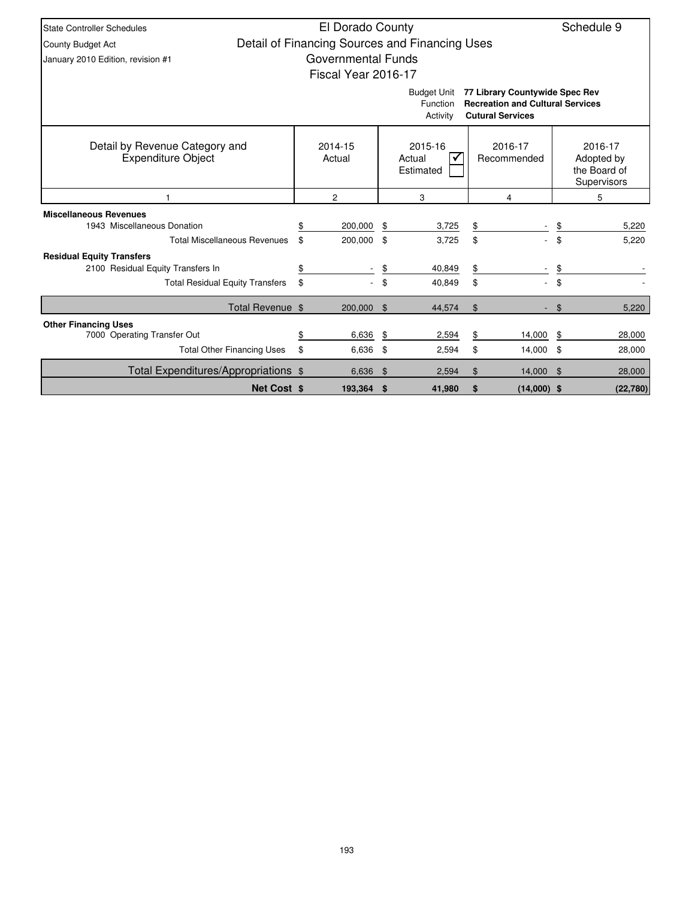| <b>State Controller Schedules</b>                                                                                                                  |                    | El Dorado County                               |                |                                |    |                                                      |       | Schedule 9 |  |  |
|----------------------------------------------------------------------------------------------------------------------------------------------------|--------------------|------------------------------------------------|----------------|--------------------------------|----|------------------------------------------------------|-------|------------|--|--|
| County Budget Act                                                                                                                                  |                    | Detail of Financing Sources and Financing Uses |                |                                |    |                                                      |       |            |  |  |
| January 2010 Edition, revision #1                                                                                                                  |                    | Governmental Funds                             |                |                                |    |                                                      |       |            |  |  |
|                                                                                                                                                    |                    | Fiscal Year 2016-17                            |                |                                |    |                                                      |       |            |  |  |
| 77 Library Countywide Spec Rev<br><b>Budget Unit</b><br><b>Recreation and Cultural Services</b><br>Function<br><b>Cutural Services</b><br>Activity |                    |                                                |                |                                |    |                                                      |       |            |  |  |
| Detail by Revenue Category and<br><b>Expenditure Object</b>                                                                                        |                    | 2014-15<br>Actual                              |                | 2015-16<br>Actual<br>Estimated |    | 2016-17<br>Adopted by<br>the Board of<br>Supervisors |       |            |  |  |
|                                                                                                                                                    |                    | $\overline{c}$                                 |                | 3                              |    | 5                                                    |       |            |  |  |
| <b>Miscellaneous Revenues</b>                                                                                                                      |                    |                                                |                |                                |    |                                                      |       |            |  |  |
| 1943 Miscellaneous Donation                                                                                                                        |                    | 200,000                                        | \$             | 3,725                          | \$ |                                                      | \$    | 5,220      |  |  |
| <b>Total Miscellaneous Revenues</b>                                                                                                                |                    | \$<br>200,000                                  | \$             | 3,725                          | \$ | $\sim$                                               | \$    | 5.220      |  |  |
| <b>Residual Equity Transfers</b>                                                                                                                   |                    |                                                |                |                                |    |                                                      |       |            |  |  |
| 2100 Residual Equity Transfers In                                                                                                                  |                    | \$                                             | \$             | 40,849                         | \$ |                                                      | \$    |            |  |  |
| <b>Total Residual Equity Transfers</b>                                                                                                             |                    | \$                                             | \$             | 40,849                         | \$ |                                                      | \$    |            |  |  |
| Total Revenue \$                                                                                                                                   |                    | 200,000                                        | $\mathfrak{F}$ | 44,574                         | \$ |                                                      | $\$\$ | 5,220      |  |  |
| <b>Other Financing Uses</b>                                                                                                                        |                    |                                                |                |                                |    |                                                      |       |            |  |  |
| 7000 Operating Transfer Out                                                                                                                        |                    | 6,636<br>\$                                    | \$             | 2,594                          | \$ | 14,000                                               | \$    | 28,000     |  |  |
| <b>Total Other Financing Uses</b>                                                                                                                  |                    | \$<br>6,636                                    | \$             | 2,594                          | \$ | 14,000 \$                                            |       | 28,000     |  |  |
| Total Expenditures/Appropriations \$                                                                                                               |                    | 6,636                                          | \$             | 2,594                          | \$ | 14,000 \$                                            |       | 28,000     |  |  |
|                                                                                                                                                    | <b>Net Cost \$</b> | 193,364                                        | \$             | 41,980                         | \$ | $(14,000)$ \$                                        |       | (22,780)   |  |  |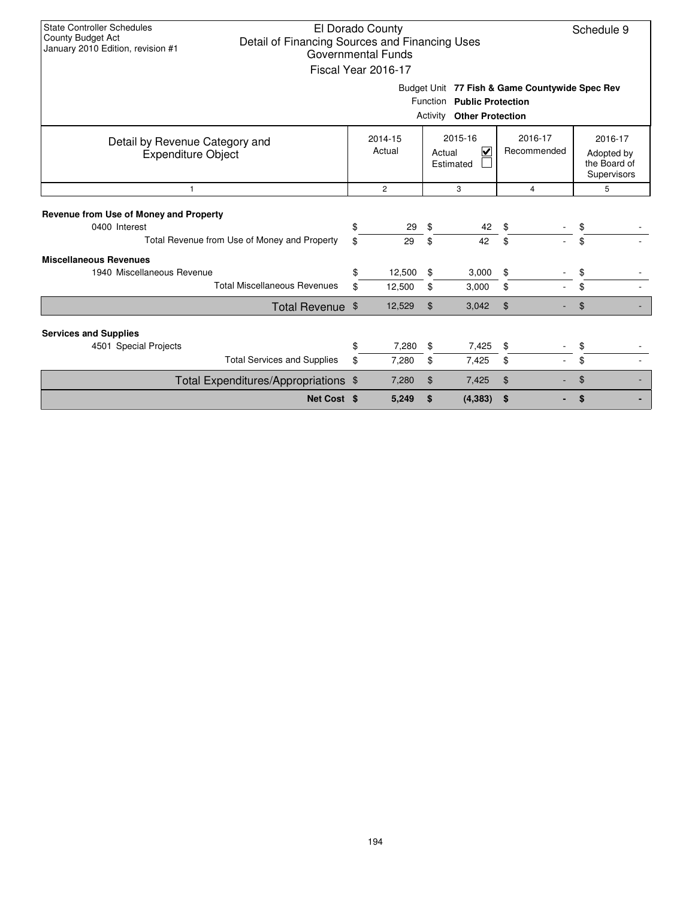| <b>State Controller Schedules</b><br><b>County Budget Act</b><br>January 2010 Edition, revision #1 | El Dorado County<br>Schedule 9<br>Detail of Financing Sources and Financing Uses<br><b>Governmental Funds</b><br>Fiscal Year 2016-17<br>Budget Unit 77 Fish & Game Countywide Spec Rev<br>Function Public Protection<br><b>Activity Other Protection</b> |                                       |                |                                                           |          |                        |          |                                                      |  |  |  |  |
|----------------------------------------------------------------------------------------------------|----------------------------------------------------------------------------------------------------------------------------------------------------------------------------------------------------------------------------------------------------------|---------------------------------------|----------------|-----------------------------------------------------------|----------|------------------------|----------|------------------------------------------------------|--|--|--|--|
|                                                                                                    |                                                                                                                                                                                                                                                          |                                       |                |                                                           |          |                        |          |                                                      |  |  |  |  |
| Detail by Revenue Category and<br><b>Expenditure Object</b>                                        |                                                                                                                                                                                                                                                          | 2014-15<br>Actual                     |                | 2015-16<br>$\overline{\mathbf{v}}$<br>Actual<br>Estimated |          | 2016-17<br>Recommended |          | 2016-17<br>Adopted by<br>the Board of<br>Supervisors |  |  |  |  |
| $\mathbf{1}$                                                                                       |                                                                                                                                                                                                                                                          | $\overline{2}$<br>3<br>$\overline{4}$ |                |                                                           |          |                        |          | 5                                                    |  |  |  |  |
| Revenue from Use of Money and Property<br>0400 Interest                                            | \$                                                                                                                                                                                                                                                       | 29                                    | \$             | 42                                                        | \$       |                        | \$       |                                                      |  |  |  |  |
| Total Revenue from Use of Money and Property                                                       | \$                                                                                                                                                                                                                                                       | 29                                    | \$             | 42                                                        | \$       |                        | \$       |                                                      |  |  |  |  |
| <b>Miscellaneous Revenues</b><br>1940 Miscellaneous Revenue<br><b>Total Miscellaneous Revenues</b> | \$<br>\$                                                                                                                                                                                                                                                 | 12,500<br>12,500                      | \$<br>\$       | 3,000<br>3,000                                            | \$<br>\$ |                        | \$<br>\$ |                                                      |  |  |  |  |
| Total Revenue \$                                                                                   |                                                                                                                                                                                                                                                          | 12,529                                | $\mathfrak{L}$ | 3,042                                                     | \$       |                        | \$       |                                                      |  |  |  |  |
| <b>Services and Supplies</b>                                                                       |                                                                                                                                                                                                                                                          |                                       |                |                                                           |          |                        |          |                                                      |  |  |  |  |
| 4501 Special Projects                                                                              | \$                                                                                                                                                                                                                                                       | 7,280                                 | \$             | 7,425                                                     | \$       |                        | \$       |                                                      |  |  |  |  |
| <b>Total Services and Supplies</b>                                                                 | \$                                                                                                                                                                                                                                                       | 7,280                                 | \$             | 7,425                                                     | \$       |                        | \$       |                                                      |  |  |  |  |
| Total Expenditures/Appropriations \$                                                               |                                                                                                                                                                                                                                                          | 7,280                                 | $\mathfrak{S}$ | 7,425                                                     | \$       |                        | \$       |                                                      |  |  |  |  |
| Net Cost \$                                                                                        |                                                                                                                                                                                                                                                          | 5,249                                 | \$             | (4, 383)                                                  | \$       |                        | \$       |                                                      |  |  |  |  |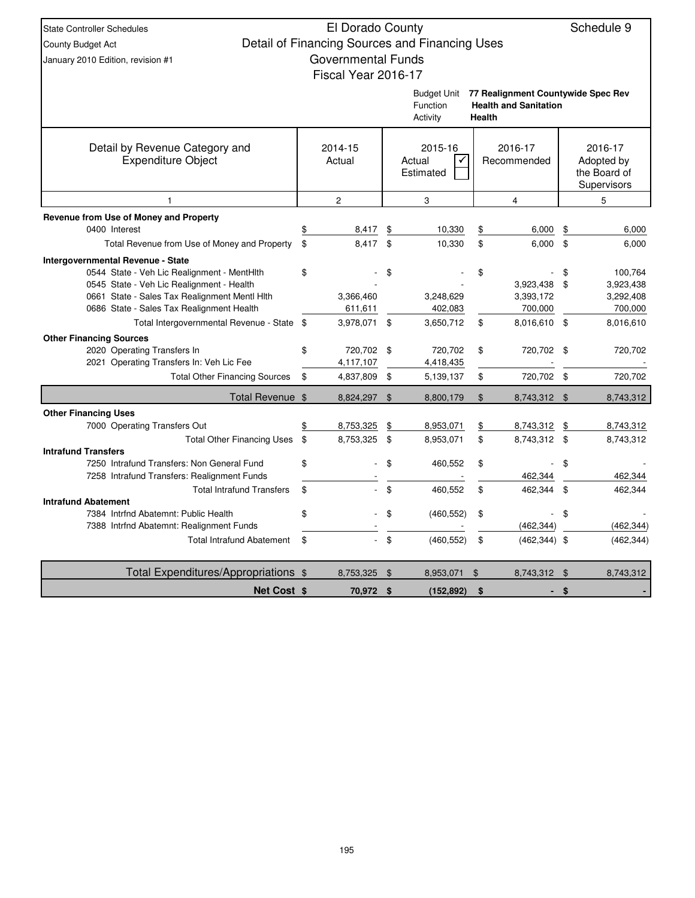| <b>State Controller Schedules</b>                                                          | El Dorado County          |                |                                                |                |                                                                    |           | Schedule 9                                           |
|--------------------------------------------------------------------------------------------|---------------------------|----------------|------------------------------------------------|----------------|--------------------------------------------------------------------|-----------|------------------------------------------------------|
| <b>County Budget Act</b>                                                                   |                           |                | Detail of Financing Sources and Financing Uses |                |                                                                    |           |                                                      |
| January 2010 Edition, revision #1                                                          | <b>Governmental Funds</b> |                |                                                |                |                                                                    |           |                                                      |
|                                                                                            | Fiscal Year 2016-17       |                |                                                |                |                                                                    |           |                                                      |
|                                                                                            |                           |                | <b>Budget Unit</b><br>Function                 |                | 77 Realignment Countywide Spec Rev<br><b>Health and Sanitation</b> |           |                                                      |
|                                                                                            |                           |                | Activity                                       | Health         |                                                                    |           |                                                      |
| Detail by Revenue Category and<br><b>Expenditure Object</b>                                | 2014-15<br>Actual         |                | 2015-16<br>Actual<br>✓<br>Estimated            |                | 2016-17<br>Recommended                                             |           | 2016-17<br>Adopted by<br>the Board of<br>Supervisors |
| 1                                                                                          | 2                         |                | 3                                              |                | 4                                                                  |           | 5                                                    |
| Revenue from Use of Money and Property                                                     |                           |                |                                                |                |                                                                    |           |                                                      |
| 0400 Interest                                                                              | \$<br>8,417               | \$             | 10,330                                         | \$             | 6,000                                                              | \$        | 6,000                                                |
| Total Revenue from Use of Money and Property                                               | \$<br>8,417               | \$             | 10,330                                         | \$             | 6,000                                                              | <b>\$</b> | 6,000                                                |
| <b>Intergovernmental Revenue - State</b>                                                   |                           |                |                                                |                |                                                                    |           |                                                      |
| 0544 State - Veh Lic Realignment - MentHlth                                                | \$                        | \$             |                                                | \$             |                                                                    | \$        | 100,764                                              |
| 0545 State - Veh Lic Realignment - Health                                                  |                           |                |                                                |                | 3,923,438<br>3,393,172                                             | \$        | 3,923,438<br>3,292,408                               |
| 0661 State - Sales Tax Realignment Mentl Hlth<br>0686 State - Sales Tax Realignment Health | 3,366,460<br>611,611      |                | 3,248,629<br>402,083                           |                | 700,000                                                            |           | 700,000                                              |
| Total Intergovernmental Revenue - State \$                                                 | 3,978,071                 | $\mathfrak{F}$ | 3,650,712                                      | \$             | 8,016,610                                                          | \$        | 8,016,610                                            |
| <b>Other Financing Sources</b>                                                             |                           |                |                                                |                |                                                                    |           |                                                      |
| 2020 Operating Transfers In                                                                | \$<br>720,702             | \$             | 720,702                                        | \$             | 720,702                                                            | -\$       | 720,702                                              |
| 2021 Operating Transfers In: Veh Lic Fee                                                   | 4,117,107                 |                | 4,418,435                                      |                |                                                                    |           |                                                      |
| <b>Total Other Financing Sources</b>                                                       | \$<br>4,837,809           | \$             | 5,139,137                                      | \$             | 720,702                                                            | -\$       | 720,702                                              |
| Total Revenue \$                                                                           | 8,824,297 \$              |                | 8,800,179                                      | $\mathfrak{F}$ | 8,743,312 \$                                                       |           | 8,743,312                                            |
| <b>Other Financing Uses</b>                                                                |                           |                |                                                |                |                                                                    |           |                                                      |
| 7000 Operating Transfers Out                                                               | \$<br>8,753,325           | \$             | 8,953,071                                      | \$             | 8,743,312                                                          | \$        | 8,743,312                                            |
| <b>Total Other Financing Uses</b>                                                          | \$<br>8,753,325           | \$             | 8,953,071                                      | \$             | 8,743,312 \$                                                       |           | 8,743,312                                            |
| <b>Intrafund Transfers</b>                                                                 |                           |                |                                                |                |                                                                    |           |                                                      |
| 7250 Intrafund Transfers: Non General Fund<br>7258 Intrafund Transfers: Realignment Funds  | \$                        | \$             | 460,552                                        | \$             | 462,344                                                            | \$        | 462,344                                              |
| <b>Total Intrafund Transfers</b>                                                           | \$                        | \$             | 460,552                                        | \$             | 462,344                                                            | \$        | 462,344                                              |
| <b>Intrafund Abatement</b>                                                                 |                           |                |                                                |                |                                                                    |           |                                                      |
| 7384 Intrfnd Abatemnt: Public Health                                                       | \$                        | \$             | (460, 552)                                     | \$             |                                                                    | \$        |                                                      |
| 7388 Intrfnd Abatemnt: Realignment Funds                                                   |                           |                |                                                |                | (462, 344)                                                         |           | (462, 344)                                           |
| <b>Total Intrafund Abatement</b>                                                           | \$                        | \$             | (460, 552)                                     | \$             | $(462, 344)$ \$                                                    |           | (462, 344)                                           |
| Total Expenditures/Appropriations \$                                                       | 8,753,325                 | - \$           | 8,953,071                                      | \$             | 8,743,312 \$                                                       |           | 8,743,312                                            |
| <b>Net Cost \$</b>                                                                         | 70,972 \$                 |                | (152, 892)                                     | \$             |                                                                    | \$        |                                                      |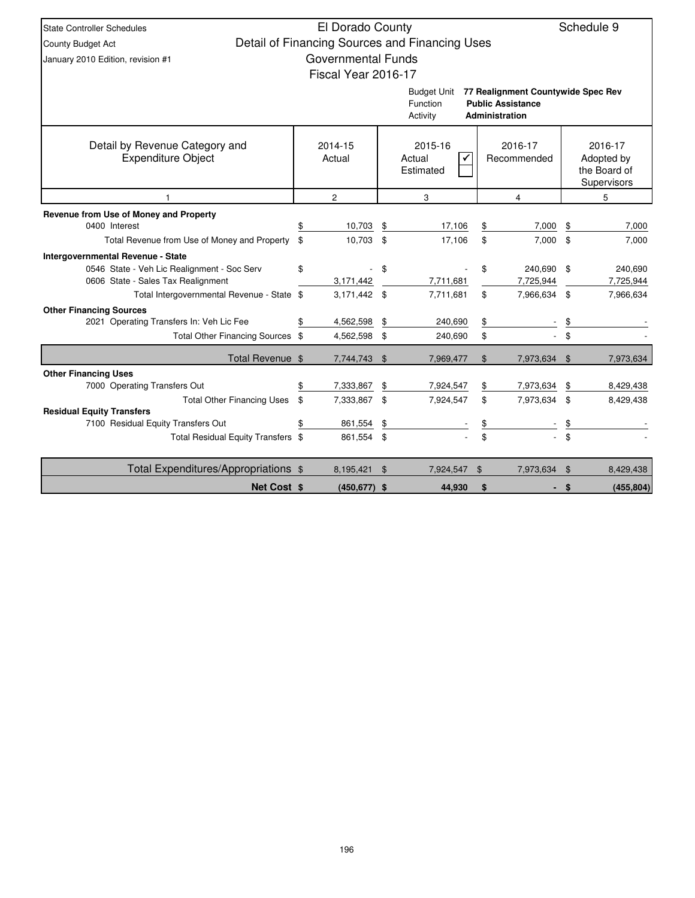| <b>State Controller Schedules</b>                                                |                                                     | El Dorado County          |    |                                                |                |                                    |               | Schedule 9             |  |  |
|----------------------------------------------------------------------------------|-----------------------------------------------------|---------------------------|----|------------------------------------------------|----------------|------------------------------------|---------------|------------------------|--|--|
| <b>County Budget Act</b>                                                         |                                                     |                           |    | Detail of Financing Sources and Financing Uses |                |                                    |               |                        |  |  |
| January 2010 Edition, revision #1                                                |                                                     | <b>Governmental Funds</b> |    |                                                |                |                                    |               |                        |  |  |
|                                                                                  |                                                     | Fiscal Year 2016-17       |    |                                                |                |                                    |               |                        |  |  |
|                                                                                  |                                                     |                           |    | <b>Budget Unit</b>                             |                | 77 Realignment Countywide Spec Rev |               |                        |  |  |
|                                                                                  |                                                     |                           |    | <b>Function</b>                                |                | <b>Public Assistance</b>           |               |                        |  |  |
|                                                                                  |                                                     |                           |    | Activity                                       |                | Administration                     |               |                        |  |  |
|                                                                                  |                                                     |                           |    |                                                |                |                                    |               |                        |  |  |
| Detail by Revenue Category and<br><b>Expenditure Object</b>                      |                                                     | 2014-15<br>Actual         |    | 2015-16<br>Actual                              |                | 2016-17<br>Recommended             |               | 2016-17<br>Adopted by  |  |  |
|                                                                                  |                                                     |                           |    | Estimated                                      |                |                                    |               | the Board of           |  |  |
|                                                                                  |                                                     |                           |    |                                                |                |                                    |               | Supervisors            |  |  |
| $\overline{1}$                                                                   | $\overline{c}$<br>3<br>$\overline{\mathbf{4}}$<br>5 |                           |    |                                                |                |                                    |               |                        |  |  |
| Revenue from Use of Money and Property                                           |                                                     |                           |    |                                                |                |                                    |               |                        |  |  |
| 0400 Interest                                                                    |                                                     | 10,703                    | \$ | 17,106                                         | \$             | 7,000                              | \$            | 7,000                  |  |  |
| Total Revenue from Use of Money and Property                                     | \$                                                  | 10,703 \$                 |    | 17,106                                         | \$             | 7,000                              | \$            | 7,000                  |  |  |
| Intergovernmental Revenue - State                                                |                                                     |                           |    |                                                |                |                                    |               |                        |  |  |
| 0546 State - Veh Lic Realignment - Soc Serv                                      | \$                                                  |                           | \$ |                                                | \$             | 240,690                            | \$            | 240,690                |  |  |
| 0606 State - Sales Tax Realignment<br>Total Intergovernmental Revenue - State \$ |                                                     | 3,171,442<br>3,171,442 \$ |    | 7,711,681<br>7,711,681                         | \$             | 7,725,944<br>7,966,634             | \$            | 7,725,944<br>7,966,634 |  |  |
| <b>Other Financing Sources</b>                                                   |                                                     |                           |    |                                                |                |                                    |               |                        |  |  |
| 2021 Operating Transfers In: Veh Lic Fee                                         |                                                     | 4,562,598                 | \$ | 240,690                                        | \$             |                                    | \$            |                        |  |  |
| Total Other Financing Sources \$                                                 |                                                     | 4,562,598 \$              |    | 240,690                                        | \$             |                                    | \$            |                        |  |  |
| Total Revenue \$                                                                 |                                                     | 7,744,743 \$              |    | 7,969,477                                      | \$             | 7,973,634                          | \$            | 7,973,634              |  |  |
| <b>Other Financing Uses</b>                                                      |                                                     |                           |    |                                                |                |                                    |               |                        |  |  |
| 7000 Operating Transfers Out                                                     |                                                     | 7,333,867                 | \$ | 7,924,547                                      | \$             | 7,973,634                          | \$            | 8,429,438              |  |  |
| <b>Total Other Financing Uses</b>                                                | \$                                                  | 7,333,867                 | \$ | 7,924,547                                      | \$             | 7,973,634                          | \$            | 8,429,438              |  |  |
| <b>Residual Equity Transfers</b><br>7100 Residual Equity Transfers Out           |                                                     | 861,554                   | \$ |                                                |                |                                    | \$            |                        |  |  |
| Total Residual Equity Transfers \$                                               |                                                     | 861,554 \$                |    |                                                | \$<br>\$       |                                    | $\mathbf{\$}$ |                        |  |  |
|                                                                                  |                                                     |                           |    |                                                |                |                                    |               |                        |  |  |
| Total Expenditures/Appropriations \$                                             |                                                     | 8,195,421                 | \$ | 7,924,547                                      | $\mathfrak{L}$ | 7,973,634                          | \$            | 8,429,438              |  |  |
| <b>Net Cost \$</b>                                                               |                                                     | $(450, 677)$ \$           |    | 44,930                                         | \$             |                                    | \$            | (455, 804)             |  |  |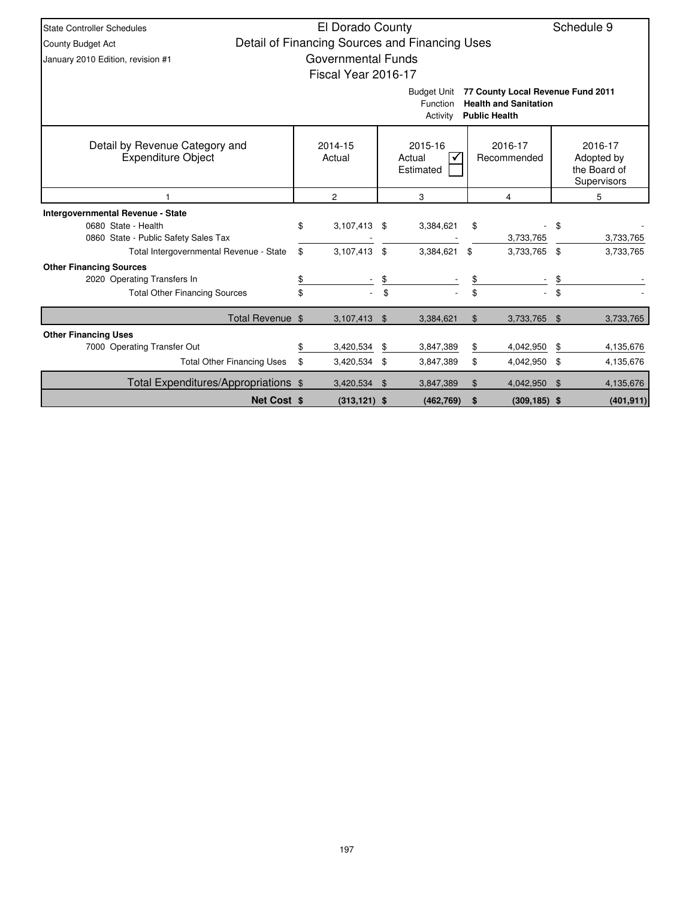| <b>State Controller Schedules</b>                                                                                                       |    | El Dorado County                               |    |                                |       |                        |      | Schedule 9                                           |  |  |
|-----------------------------------------------------------------------------------------------------------------------------------------|----|------------------------------------------------|----|--------------------------------|-------|------------------------|------|------------------------------------------------------|--|--|
| County Budget Act                                                                                                                       |    | Detail of Financing Sources and Financing Uses |    |                                |       |                        |      |                                                      |  |  |
| January 2010 Edition, revision #1                                                                                                       |    | <b>Governmental Funds</b>                      |    |                                |       |                        |      |                                                      |  |  |
|                                                                                                                                         |    | Fiscal Year 2016-17                            |    |                                |       |                        |      |                                                      |  |  |
| 77 County Local Revenue Fund 2011<br><b>Budget Unit</b><br><b>Health and Sanitation</b><br>Function<br>Activity<br><b>Public Health</b> |    |                                                |    |                                |       |                        |      |                                                      |  |  |
| Detail by Revenue Category and<br><b>Expenditure Object</b>                                                                             |    | 2014-15<br>Actual                              |    | 2015-16<br>Actual<br>Estimated |       | 2016-17<br>Recommended |      | 2016-17<br>Adopted by<br>the Board of<br>Supervisors |  |  |
|                                                                                                                                         |    | $\overline{c}$                                 |    | 3                              |       | 4                      |      | 5                                                    |  |  |
| <b>Intergovernmental Revenue - State</b>                                                                                                |    |                                                |    |                                |       |                        |      |                                                      |  |  |
| 0680 State - Health                                                                                                                     | \$ | $3,107,413$ \$                                 |    | 3,384,621                      | \$    |                        | \$   |                                                      |  |  |
| 0860 State - Public Safety Sales Tax                                                                                                    |    |                                                |    |                                |       | 3,733,765              |      | 3,733,765                                            |  |  |
| Total Intergovernmental Revenue - State                                                                                                 | \$ | 3,107,413                                      | \$ | 3,384,621                      | \$    | 3,733,765 \$           |      | 3,733,765                                            |  |  |
| <b>Other Financing Sources</b>                                                                                                          |    |                                                |    |                                |       |                        |      |                                                      |  |  |
| 2020 Operating Transfers In                                                                                                             | \$ |                                                | \$ |                                | \$    |                        | \$   |                                                      |  |  |
| <b>Total Other Financing Sources</b>                                                                                                    | \$ |                                                | \$ |                                | \$    |                        | \$   |                                                      |  |  |
| Total Revenue \$                                                                                                                        |    | 3,107,413                                      | \$ | 3,384,621                      | $\$\$ | 3,733,765              | \$   | 3,733,765                                            |  |  |
| <b>Other Financing Uses</b>                                                                                                             |    |                                                |    |                                |       |                        |      |                                                      |  |  |
| 7000 Operating Transfer Out                                                                                                             | \$ | 3,420,534                                      | \$ | 3,847,389                      | \$    | 4,042,950              | \$   | 4,135,676                                            |  |  |
| <b>Total Other Financing Uses</b>                                                                                                       | \$ | 3,420,534                                      | \$ | 3,847,389                      | \$    | 4,042,950              | - \$ | 4,135,676                                            |  |  |
| Total Expenditures/Appropriations \$                                                                                                    |    | 3,420,534 \$                                   |    | 3,847,389                      | \$    | 4,042,950              | - \$ | 4,135,676                                            |  |  |
| <b>Net Cost \$</b>                                                                                                                      |    | $(313, 121)$ \$                                |    | (462, 769)                     | \$    | $(309, 185)$ \$        |      | (401, 911)                                           |  |  |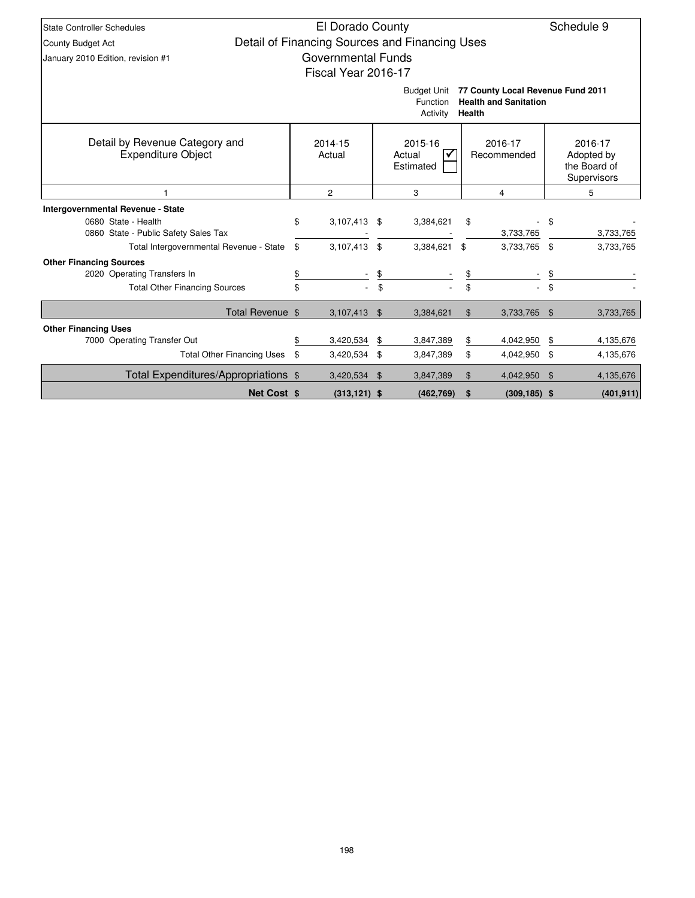| <b>State Controller Schedules</b>                           | El Dorado County                               |     |                                            |               |                                                                   |     | Schedule 9                                           |
|-------------------------------------------------------------|------------------------------------------------|-----|--------------------------------------------|---------------|-------------------------------------------------------------------|-----|------------------------------------------------------|
| <b>County Budget Act</b>                                    | Detail of Financing Sources and Financing Uses |     |                                            |               |                                                                   |     |                                                      |
| January 2010 Edition, revision #1                           | <b>Governmental Funds</b>                      |     |                                            |               |                                                                   |     |                                                      |
|                                                             | Fiscal Year 2016-17                            |     |                                            |               |                                                                   |     |                                                      |
|                                                             |                                                |     | <b>Budget Unit</b><br>Function<br>Activity | <b>Health</b> | 77 County Local Revenue Fund 2011<br><b>Health and Sanitation</b> |     |                                                      |
| Detail by Revenue Category and<br><b>Expenditure Object</b> | 2014-15<br>Actual                              |     | 2015-16<br>Actual<br>Estimated             |               | 2016-17<br>Recommended                                            |     | 2016-17<br>Adopted by<br>the Board of<br>Supervisors |
|                                                             | 2<br>3<br>4                                    |     |                                            |               |                                                                   |     | 5                                                    |
| Intergovernmental Revenue - State                           |                                                |     |                                            |               |                                                                   |     |                                                      |
| 0680 State - Health                                         | \$<br>3,107,413 \$                             |     | 3,384,621                                  | \$            |                                                                   | \$  |                                                      |
| 0860 State - Public Safety Sales Tax                        |                                                |     |                                            |               | 3,733,765                                                         |     | 3,733,765                                            |
| Total Intergovernmental Revenue - State                     | \$<br>3,107,413                                | \$  | 3,384,621                                  | \$            | 3,733,765                                                         | -\$ | 3,733,765                                            |
| <b>Other Financing Sources</b>                              |                                                |     |                                            |               |                                                                   |     |                                                      |
| 2020 Operating Transfers In                                 | \$                                             | \$  |                                            | \$            |                                                                   |     |                                                      |
| <b>Total Other Financing Sources</b>                        | \$                                             | \$  |                                            | \$            |                                                                   |     |                                                      |
| Total Revenue \$                                            | 3,107,413                                      | \$  | 3,384,621                                  | \$            | 3,733,765                                                         | \$  | 3,733,765                                            |
| <b>Other Financing Uses</b>                                 |                                                |     |                                            |               |                                                                   |     |                                                      |
| 7000 Operating Transfer Out                                 | \$<br>3,420,534                                | \$  | 3,847,389                                  | \$            | 4,042,950                                                         | \$  | 4,135,676                                            |
| <b>Total Other Financing Uses</b>                           | \$<br>3,420,534                                | \$  | 3,847,389                                  | \$            | 4,042,950                                                         | \$  | 4,135,676                                            |
| Total Expenditures/Appropriations \$                        | 3,420,534                                      | -\$ | 3,847,389                                  | \$            | 4,042,950                                                         | -\$ | 4,135,676                                            |
| <b>Net Cost \$</b>                                          | $(313, 121)$ \$                                |     | (462, 769)                                 | \$            | $(309, 185)$ \$                                                   |     | (401, 911)                                           |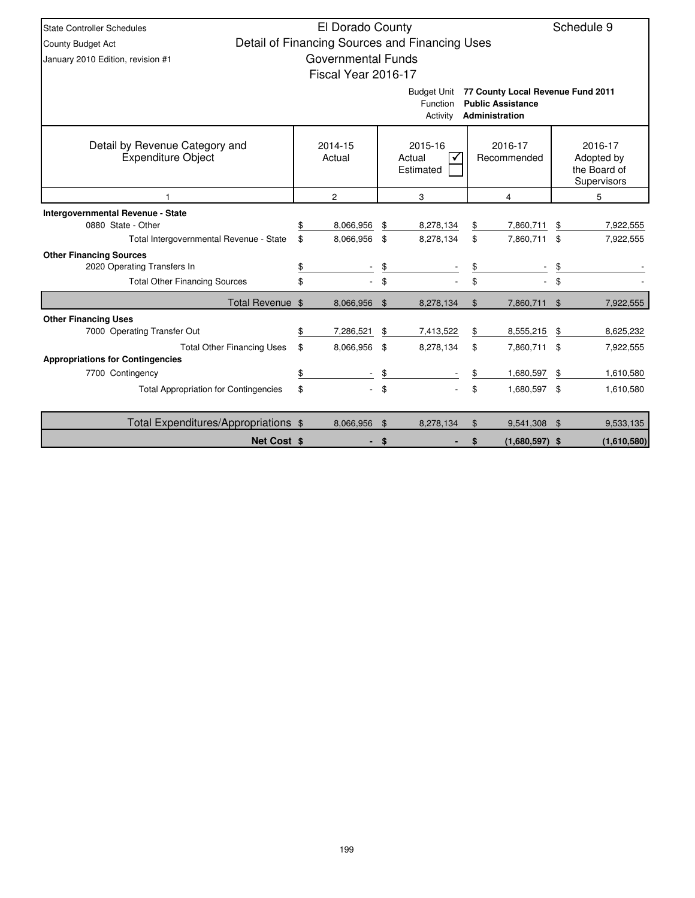| <b>State Controller Schedules</b>                                            | El Dorado County          |                |                                                |                |                                                                                 | Schedule 9 |                                                      |  |  |
|------------------------------------------------------------------------------|---------------------------|----------------|------------------------------------------------|----------------|---------------------------------------------------------------------------------|------------|------------------------------------------------------|--|--|
| <b>County Budget Act</b>                                                     |                           |                | Detail of Financing Sources and Financing Uses |                |                                                                                 |            |                                                      |  |  |
| January 2010 Edition, revision #1                                            | <b>Governmental Funds</b> |                |                                                |                |                                                                                 |            |                                                      |  |  |
|                                                                              | Fiscal Year 2016-17       |                |                                                |                |                                                                                 |            |                                                      |  |  |
|                                                                              |                           |                | <b>Budget Unit</b><br>Function<br>Activity     |                | 77 County Local Revenue Fund 2011<br><b>Public Assistance</b><br>Administration |            |                                                      |  |  |
| Detail by Revenue Category and<br><b>Expenditure Object</b>                  | 2014-15<br>Actual         |                | 2015-16<br>Actual<br>Estimated                 |                | 2016-17<br>Recommended                                                          |            | 2016-17<br>Adopted by<br>the Board of<br>Supervisors |  |  |
|                                                                              | $\overline{c}$            | 3<br>4         |                                                |                |                                                                                 |            | 5                                                    |  |  |
| <b>Intergovernmental Revenue - State</b><br>0880 State - Other               | \$<br>8,066,956           | \$             | 8,278,134                                      | \$             | 7,860,711                                                                       | \$         | 7,922,555                                            |  |  |
| Total Intergovernmental Revenue - State                                      | \$<br>8,066,956           | \$             | 8,278,134                                      | \$             | 7,860,711                                                                       | \$         | 7,922,555                                            |  |  |
| <b>Other Financing Sources</b><br>2020 Operating Transfers In                | \$                        | \$             |                                                | \$             |                                                                                 | \$         |                                                      |  |  |
| <b>Total Other Financing Sources</b>                                         | \$                        | \$             |                                                | \$             |                                                                                 | \$         |                                                      |  |  |
| Total Revenue \$                                                             | 8,066,956                 | $\mathbf{\$}$  | 8,278,134                                      | $\mathfrak{S}$ | 7,860,711                                                                       | \$         | 7,922,555                                            |  |  |
| <b>Other Financing Uses</b>                                                  |                           |                |                                                |                |                                                                                 |            |                                                      |  |  |
| 7000 Operating Transfer Out                                                  | \$<br>7,286,521           | \$             | 7,413,522                                      | \$             | 8,555,215                                                                       | \$         | 8,625,232                                            |  |  |
| <b>Total Other Financing Uses</b><br><b>Appropriations for Contingencies</b> | \$<br>8,066,956           | \$             | 8,278,134                                      | \$             | 7,860,711 \$                                                                    |            | 7,922,555                                            |  |  |
| 7700 Contingency                                                             | \$                        | \$             |                                                | \$             | 1,680,597                                                                       | \$         | 1,610,580                                            |  |  |
| <b>Total Appropriation for Contingencies</b>                                 | \$                        | \$             |                                                | \$             | 1,680,597 \$                                                                    |            | 1,610,580                                            |  |  |
|                                                                              |                           |                |                                                |                |                                                                                 |            |                                                      |  |  |
| Total Expenditures/Appropriations \$                                         | 8,066,956                 | $\mathfrak{F}$ | 8,278,134                                      | \$             | 9,541,308                                                                       | \$         | 9,533,135                                            |  |  |
| <b>Net Cost \$</b>                                                           |                           | S              |                                                | \$             | $(1,680,597)$ \$                                                                |            | (1,610,580)                                          |  |  |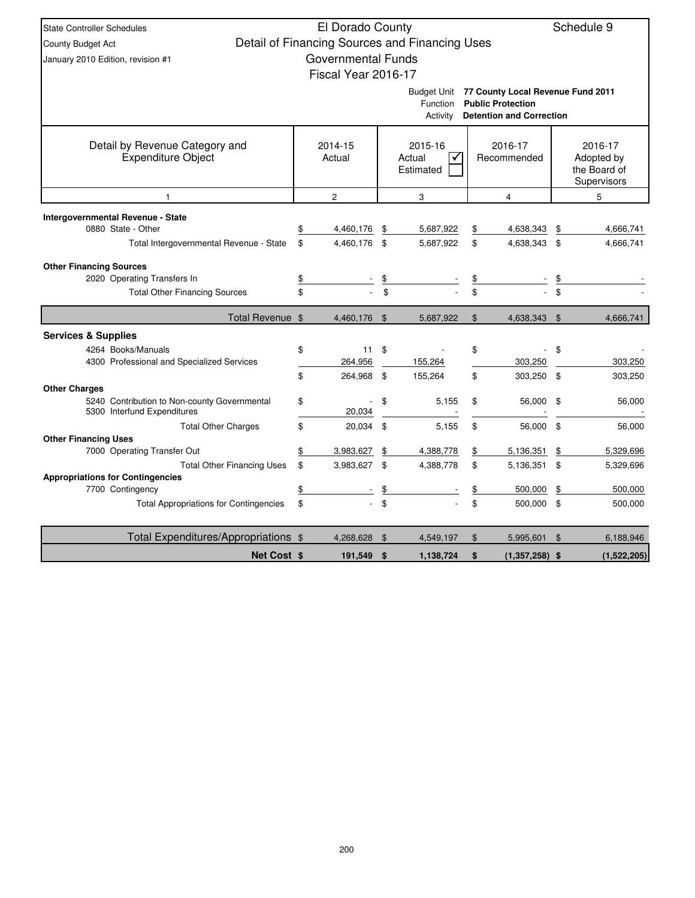| <b>State Controller Schedules</b>                                                                         |               | El Dorado County          |          |                                                |          |                                                                                                  |                | Schedule 9                                           |
|-----------------------------------------------------------------------------------------------------------|---------------|---------------------------|----------|------------------------------------------------|----------|--------------------------------------------------------------------------------------------------|----------------|------------------------------------------------------|
| County Budget Act                                                                                         |               |                           |          | Detail of Financing Sources and Financing Uses |          |                                                                                                  |                |                                                      |
| January 2010 Edition, revision #1                                                                         |               | <b>Governmental Funds</b> |          |                                                |          |                                                                                                  |                |                                                      |
|                                                                                                           |               | Fiscal Year 2016-17       |          |                                                |          |                                                                                                  |                |                                                      |
|                                                                                                           |               |                           |          | <b>Budget Unit</b><br>Function<br>Activity     |          | 77 County Local Revenue Fund 2011<br><b>Public Protection</b><br><b>Detention and Correction</b> |                |                                                      |
| Detail by Revenue Category and<br>Expenditure Object                                                      |               | 2014-15<br>Actual         |          | 2015-16<br>Actual<br>✓<br>Estimated            |          | 2016-17<br>Recommended                                                                           |                | 2016-17<br>Adopted by<br>the Board of<br>Supervisors |
| 1                                                                                                         |               | $\overline{2}$            |          | 3                                              |          | $\overline{\mathbf{4}}$                                                                          |                | 5                                                    |
| <b>Intergovernmental Revenue - State</b><br>0880 State - Other<br>Total Intergovernmental Revenue - State | \$<br>\$      | 4,460,176<br>4,460,176    | \$<br>\$ | 5,687,922<br>5,687,922                         | \$<br>\$ | 4,638,343<br>4,638,343                                                                           | \$<br>\$       | 4,666,741<br>4,666,741                               |
| <b>Other Financing Sources</b><br>2020 Operating Transfers In<br><b>Total Other Financing Sources</b>     | \$<br>\$      |                           | \$       |                                                | \$       |                                                                                                  | \$             |                                                      |
| Total Revenue \$                                                                                          |               | 4,460,176 \$              |          | 5,687,922                                      | \$       | 4,638,343                                                                                        | \$             | 4,666,741                                            |
| <b>Services &amp; Supplies</b>                                                                            |               |                           |          |                                                |          |                                                                                                  |                |                                                      |
| 4264 Books/Manuals<br>4300 Professional and Specialized Services                                          | \$            | 11<br>264,956             | \$       | 155,264                                        | \$       | 303,250                                                                                          | \$             | 303,250                                              |
|                                                                                                           | \$            | 264,968                   | \$       | 155,264                                        | \$       | 303,250                                                                                          | \$             | 303,250                                              |
| <b>Other Charges</b><br>5240 Contribution to Non-county Governmental<br>5300 Interfund Expenditures       | \$            | 20,034                    | \$       | 5.155                                          | \$       | 56,000                                                                                           | \$             | 56,000                                               |
| <b>Total Other Charges</b>                                                                                | \$            | 20,034                    | \$       | 5,155                                          | \$       | 56,000                                                                                           | \$             | 56,000                                               |
| <b>Other Financing Uses</b>                                                                               |               |                           |          |                                                |          |                                                                                                  |                |                                                      |
| 7000 Operating Transfer Out                                                                               | \$            | 3,983,627                 | \$       | 4,388,778                                      | \$       | 5,136,351                                                                                        | \$             | 5,329,696                                            |
| <b>Total Other Financing Uses</b><br><b>Appropriations for Contingencies</b>                              | \$            | 3,983,627                 | \$       | 4,388,778                                      | \$       | 5,136,351                                                                                        | \$             | 5,329,696                                            |
| 7700 Contingency                                                                                          | $\frac{1}{2}$ |                           | \$       |                                                | \$       | 500,000                                                                                          | \$             | 500,000                                              |
| <b>Total Appropriations for Contingencies</b>                                                             | \$            |                           | \$       |                                                | \$       | 500,000                                                                                          | \$             | 500,000                                              |
| Total Expenditures/Appropriations \$                                                                      |               | 4,268,628                 | \$       | 4,549,197                                      | \$       | 5,995,601                                                                                        | $\mathfrak{L}$ | 6,188,946                                            |
| <b>Net Cost \$</b>                                                                                        |               | 191,549                   | \$       | 1,138,724                                      | \$       | $(1,357,258)$ \$                                                                                 |                | (1,522,205)                                          |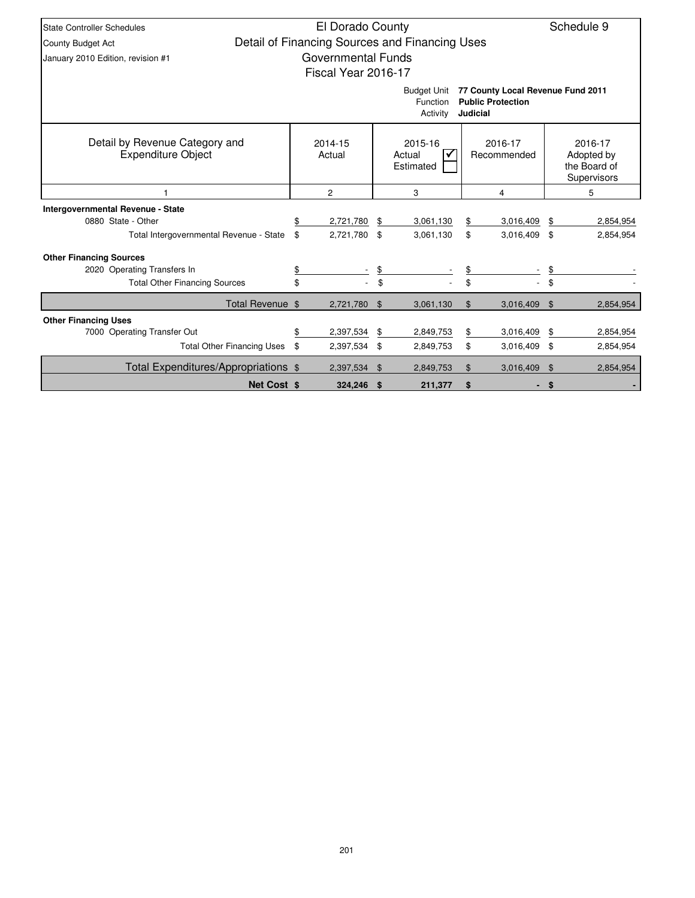| <b>State Controller Schedules</b>                                                                                              |    | El Dorado County    |                                                          | Schedule 9                                     |    |              |                    |                                                      |  |  |
|--------------------------------------------------------------------------------------------------------------------------------|----|---------------------|----------------------------------------------------------|------------------------------------------------|----|--------------|--------------------|------------------------------------------------------|--|--|
| County Budget Act                                                                                                              |    |                     |                                                          | Detail of Financing Sources and Financing Uses |    |              |                    |                                                      |  |  |
| January 2010 Edition, revision #1                                                                                              |    | Governmental Funds  |                                                          |                                                |    |              |                    |                                                      |  |  |
|                                                                                                                                |    | Fiscal Year 2016-17 |                                                          |                                                |    |              |                    |                                                      |  |  |
| 77 County Local Revenue Fund 2011<br><b>Budget Unit</b><br><b>Public Protection</b><br>Function<br><b>Judicial</b><br>Activity |    |                     |                                                          |                                                |    |              |                    |                                                      |  |  |
| Detail by Revenue Category and<br><b>Expenditure Object</b>                                                                    |    | 2014-15<br>Actual   | 2015-16<br>2016-17<br>Actual<br>Recommended<br>Estimated |                                                |    |              |                    | 2016-17<br>Adopted by<br>the Board of<br>Supervisors |  |  |
|                                                                                                                                |    | $\overline{c}$      | 3                                                        | 4                                              |    | 5            |                    |                                                      |  |  |
| Intergovernmental Revenue - State                                                                                              |    |                     |                                                          |                                                |    |              |                    |                                                      |  |  |
| 0880 State - Other                                                                                                             |    | 2,721,780           | \$                                                       | 3,061,130                                      | \$ | 3,016,409    | \$                 | 2,854,954                                            |  |  |
| Total Intergovernmental Revenue - State                                                                                        | \$ | 2,721,780           | \$                                                       | 3,061,130                                      | \$ | 3,016,409 \$ |                    | 2,854,954                                            |  |  |
| <b>Other Financing Sources</b>                                                                                                 |    |                     |                                                          |                                                |    |              |                    |                                                      |  |  |
| 2020 Operating Transfers In                                                                                                    | \$ |                     | \$                                                       |                                                |    |              |                    |                                                      |  |  |
| <b>Total Other Financing Sources</b>                                                                                           | \$ |                     | \$                                                       |                                                |    |              | \$                 |                                                      |  |  |
| Total Revenue \$                                                                                                               |    | 2,721,780           | \$                                                       | 3,061,130                                      | \$ | 3,016,409    | $\mathbf{\hat{s}}$ | 2,854,954                                            |  |  |
| <b>Other Financing Uses</b>                                                                                                    |    |                     |                                                          |                                                |    |              |                    |                                                      |  |  |
| 7000 Operating Transfer Out                                                                                                    | \$ | 2,397,534           | \$                                                       | 2,849,753                                      | \$ | 3,016,409    | \$                 | 2,854,954                                            |  |  |
| <b>Total Other Financing Uses</b>                                                                                              | \$ | 2,397,534           | \$                                                       | 2,849,753                                      | \$ | 3,016,409 \$ |                    | 2,854,954                                            |  |  |
| Total Expenditures/Appropriations \$                                                                                           |    | 2.397.534           | \$                                                       | 2.849.753                                      | \$ | 3,016,409    | \$                 | 2,854,954                                            |  |  |
| <b>Net Cost \$</b>                                                                                                             |    | 324.246             | \$                                                       | 211,377                                        | \$ |              | \$                 |                                                      |  |  |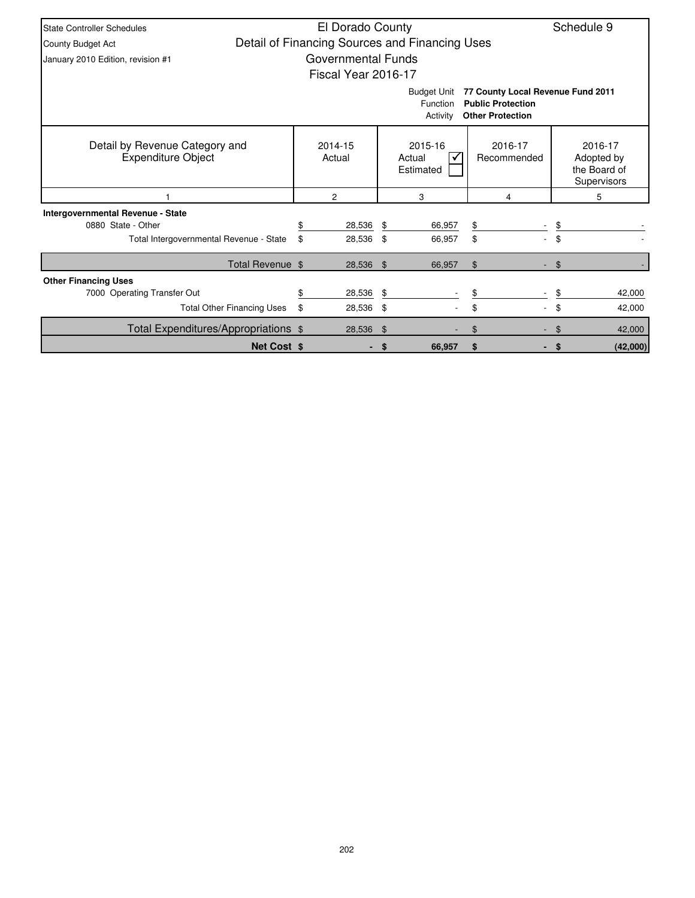| <b>State Controller Schedules</b>                                                                                                      |    | El Dorado County          |      |                                                |                        | Schedule 9                                           |          |  |  |  |
|----------------------------------------------------------------------------------------------------------------------------------------|----|---------------------------|------|------------------------------------------------|------------------------|------------------------------------------------------|----------|--|--|--|
| County Budget Act                                                                                                                      |    |                           |      | Detail of Financing Sources and Financing Uses |                        |                                                      |          |  |  |  |
| January 2010 Edition, revision #1                                                                                                      |    | <b>Governmental Funds</b> |      |                                                |                        |                                                      |          |  |  |  |
|                                                                                                                                        |    | Fiscal Year 2016-17       |      |                                                |                        |                                                      |          |  |  |  |
| 77 County Local Revenue Fund 2011<br><b>Budget Unit</b><br><b>Public Protection</b><br>Function<br><b>Other Protection</b><br>Activity |    |                           |      |                                                |                        |                                                      |          |  |  |  |
| Detail by Revenue Category and<br><b>Expenditure Object</b>                                                                            |    | 2014-15<br>Actual         |      | 2015-16<br>Actual<br>Estimated                 | 2016-17<br>Recommended | 2016-17<br>Adopted by<br>the Board of<br>Supervisors |          |  |  |  |
|                                                                                                                                        |    | $\mathbf{2}$              |      | 3                                              | 4                      |                                                      | 5        |  |  |  |
| Intergovernmental Revenue - State                                                                                                      |    |                           |      |                                                |                        |                                                      |          |  |  |  |
| 0880 State - Other                                                                                                                     |    | 28,536 \$                 |      | 66,957                                         | \$                     |                                                      |          |  |  |  |
| Total Intergovernmental Revenue - State                                                                                                | \$ | 28,536                    | - \$ | 66,957                                         | \$                     |                                                      |          |  |  |  |
| Total Revenue \$                                                                                                                       |    | 28,536 \$                 |      | 66,957                                         | \$                     | $\mathfrak{L}$                                       |          |  |  |  |
| <b>Other Financing Uses</b>                                                                                                            |    |                           |      |                                                |                        |                                                      |          |  |  |  |
| 7000 Operating Transfer Out                                                                                                            | \$ | 28,536 \$                 |      |                                                |                        |                                                      | 42,000   |  |  |  |
| <b>Total Other Financing Uses</b>                                                                                                      | \$ | 28,536                    | \$   |                                                | \$                     | \$                                                   | 42,000   |  |  |  |
| Total Expenditures/Appropriations \$                                                                                                   |    | 28,536 \$                 |      |                                                | \$                     |                                                      | 42,000   |  |  |  |
| Net Cost \$                                                                                                                            |    |                           | S    | 66,957                                         | \$                     | S.                                                   | (42,000) |  |  |  |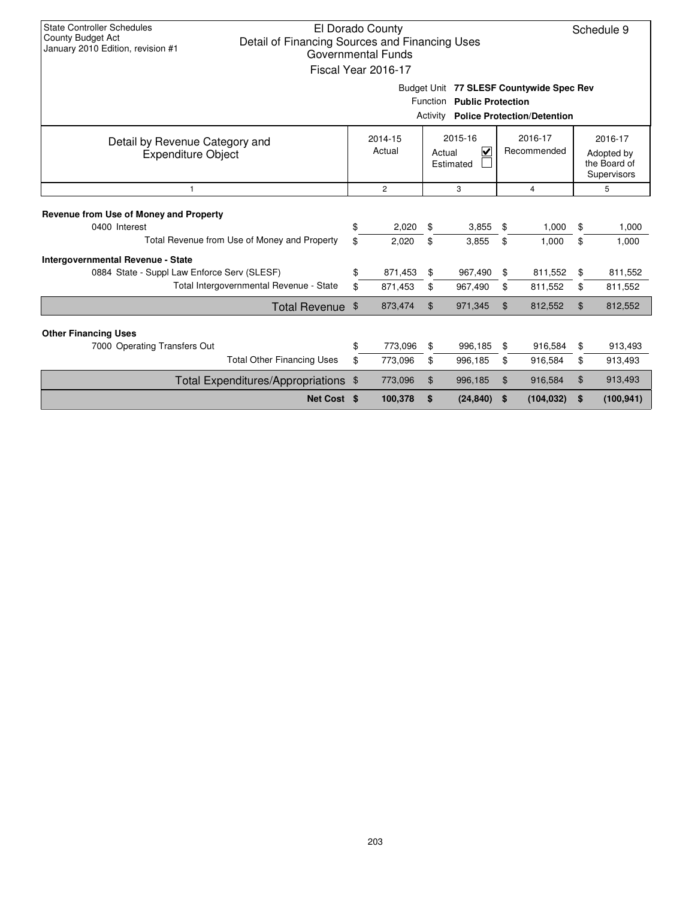| <b>State Controller Schedules</b><br>El Dorado County<br>Schedule 9<br>County Budget Act<br>Detail of Financing Sources and Financing Uses<br>January 2010 Edition, revision #1<br><b>Governmental Funds</b><br>Fiscal Year 2016-17<br>Budget Unit 77 SLESF Countywide Spec Rev |          |                                                                                                                |                |                                             |          |                                                      |          |                    |  |  |  |  |
|---------------------------------------------------------------------------------------------------------------------------------------------------------------------------------------------------------------------------------------------------------------------------------|----------|----------------------------------------------------------------------------------------------------------------|----------------|---------------------------------------------|----------|------------------------------------------------------|----------|--------------------|--|--|--|--|
|                                                                                                                                                                                                                                                                                 |          |                                                                                                                |                | Function Public Protection                  |          |                                                      |          |                    |  |  |  |  |
|                                                                                                                                                                                                                                                                                 |          |                                                                                                                |                | <b>Activity Police Protection/Detention</b> |          |                                                      |          |                    |  |  |  |  |
| Detail by Revenue Category and<br><b>Expenditure Object</b>                                                                                                                                                                                                                     |          | 2015-16<br>2016-17<br>2014-15<br>Actual<br>⊽<br>Recommended<br>Actual<br>Estimated<br>$\overline{2}$<br>3<br>4 |                |                                             |          | 2016-17<br>Adopted by<br>the Board of<br>Supervisors |          |                    |  |  |  |  |
| $\mathbf{1}$                                                                                                                                                                                                                                                                    |          |                                                                                                                |                |                                             |          |                                                      | 5        |                    |  |  |  |  |
| Revenue from Use of Money and Property<br>0400 Interest                                                                                                                                                                                                                         | \$       | 2.020                                                                                                          | \$             | 3,855                                       | \$       | 1,000                                                | \$       | 1,000              |  |  |  |  |
| Total Revenue from Use of Money and Property                                                                                                                                                                                                                                    | \$       | 2,020                                                                                                          | \$             | 3,855                                       | \$       | 1,000                                                | \$       | 1,000              |  |  |  |  |
| <b>Intergovernmental Revenue - State</b><br>0884 State - Suppl Law Enforce Serv (SLESF)<br>Total Intergovernmental Revenue - State                                                                                                                                              | \$<br>\$ | 871,453<br>871,453                                                                                             | \$<br>\$       | 967,490<br>967,490                          | \$<br>\$ | 811,552<br>811,552                                   | \$<br>\$ | 811,552<br>811,552 |  |  |  |  |
| Total Revenue \$                                                                                                                                                                                                                                                                |          | 873,474                                                                                                        | $\mathfrak{L}$ | 971,345                                     | \$       | 812,552                                              | \$       | 812,552            |  |  |  |  |
| <b>Other Financing Uses</b>                                                                                                                                                                                                                                                     |          |                                                                                                                |                |                                             |          |                                                      |          |                    |  |  |  |  |
| 7000 Operating Transfers Out                                                                                                                                                                                                                                                    | \$       | 773,096                                                                                                        | \$             | 996,185                                     | \$       | 916,584                                              | \$       | 913,493            |  |  |  |  |
| <b>Total Other Financing Uses</b>                                                                                                                                                                                                                                               | \$       | 773,096                                                                                                        | \$             | 996,185                                     | \$       | 916,584                                              | \$       | 913,493            |  |  |  |  |
| Total Expenditures/Appropriations \$                                                                                                                                                                                                                                            |          | 773,096                                                                                                        | $\mathfrak{S}$ | 996,185                                     | \$       | 916,584                                              | \$       | 913,493            |  |  |  |  |
| Net Cost \$                                                                                                                                                                                                                                                                     |          | 100,378                                                                                                        | \$             | (24, 840)                                   | -\$      | (104, 032)                                           | \$       | (100, 941)         |  |  |  |  |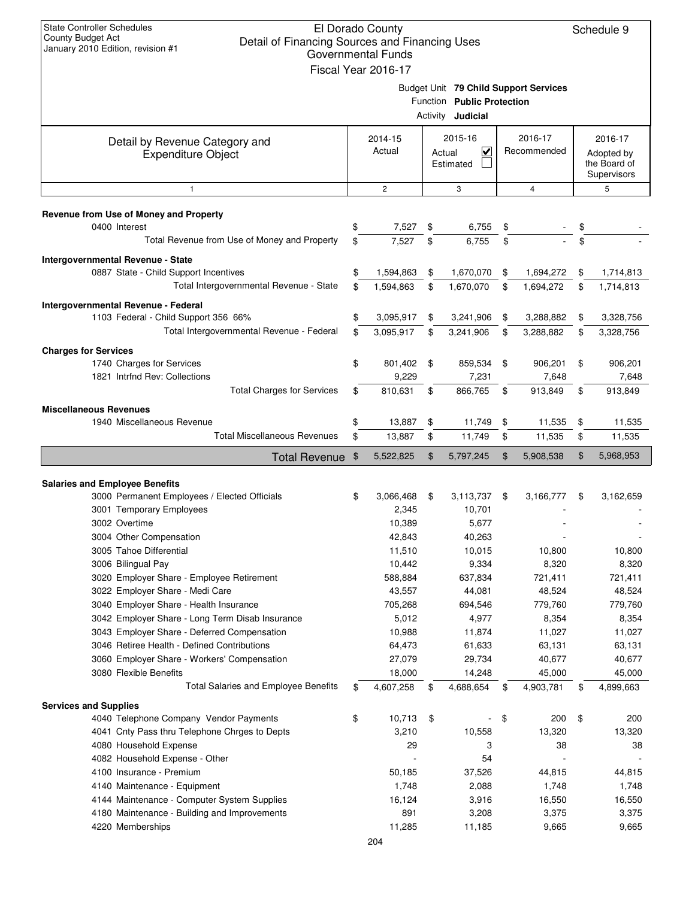| <b>State Controller Schedules</b><br>El Dorado County<br><b>County Budget Act</b><br>Detail of Financing Sources and Financing Uses<br>January 2010 Edition, revision #1<br><b>Governmental Funds</b><br>Fiscal Year 2016-17 |          |                   |    |                                                                                                 |    |                        |    |                                                      |  |  |
|------------------------------------------------------------------------------------------------------------------------------------------------------------------------------------------------------------------------------|----------|-------------------|----|-------------------------------------------------------------------------------------------------|----|------------------------|----|------------------------------------------------------|--|--|
|                                                                                                                                                                                                                              |          |                   |    | Budget Unit 79 Child Support Services<br>Function Public Protection<br>Activity <b>Judicial</b> |    |                        |    |                                                      |  |  |
| Detail by Revenue Category and<br><b>Expenditure Object</b>                                                                                                                                                                  |          | 2014-15<br>Actual |    | 2015-16<br>$\checkmark$<br>Actual<br>Estimated                                                  |    | 2016-17<br>Recommended |    | 2016-17<br>Adopted by<br>the Board of<br>Supervisors |  |  |
| $\mathbf{1}$                                                                                                                                                                                                                 |          | $\overline{2}$    |    | 3                                                                                               |    | $\overline{4}$         |    | 5                                                    |  |  |
| Revenue from Use of Money and Property                                                                                                                                                                                       |          |                   |    |                                                                                                 |    |                        |    |                                                      |  |  |
| 0400 Interest                                                                                                                                                                                                                | \$       | 7,527             | \$ | 6,755                                                                                           | \$ |                        | \$ |                                                      |  |  |
| Total Revenue from Use of Money and Property                                                                                                                                                                                 | \$       | 7,527             | \$ | 6,755                                                                                           | \$ |                        | \$ |                                                      |  |  |
| Intergovernmental Revenue - State                                                                                                                                                                                            |          |                   |    |                                                                                                 |    |                        |    |                                                      |  |  |
| 0887 State - Child Support Incentives<br>Total Intergovernmental Revenue - State                                                                                                                                             | \$<br>\$ | 1,594,863         | \$ | 1,670,070                                                                                       | \$ | 1,694,272              | \$ | 1,714,813                                            |  |  |
|                                                                                                                                                                                                                              |          | 1,594,863         | \$ | 1,670,070                                                                                       | \$ | 1,694,272              | \$ | 1,714,813                                            |  |  |
| Intergovernmental Revenue - Federal<br>1103 Federal - Child Support 356 66%                                                                                                                                                  | \$       | 3,095,917         | \$ | 3,241,906                                                                                       | \$ | 3,288,882              | \$ | 3,328,756                                            |  |  |
| Total Intergovernmental Revenue - Federal                                                                                                                                                                                    | \$       | 3,095,917         | \$ | 3,241,906                                                                                       | \$ | 3,288,882              | \$ | 3,328,756                                            |  |  |
| <b>Charges for Services</b>                                                                                                                                                                                                  |          |                   |    |                                                                                                 |    |                        |    |                                                      |  |  |
| 1740 Charges for Services                                                                                                                                                                                                    | \$       | 801,402           | \$ | 859,534                                                                                         | \$ | 906,201                | \$ | 906,201                                              |  |  |
| 1821 Intrfnd Rev: Collections                                                                                                                                                                                                |          | 9,229             |    | 7,231                                                                                           |    | 7,648                  |    | 7,648                                                |  |  |
| <b>Total Charges for Services</b>                                                                                                                                                                                            | \$       | 810,631           | \$ | 866,765                                                                                         | \$ | 913,849                | \$ | 913,849                                              |  |  |
| <b>Miscellaneous Revenues</b>                                                                                                                                                                                                |          |                   |    |                                                                                                 |    |                        |    |                                                      |  |  |
| 1940 Miscellaneous Revenue                                                                                                                                                                                                   | \$       | 13,887            | \$ | 11,749                                                                                          | \$ | 11,535                 | \$ | 11,535                                               |  |  |
| <b>Total Miscellaneous Revenues</b>                                                                                                                                                                                          | \$       | 13,887            | \$ | 11,749                                                                                          | \$ | 11,535                 | \$ | 11,535                                               |  |  |
| Total Revenue \$                                                                                                                                                                                                             |          | 5,522,825         | \$ | 5,797,245                                                                                       | \$ | 5,908,538              | \$ | 5,968,953                                            |  |  |
| <b>Salaries and Employee Benefits</b>                                                                                                                                                                                        |          |                   |    |                                                                                                 |    |                        |    |                                                      |  |  |
| 3000 Permanent Employees / Elected Officials                                                                                                                                                                                 | \$       | 3,066,468         | \$ | 3,113,737                                                                                       | \$ | 3,166,777              | \$ | 3,162,659                                            |  |  |
| 3001 Temporary Employees                                                                                                                                                                                                     |          | 2,345             |    | 10,701                                                                                          |    |                        |    |                                                      |  |  |
| 3002 Overtime                                                                                                                                                                                                                |          | 10,389            |    | 5,677                                                                                           |    |                        |    |                                                      |  |  |
| 3004 Other Compensation<br>3005 Tahoe Differential                                                                                                                                                                           |          | 42,843<br>11,510  |    | 40,263<br>10,015                                                                                |    | 10,800                 |    | 10,800                                               |  |  |
| 3006 Bilingual Pay                                                                                                                                                                                                           |          | 10,442            |    | 9,334                                                                                           |    | 8,320                  |    | 8,320                                                |  |  |
| 3020 Employer Share - Employee Retirement                                                                                                                                                                                    |          | 588,884           |    | 637,834                                                                                         |    | 721,411                |    | 721,411                                              |  |  |
| 3022 Employer Share - Medi Care                                                                                                                                                                                              |          | 43,557            |    | 44,081                                                                                          |    | 48,524                 |    | 48,524                                               |  |  |
| 3040 Employer Share - Health Insurance                                                                                                                                                                                       |          | 705,268           |    | 694,546                                                                                         |    | 779,760                |    | 779,760                                              |  |  |
| 3042 Employer Share - Long Term Disab Insurance                                                                                                                                                                              |          | 5,012             |    | 4,977                                                                                           |    | 8,354                  |    | 8,354                                                |  |  |
| 3043 Employer Share - Deferred Compensation<br>3046 Retiree Health - Defined Contributions                                                                                                                                   |          | 10,988<br>64,473  |    | 11,874<br>61,633                                                                                |    | 11,027<br>63,131       |    | 11,027<br>63,131                                     |  |  |
| 3060 Employer Share - Workers' Compensation                                                                                                                                                                                  |          | 27,079            |    | 29,734                                                                                          |    | 40,677                 |    | 40,677                                               |  |  |
| 3080 Flexible Benefits                                                                                                                                                                                                       |          | 18,000            |    | 14,248                                                                                          |    | 45,000                 |    | 45,000                                               |  |  |
| <b>Total Salaries and Employee Benefits</b>                                                                                                                                                                                  | \$       | 4,607,258         | \$ | 4,688,654                                                                                       | \$ | 4,903,781              | \$ | 4,899,663                                            |  |  |
| <b>Services and Supplies</b>                                                                                                                                                                                                 |          |                   |    |                                                                                                 |    |                        |    |                                                      |  |  |
| 4040 Telephone Company Vendor Payments                                                                                                                                                                                       | \$       | 10,713            | \$ |                                                                                                 | \$ | 200                    | \$ | 200                                                  |  |  |
| 4041 Cnty Pass thru Telephone Chrges to Depts                                                                                                                                                                                |          | 3,210             |    | 10,558                                                                                          |    | 13,320                 |    | 13,320                                               |  |  |
| 4080 Household Expense<br>4082 Household Expense - Other                                                                                                                                                                     |          | 29                |    | 3<br>54                                                                                         |    | 38                     |    | 38                                                   |  |  |
| 4100 Insurance - Premium                                                                                                                                                                                                     |          | 50,185            |    | 37,526                                                                                          |    | 44,815                 |    | 44,815                                               |  |  |
| 4140 Maintenance - Equipment                                                                                                                                                                                                 |          | 1,748             |    | 2,088                                                                                           |    | 1,748                  |    | 1,748                                                |  |  |
| 4144 Maintenance - Computer System Supplies                                                                                                                                                                                  |          | 16,124            |    | 3,916                                                                                           |    | 16,550                 |    | 16,550                                               |  |  |
| 4180 Maintenance - Building and Improvements                                                                                                                                                                                 |          | 891               |    | 3,208                                                                                           |    | 3,375                  |    | 3,375                                                |  |  |
| 4220 Memberships                                                                                                                                                                                                             |          | 11,285            |    | 11,185                                                                                          |    | 9,665                  |    | 9,665                                                |  |  |
|                                                                                                                                                                                                                              |          | 204               |    |                                                                                                 |    |                        |    |                                                      |  |  |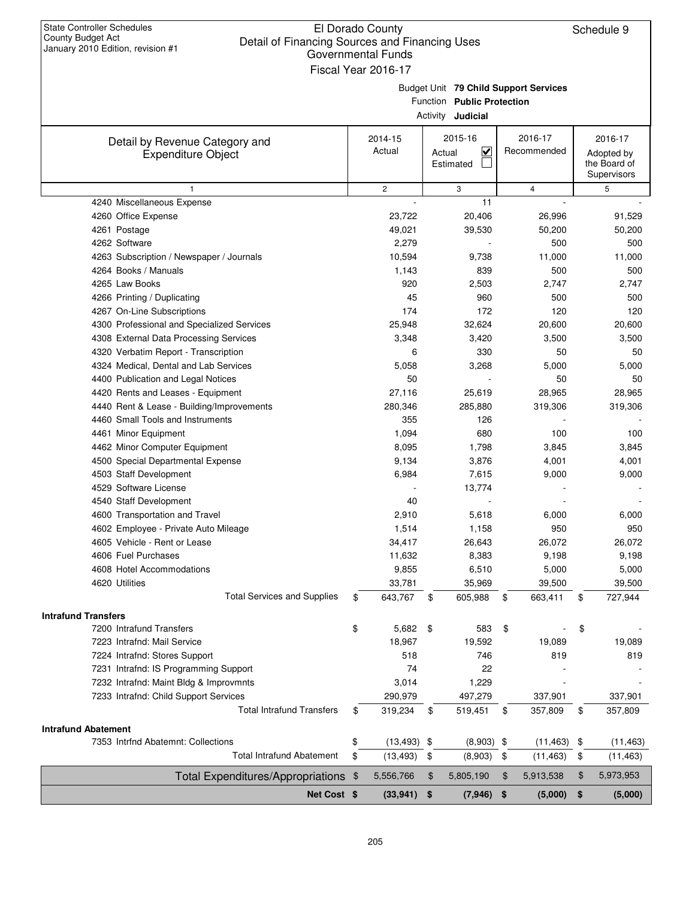| <b>State Controller Schedules</b><br>County Budget Act<br>Detail of Financing Sources and Financing Uses<br>January 2010 Edition, revision #1 | El Dorado County<br><b>Governmental Funds</b><br>Fiscal Year 2016-17 |        |                                                        |                                       | Schedule 9                                           |
|-----------------------------------------------------------------------------------------------------------------------------------------------|----------------------------------------------------------------------|--------|--------------------------------------------------------|---------------------------------------|------------------------------------------------------|
|                                                                                                                                               |                                                                      |        | Function Public Protection<br>Activity <b>Judicial</b> | Budget Unit 79 Child Support Services |                                                      |
| Detail by Revenue Category and<br><b>Expenditure Object</b>                                                                                   | 2014-15<br>Actual                                                    | Actual | 2015-16<br>$\overline{\mathbf{v}}$<br>Estimated        | 2016-17<br>Recommended                | 2016-17<br>Adopted by<br>the Board of<br>Supervisors |
| $\mathbf{1}$                                                                                                                                  | $\mathbf{2}$                                                         |        | 3                                                      | $\overline{4}$                        | 5                                                    |
| 4240 Miscellaneous Expense                                                                                                                    |                                                                      |        | 11                                                     |                                       |                                                      |
| 4260 Office Expense                                                                                                                           | 23,722                                                               |        | 20,406                                                 | 26,996                                | 91,529                                               |
| 4261 Postage                                                                                                                                  | 49,021                                                               |        | 39,530                                                 | 50,200                                | 50,200                                               |
| 4262 Software                                                                                                                                 | 2,279                                                                |        |                                                        | 500                                   | 500                                                  |
| 4263 Subscription / Newspaper / Journals                                                                                                      | 10,594                                                               |        | 9,738                                                  | 11,000                                | 11,000                                               |
| 4264 Books / Manuals                                                                                                                          | 1,143                                                                |        | 839                                                    | 500                                   | 500                                                  |
| 4265 Law Books                                                                                                                                | 920                                                                  |        | 2,503                                                  | 2,747                                 | 2,747                                                |
| 4266 Printing / Duplicating                                                                                                                   | 45                                                                   |        | 960                                                    | 500                                   | 500                                                  |
| 4267 On-Line Subscriptions                                                                                                                    | 174                                                                  |        | 172                                                    | 120                                   | 120                                                  |
| 4300 Professional and Specialized Services                                                                                                    | 25,948                                                               |        | 32,624                                                 | 20,600                                | 20,600                                               |
| 4308 External Data Processing Services                                                                                                        | 3,348                                                                |        | 3,420                                                  | 3,500                                 | 3,500                                                |
| 4320 Verbatim Report - Transcription                                                                                                          | 6                                                                    |        | 330                                                    | 50                                    | 50                                                   |
| 4324 Medical, Dental and Lab Services                                                                                                         | 5,058                                                                |        | 3,268                                                  | 5,000                                 | 5,000                                                |
| 4400 Publication and Legal Notices<br>4420 Rents and Leases - Equipment                                                                       | 50<br>27,116                                                         |        | 25,619                                                 | 50<br>28,965                          | 50<br>28,965                                         |
|                                                                                                                                               | 280,346                                                              |        | 285,880                                                | 319,306                               |                                                      |
| 4440 Rent & Lease - Building/Improvements<br>4460 Small Tools and Instruments                                                                 | 355                                                                  |        | 126                                                    |                                       | 319,306                                              |
| 4461 Minor Equipment                                                                                                                          | 1,094                                                                |        | 680                                                    | 100                                   | 100                                                  |
| 4462 Minor Computer Equipment                                                                                                                 | 8,095                                                                |        | 1,798                                                  | 3,845                                 | 3,845                                                |
| 4500 Special Departmental Expense                                                                                                             | 9,134                                                                |        | 3,876                                                  | 4,001                                 | 4,001                                                |
| 4503 Staff Development                                                                                                                        | 6,984                                                                |        | 7,615                                                  | 9,000                                 | 9,000                                                |
| 4529 Software License                                                                                                                         |                                                                      |        | 13,774                                                 |                                       |                                                      |
| 4540 Staff Development                                                                                                                        | 40                                                                   |        |                                                        |                                       |                                                      |
| 4600 Transportation and Travel                                                                                                                | 2,910                                                                |        | 5,618                                                  | 6,000                                 | 6,000                                                |
| 4602 Employee - Private Auto Mileage                                                                                                          | 1,514                                                                |        | 1,158                                                  | 950                                   | 950                                                  |
| 4605 Vehicle - Rent or Lease                                                                                                                  | 34,417                                                               |        | 26,643                                                 | 26,072                                | 26,072                                               |
| 4606 Fuel Purchases                                                                                                                           | 11,632                                                               |        | 8,383                                                  | 9,198                                 | 9,198                                                |
| 4608 Hotel Accommodations                                                                                                                     | 9,855                                                                |        | 6,510                                                  | 5,000                                 | 5,000                                                |
| 4620 Utilities                                                                                                                                | 33,781                                                               |        | 35,969                                                 | 39,500                                | 39,500                                               |
| <b>Total Services and Supplies</b>                                                                                                            | \$<br>643,767                                                        | \$     | 605,988                                                | \$<br>663,411                         | \$<br>727,944                                        |
| <b>Intrafund Transfers</b>                                                                                                                    |                                                                      |        |                                                        |                                       |                                                      |
| 7200 Intrafund Transfers                                                                                                                      | \$<br>5,682                                                          | \$     | 583                                                    | \$                                    | \$                                                   |
| 7223 Intrafnd: Mail Service                                                                                                                   | 18,967                                                               |        | 19,592                                                 | 19,089                                | 19,089                                               |
| 7224 Intrafnd: Stores Support                                                                                                                 | 518                                                                  |        | 746                                                    | 819                                   | 819                                                  |
| 7231 Intrafnd: IS Programming Support                                                                                                         | 74                                                                   |        | 22                                                     |                                       |                                                      |
| 7232 Intrafnd: Maint Bldg & Improvmnts                                                                                                        | 3,014                                                                |        | 1,229                                                  |                                       |                                                      |
| 7233 Intrafnd: Child Support Services                                                                                                         | 290,979                                                              |        | 497,279                                                | 337,901                               | 337,901                                              |
| <b>Total Intrafund Transfers</b>                                                                                                              | \$<br>319,234                                                        | \$     | 519,451                                                | \$<br>357,809                         | \$<br>357,809                                        |
| <b>Intrafund Abatement</b>                                                                                                                    |                                                                      |        |                                                        |                                       |                                                      |
| 7353 Intrind Abatemnt: Collections                                                                                                            | \$<br>$(13, 493)$ \$                                                 |        | $(8,903)$ \$                                           | (11, 463)                             | \$<br>(11, 463)                                      |
| <b>Total Intrafund Abatement</b>                                                                                                              | \$<br>(13, 493)                                                      | \$     | (8,903)                                                | \$<br>(11, 463)                       | \$<br>(11, 463)                                      |
|                                                                                                                                               |                                                                      |        |                                                        |                                       |                                                      |
| Total Expenditures/Appropriations \$                                                                                                          | 5,556,766                                                            | \$     | 5,805,190                                              | \$<br>5,913,538                       | \$<br>5,973,953                                      |
| Net Cost \$                                                                                                                                   | (33, 941)                                                            | \$     | (7, 946)                                               | \$<br>(5,000)                         | \$<br>(5,000)                                        |

 $\mathbf{L}$